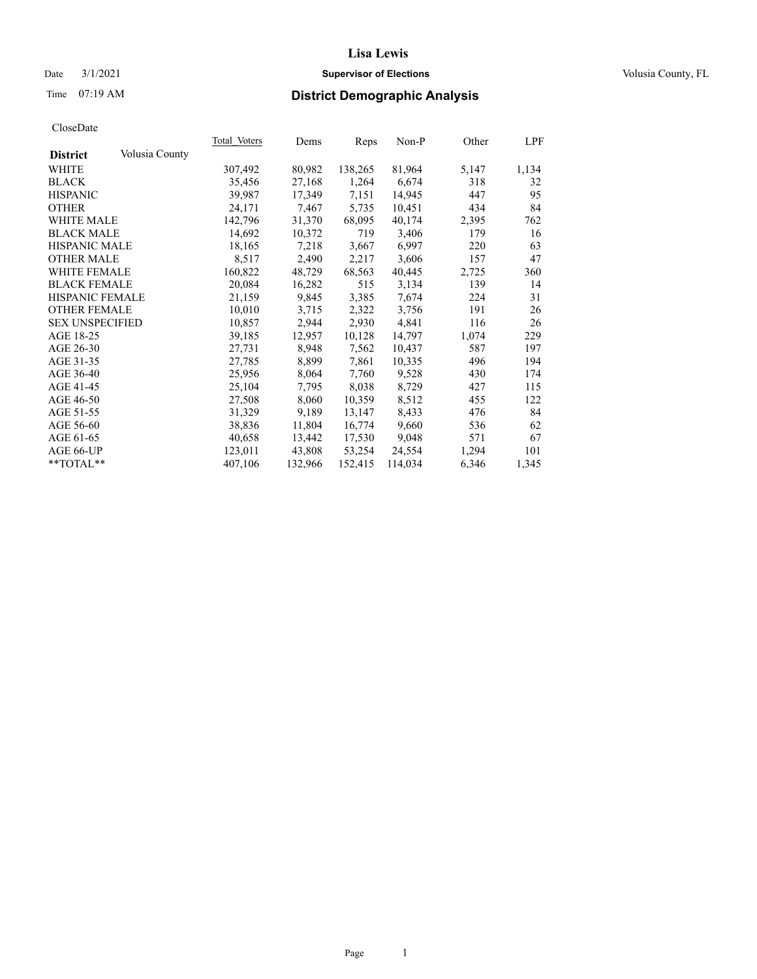# Date  $3/1/2021$  **Supervisor of Elections Supervisor of Elections** Volusia County, FL

# Time 07:19 AM **District Demographic Analysis**

|                        |                | Total Voters | Dems    | Reps    | Non-P   | Other | LPF   |
|------------------------|----------------|--------------|---------|---------|---------|-------|-------|
| <b>District</b>        | Volusia County |              |         |         |         |       |       |
| WHITE                  |                | 307,492      | 80,982  | 138,265 | 81,964  | 5,147 | 1,134 |
| <b>BLACK</b>           |                | 35,456       | 27,168  | 1,264   | 6,674   | 318   | 32    |
| <b>HISPANIC</b>        |                | 39,987       | 17,349  | 7,151   | 14,945  | 447   | 95    |
| <b>OTHER</b>           |                | 24,171       | 7,467   | 5,735   | 10,451  | 434   | 84    |
| WHITE MALE             |                | 142,796      | 31,370  | 68,095  | 40,174  | 2,395 | 762   |
| <b>BLACK MALE</b>      |                | 14,692       | 10,372  | 719     | 3,406   | 179   | 16    |
| <b>HISPANIC MALE</b>   |                | 18,165       | 7,218   | 3,667   | 6,997   | 220   | 63    |
| <b>OTHER MALE</b>      |                | 8,517        | 2,490   | 2,217   | 3,606   | 157   | 47    |
| <b>WHITE FEMALE</b>    |                | 160,822      | 48,729  | 68,563  | 40,445  | 2,725 | 360   |
| <b>BLACK FEMALE</b>    |                | 20,084       | 16,282  | 515     | 3,134   | 139   | 14    |
| <b>HISPANIC FEMALE</b> |                | 21,159       | 9,845   | 3,385   | 7,674   | 224   | 31    |
| <b>OTHER FEMALE</b>    |                | 10,010       | 3,715   | 2,322   | 3,756   | 191   | 26    |
| <b>SEX UNSPECIFIED</b> |                | 10,857       | 2,944   | 2,930   | 4,841   | 116   | 26    |
| AGE 18-25              |                | 39,185       | 12,957  | 10,128  | 14,797  | 1,074 | 229   |
| AGE 26-30              |                | 27,731       | 8,948   | 7,562   | 10,437  | 587   | 197   |
| AGE 31-35              |                | 27,785       | 8,899   | 7,861   | 10,335  | 496   | 194   |
| AGE 36-40              |                | 25,956       | 8,064   | 7,760   | 9,528   | 430   | 174   |
| AGE 41-45              |                | 25,104       | 7,795   | 8,038   | 8,729   | 427   | 115   |
| AGE 46-50              |                | 27,508       | 8,060   | 10,359  | 8,512   | 455   | 122   |
| AGE 51-55              |                | 31,329       | 9,189   | 13,147  | 8,433   | 476   | 84    |
| AGE 56-60              |                | 38,836       | 11,804  | 16,774  | 9,660   | 536   | 62    |
| AGE 61-65              |                | 40,658       | 13,442  | 17,530  | 9,048   | 571   | 67    |
| AGE 66-UP              |                | 123,011      | 43,808  | 53,254  | 24,554  | 1,294 | 101   |
| $*$ TOTAL $*$          |                | 407,106      | 132,966 | 152,415 | 114,034 | 6,346 | 1,345 |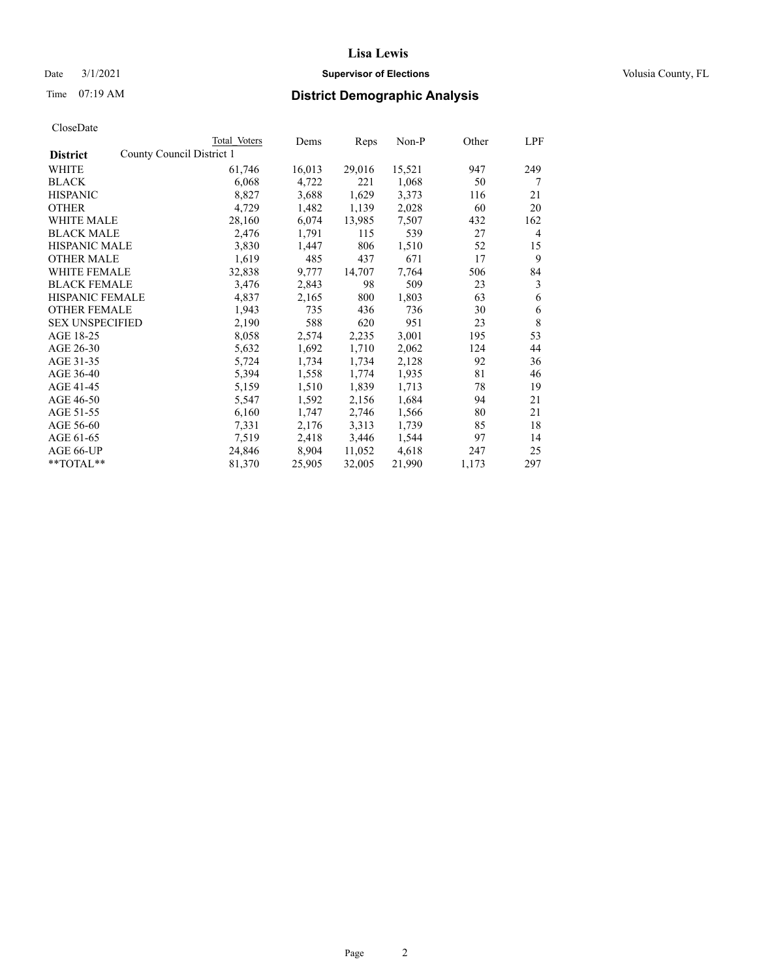# Date  $3/1/2021$  **Supervisor of Elections Supervisor of Elections** Volusia County, FL

|                                              | Total Voters | Dems   | Reps   | $Non-P$ | Other | LPF            |
|----------------------------------------------|--------------|--------|--------|---------|-------|----------------|
| County Council District 1<br><b>District</b> |              |        |        |         |       |                |
| WHITE                                        | 61,746       | 16,013 | 29,016 | 15,521  | 947   | 249            |
| <b>BLACK</b>                                 | 6,068        | 4,722  | 221    | 1,068   | 50    | 7              |
| <b>HISPANIC</b>                              | 8,827        | 3,688  | 1,629  | 3,373   | 116   | 21             |
| <b>OTHER</b>                                 | 4,729        | 1,482  | 1,139  | 2,028   | 60    | 20             |
| <b>WHITE MALE</b>                            | 28,160       | 6,074  | 13,985 | 7,507   | 432   | 162            |
| <b>BLACK MALE</b>                            | 2,476        | 1,791  | 115    | 539     | 27    | $\overline{4}$ |
| <b>HISPANIC MALE</b>                         | 3,830        | 1,447  | 806    | 1,510   | 52    | 15             |
| <b>OTHER MALE</b>                            | 1,619        | 485    | 437    | 671     | 17    | 9              |
| <b>WHITE FEMALE</b>                          | 32,838       | 9,777  | 14,707 | 7,764   | 506   | 84             |
| <b>BLACK FEMALE</b>                          | 3,476        | 2,843  | 98     | 509     | 23    | 3              |
| HISPANIC FEMALE                              | 4,837        | 2,165  | 800    | 1,803   | 63    | 6              |
| <b>OTHER FEMALE</b>                          | 1,943        | 735    | 436    | 736     | 30    | 6              |
| <b>SEX UNSPECIFIED</b>                       | 2,190        | 588    | 620    | 951     | 23    | 8              |
| AGE 18-25                                    | 8,058        | 2,574  | 2,235  | 3,001   | 195   | 53             |
| AGE 26-30                                    | 5,632        | 1,692  | 1,710  | 2,062   | 124   | 44             |
| AGE 31-35                                    | 5,724        | 1,734  | 1,734  | 2,128   | 92    | 36             |
| AGE 36-40                                    | 5,394        | 1,558  | 1,774  | 1,935   | 81    | 46             |
| AGE 41-45                                    | 5,159        | 1,510  | 1,839  | 1,713   | 78    | 19             |
| AGE 46-50                                    | 5,547        | 1,592  | 2,156  | 1,684   | 94    | 21             |
| AGE 51-55                                    | 6,160        | 1,747  | 2,746  | 1,566   | 80    | 21             |
| AGE 56-60                                    | 7,331        | 2,176  | 3,313  | 1,739   | 85    | 18             |
| AGE 61-65                                    | 7,519        | 2,418  | 3,446  | 1,544   | 97    | 14             |
| AGE 66-UP                                    | 24,846       | 8,904  | 11,052 | 4,618   | 247   | 25             |
| **TOTAL**                                    | 81,370       | 25,905 | 32,005 | 21,990  | 1,173 | 297            |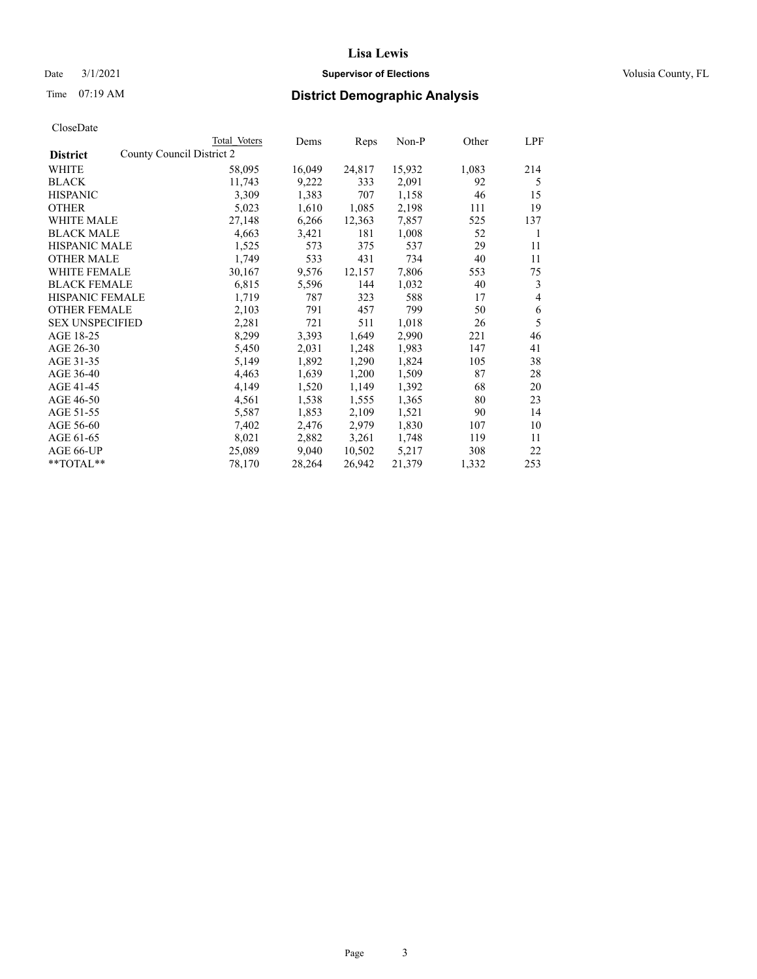# Date  $3/1/2021$  **Supervisor of Elections Supervisor of Elections** Volusia County, FL

|                        | Total Voters              | Dems   | Reps   | Non-P  | Other | LPF            |
|------------------------|---------------------------|--------|--------|--------|-------|----------------|
| <b>District</b>        | County Council District 2 |        |        |        |       |                |
| WHITE                  | 58,095                    | 16,049 | 24,817 | 15,932 | 1,083 | 214            |
| <b>BLACK</b>           | 11,743                    | 9,222  | 333    | 2,091  | 92    | 5              |
| <b>HISPANIC</b>        | 3,309                     | 1,383  | 707    | 1,158  | 46    | 15             |
| <b>OTHER</b>           | 5,023                     | 1,610  | 1,085  | 2,198  | 111   | 19             |
| WHITE MALE             | 27,148                    | 6,266  | 12,363 | 7,857  | 525   | 137            |
| <b>BLACK MALE</b>      | 4,663                     | 3,421  | 181    | 1,008  | 52    | 1              |
| <b>HISPANIC MALE</b>   | 1,525                     | 573    | 375    | 537    | 29    | 11             |
| <b>OTHER MALE</b>      | 1,749                     | 533    | 431    | 734    | 40    | 11             |
| <b>WHITE FEMALE</b>    | 30,167                    | 9,576  | 12,157 | 7,806  | 553   | 75             |
| <b>BLACK FEMALE</b>    | 6,815                     | 5,596  | 144    | 1,032  | 40    | 3              |
| <b>HISPANIC FEMALE</b> | 1,719                     | 787    | 323    | 588    | 17    | $\overline{4}$ |
| <b>OTHER FEMALE</b>    | 2,103                     | 791    | 457    | 799    | 50    | 6              |
| <b>SEX UNSPECIFIED</b> | 2,281                     | 721    | 511    | 1,018  | 26    | 5              |
| AGE 18-25              | 8,299                     | 3,393  | 1,649  | 2,990  | 221   | 46             |
| AGE 26-30              | 5,450                     | 2,031  | 1,248  | 1,983  | 147   | 41             |
| AGE 31-35              | 5,149                     | 1,892  | 1,290  | 1,824  | 105   | 38             |
| AGE 36-40              | 4,463                     | 1,639  | 1,200  | 1,509  | 87    | 28             |
| AGE 41-45              | 4,149                     | 1,520  | 1,149  | 1,392  | 68    | 20             |
| AGE 46-50              | 4,561                     | 1,538  | 1,555  | 1,365  | 80    | 23             |
| AGE 51-55              | 5,587                     | 1,853  | 2,109  | 1,521  | 90    | 14             |
| AGE 56-60              | 7,402                     | 2,476  | 2,979  | 1,830  | 107   | 10             |
| AGE 61-65              | 8,021                     | 2,882  | 3,261  | 1,748  | 119   | 11             |
| AGE 66-UP              | 25,089                    | 9,040  | 10,502 | 5,217  | 308   | 22             |
| **TOTAL**              | 78,170                    | 28,264 | 26,942 | 21,379 | 1,332 | 253            |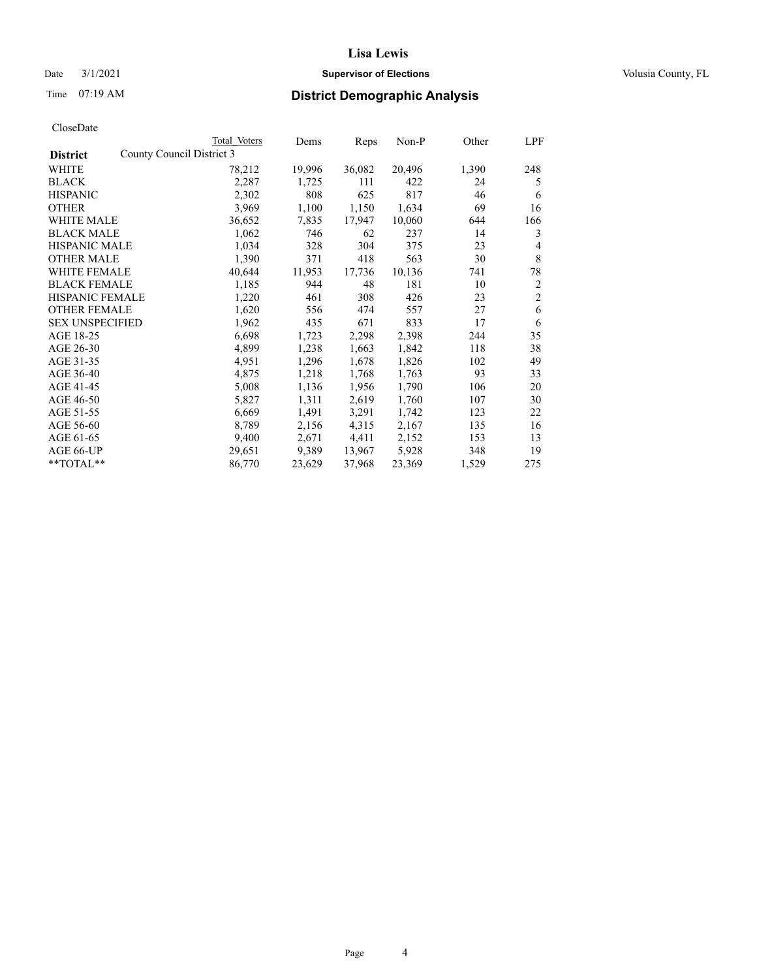# Date  $3/1/2021$  **Supervisor of Elections Supervisor of Elections** Volusia County, FL

# Time 07:19 AM **District Demographic Analysis**

|                        | Total Voters              | Dems   | Reps   | Non-P  | Other | LPF            |
|------------------------|---------------------------|--------|--------|--------|-------|----------------|
| <b>District</b>        | County Council District 3 |        |        |        |       |                |
| WHITE                  | 78,212                    | 19,996 | 36,082 | 20,496 | 1,390 | 248            |
| <b>BLACK</b>           | 2,287                     | 1,725  | 111    | 422    | 24    | 5              |
| <b>HISPANIC</b>        | 2,302                     | 808    | 625    | 817    | 46    | 6              |
| <b>OTHER</b>           | 3,969                     | 1,100  | 1,150  | 1,634  | 69    | 16             |
| <b>WHITE MALE</b>      | 36,652                    | 7,835  | 17,947 | 10,060 | 644   | 166            |
| <b>BLACK MALE</b>      | 1,062                     | 746    | 62     | 237    | 14    | 3              |
| <b>HISPANIC MALE</b>   | 1,034                     | 328    | 304    | 375    | 23    | 4              |
| <b>OTHER MALE</b>      | 1,390                     | 371    | 418    | 563    | 30    | $\,$ 8 $\,$    |
| <b>WHITE FEMALE</b>    | 40,644                    | 11,953 | 17,736 | 10,136 | 741   | 78             |
| <b>BLACK FEMALE</b>    | 1,185                     | 944    | 48     | 181    | 10    | $\overline{2}$ |
| <b>HISPANIC FEMALE</b> | 1,220                     | 461    | 308    | 426    | 23    | $\overline{2}$ |
| <b>OTHER FEMALE</b>    | 1,620                     | 556    | 474    | 557    | 27    | 6              |
| <b>SEX UNSPECIFIED</b> | 1,962                     | 435    | 671    | 833    | 17    | 6              |
| AGE 18-25              | 6,698                     | 1,723  | 2,298  | 2,398  | 244   | 35             |
| AGE 26-30              | 4,899                     | 1,238  | 1,663  | 1,842  | 118   | 38             |
| AGE 31-35              | 4,951                     | 1,296  | 1,678  | 1,826  | 102   | 49             |
| AGE 36-40              | 4,875                     | 1,218  | 1,768  | 1,763  | 93    | 33             |
| AGE 41-45              | 5,008                     | 1,136  | 1,956  | 1,790  | 106   | 20             |
| AGE 46-50              | 5,827                     | 1,311  | 2,619  | 1,760  | 107   | 30             |
| AGE 51-55              | 6,669                     | 1,491  | 3,291  | 1,742  | 123   | 22             |
| AGE 56-60              | 8,789                     | 2,156  | 4,315  | 2,167  | 135   | 16             |
| AGE 61-65              | 9,400                     | 2,671  | 4,411  | 2,152  | 153   | 13             |
| AGE 66-UP              | 29,651                    | 9,389  | 13,967 | 5,928  | 348   | 19             |
| $*$ $TOTAL**$          | 86,770                    | 23,629 | 37,968 | 23,369 | 1,529 | 275            |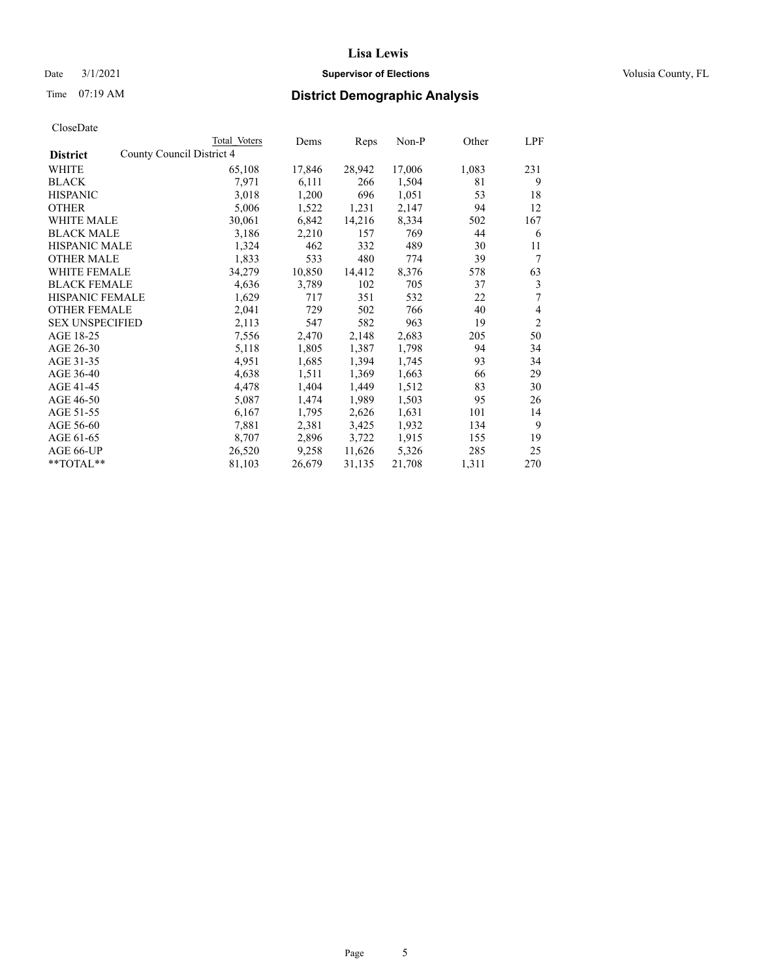# Date  $3/1/2021$  **Supervisor of Elections Supervisor of Elections** Volusia County, FL

|                        |                           | Total Voters | Dems   | Reps   | Non-P  | Other | LPF            |
|------------------------|---------------------------|--------------|--------|--------|--------|-------|----------------|
| <b>District</b>        | County Council District 4 |              |        |        |        |       |                |
| WHITE                  |                           | 65,108       | 17,846 | 28,942 | 17,006 | 1,083 | 231            |
| <b>BLACK</b>           |                           | 7,971        | 6,111  | 266    | 1,504  | 81    | 9              |
| <b>HISPANIC</b>        |                           | 3,018        | 1,200  | 696    | 1,051  | 53    | 18             |
| <b>OTHER</b>           |                           | 5,006        | 1,522  | 1,231  | 2,147  | 94    | 12             |
| <b>WHITE MALE</b>      |                           | 30,061       | 6,842  | 14,216 | 8,334  | 502   | 167            |
| <b>BLACK MALE</b>      |                           | 3,186        | 2,210  | 157    | 769    | 44    | 6              |
| <b>HISPANIC MALE</b>   |                           | 1,324        | 462    | 332    | 489    | 30    | 11             |
| <b>OTHER MALE</b>      |                           | 1,833        | 533    | 480    | 774    | 39    | $\tau$         |
| <b>WHITE FEMALE</b>    |                           | 34,279       | 10,850 | 14,412 | 8,376  | 578   | 63             |
| <b>BLACK FEMALE</b>    |                           | 4,636        | 3,789  | 102    | 705    | 37    | 3              |
| <b>HISPANIC FEMALE</b> |                           | 1,629        | 717    | 351    | 532    | 22    | 7              |
| <b>OTHER FEMALE</b>    |                           | 2,041        | 729    | 502    | 766    | 40    | 4              |
| <b>SEX UNSPECIFIED</b> |                           | 2,113        | 547    | 582    | 963    | 19    | $\overline{2}$ |
| AGE 18-25              |                           | 7,556        | 2,470  | 2,148  | 2,683  | 205   | 50             |
| AGE 26-30              |                           | 5,118        | 1,805  | 1,387  | 1,798  | 94    | 34             |
| AGE 31-35              |                           | 4,951        | 1,685  | 1,394  | 1,745  | 93    | 34             |
| AGE 36-40              |                           | 4,638        | 1,511  | 1,369  | 1,663  | 66    | 29             |
| AGE 41-45              |                           | 4,478        | 1,404  | 1,449  | 1,512  | 83    | 30             |
| AGE 46-50              |                           | 5,087        | 1,474  | 1,989  | 1,503  | 95    | 26             |
| AGE 51-55              |                           | 6,167        | 1,795  | 2,626  | 1,631  | 101   | 14             |
| AGE 56-60              |                           | 7,881        | 2,381  | 3,425  | 1,932  | 134   | 9              |
| AGE 61-65              |                           | 8,707        | 2,896  | 3,722  | 1,915  | 155   | 19             |
| AGE 66-UP              |                           | 26,520       | 9,258  | 11,626 | 5,326  | 285   | 25             |
| **TOTAL**              |                           | 81,103       | 26,679 | 31,135 | 21,708 | 1,311 | 270            |
|                        |                           |              |        |        |        |       |                |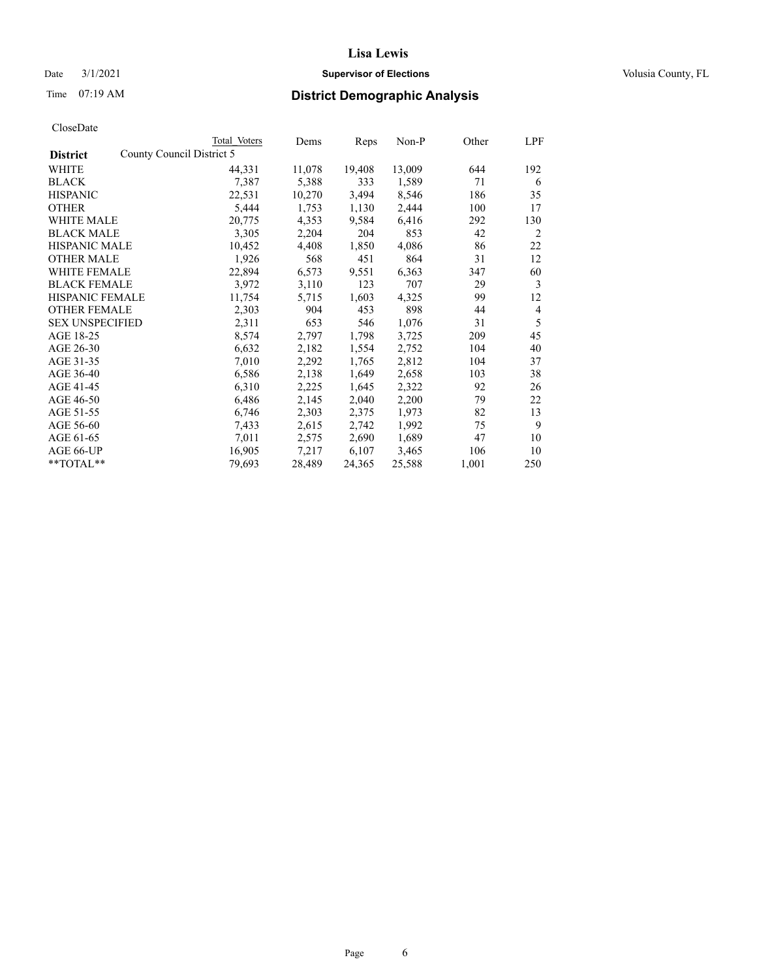# Date  $3/1/2021$  **Supervisor of Elections Supervisor of Elections** Volusia County, FL

|                        |                           | Total Voters | Dems   | Reps   | Non-P  | Other | LPF |
|------------------------|---------------------------|--------------|--------|--------|--------|-------|-----|
| <b>District</b>        | County Council District 5 |              |        |        |        |       |     |
| WHITE                  |                           | 44,331       | 11,078 | 19,408 | 13,009 | 644   | 192 |
| <b>BLACK</b>           |                           | 7,387        | 5,388  | 333    | 1,589  | 71    | 6   |
| <b>HISPANIC</b>        |                           | 22,531       | 10,270 | 3,494  | 8,546  | 186   | 35  |
| <b>OTHER</b>           |                           | 5,444        | 1,753  | 1,130  | 2,444  | 100   | 17  |
| WHITE MALE             |                           | 20,775       | 4,353  | 9,584  | 6,416  | 292   | 130 |
| <b>BLACK MALE</b>      |                           | 3,305        | 2,204  | 204    | 853    | 42    | 2   |
| <b>HISPANIC MALE</b>   |                           | 10,452       | 4,408  | 1,850  | 4,086  | 86    | 22  |
| <b>OTHER MALE</b>      |                           | 1,926        | 568    | 451    | 864    | 31    | 12  |
| <b>WHITE FEMALE</b>    |                           | 22,894       | 6,573  | 9,551  | 6,363  | 347   | 60  |
| <b>BLACK FEMALE</b>    |                           | 3,972        | 3,110  | 123    | 707    | 29    | 3   |
| <b>HISPANIC FEMALE</b> |                           | 11,754       | 5,715  | 1,603  | 4,325  | 99    | 12  |
| <b>OTHER FEMALE</b>    |                           | 2,303        | 904    | 453    | 898    | 44    | 4   |
| <b>SEX UNSPECIFIED</b> |                           | 2,311        | 653    | 546    | 1,076  | 31    | 5   |
| AGE 18-25              |                           | 8,574        | 2,797  | 1,798  | 3,725  | 209   | 45  |
| AGE 26-30              |                           | 6,632        | 2,182  | 1,554  | 2,752  | 104   | 40  |
| AGE 31-35              |                           | 7,010        | 2,292  | 1,765  | 2,812  | 104   | 37  |
| AGE 36-40              |                           | 6,586        | 2,138  | 1,649  | 2,658  | 103   | 38  |
| AGE 41-45              |                           | 6,310        | 2,225  | 1,645  | 2,322  | 92    | 26  |
| AGE 46-50              |                           | 6,486        | 2,145  | 2,040  | 2,200  | 79    | 22  |
| AGE 51-55              |                           | 6,746        | 2,303  | 2,375  | 1,973  | 82    | 13  |
| AGE 56-60              |                           | 7,433        | 2,615  | 2,742  | 1,992  | 75    | 9   |
| AGE 61-65              |                           | 7,011        | 2,575  | 2,690  | 1,689  | 47    | 10  |
| AGE 66-UP              |                           | 16,905       | 7,217  | 6,107  | 3,465  | 106   | 10  |
| **TOTAL**              |                           | 79,693       | 28,489 | 24,365 | 25,588 | 1,001 | 250 |
|                        |                           |              |        |        |        |       |     |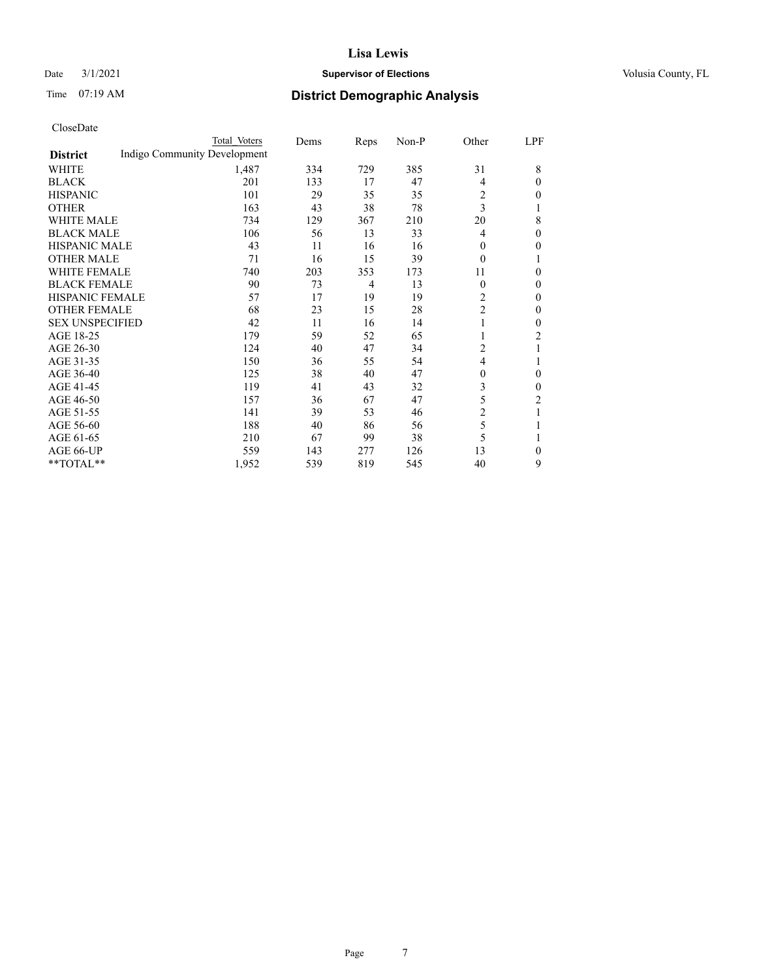# Date  $3/1/2021$  **Supervisor of Elections Supervisor of Elections** Volusia County, FL

# Time 07:19 AM **District Demographic Analysis**

|                        | Total Voters                 | Dems | Reps           | Non-P | Other          | LPF            |
|------------------------|------------------------------|------|----------------|-------|----------------|----------------|
| <b>District</b>        | Indigo Community Development |      |                |       |                |                |
| WHITE                  | 1,487                        | 334  | 729            | 385   | 31             | 8              |
| <b>BLACK</b>           | 201                          | 133  | 17             | 47    | 4              | $\theta$       |
| <b>HISPANIC</b>        | 101                          | 29   | 35             | 35    | 2              | 0              |
| <b>OTHER</b>           | 163                          | 43   | 38             | 78    | 3              | 1              |
| <b>WHITE MALE</b>      | 734                          | 129  | 367            | 210   | 20             | 8              |
| <b>BLACK MALE</b>      | 106                          | 56   | 13             | 33    | 4              | $\theta$       |
| <b>HISPANIC MALE</b>   | 43                           | 11   | 16             | 16    | 0              | 0              |
| <b>OTHER MALE</b>      | 71                           | 16   | 15             | 39    | $\theta$       |                |
| <b>WHITE FEMALE</b>    | 740                          | 203  | 353            | 173   | 11             | 0              |
| <b>BLACK FEMALE</b>    | 90                           | 73   | $\overline{4}$ | 13    | $\theta$       | $\theta$       |
| <b>HISPANIC FEMALE</b> | 57                           | 17   | 19             | 19    | $\overline{c}$ | $\theta$       |
| <b>OTHER FEMALE</b>    | 68                           | 23   | 15             | 28    | $\overline{c}$ | $\theta$       |
| <b>SEX UNSPECIFIED</b> | 42                           | 11   | 16             | 14    | 1              | $\mathbf{0}$   |
| AGE 18-25              | 179                          | 59   | 52             | 65    |                | $\overline{2}$ |
| AGE 26-30              | 124                          | 40   | 47             | 34    | 2              |                |
| AGE 31-35              | 150                          | 36   | 55             | 54    | 4              | 1              |
| AGE 36-40              | 125                          | 38   | 40             | 47    | $\mathbf{0}$   | $\theta$       |
| AGE 41-45              | 119                          | 41   | 43             | 32    | 3              | 0              |
| AGE 46-50              | 157                          | 36   | 67             | 47    | 5              | 2              |
| AGE 51-55              | 141                          | 39   | 53             | 46    | $\overline{c}$ | 1              |
| AGE 56-60              | 188                          | 40   | 86             | 56    | 5              |                |
| AGE 61-65              | 210                          | 67   | 99             | 38    | 5              | 1              |
| AGE 66-UP              | 559                          | 143  | 277            | 126   | 13             | $\mathbf{0}$   |
| **TOTAL**              | 1,952                        | 539  | 819            | 545   | 40             | 9              |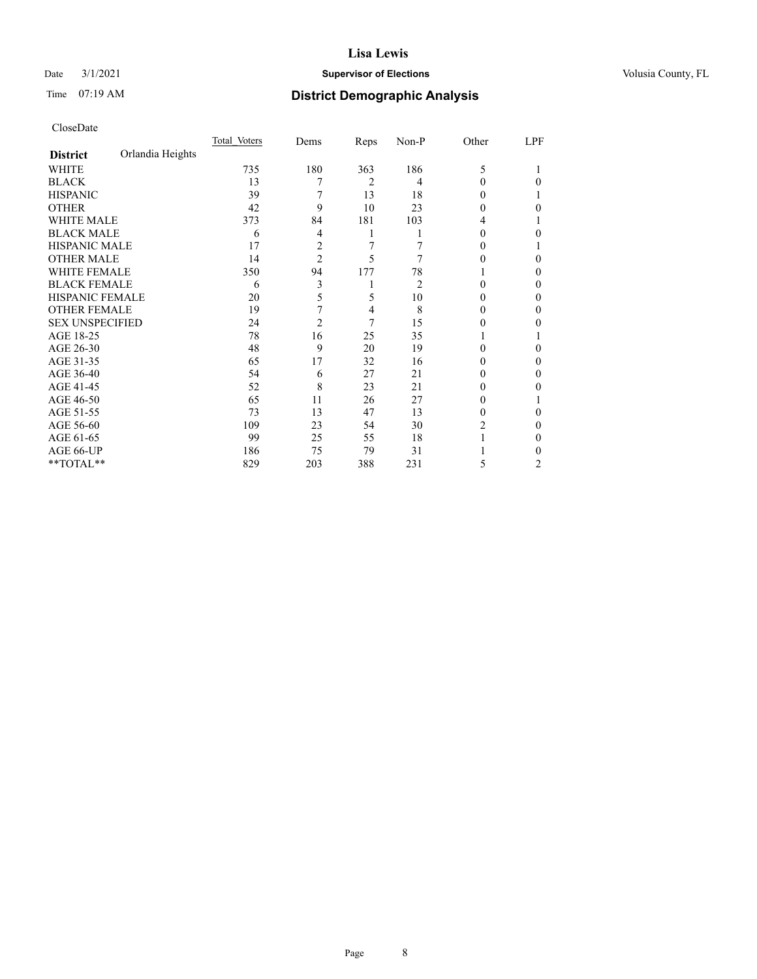# Date  $3/1/2021$  **Supervisor of Elections Supervisor of Elections** Volusia County, FL

# Time 07:19 AM **District Demographic Analysis**

|                        |                  | Total Voters | Dems           | Reps           | Non-P | Other    | LPF |
|------------------------|------------------|--------------|----------------|----------------|-------|----------|-----|
| <b>District</b>        | Orlandia Heights |              |                |                |       |          |     |
| WHITE                  |                  | 735          | 180            | 363            | 186   | 5        |     |
| <b>BLACK</b>           |                  | 13           | 7              | $\overline{2}$ | 4     | 0        | 0   |
| <b>HISPANIC</b>        |                  | 39           | 7              | 13             | 18    | $_{0}$   |     |
| <b>OTHER</b>           |                  | 42           | 9              | 10             | 23    | $\theta$ | 0   |
| WHITE MALE             |                  | 373          | 84             | 181            | 103   | 4        |     |
| <b>BLACK MALE</b>      |                  | 6            | 4              | 1              |       | $_{0}$   | 0   |
| <b>HISPANIC MALE</b>   |                  | 17           | 2              | 7              |       | 0        |     |
| <b>OTHER MALE</b>      |                  | 14           | $\overline{c}$ | 5              | 7     | 0        | 0   |
| WHITE FEMALE           |                  | 350          | 94             | 177            | 78    |          | 0   |
| <b>BLACK FEMALE</b>    |                  | 6            | 3              | 1              | 2     | 0        | 0   |
| <b>HISPANIC FEMALE</b> |                  | 20           | 5              | 5              | 10    | 0        | 0   |
| <b>OTHER FEMALE</b>    |                  | 19           | 7              | 4              | 8     | $_{0}$   | 0   |
| <b>SEX UNSPECIFIED</b> |                  | 24           | $\overline{c}$ | 7              | 15    | 0        | 0   |
| AGE 18-25              |                  | 78           | 16             | 25             | 35    |          |     |
| AGE 26-30              |                  | 48           | 9              | 20             | 19    | 0        | 0   |
| AGE 31-35              |                  | 65           | 17             | 32             | 16    | 0        | 0   |
| AGE 36-40              |                  | 54           | 6              | 27             | 21    | 0        | 0   |
| AGE 41-45              |                  | 52           | 8              | 23             | 21    | 0        | 0   |
| AGE 46-50              |                  | 65           | 11             | 26             | 27    | $_{0}$   |     |
| AGE 51-55              |                  | 73           | 13             | 47             | 13    | $_{0}$   | 0   |
| AGE 56-60              |                  | 109          | 23             | 54             | 30    | 2        | 0   |
| AGE 61-65              |                  | 99           | 25             | 55             | 18    |          | 0   |
| AGE 66-UP              |                  | 186          | 75             | 79             | 31    |          | 0   |
| **TOTAL**              |                  | 829          | 203            | 388            | 231   | 5        | 2   |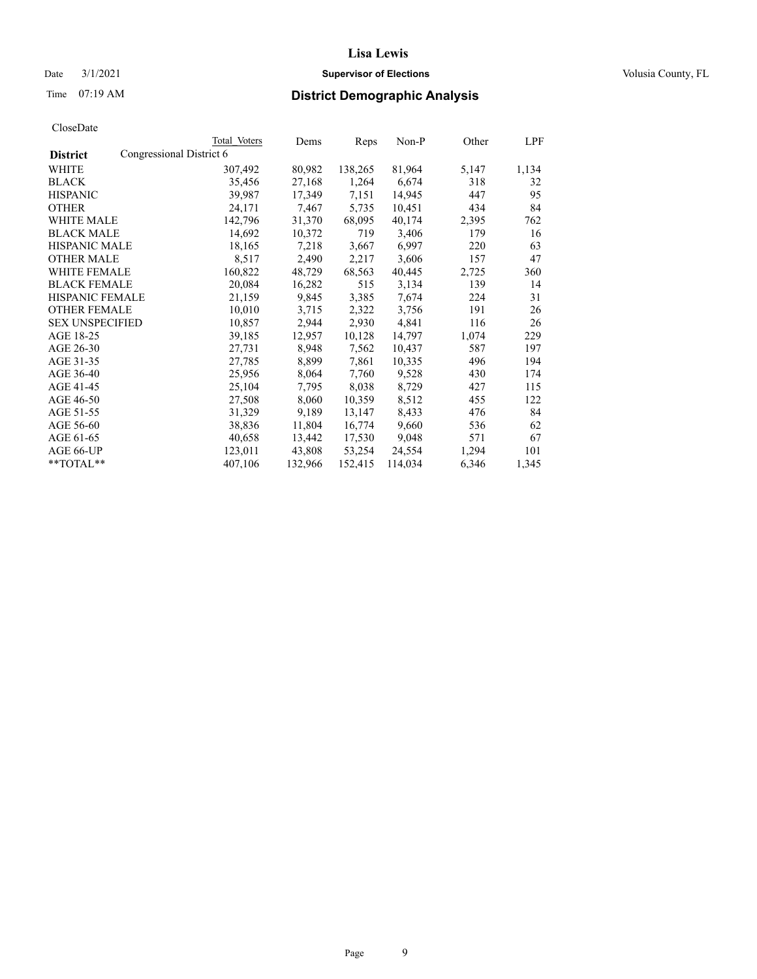# Date  $3/1/2021$  **Supervisor of Elections Supervisor of Elections** Volusia County, FL

# Time 07:19 AM **District Demographic Analysis**

|                        | Total Voters             | Dems    | Reps    | Non-P   | Other | LPF   |
|------------------------|--------------------------|---------|---------|---------|-------|-------|
| <b>District</b>        | Congressional District 6 |         |         |         |       |       |
| WHITE                  | 307,492                  | 80,982  | 138,265 | 81,964  | 5,147 | 1,134 |
| <b>BLACK</b>           | 35,456                   | 27,168  | 1,264   | 6,674   | 318   | 32    |
| <b>HISPANIC</b>        | 39,987                   | 17,349  | 7,151   | 14,945  | 447   | 95    |
| <b>OTHER</b>           | 24,171                   | 7,467   | 5,735   | 10,451  | 434   | 84    |
| WHITE MALE             | 142,796                  | 31,370  | 68,095  | 40,174  | 2,395 | 762   |
| <b>BLACK MALE</b>      | 14,692                   | 10,372  | 719     | 3,406   | 179   | 16    |
| <b>HISPANIC MALE</b>   | 18,165                   | 7,218   | 3,667   | 6,997   | 220   | 63    |
| <b>OTHER MALE</b>      | 8,517                    | 2,490   | 2,217   | 3,606   | 157   | 47    |
| <b>WHITE FEMALE</b>    | 160,822                  | 48,729  | 68,563  | 40,445  | 2,725 | 360   |
| <b>BLACK FEMALE</b>    | 20.084                   | 16,282  | 515     | 3,134   | 139   | 14    |
| <b>HISPANIC FEMALE</b> | 21,159                   | 9,845   | 3,385   | 7,674   | 224   | 31    |
| <b>OTHER FEMALE</b>    | 10,010                   | 3,715   | 2,322   | 3,756   | 191   | 26    |
| <b>SEX UNSPECIFIED</b> | 10,857                   | 2,944   | 2,930   | 4,841   | 116   | 26    |
| AGE 18-25              | 39,185                   | 12,957  | 10,128  | 14,797  | 1,074 | 229   |
| AGE 26-30              | 27,731                   | 8,948   | 7,562   | 10,437  | 587   | 197   |
| AGE 31-35              | 27,785                   | 8,899   | 7,861   | 10,335  | 496   | 194   |
| AGE 36-40              | 25,956                   | 8,064   | 7,760   | 9,528   | 430   | 174   |
| AGE 41-45              | 25,104                   | 7,795   | 8,038   | 8,729   | 427   | 115   |
| AGE 46-50              | 27,508                   | 8,060   | 10,359  | 8,512   | 455   | 122   |
| AGE 51-55              | 31,329                   | 9,189   | 13,147  | 8,433   | 476   | 84    |
| AGE 56-60              | 38,836                   | 11,804  | 16,774  | 9,660   | 536   | 62    |
| AGE 61-65              | 40,658                   | 13,442  | 17,530  | 9,048   | 571   | 67    |
| AGE 66-UP              | 123,011                  | 43,808  | 53,254  | 24,554  | 1,294 | 101   |
| $*$ $TOTAL**$          | 407,106                  | 132,966 | 152,415 | 114,034 | 6,346 | 1,345 |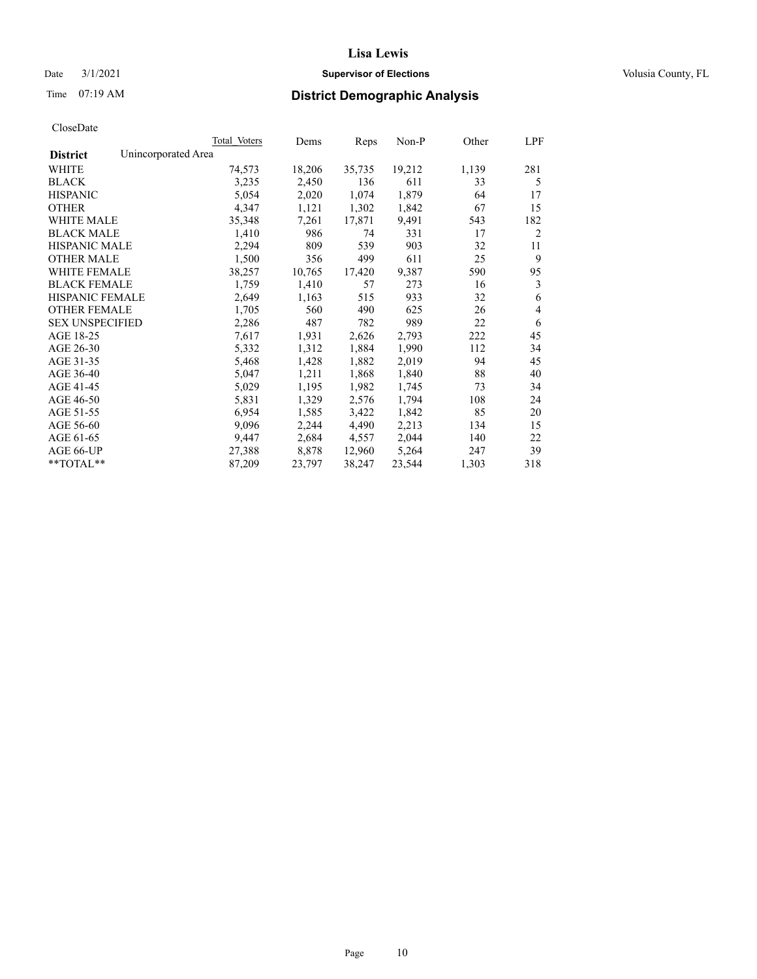# Date  $3/1/2021$  **Supervisor of Elections Supervisor of Elections** Volusia County, FL

# Time 07:19 AM **District Demographic Analysis**

|                        | Total Voters        | Dems   | Reps   | Non-P  | Other | LPF |
|------------------------|---------------------|--------|--------|--------|-------|-----|
| <b>District</b>        | Unincorporated Area |        |        |        |       |     |
| WHITE                  | 74,573              | 18,206 | 35,735 | 19,212 | 1,139 | 281 |
| <b>BLACK</b>           | 3,235               | 2,450  | 136    | 611    | 33    | 5   |
| <b>HISPANIC</b>        | 5,054               | 2,020  | 1,074  | 1,879  | 64    | 17  |
| <b>OTHER</b>           | 4,347               | 1,121  | 1,302  | 1,842  | 67    | 15  |
| WHITE MALE             | 35,348              | 7,261  | 17,871 | 9,491  | 543   | 182 |
| <b>BLACK MALE</b>      | 1,410               | 986    | 74     | 331    | 17    | 2   |
| <b>HISPANIC MALE</b>   | 2,294               | 809    | 539    | 903    | 32    | 11  |
| <b>OTHER MALE</b>      | 1,500               | 356    | 499    | 611    | 25    | 9   |
| <b>WHITE FEMALE</b>    | 38,257              | 10,765 | 17,420 | 9,387  | 590   | 95  |
| <b>BLACK FEMALE</b>    | 1,759               | 1,410  | 57     | 273    | 16    | 3   |
| <b>HISPANIC FEMALE</b> | 2,649               | 1,163  | 515    | 933    | 32    | 6   |
| <b>OTHER FEMALE</b>    | 1,705               | 560    | 490    | 625    | 26    | 4   |
| <b>SEX UNSPECIFIED</b> | 2,286               | 487    | 782    | 989    | 22    | 6   |
| AGE 18-25              | 7,617               | 1,931  | 2,626  | 2,793  | 222   | 45  |
| AGE 26-30              | 5,332               | 1,312  | 1,884  | 1,990  | 112   | 34  |
| AGE 31-35              | 5,468               | 1,428  | 1,882  | 2,019  | 94    | 45  |
| AGE 36-40              | 5,047               | 1,211  | 1,868  | 1,840  | 88    | 40  |
| AGE 41-45              | 5,029               | 1,195  | 1,982  | 1,745  | 73    | 34  |
| AGE 46-50              | 5,831               | 1,329  | 2,576  | 1,794  | 108   | 24  |
| AGE 51-55              | 6,954               | 1,585  | 3,422  | 1,842  | 85    | 20  |
| AGE 56-60              | 9,096               | 2,244  | 4,490  | 2,213  | 134   | 15  |
| AGE 61-65              | 9,447               | 2,684  | 4,557  | 2,044  | 140   | 22  |
| AGE 66-UP              | 27,388              | 8,878  | 12,960 | 5,264  | 247   | 39  |
| **TOTAL**              | 87,209              | 23,797 | 38,247 | 23,544 | 1,303 | 318 |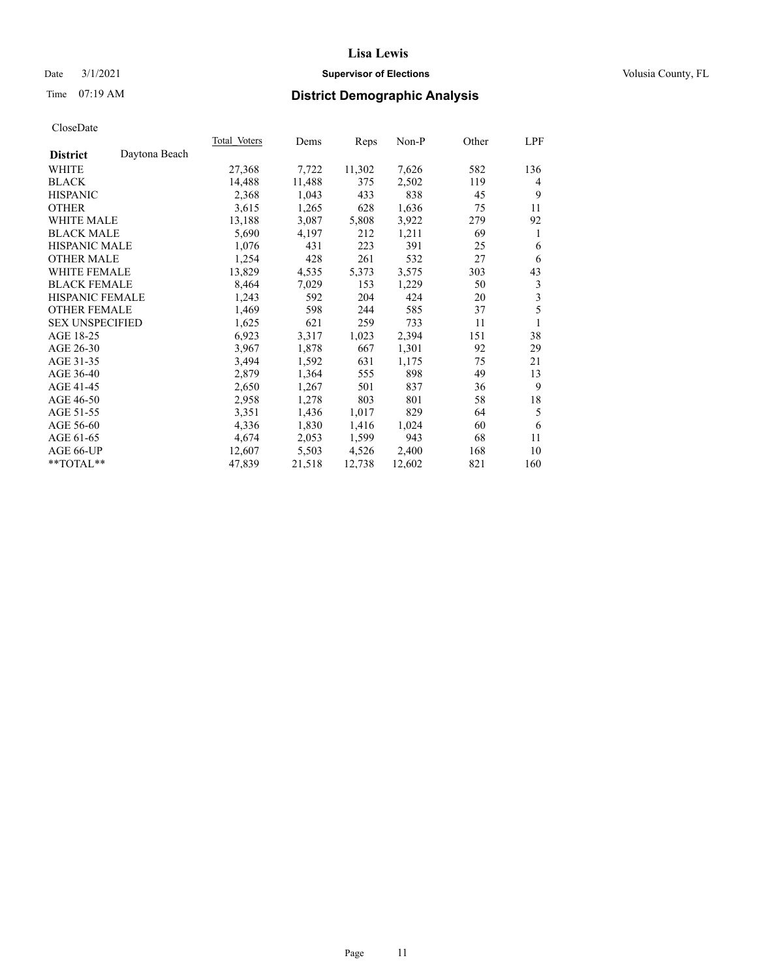# Date  $3/1/2021$  **Supervisor of Elections Supervisor of Elections** Volusia County, FL

# Time 07:19 AM **District Demographic Analysis**

|                        |               | Total Voters | Dems   | Reps   | Non-P  | Other | LPF |
|------------------------|---------------|--------------|--------|--------|--------|-------|-----|
| <b>District</b>        | Daytona Beach |              |        |        |        |       |     |
| WHITE                  |               | 27,368       | 7,722  | 11,302 | 7,626  | 582   | 136 |
| <b>BLACK</b>           |               | 14,488       | 11,488 | 375    | 2,502  | 119   | 4   |
| <b>HISPANIC</b>        |               | 2,368        | 1,043  | 433    | 838    | 45    | 9   |
| <b>OTHER</b>           |               | 3,615        | 1,265  | 628    | 1,636  | 75    | 11  |
| WHITE MALE             |               | 13,188       | 3,087  | 5,808  | 3,922  | 279   | 92  |
| <b>BLACK MALE</b>      |               | 5,690        | 4,197  | 212    | 1,211  | 69    | 1   |
| <b>HISPANIC MALE</b>   |               | 1,076        | 431    | 223    | 391    | 25    | 6   |
| <b>OTHER MALE</b>      |               | 1,254        | 428    | 261    | 532    | 27    | 6   |
| WHITE FEMALE           |               | 13,829       | 4,535  | 5,373  | 3,575  | 303   | 43  |
| <b>BLACK FEMALE</b>    |               | 8,464        | 7,029  | 153    | 1,229  | 50    | 3   |
| <b>HISPANIC FEMALE</b> |               | 1,243        | 592    | 204    | 424    | 20    | 3   |
| <b>OTHER FEMALE</b>    |               | 1,469        | 598    | 244    | 585    | 37    | 5   |
| <b>SEX UNSPECIFIED</b> |               | 1,625        | 621    | 259    | 733    | 11    | 1   |
| AGE 18-25              |               | 6,923        | 3,317  | 1,023  | 2,394  | 151   | 38  |
| AGE 26-30              |               | 3,967        | 1,878  | 667    | 1,301  | 92    | 29  |
| AGE 31-35              |               | 3,494        | 1,592  | 631    | 1,175  | 75    | 21  |
| AGE 36-40              |               | 2,879        | 1,364  | 555    | 898    | 49    | 13  |
| AGE 41-45              |               | 2,650        | 1,267  | 501    | 837    | 36    | 9   |
| AGE 46-50              |               | 2,958        | 1,278  | 803    | 801    | 58    | 18  |
| AGE 51-55              |               | 3,351        | 1,436  | 1,017  | 829    | 64    | 5   |
| AGE 56-60              |               | 4,336        | 1,830  | 1,416  | 1,024  | 60    | 6   |
| AGE 61-65              |               | 4,674        | 2,053  | 1,599  | 943    | 68    | 11  |
| AGE 66-UP              |               | 12,607       | 5,503  | 4,526  | 2,400  | 168   | 10  |
| $*$ TOTAL $*$          |               | 47,839       | 21,518 | 12,738 | 12,602 | 821   | 160 |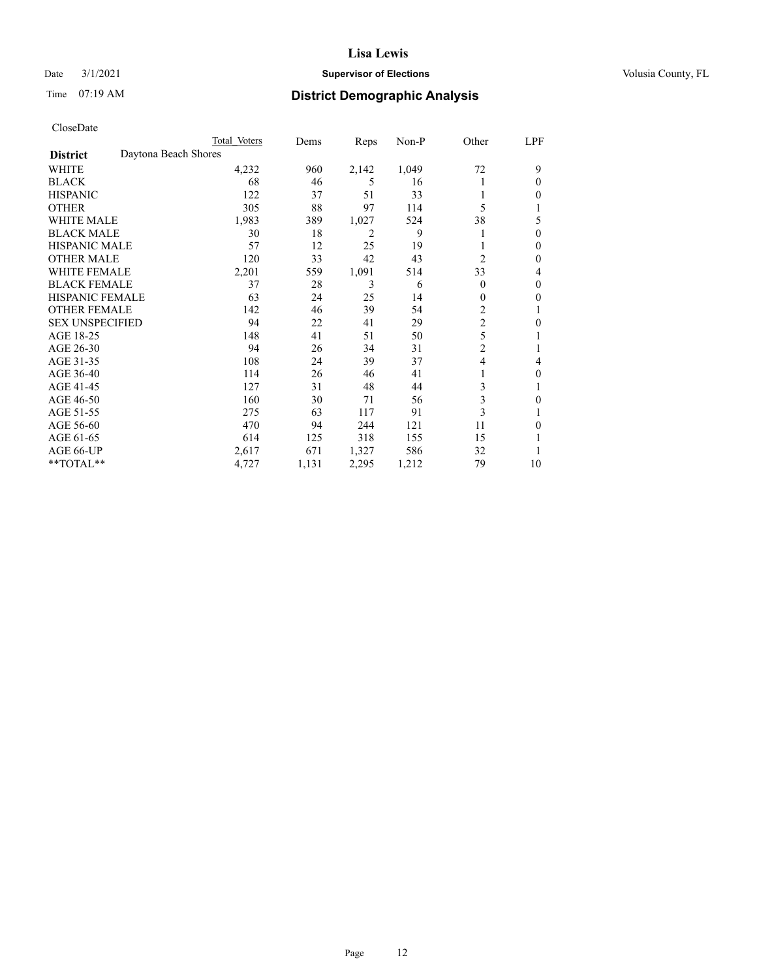# Date  $3/1/2021$  **Supervisor of Elections Supervisor of Elections** Volusia County, FL

# Time 07:19 AM **District Demographic Analysis**

|                        |                      | Total Voters | Dems  | Reps  | Non-P | Other          | LPF |
|------------------------|----------------------|--------------|-------|-------|-------|----------------|-----|
| <b>District</b>        | Daytona Beach Shores |              |       |       |       |                |     |
| WHITE                  |                      | 4,232        | 960   | 2,142 | 1,049 | 72             | 9   |
| <b>BLACK</b>           |                      | 68           | 46    | 5     | 16    |                | 0   |
| <b>HISPANIC</b>        |                      | 122          | 37    | 51    | 33    |                | 0   |
| <b>OTHER</b>           |                      | 305          | 88    | 97    | 114   | 5              |     |
| WHITE MALE             |                      | 1,983        | 389   | 1,027 | 524   | 38             | 5   |
| <b>BLACK MALE</b>      |                      | 30           | 18    | 2     | 9     |                | 0   |
| <b>HISPANIC MALE</b>   |                      | 57           | 12    | 25    | 19    |                | 0   |
| <b>OTHER MALE</b>      |                      | 120          | 33    | 42    | 43    | $\overline{2}$ | 0   |
| WHITE FEMALE           |                      | 2,201        | 559   | 1,091 | 514   | 33             | 4   |
| <b>BLACK FEMALE</b>    |                      | 37           | 28    | 3     | 6     | $\Omega$       | 0   |
| <b>HISPANIC FEMALE</b> |                      | 63           | 24    | 25    | 14    | 0              | 0   |
| <b>OTHER FEMALE</b>    |                      | 142          | 46    | 39    | 54    | 2              |     |
| <b>SEX UNSPECIFIED</b> |                      | 94           | 22    | 41    | 29    | $\overline{c}$ | 0   |
| AGE 18-25              |                      | 148          | 41    | 51    | 50    | 5              |     |
| AGE 26-30              |                      | 94           | 26    | 34    | 31    | $\overline{2}$ |     |
| AGE 31-35              |                      | 108          | 24    | 39    | 37    | 4              | 4   |
| AGE 36-40              |                      | 114          | 26    | 46    | 41    |                | 0   |
| AGE 41-45              |                      | 127          | 31    | 48    | 44    | 3              |     |
| AGE 46-50              |                      | 160          | 30    | 71    | 56    | 3              | 0   |
| AGE 51-55              |                      | 275          | 63    | 117   | 91    | 3              |     |
| AGE 56-60              |                      | 470          | 94    | 244   | 121   | 11             | 0   |
| AGE 61-65              |                      | 614          | 125   | 318   | 155   | 15             |     |
| AGE 66-UP              |                      | 2,617        | 671   | 1,327 | 586   | 32             |     |
| **TOTAL**              |                      | 4,727        | 1,131 | 2,295 | 1,212 | 79             | 10  |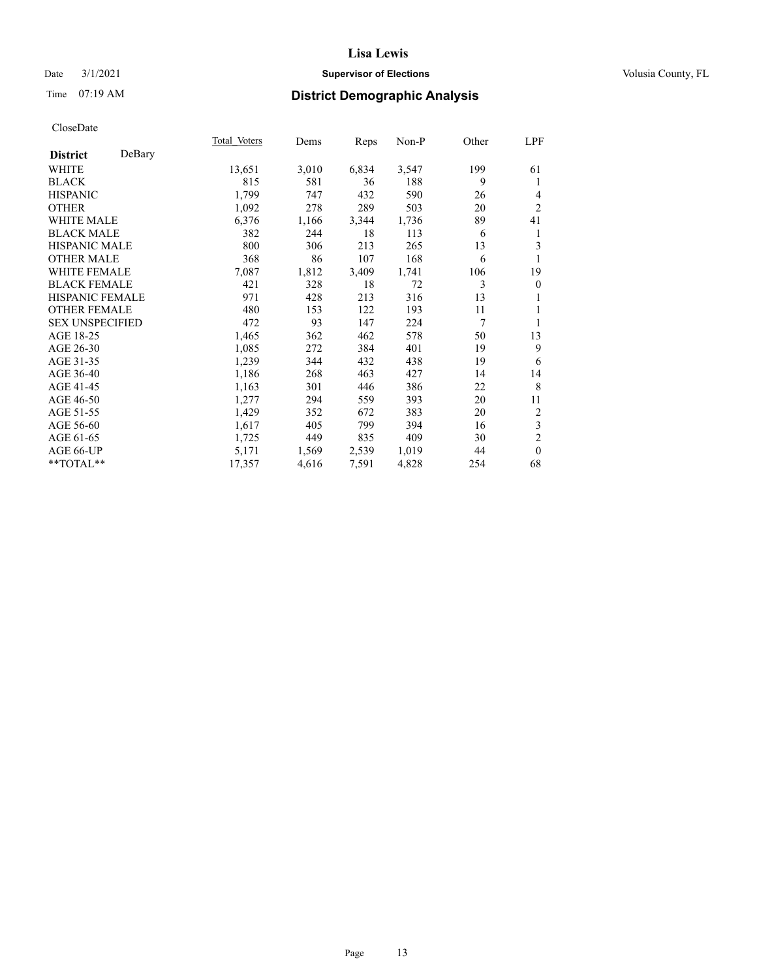# Date  $3/1/2021$  **Supervisor of Elections Supervisor of Elections** Volusia County, FL

# Time 07:19 AM **District Demographic Analysis**

|                        |        | Total Voters | Dems  | Reps  | Non-P | Other | LPF            |
|------------------------|--------|--------------|-------|-------|-------|-------|----------------|
| <b>District</b>        | DeBary |              |       |       |       |       |                |
| WHITE                  |        | 13,651       | 3,010 | 6,834 | 3,547 | 199   | 61             |
| <b>BLACK</b>           |        | 815          | 581   | 36    | 188   | 9     | 1              |
| <b>HISPANIC</b>        |        | 1,799        | 747   | 432   | 590   | 26    | $\overline{4}$ |
| <b>OTHER</b>           |        | 1,092        | 278   | 289   | 503   | 20    | $\overline{2}$ |
| WHITE MALE             |        | 6,376        | 1,166 | 3,344 | 1,736 | 89    | 41             |
| <b>BLACK MALE</b>      |        | 382          | 244   | 18    | 113   | 6     | 1              |
| <b>HISPANIC MALE</b>   |        | 800          | 306   | 213   | 265   | 13    | 3              |
| <b>OTHER MALE</b>      |        | 368          | 86    | 107   | 168   | 6     | 1              |
| <b>WHITE FEMALE</b>    |        | 7,087        | 1,812 | 3,409 | 1,741 | 106   | 19             |
| <b>BLACK FEMALE</b>    |        | 421          | 328   | 18    | 72    | 3     | $\overline{0}$ |
| <b>HISPANIC FEMALE</b> |        | 971          | 428   | 213   | 316   | 13    | 1              |
| <b>OTHER FEMALE</b>    |        | 480          | 153   | 122   | 193   | 11    | 1              |
| <b>SEX UNSPECIFIED</b> |        | 472          | 93    | 147   | 224   | 7     | 1              |
| AGE 18-25              |        | 1,465        | 362   | 462   | 578   | 50    | 13             |
| AGE 26-30              |        | 1,085        | 272   | 384   | 401   | 19    | 9              |
| AGE 31-35              |        | 1,239        | 344   | 432   | 438   | 19    | 6              |
| AGE 36-40              |        | 1,186        | 268   | 463   | 427   | 14    | 14             |
| AGE 41-45              |        | 1,163        | 301   | 446   | 386   | 22    | 8              |
| AGE 46-50              |        | 1,277        | 294   | 559   | 393   | 20    | 11             |
| AGE 51-55              |        | 1,429        | 352   | 672   | 383   | 20    | $\overline{2}$ |
| AGE 56-60              |        | 1,617        | 405   | 799   | 394   | 16    | $\mathfrak{Z}$ |
| AGE 61-65              |        | 1,725        | 449   | 835   | 409   | 30    | $\overline{2}$ |
| AGE 66-UP              |        | 5,171        | 1,569 | 2,539 | 1,019 | 44    | $\overline{0}$ |
| **TOTAL**              |        | 17,357       | 4,616 | 7,591 | 4,828 | 254   | 68             |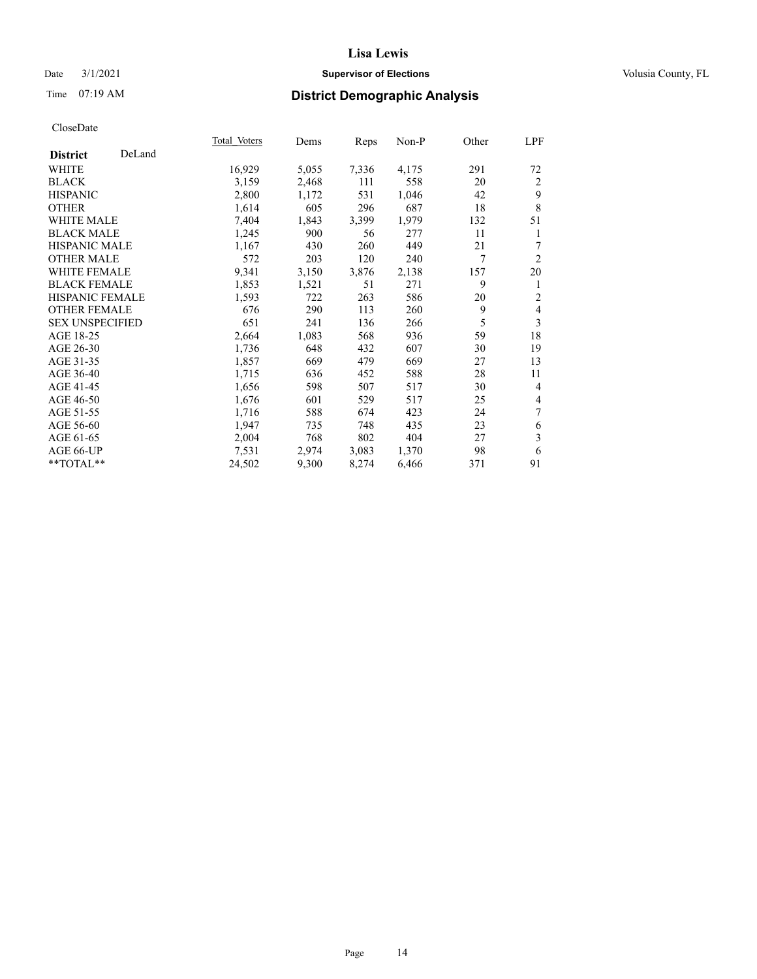# Date  $3/1/2021$  **Supervisor of Elections Supervisor of Elections** Volusia County, FL

# Time 07:19 AM **District Demographic Analysis**

|                        |        | Total Voters | Dems  | Reps  | Non-P | Other | <u>LPF</u>     |
|------------------------|--------|--------------|-------|-------|-------|-------|----------------|
| <b>District</b>        | DeLand |              |       |       |       |       |                |
| WHITE                  |        | 16,929       | 5,055 | 7,336 | 4,175 | 291   | 72             |
| <b>BLACK</b>           |        | 3,159        | 2,468 | 111   | 558   | 20    | 2              |
| <b>HISPANIC</b>        |        | 2,800        | 1,172 | 531   | 1,046 | 42    | 9              |
| <b>OTHER</b>           |        | 1,614        | 605   | 296   | 687   | 18    | 8              |
| <b>WHITE MALE</b>      |        | 7,404        | 1,843 | 3,399 | 1,979 | 132   | 51             |
| <b>BLACK MALE</b>      |        | 1,245        | 900   | 56    | 277   | 11    | 1              |
| <b>HISPANIC MALE</b>   |        | 1,167        | 430   | 260   | 449   | 21    | $\tau$         |
| <b>OTHER MALE</b>      |        | 572          | 203   | 120   | 240   | 7     | $\overline{2}$ |
| <b>WHITE FEMALE</b>    |        | 9,341        | 3,150 | 3,876 | 2,138 | 157   | 20             |
| <b>BLACK FEMALE</b>    |        | 1,853        | 1,521 | 51    | 271   | 9     | 1              |
| <b>HISPANIC FEMALE</b> |        | 1,593        | 722   | 263   | 586   | 20    | $\overline{2}$ |
| <b>OTHER FEMALE</b>    |        | 676          | 290   | 113   | 260   | 9     | $\overline{4}$ |
| <b>SEX UNSPECIFIED</b> |        | 651          | 241   | 136   | 266   | 5     | 3              |
| AGE 18-25              |        | 2,664        | 1,083 | 568   | 936   | 59    | 18             |
| AGE 26-30              |        | 1,736        | 648   | 432   | 607   | 30    | 19             |
| AGE 31-35              |        | 1,857        | 669   | 479   | 669   | 27    | 13             |
| AGE 36-40              |        | 1,715        | 636   | 452   | 588   | 28    | 11             |
| AGE 41-45              |        | 1,656        | 598   | 507   | 517   | 30    | $\overline{4}$ |
| AGE 46-50              |        | 1,676        | 601   | 529   | 517   | 25    | $\overline{4}$ |
| AGE 51-55              |        | 1,716        | 588   | 674   | 423   | 24    | 7              |
| AGE 56-60              |        | 1,947        | 735   | 748   | 435   | 23    | 6              |
| AGE 61-65              |        | 2,004        | 768   | 802   | 404   | 27    | 3              |
| AGE 66-UP              |        | 7,531        | 2,974 | 3,083 | 1,370 | 98    | 6              |
| $**TOTAL**$            |        | 24,502       | 9,300 | 8,274 | 6,466 | 371   | 91             |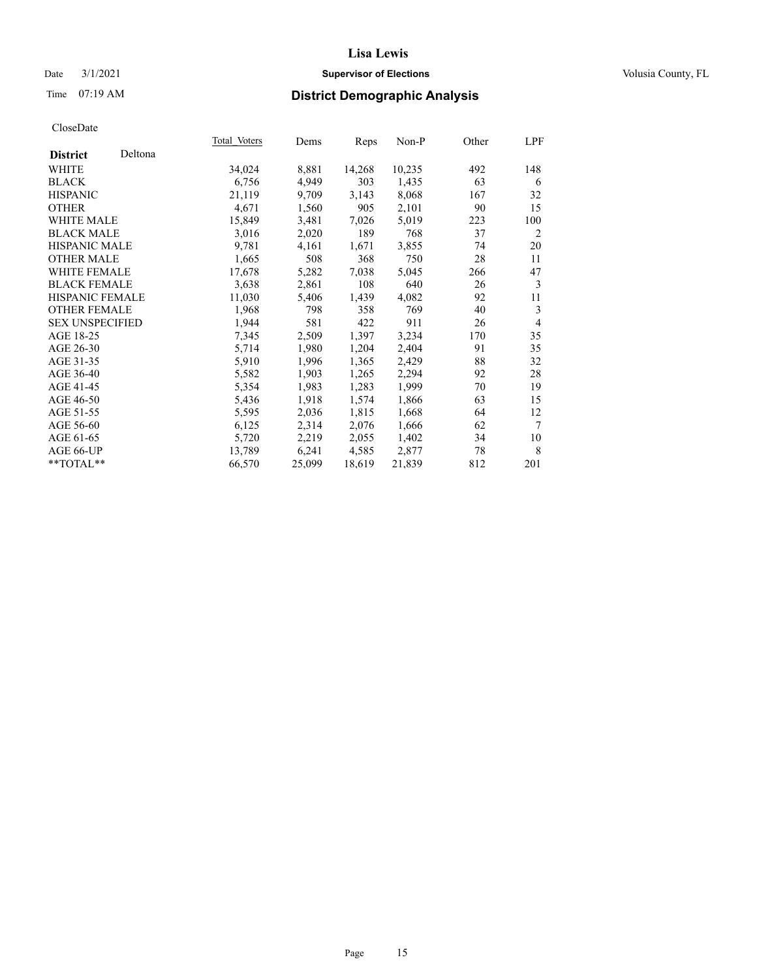# Date  $3/1/2021$  **Supervisor of Elections Supervisor of Elections** Volusia County, FL

# Time 07:19 AM **District Demographic Analysis**

|                        |         | Total Voters | Dems   | Reps   | Non-P  | Other | LPF            |
|------------------------|---------|--------------|--------|--------|--------|-------|----------------|
| <b>District</b>        | Deltona |              |        |        |        |       |                |
| <b>WHITE</b>           |         | 34,024       | 8,881  | 14,268 | 10,235 | 492   | 148            |
| <b>BLACK</b>           |         | 6,756        | 4,949  | 303    | 1,435  | 63    | 6              |
| <b>HISPANIC</b>        |         | 21,119       | 9,709  | 3,143  | 8,068  | 167   | 32             |
| <b>OTHER</b>           |         | 4,671        | 1,560  | 905    | 2,101  | 90    | 15             |
| WHITE MALE             |         | 15,849       | 3,481  | 7,026  | 5,019  | 223   | 100            |
| <b>BLACK MALE</b>      |         | 3,016        | 2,020  | 189    | 768    | 37    | $\overline{2}$ |
| <b>HISPANIC MALE</b>   |         | 9,781        | 4,161  | 1,671  | 3,855  | 74    | 20             |
| <b>OTHER MALE</b>      |         | 1,665        | 508    | 368    | 750    | 28    | 11             |
| <b>WHITE FEMALE</b>    |         | 17,678       | 5,282  | 7,038  | 5,045  | 266   | 47             |
| <b>BLACK FEMALE</b>    |         | 3,638        | 2,861  | 108    | 640    | 26    | 3              |
| <b>HISPANIC FEMALE</b> |         | 11,030       | 5,406  | 1,439  | 4,082  | 92    | 11             |
| <b>OTHER FEMALE</b>    |         | 1,968        | 798    | 358    | 769    | 40    | 3              |
| <b>SEX UNSPECIFIED</b> |         | 1,944        | 581    | 422    | 911    | 26    | $\overline{4}$ |
| AGE 18-25              |         | 7,345        | 2,509  | 1,397  | 3,234  | 170   | 35             |
| AGE 26-30              |         | 5,714        | 1,980  | 1,204  | 2,404  | 91    | 35             |
| AGE 31-35              |         | 5,910        | 1,996  | 1,365  | 2,429  | 88    | 32             |
| AGE 36-40              |         | 5,582        | 1,903  | 1,265  | 2,294  | 92    | 28             |
| AGE 41-45              |         | 5,354        | 1,983  | 1,283  | 1,999  | 70    | 19             |
| AGE 46-50              |         | 5,436        | 1,918  | 1,574  | 1,866  | 63    | 15             |
| AGE 51-55              |         | 5,595        | 2,036  | 1,815  | 1,668  | 64    | 12             |
| AGE 56-60              |         | 6,125        | 2,314  | 2,076  | 1,666  | 62    | $\tau$         |
| AGE 61-65              |         | 5,720        | 2,219  | 2,055  | 1,402  | 34    | 10             |
| AGE 66-UP              |         | 13,789       | 6,241  | 4,585  | 2,877  | 78    | 8              |
| $*$ TOTAL $*$          |         | 66,570       | 25,099 | 18,619 | 21,839 | 812   | 201            |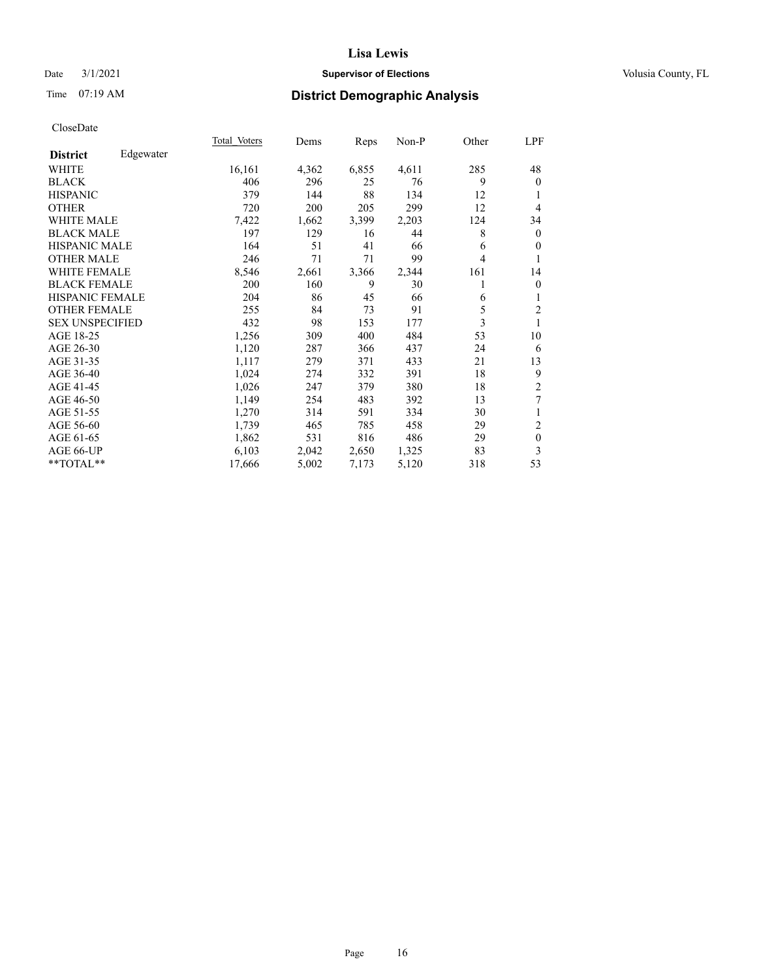# Date  $3/1/2021$  **Supervisor of Elections Supervisor of Elections** Volusia County, FL

# Time 07:19 AM **District Demographic Analysis**

|                        |           | Total Voters | Dems  | Reps  | Non-P | Other | LPF              |
|------------------------|-----------|--------------|-------|-------|-------|-------|------------------|
| <b>District</b>        | Edgewater |              |       |       |       |       |                  |
| WHITE                  |           | 16,161       | 4,362 | 6,855 | 4,611 | 285   | 48               |
| <b>BLACK</b>           |           | 406          | 296   | 25    | 76    | 9     | $\theta$         |
| <b>HISPANIC</b>        |           | 379          | 144   | 88    | 134   | 12    |                  |
| <b>OTHER</b>           |           | 720          | 200   | 205   | 299   | 12    | $\overline{4}$   |
| <b>WHITE MALE</b>      |           | 7,422        | 1,662 | 3,399 | 2,203 | 124   | 34               |
| <b>BLACK MALE</b>      |           | 197          | 129   | 16    | 44    | 8     | $\mathbf{0}$     |
| <b>HISPANIC MALE</b>   |           | 164          | 51    | 41    | 66    | 6     | $\mathbf{0}$     |
| <b>OTHER MALE</b>      |           | 246          | 71    | 71    | 99    | 4     | 1                |
| <b>WHITE FEMALE</b>    |           | 8,546        | 2,661 | 3,366 | 2,344 | 161   | 14               |
| <b>BLACK FEMALE</b>    |           | 200          | 160   | 9     | 30    |       | $\boldsymbol{0}$ |
| HISPANIC FEMALE        |           | 204          | 86    | 45    | 66    | 6     | 1                |
| <b>OTHER FEMALE</b>    |           | 255          | 84    | 73    | 91    | 5     | $\overline{2}$   |
| <b>SEX UNSPECIFIED</b> |           | 432          | 98    | 153   | 177   | 3     | 1                |
| AGE 18-25              |           | 1,256        | 309   | 400   | 484   | 53    | 10               |
| AGE 26-30              |           | 1,120        | 287   | 366   | 437   | 24    | 6                |
| AGE 31-35              |           | 1,117        | 279   | 371   | 433   | 21    | 13               |
| AGE 36-40              |           | 1,024        | 274   | 332   | 391   | 18    | 9                |
| AGE 41-45              |           | 1,026        | 247   | 379   | 380   | 18    | $\sqrt{2}$       |
| AGE 46-50              |           | 1,149        | 254   | 483   | 392   | 13    | 7                |
| AGE 51-55              |           | 1,270        | 314   | 591   | 334   | 30    | 1                |
| AGE 56-60              |           | 1,739        | 465   | 785   | 458   | 29    | $\overline{c}$   |
| AGE 61-65              |           | 1,862        | 531   | 816   | 486   | 29    | $\boldsymbol{0}$ |
| AGE 66-UP              |           | 6,103        | 2,042 | 2,650 | 1,325 | 83    | 3                |
| **TOTAL**              |           | 17,666       | 5,002 | 7,173 | 5,120 | 318   | 53               |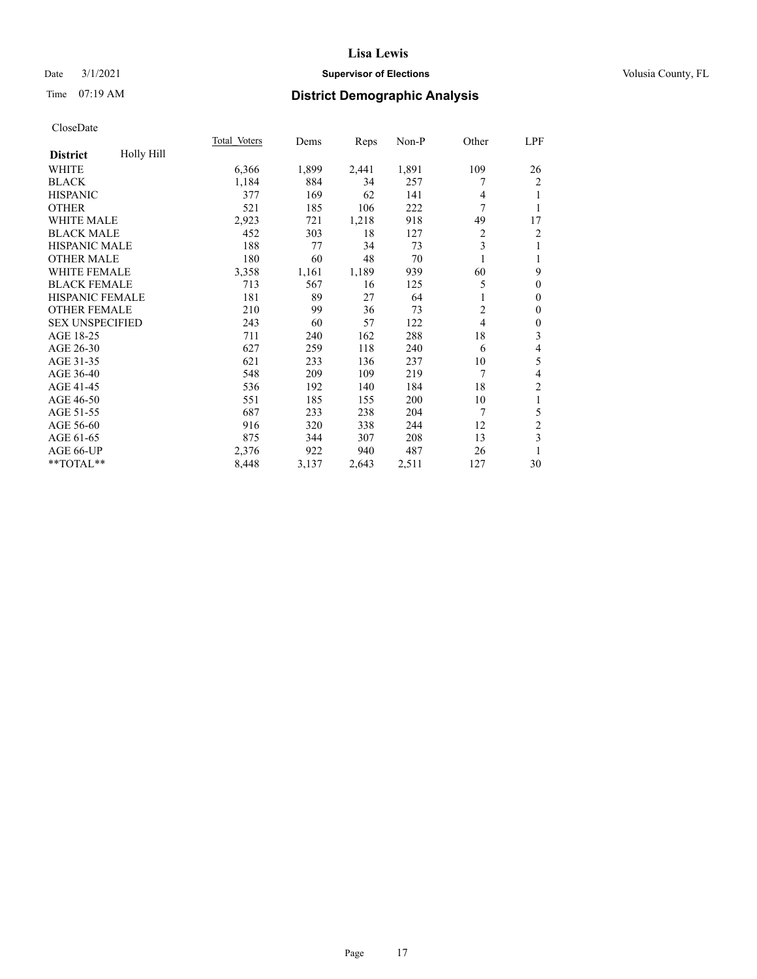# Date  $3/1/2021$  **Supervisor of Elections Supervisor of Elections** Volusia County, FL

# Time 07:19 AM **District Demographic Analysis**

|                               | Total Voters | Dems  | Reps  | Non-P | Other          | LPF                      |
|-------------------------------|--------------|-------|-------|-------|----------------|--------------------------|
| Holly Hill<br><b>District</b> |              |       |       |       |                |                          |
| WHITE                         | 6,366        | 1,899 | 2,441 | 1,891 | 109            | 26                       |
| <b>BLACK</b>                  | 1,184        | 884   | 34    | 257   | 7              | 2                        |
| <b>HISPANIC</b>               | 377          | 169   | 62    | 141   | 4              | 1                        |
| <b>OTHER</b>                  | 521          | 185   | 106   | 222   | 7              | 1                        |
| <b>WHITE MALE</b>             | 2,923        | 721   | 1,218 | 918   | 49             | 17                       |
| <b>BLACK MALE</b>             | 452          | 303   | 18    | 127   | $\overline{c}$ | $\overline{c}$           |
| <b>HISPANIC MALE</b>          | 188          | 77    | 34    | 73    | 3              | 1                        |
| <b>OTHER MALE</b>             | 180          | 60    | 48    | 70    |                | 1                        |
| <b>WHITE FEMALE</b>           | 3,358        | 1,161 | 1,189 | 939   | 60             | 9                        |
| <b>BLACK FEMALE</b>           | 713          | 567   | 16    | 125   | 5              | $\mathbf{0}$             |
| HISPANIC FEMALE               | 181          | 89    | 27    | 64    | 1              | $\boldsymbol{0}$         |
| <b>OTHER FEMALE</b>           | 210          | 99    | 36    | 73    | $\overline{2}$ | $\boldsymbol{0}$         |
| <b>SEX UNSPECIFIED</b>        | 243          | 60    | 57    | 122   | 4              | $\boldsymbol{0}$         |
| AGE 18-25                     | 711          | 240   | 162   | 288   | 18             | 3                        |
| AGE 26-30                     | 627          | 259   | 118   | 240   | 6              | $\overline{\mathbf{4}}$  |
| AGE 31-35                     | 621          | 233   | 136   | 237   | 10             | 5                        |
| AGE 36-40                     | 548          | 209   | 109   | 219   | 7              | $\overline{\mathcal{L}}$ |
| AGE 41-45                     | 536          | 192   | 140   | 184   | 18             | 2                        |
| AGE 46-50                     | 551          | 185   | 155   | 200   | 10             | 1                        |
| AGE 51-55                     | 687          | 233   | 238   | 204   | 7              | 5                        |
| AGE 56-60                     | 916          | 320   | 338   | 244   | 12             | $\overline{c}$           |
| AGE 61-65                     | 875          | 344   | 307   | 208   | 13             | 3                        |
| AGE 66-UP                     | 2,376        | 922   | 940   | 487   | 26             | 1                        |
| **TOTAL**                     | 8,448        | 3,137 | 2,643 | 2,511 | 127            | 30                       |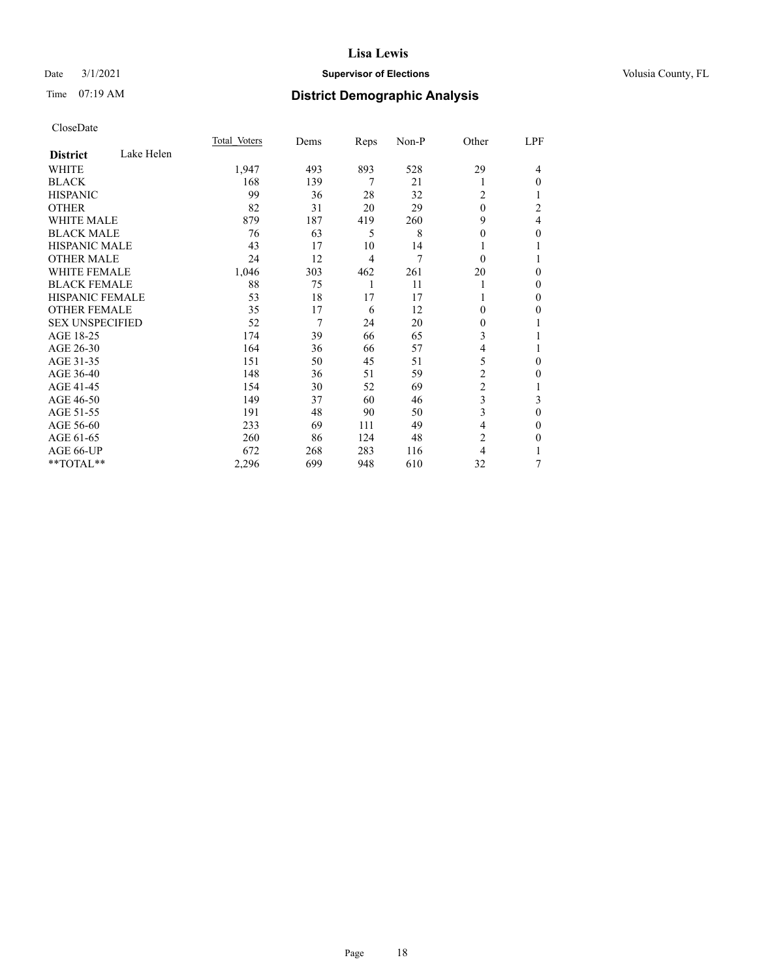# Date  $3/1/2021$  **Supervisor of Elections Supervisor of Elections** Volusia County, FL

# Time 07:19 AM **District Demographic Analysis**

|                        |            | Total Voters | Dems | Reps           | Non-P | Other          | LPF            |
|------------------------|------------|--------------|------|----------------|-------|----------------|----------------|
| <b>District</b>        | Lake Helen |              |      |                |       |                |                |
| WHITE                  |            | 1,947        | 493  | 893            | 528   | 29             | 4              |
| <b>BLACK</b>           |            | 168          | 139  | 7              | 21    |                | $\Omega$       |
| <b>HISPANIC</b>        |            | 99           | 36   | 28             | 32    | 2              |                |
| <b>OTHER</b>           |            | 82           | 31   | 20             | 29    | $\theta$       | 2              |
| <b>WHITE MALE</b>      |            | 879          | 187  | 419            | 260   | 9              | $\overline{4}$ |
| <b>BLACK MALE</b>      |            | 76           | 63   | 5              | 8     | 0              | $\theta$       |
| HISPANIC MALE          |            | 43           | 17   | 10             | 14    |                |                |
| <b>OTHER MALE</b>      |            | 24           | 12   | $\overline{4}$ | 7     | $\Omega$       |                |
| <b>WHITE FEMALE</b>    |            | 1,046        | 303  | 462            | 261   | 20             | $\Omega$       |
| <b>BLACK FEMALE</b>    |            | 88           | 75   | 1              | 11    |                | $\theta$       |
| <b>HISPANIC FEMALE</b> |            | 53           | 18   | 17             | 17    |                | $\Omega$       |
| <b>OTHER FEMALE</b>    |            | 35           | 17   | 6              | 12    | 0              | $\Omega$       |
| <b>SEX UNSPECIFIED</b> |            | 52           | 7    | 24             | 20    | 0              |                |
| AGE 18-25              |            | 174          | 39   | 66             | 65    | 3              |                |
| AGE 26-30              |            | 164          | 36   | 66             | 57    | 4              |                |
| AGE 31-35              |            | 151          | 50   | 45             | 51    | 5              | $\Omega$       |
| AGE 36-40              |            | 148          | 36   | 51             | 59    | 2              | $\theta$       |
| AGE 41-45              |            | 154          | 30   | 52             | 69    | $\overline{c}$ |                |
| AGE 46-50              |            | 149          | 37   | 60             | 46    | 3              | 3              |
| AGE 51-55              |            | 191          | 48   | 90             | 50    | 3              | $\overline{0}$ |
| AGE 56-60              |            | 233          | 69   | 111            | 49    | 4              | $\mathbf{0}$   |
| AGE 61-65              |            | 260          | 86   | 124            | 48    | 2              | $\Omega$       |
| AGE 66-UP              |            | 672          | 268  | 283            | 116   | 4              |                |
| $**TOTAL**$            |            | 2,296        | 699  | 948            | 610   | 32             | 7              |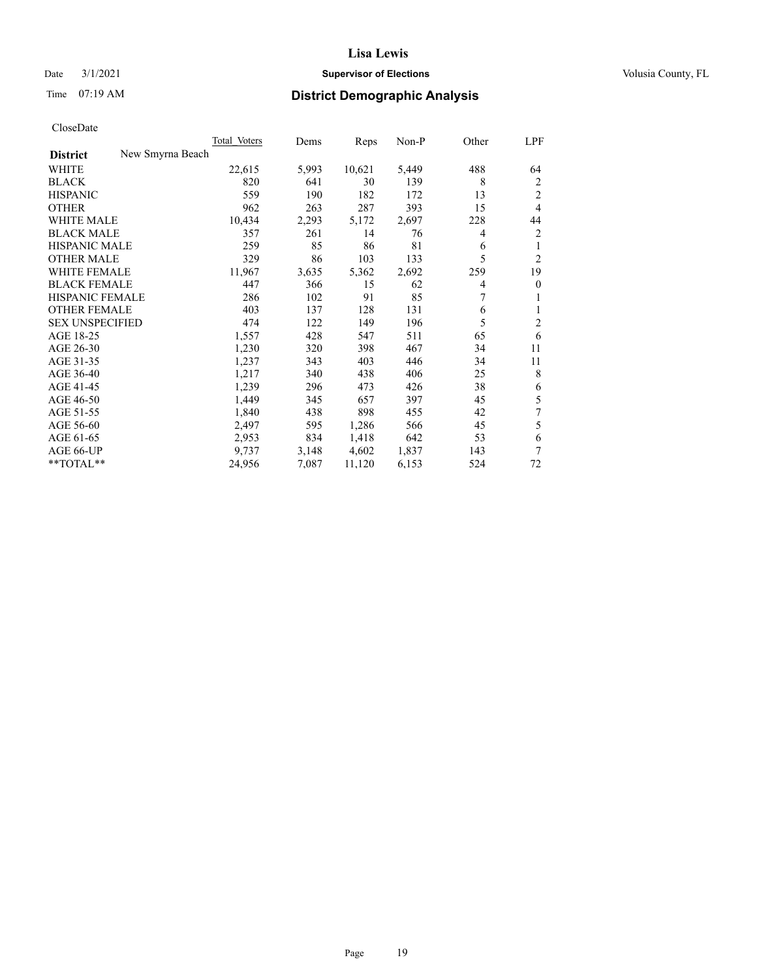# Date  $3/1/2021$  **Supervisor of Elections Supervisor of Elections** Volusia County, FL

# Time 07:19 AM **District Demographic Analysis**

| Total Voters     | Dems  | Reps   | Non-P | Other | LPF            |
|------------------|-------|--------|-------|-------|----------------|
| New Smyrna Beach |       |        |       |       |                |
| 22,615           | 5,993 | 10,621 | 5,449 | 488   | 64             |
| 820              | 641   | 30     | 139   | 8     | 2              |
| 559              | 190   | 182    | 172   | 13    | $\overline{2}$ |
| 962              | 263   | 287    | 393   | 15    | $\overline{4}$ |
| 10,434           | 2,293 | 5,172  | 2,697 | 228   | 44             |
| 357              | 261   | 14     | 76    | 4     | $\overline{2}$ |
| 259              | 85    | 86     | 81    | 6     | 1              |
| 329              | 86    | 103    | 133   | 5     | $\overline{2}$ |
| 11,967           | 3,635 | 5,362  | 2,692 | 259   | 19             |
| 447              | 366   | 15     | 62    | 4     | $\mathbf{0}$   |
| 286              | 102   | 91     | 85    | 7     | 1              |
| 403              | 137   | 128    | 131   | 6     | 1              |
| 474              | 122   | 149    | 196   | 5     | 2              |
| 1,557            | 428   | 547    | 511   | 65    | 6              |
| 1,230            | 320   | 398    | 467   | 34    | 11             |
| 1,237            | 343   | 403    | 446   | 34    | 11             |
| 1,217            | 340   | 438    | 406   | 25    | 8              |
| 1,239            | 296   | 473    | 426   | 38    | 6              |
| 1,449            | 345   | 657    | 397   | 45    | 5              |
| 1,840            | 438   | 898    | 455   | 42    | 7              |
| 2,497            | 595   | 1,286  | 566   | 45    | 5              |
| 2,953            | 834   | 1,418  | 642   | 53    | 6              |
| 9.737            | 3,148 | 4,602  | 1,837 | 143   | 7              |
| 24,956           | 7,087 | 11,120 | 6,153 | 524   | 72             |
|                  |       |        |       |       |                |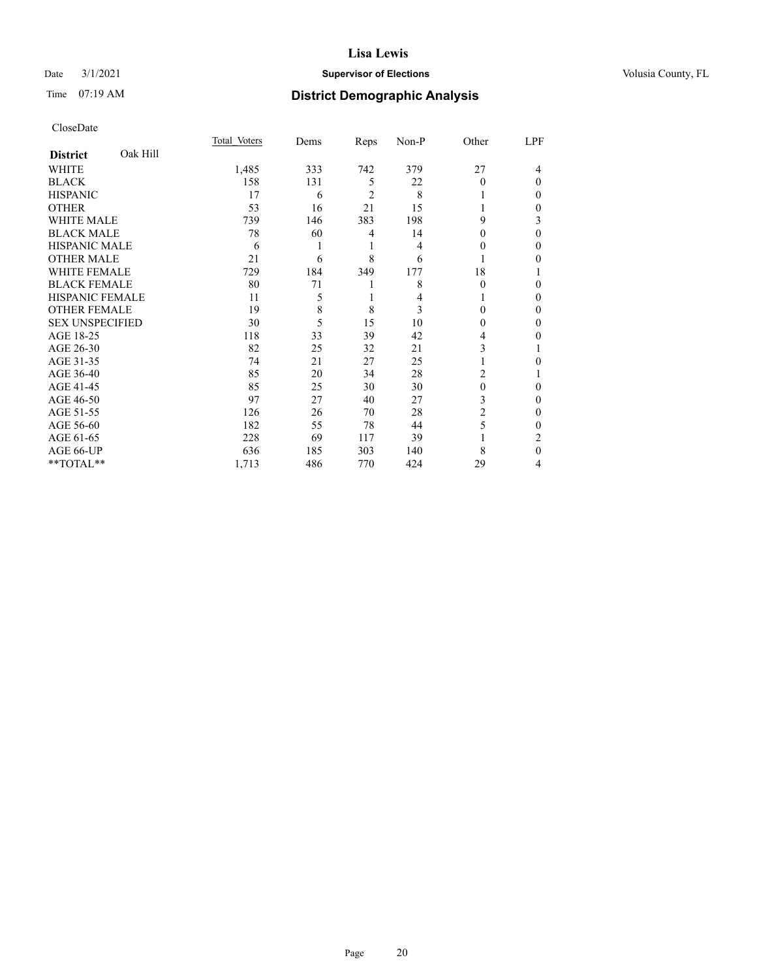# Date  $3/1/2021$  **Supervisor of Elections Supervisor of Elections** Volusia County, FL

# Time 07:19 AM **District Demographic Analysis**

|                        |          | Total Voters | Dems | Reps           | Non-P | Other    | LPF |
|------------------------|----------|--------------|------|----------------|-------|----------|-----|
| <b>District</b>        | Oak Hill |              |      |                |       |          |     |
| WHITE                  |          | 1,485        | 333  | 742            | 379   | 27       | 4   |
| <b>BLACK</b>           |          | 158          | 131  | 5              | 22    | 0        | 0   |
| <b>HISPANIC</b>        |          | 17           | 6    | $\overline{c}$ | 8     |          | 0   |
| <b>OTHER</b>           |          | 53           | 16   | 21             | 15    |          | 0   |
| <b>WHITE MALE</b>      |          | 739          | 146  | 383            | 198   | 9        | 3   |
| <b>BLACK MALE</b>      |          | 78           | 60   | 4              | 14    | 0        | 0   |
| <b>HISPANIC MALE</b>   |          | 6            |      | 1              | 4     | $_{0}$   | 0   |
| <b>OTHER MALE</b>      |          | 21           | 6    | 8              | 6     |          | 0   |
| <b>WHITE FEMALE</b>    |          | 729          | 184  | 349            | 177   | 18       |     |
| <b>BLACK FEMALE</b>    |          | 80           | 71   | 1              | 8     | $\theta$ | 0   |
| <b>HISPANIC FEMALE</b> |          | 11           | 5    | 1              | 4     |          | 0   |
| <b>OTHER FEMALE</b>    |          | 19           | 8    | 8              | 3     | 0        | 0   |
| <b>SEX UNSPECIFIED</b> |          | 30           | 5    | 15             | 10    | 0        | 0   |
| AGE 18-25              |          | 118          | 33   | 39             | 42    | 4        | 0   |
| AGE 26-30              |          | 82           | 25   | 32             | 21    | 3        |     |
| AGE 31-35              |          | 74           | 21   | 27             | 25    |          | 0   |
| AGE 36-40              |          | 85           | 20   | 34             | 28    | 2        |     |
| AGE 41-45              |          | 85           | 25   | 30             | 30    | $\theta$ | 0   |
| AGE 46-50              |          | 97           | 27   | 40             | 27    | 3        | 0   |
| AGE 51-55              |          | 126          | 26   | 70             | 28    | 2        | 0   |
| AGE 56-60              |          | 182          | 55   | 78             | 44    | 5        | 0   |
| AGE 61-65              |          | 228          | 69   | 117            | 39    |          | 2   |
| AGE 66-UP              |          | 636          | 185  | 303            | 140   | 8        | 0   |
| **TOTAL**              |          | 1,713        | 486  | 770            | 424   | 29       | 4   |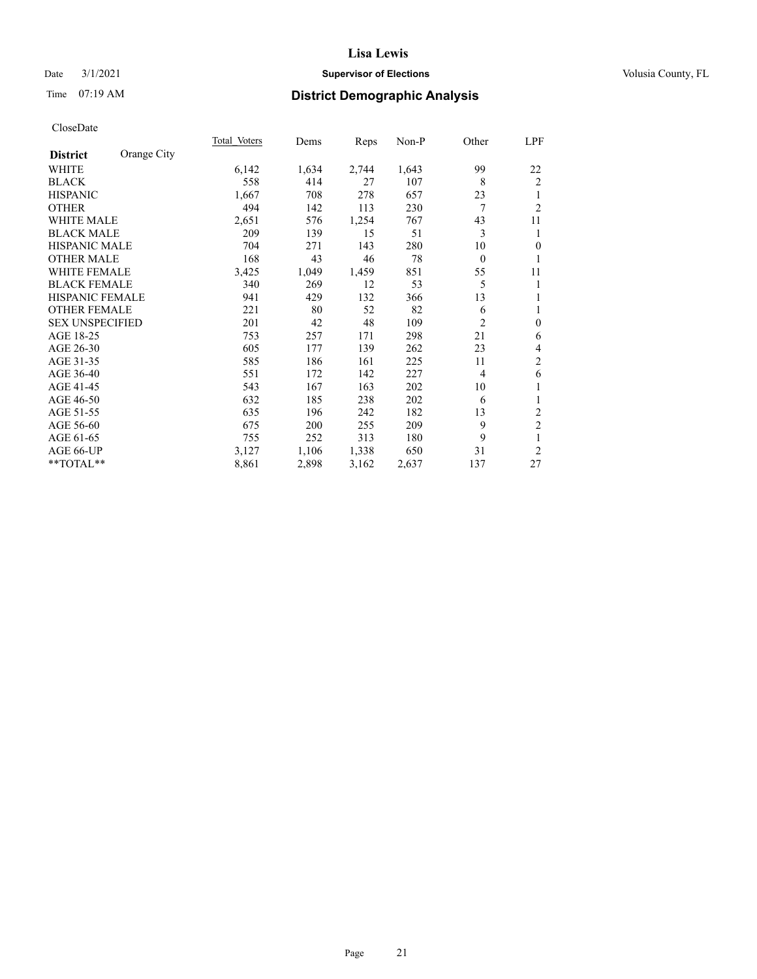# Date  $3/1/2021$  **Supervisor of Elections Supervisor of Elections** Volusia County, FL

# Time 07:19 AM **District Demographic Analysis**

|                        |             | <b>Total Voters</b> | Dems  | Reps  | Non-P | Other        | <u>LPF</u>     |
|------------------------|-------------|---------------------|-------|-------|-------|--------------|----------------|
| <b>District</b>        | Orange City |                     |       |       |       |              |                |
| WHITE                  |             | 6,142               | 1,634 | 2,744 | 1,643 | 99           | 22             |
| <b>BLACK</b>           |             | 558                 | 414   | 27    | 107   | 8            | 2              |
| <b>HISPANIC</b>        |             | 1,667               | 708   | 278   | 657   | 23           | 1              |
| <b>OTHER</b>           |             | 494                 | 142   | 113   | 230   | 7            | $\overline{2}$ |
| <b>WHITE MALE</b>      |             | 2,651               | 576   | 1,254 | 767   | 43           | 11             |
| <b>BLACK MALE</b>      |             | 209                 | 139   | 15    | 51    | 3            | 1              |
| <b>HISPANIC MALE</b>   |             | 704                 | 271   | 143   | 280   | 10           | $\mathbf{0}$   |
| <b>OTHER MALE</b>      |             | 168                 | 43    | 46    | 78    | $\mathbf{0}$ | 1              |
| <b>WHITE FEMALE</b>    |             | 3,425               | 1,049 | 1,459 | 851   | 55           | 11             |
| <b>BLACK FEMALE</b>    |             | 340                 | 269   | 12    | 53    | 5            | 1              |
| <b>HISPANIC FEMALE</b> |             | 941                 | 429   | 132   | 366   | 13           | 1              |
| <b>OTHER FEMALE</b>    |             | 221                 | 80    | 52    | 82    | 6            | 1              |
| <b>SEX UNSPECIFIED</b> |             | 201                 | 42    | 48    | 109   | 2            | $\mathbf{0}$   |
| AGE 18-25              |             | 753                 | 257   | 171   | 298   | 21           | 6              |
| AGE 26-30              |             | 605                 | 177   | 139   | 262   | 23           | $\overline{4}$ |
| AGE 31-35              |             | 585                 | 186   | 161   | 225   | 11           | $\sqrt{2}$     |
| AGE 36-40              |             | 551                 | 172   | 142   | 227   | 4            | 6              |
| AGE 41-45              |             | 543                 | 167   | 163   | 202   | 10           | 1              |
| AGE 46-50              |             | 632                 | 185   | 238   | 202   | 6            | 1              |
| AGE 51-55              |             | 635                 | 196   | 242   | 182   | 13           | $\overline{c}$ |
| AGE 56-60              |             | 675                 | 200   | 255   | 209   | 9            | $\sqrt{2}$     |
| AGE 61-65              |             | 755                 | 252   | 313   | 180   | 9            | $\mathbf{1}$   |
| AGE 66-UP              |             | 3,127               | 1,106 | 1,338 | 650   | 31           | $\overline{2}$ |
| $*$ $TOTAL**$          |             | 8,861               | 2,898 | 3,162 | 2,637 | 137          | 27             |
|                        |             |                     |       |       |       |              |                |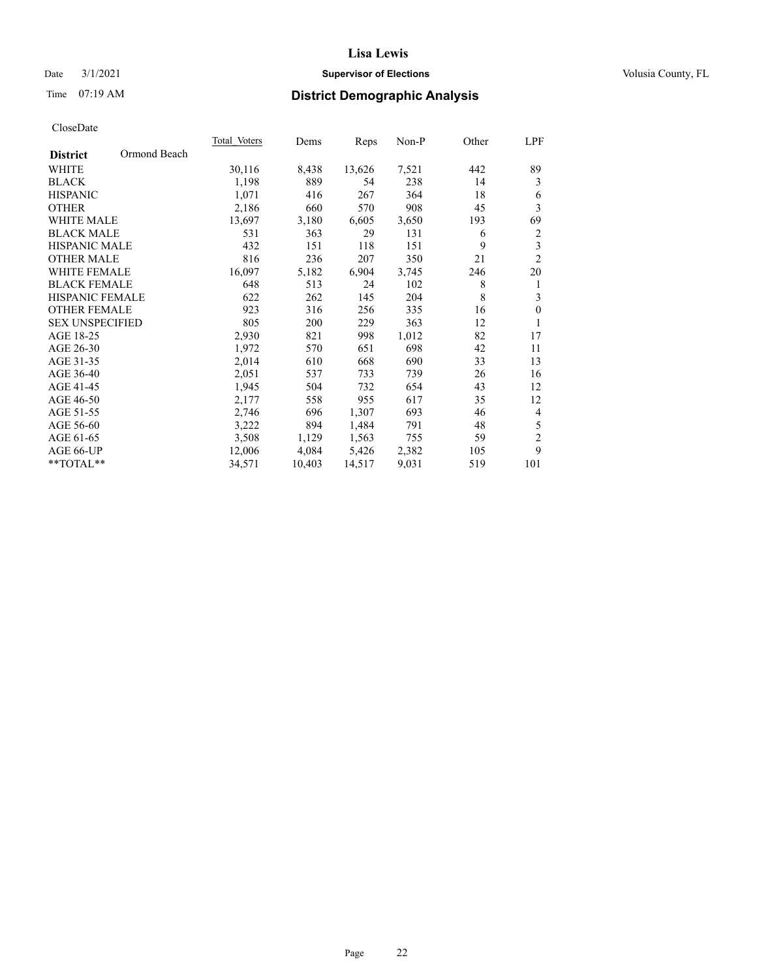# Date  $3/1/2021$  **Supervisor of Elections Supervisor of Elections** Volusia County, FL

# Time 07:19 AM **District Demographic Analysis**

| Total Voters | Dems   | Reps   | Non-P | Other | LPF            |
|--------------|--------|--------|-------|-------|----------------|
|              |        |        |       |       |                |
| 30,116       | 8,438  | 13,626 | 7,521 | 442   | 89             |
| 1,198        | 889    | 54     | 238   | 14    | 3              |
| 1,071        | 416    | 267    | 364   | 18    | 6              |
| 2,186        | 660    | 570    | 908   | 45    | 3              |
| 13,697       | 3,180  | 6,605  | 3,650 | 193   | 69             |
| 531          | 363    | 29     | 131   | 6     | $\overline{c}$ |
| 432          | 151    | 118    | 151   | 9     | 3              |
| 816          | 236    | 207    | 350   | 21    | $\overline{c}$ |
| 16,097       | 5,182  | 6,904  | 3,745 | 246   | 20             |
| 648          | 513    | 24     | 102   | 8     | 1              |
| 622          | 262    | 145    | 204   | 8     | 3              |
| 923          | 316    | 256    | 335   | 16    | $\mathbf{0}$   |
| 805          | 200    | 229    | 363   | 12    | 1              |
| 2,930        | 821    | 998    | 1,012 | 82    | 17             |
| 1,972        | 570    | 651    | 698   | 42    | 11             |
| 2,014        | 610    | 668    | 690   | 33    | 13             |
| 2,051        | 537    | 733    | 739   | 26    | 16             |
| 1,945        | 504    | 732    | 654   | 43    | 12             |
| 2,177        | 558    | 955    | 617   | 35    | 12             |
| 2,746        | 696    | 1,307  | 693   | 46    | 4              |
| 3,222        | 894    | 1,484  | 791   | 48    | 5              |
| 3,508        | 1,129  | 1,563  | 755   | 59    | $\mathfrak{2}$ |
| 12,006       | 4,084  | 5,426  | 2,382 | 105   | 9              |
| 34,571       | 10,403 | 14,517 | 9,031 | 519   | 101            |
|              |        |        |       |       |                |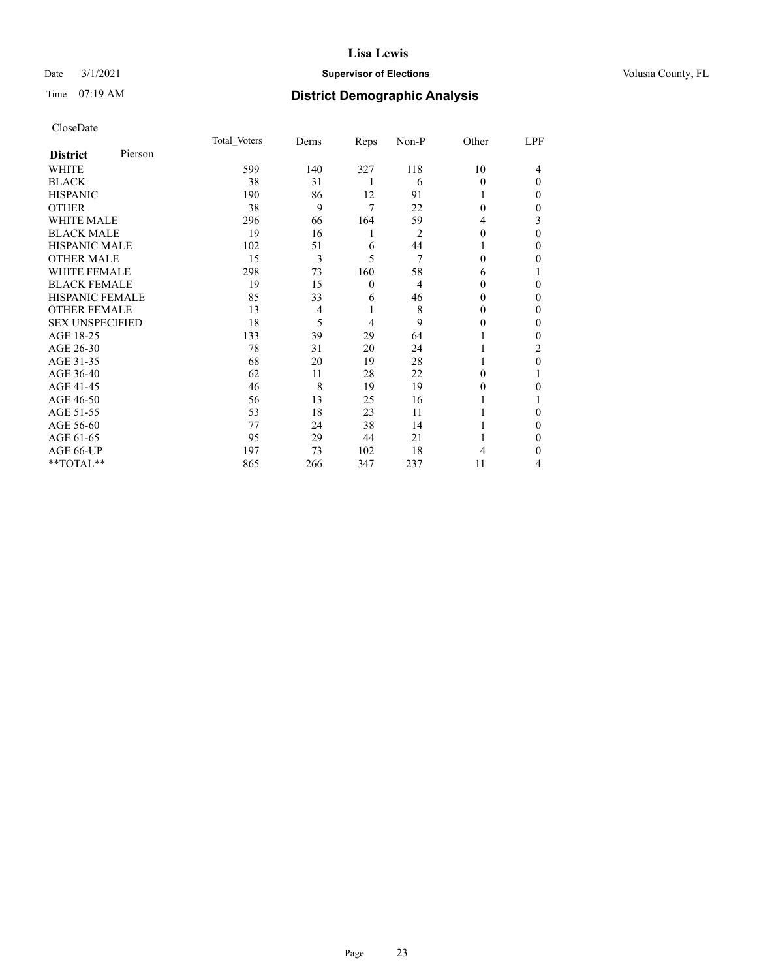# Date  $3/1/2021$  **Supervisor of Elections Supervisor of Elections** Volusia County, FL

# Time 07:19 AM **District Demographic Analysis**

|                        |         | Total Voters | Dems | Reps     | Non-P          | Other    | LPF              |
|------------------------|---------|--------------|------|----------|----------------|----------|------------------|
| <b>District</b>        | Pierson |              |      |          |                |          |                  |
| WHITE                  |         | 599          | 140  | 327      | 118            | 10       | 4                |
| <b>BLACK</b>           |         | 38           | 31   | 1        | 6              | 0        | $\Omega$         |
| <b>HISPANIC</b>        |         | 190          | 86   | 12       | 91             |          | $\mathbf{0}$     |
| <b>OTHER</b>           |         | 38           | 9    | 7        | 22             | 0        | 0                |
| <b>WHITE MALE</b>      |         | 296          | 66   | 164      | 59             | 4        | 3                |
| <b>BLACK MALE</b>      |         | 19           | 16   | 1        | $\overline{2}$ | 0        | $\theta$         |
| <b>HISPANIC MALE</b>   |         | 102          | 51   | 6        | 44             |          | $\mathbf{0}$     |
| <b>OTHER MALE</b>      |         | 15           | 3    | 5        | 7              | 0        | 0                |
| <b>WHITE FEMALE</b>    |         | 298          | 73   | 160      | 58             | 6        |                  |
| <b>BLACK FEMALE</b>    |         | 19           | 15   | $\theta$ | $\overline{4}$ | 0        | 0                |
| <b>HISPANIC FEMALE</b> |         | 85           | 33   | 6        | 46             | 0        | 0                |
| <b>OTHER FEMALE</b>    |         | 13           | 4    | 1        | 8              | 0        | 0                |
| <b>SEX UNSPECIFIED</b> |         | 18           | 5    | 4        | 9              | 0        | $\Omega$         |
| AGE 18-25              |         | 133          | 39   | 29       | 64             |          | $\mathbf{0}$     |
| AGE 26-30              |         | 78           | 31   | 20       | 24             |          | 2                |
| AGE 31-35              |         | 68           | 20   | 19       | 28             |          | $\boldsymbol{0}$ |
| AGE 36-40              |         | 62           | 11   | 28       | 22             | $\Omega$ |                  |
| AGE 41-45              |         | 46           | 8    | 19       | 19             | 0        | 0                |
| AGE 46-50              |         | 56           | 13   | 25       | 16             |          |                  |
| AGE 51-55              |         | 53           | 18   | 23       | 11             |          | 0                |
| AGE 56-60              |         | 77           | 24   | 38       | 14             |          | $\Omega$         |
| AGE 61-65              |         | 95           | 29   | 44       | 21             |          | $\mathbf{0}$     |
| AGE 66-UP              |         | 197          | 73   | 102      | 18             | 4        | 0                |
| **TOTAL**              |         | 865          | 266  | 347      | 237            | 11       | 4                |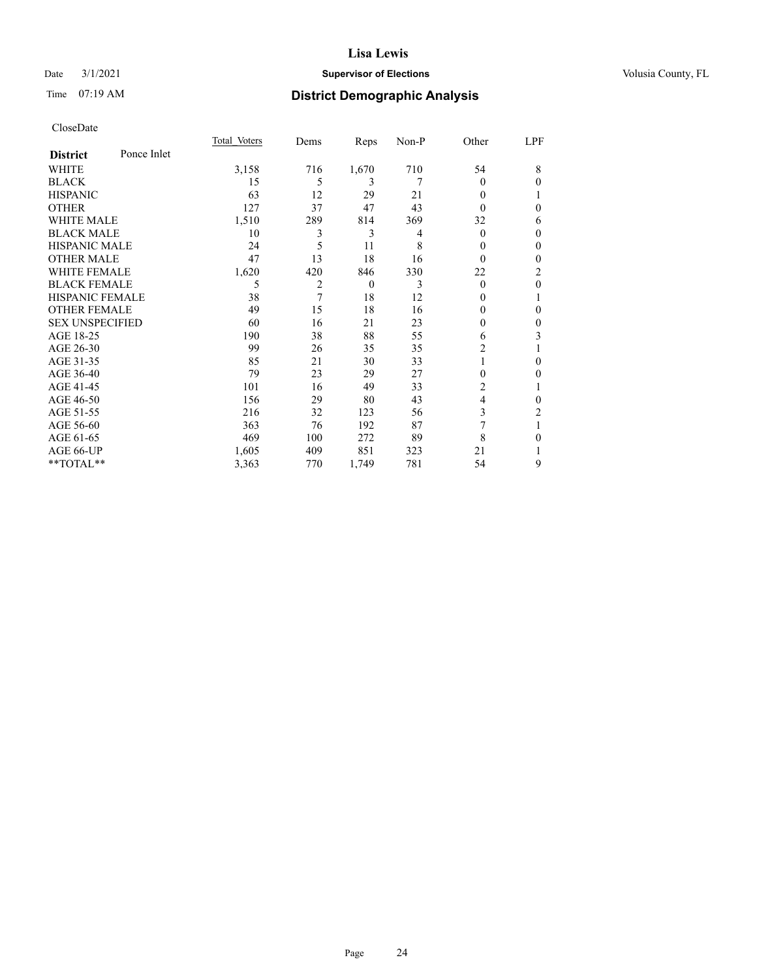# Date  $3/1/2021$  **Supervisor of Elections Supervisor of Elections** Volusia County, FL

# Time 07:19 AM **District Demographic Analysis**

|                        |             | Total Voters | Dems | Reps     | Non-P | Other    | LPF          |
|------------------------|-------------|--------------|------|----------|-------|----------|--------------|
| <b>District</b>        | Ponce Inlet |              |      |          |       |          |              |
| WHITE                  |             | 3,158        | 716  | 1,670    | 710   | 54       | 8            |
| <b>BLACK</b>           |             | 15           | 5    | 3        | 7     | $\theta$ | $\theta$     |
| <b>HISPANIC</b>        |             | 63           | 12   | 29       | 21    | 0        |              |
| <b>OTHER</b>           |             | 127          | 37   | 47       | 43    | 0        | $\theta$     |
| WHITE MALE             |             | 1,510        | 289  | 814      | 369   | 32       | 6            |
| <b>BLACK MALE</b>      |             | 10           | 3    | 3        | 4     | $\theta$ | $\mathbf{0}$ |
| <b>HISPANIC MALE</b>   |             | 24           | 5    | 11       | 8     | $_{0}$   | $\theta$     |
| <b>OTHER MALE</b>      |             | 47           | 13   | 18       | 16    | $\theta$ | $\mathbf{0}$ |
| <b>WHITE FEMALE</b>    |             | 1,620        | 420  | 846      | 330   | 22       | 2            |
| <b>BLACK FEMALE</b>    |             | 5            | 2    | $\theta$ | 3     | $\theta$ | $\mathbf{0}$ |
| <b>HISPANIC FEMALE</b> |             | 38           | 7    | 18       | 12    | $_{0}$   | 1            |
| <b>OTHER FEMALE</b>    |             | 49           | 15   | 18       | 16    | 0        | $\theta$     |
| <b>SEX UNSPECIFIED</b> |             | 60           | 16   | 21       | 23    | 0        | $\theta$     |
| AGE 18-25              |             | 190          | 38   | 88       | 55    | 6        | 3            |
| AGE 26-30              |             | 99           | 26   | 35       | 35    | 2        | 1            |
| AGE 31-35              |             | 85           | 21   | 30       | 33    |          | $\theta$     |
| AGE 36-40              |             | 79           | 23   | 29       | 27    | 0        | 0            |
| AGE 41-45              |             | 101          | 16   | 49       | 33    | 2        |              |
| AGE 46-50              |             | 156          | 29   | 80       | 43    | 4        | $\mathbf{0}$ |
| AGE 51-55              |             | 216          | 32   | 123      | 56    | 3        | 2            |
| AGE 56-60              |             | 363          | 76   | 192      | 87    | 7        | 1            |
| AGE 61-65              |             | 469          | 100  | 272      | 89    | 8        | $\theta$     |
| AGE 66-UP              |             | 1,605        | 409  | 851      | 323   | 21       |              |
| **TOTAL**              |             | 3,363        | 770  | 1,749    | 781   | 54       | 9            |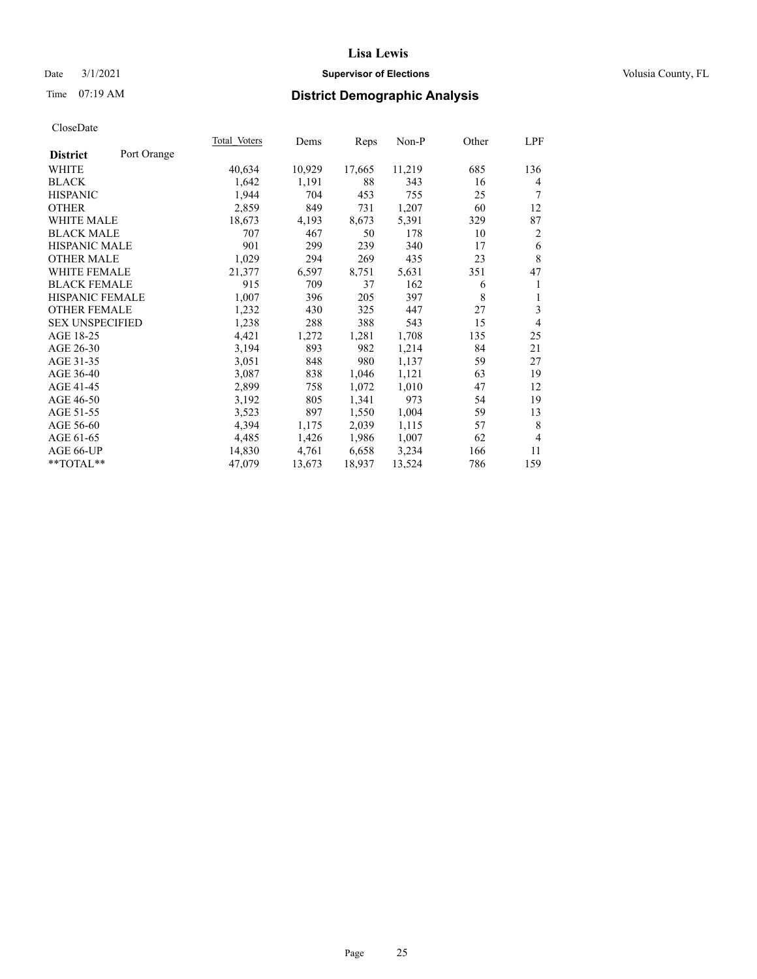# Date  $3/1/2021$  **Supervisor of Elections Supervisor of Elections** Volusia County, FL

# Time 07:19 AM **District Demographic Analysis**

| Total Voters | Dems   | Reps   | Non-P  | Other | LPF            |
|--------------|--------|--------|--------|-------|----------------|
|              |        |        |        |       |                |
| 40,634       | 10,929 | 17,665 | 11,219 | 685   | 136            |
| 1,642        | 1,191  | 88     | 343    | 16    | 4              |
| 1,944        | 704    | 453    | 755    | 25    | 7              |
| 2,859        | 849    | 731    | 1,207  | 60    | 12             |
| 18,673       | 4,193  | 8,673  | 5,391  | 329   | 87             |
| 707          | 467    | 50     | 178    | 10    | $\overline{2}$ |
| 901          | 299    | 239    | 340    | 17    | 6              |
| 1,029        | 294    | 269    | 435    | 23    | $\,8\,$        |
| 21,377       | 6,597  | 8,751  | 5,631  | 351   | 47             |
| 915          | 709    | 37     | 162    | 6     | 1              |
| 1,007        | 396    | 205    | 397    | 8     | 1              |
| 1,232        | 430    | 325    | 447    | 27    | 3              |
| 1,238        | 288    | 388    | 543    | 15    | 4              |
| 4,421        | 1,272  | 1,281  | 1,708  | 135   | 25             |
| 3,194        | 893    | 982    | 1,214  | 84    | 21             |
| 3,051        | 848    | 980    | 1,137  | 59    | 27             |
| 3,087        | 838    | 1,046  | 1,121  | 63    | 19             |
| 2,899        | 758    | 1,072  | 1,010  | 47    | 12             |
| 3,192        | 805    | 1,341  | 973    | 54    | 19             |
| 3,523        | 897    | 1,550  | 1,004  | 59    | 13             |
| 4,394        | 1,175  | 2,039  | 1,115  | 57    | 8              |
| 4,485        | 1,426  | 1,986  | 1,007  | 62    | $\overline{4}$ |
| 14,830       | 4,761  | 6,658  | 3,234  | 166   | 11             |
| 47,079       | 13,673 | 18,937 | 13,524 | 786   | 159            |
|              |        |        |        |       |                |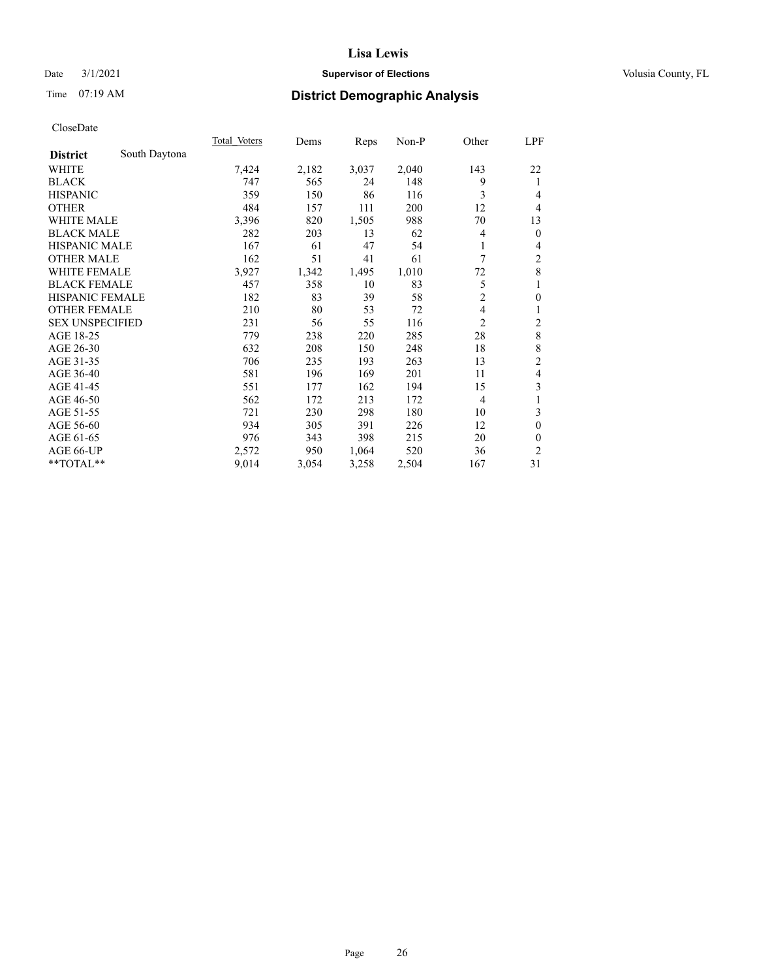# Date  $3/1/2021$  **Supervisor of Elections Supervisor of Elections** Volusia County, FL

# Time 07:19 AM **District Demographic Analysis**

|                        |               | <b>Total Voters</b> | Dems  | Reps  | $Non-P$ | Other          | LPF            |
|------------------------|---------------|---------------------|-------|-------|---------|----------------|----------------|
| <b>District</b>        | South Daytona |                     |       |       |         |                |                |
| WHITE                  |               | 7,424               | 2,182 | 3,037 | 2,040   | 143            | 22             |
| <b>BLACK</b>           |               | 747                 | 565   | 24    | 148     | 9              | 1              |
| <b>HISPANIC</b>        |               | 359                 | 150   | 86    | 116     | 3              | 4              |
| <b>OTHER</b>           |               | 484                 | 157   | 111   | 200     | 12             | 4              |
| <b>WHITE MALE</b>      |               | 3,396               | 820   | 1,505 | 988     | 70             | 13             |
| <b>BLACK MALE</b>      |               | 282                 | 203   | 13    | 62      | 4              | $\overline{0}$ |
| <b>HISPANIC MALE</b>   |               | 167                 | 61    | 47    | 54      | 1              | 4              |
| <b>OTHER MALE</b>      |               | 162                 | 51    | 41    | 61      | 7              | 2              |
| WHITE FEMALE           |               | 3,927               | 1,342 | 1,495 | 1,010   | 72             | 8              |
| <b>BLACK FEMALE</b>    |               | 457                 | 358   | 10    | 83      | 5              | 1              |
| <b>HISPANIC FEMALE</b> |               | 182                 | 83    | 39    | 58      | $\overline{2}$ | $\mathbf{0}$   |
| <b>OTHER FEMALE</b>    |               | 210                 | 80    | 53    | 72      | 4              | 1              |
| <b>SEX UNSPECIFIED</b> |               | 231                 | 56    | 55    | 116     | 2              | $\overline{c}$ |
| AGE 18-25              |               | 779                 | 238   | 220   | 285     | 28             | 8              |
| AGE 26-30              |               | 632                 | 208   | 150   | 248     | 18             | 8              |
| AGE 31-35              |               | 706                 | 235   | 193   | 263     | 13             | $\overline{c}$ |
| AGE 36-40              |               | 581                 | 196   | 169   | 201     | 11             | 4              |
| AGE 41-45              |               | 551                 | 177   | 162   | 194     | 15             | 3              |
| AGE 46-50              |               | 562                 | 172   | 213   | 172     | $\overline{4}$ |                |
| AGE 51-55              |               | 721                 | 230   | 298   | 180     | 10             | 3              |
| AGE 56-60              |               | 934                 | 305   | 391   | 226     | 12             | $\mathbf{0}$   |
| AGE 61-65              |               | 976                 | 343   | 398   | 215     | 20             | $\theta$       |
| AGE 66-UP              |               | 2,572               | 950   | 1,064 | 520     | 36             | $\overline{2}$ |
| **TOTAL**              |               | 9,014               | 3,054 | 3,258 | 2,504   | 167            | 31             |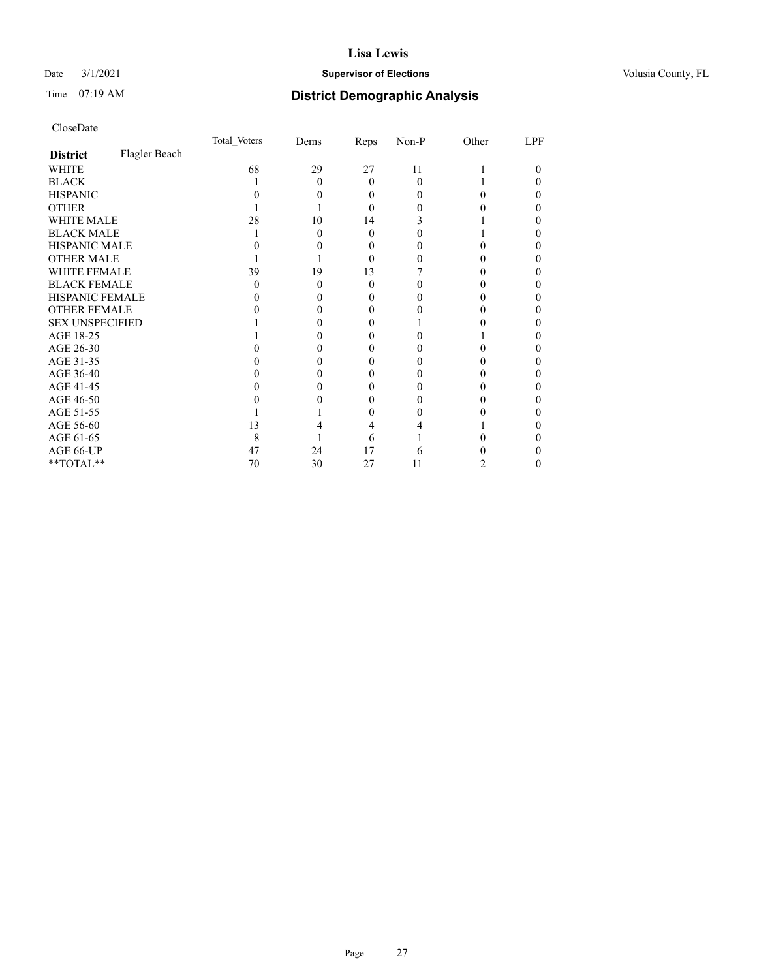# Date  $3/1/2021$  **Supervisor of Elections Supervisor of Elections** Volusia County, FL

# Time 07:19 AM **District Demographic Analysis**

|                        |               | Total Voters | Dems | Reps     | Non-P    | Other | LPF |
|------------------------|---------------|--------------|------|----------|----------|-------|-----|
| <b>District</b>        | Flagler Beach |              |      |          |          |       |     |
| WHITE                  |               | 68           | 29   | 27       | 11       |       | 0   |
| <b>BLACK</b>           |               |              | 0    | $\Omega$ | $\Omega$ |       |     |
| <b>HISPANIC</b>        |               |              |      | 0        | $_{0}$   |       |     |
| <b>OTHER</b>           |               |              |      | 0        |          |       |     |
| WHITE MALE             |               | 28           | 10   | 14       |          |       |     |
| <b>BLACK MALE</b>      |               |              | 0    | 0        |          |       |     |
| <b>HISPANIC MALE</b>   |               |              |      | 0        |          |       |     |
| <b>OTHER MALE</b>      |               |              |      | 0        |          |       | 0   |
| WHITE FEMALE           |               | 39           | 19   | 13       |          |       |     |
| <b>BLACK FEMALE</b>    |               | $\mathbf{0}$ | 0    | $\Omega$ |          |       |     |
| HISPANIC FEMALE        |               |              |      |          |          |       |     |
| <b>OTHER FEMALE</b>    |               |              |      | 0        |          |       |     |
| <b>SEX UNSPECIFIED</b> |               |              |      |          |          |       |     |
| AGE 18-25              |               |              |      |          |          |       |     |
| AGE 26-30              |               |              |      |          |          |       |     |
| AGE 31-35              |               |              |      |          |          |       |     |
| AGE 36-40              |               |              |      | 0        |          |       |     |
| AGE 41-45              |               |              |      |          |          |       |     |
| AGE 46-50              |               |              |      | $\theta$ | $\theta$ |       |     |
| AGE 51-55              |               |              |      |          |          |       |     |
| AGE 56-60              |               | 13           |      |          |          |       |     |
| AGE 61-65              |               | 8            |      | 6        |          |       |     |
| AGE 66-UP              |               | 47           | 24   | 17       | 6        |       |     |
| **TOTAL**              |               | 70           | 30   | 27       | 11       | 2     | 0   |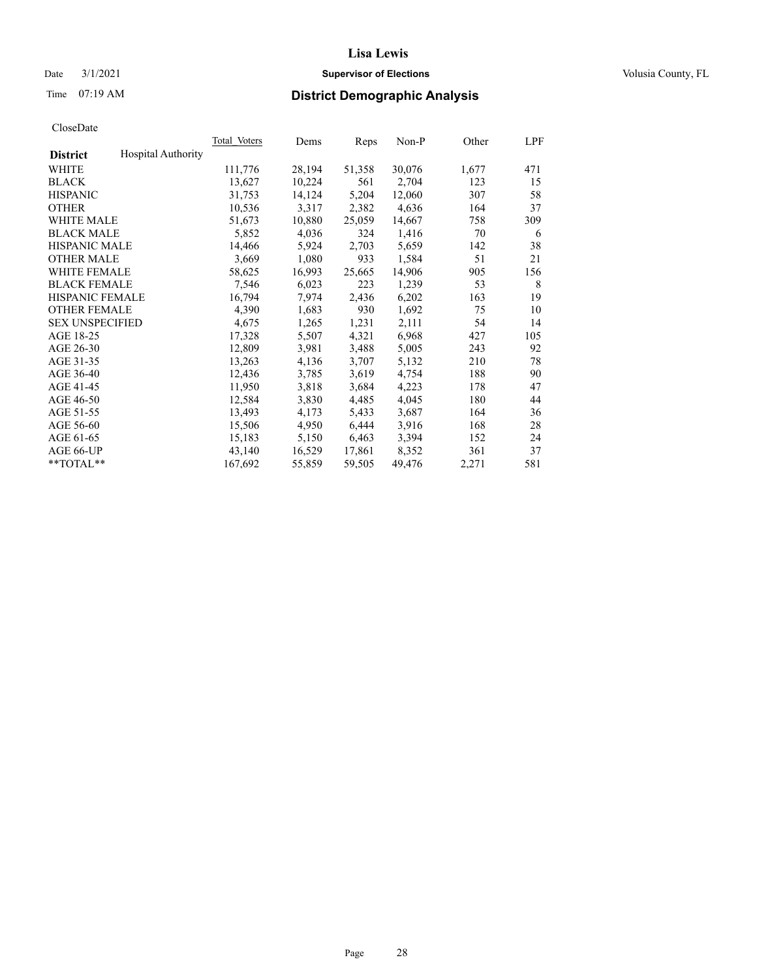# Date  $3/1/2021$  **Supervisor of Elections Supervisor of Elections** Volusia County, FL

# Time 07:19 AM **District Demographic Analysis**

|                        |                           | Total Voters | Dems   | Reps   | Non-P  | Other | LPF |
|------------------------|---------------------------|--------------|--------|--------|--------|-------|-----|
| <b>District</b>        | <b>Hospital Authority</b> |              |        |        |        |       |     |
| WHITE                  |                           | 111,776      | 28,194 | 51,358 | 30,076 | 1,677 | 471 |
| <b>BLACK</b>           |                           | 13,627       | 10,224 | 561    | 2,704  | 123   | 15  |
| <b>HISPANIC</b>        |                           | 31,753       | 14,124 | 5,204  | 12,060 | 307   | 58  |
| <b>OTHER</b>           |                           | 10,536       | 3,317  | 2,382  | 4,636  | 164   | 37  |
| WHITE MALE             |                           | 51,673       | 10,880 | 25,059 | 14,667 | 758   | 309 |
| <b>BLACK MALE</b>      |                           | 5,852        | 4,036  | 324    | 1,416  | 70    | 6   |
| <b>HISPANIC MALE</b>   |                           | 14,466       | 5,924  | 2,703  | 5,659  | 142   | 38  |
| <b>OTHER MALE</b>      |                           | 3,669        | 1,080  | 933    | 1,584  | 51    | 21  |
| <b>WHITE FEMALE</b>    |                           | 58,625       | 16,993 | 25,665 | 14,906 | 905   | 156 |
| <b>BLACK FEMALE</b>    |                           | 7,546        | 6,023  | 223    | 1,239  | 53    | 8   |
| <b>HISPANIC FEMALE</b> |                           | 16,794       | 7,974  | 2,436  | 6,202  | 163   | 19  |
| <b>OTHER FEMALE</b>    |                           | 4,390        | 1,683  | 930    | 1,692  | 75    | 10  |
| <b>SEX UNSPECIFIED</b> |                           | 4,675        | 1,265  | 1,231  | 2,111  | 54    | 14  |
| AGE 18-25              |                           | 17,328       | 5,507  | 4,321  | 6,968  | 427   | 105 |
| AGE 26-30              |                           | 12,809       | 3,981  | 3,488  | 5,005  | 243   | 92  |
| AGE 31-35              |                           | 13,263       | 4,136  | 3,707  | 5,132  | 210   | 78  |
| AGE 36-40              |                           | 12,436       | 3,785  | 3,619  | 4,754  | 188   | 90  |
| AGE 41-45              |                           | 11,950       | 3,818  | 3,684  | 4,223  | 178   | 47  |
| AGE 46-50              |                           | 12,584       | 3,830  | 4,485  | 4,045  | 180   | 44  |
| AGE 51-55              |                           | 13,493       | 4,173  | 5,433  | 3,687  | 164   | 36  |
| AGE 56-60              |                           | 15,506       | 4,950  | 6,444  | 3,916  | 168   | 28  |
| AGE 61-65              |                           | 15,183       | 5,150  | 6,463  | 3,394  | 152   | 24  |
| AGE 66-UP              |                           | 43,140       | 16,529 | 17,861 | 8,352  | 361   | 37  |
| $*$ TOTAL $*$          |                           | 167,692      | 55,859 | 59,505 | 49,476 | 2,271 | 581 |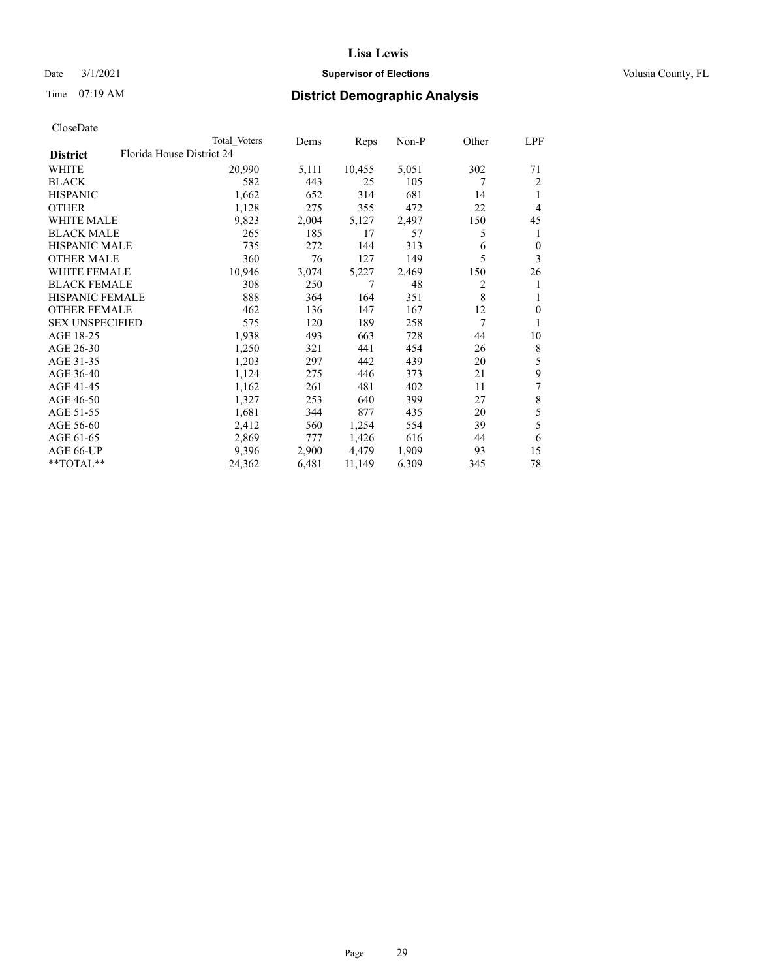# Date  $3/1/2021$  **Supervisor of Elections Supervisor of Elections** Volusia County, FL

|                        | Total Voters              | Dems  | Reps   | $Non-P$ | Other | LPF              |
|------------------------|---------------------------|-------|--------|---------|-------|------------------|
| <b>District</b>        | Florida House District 24 |       |        |         |       |                  |
| WHITE                  | 20,990                    | 5,111 | 10,455 | 5,051   | 302   | 71               |
| <b>BLACK</b>           | 582                       | 443   | 25     | 105     | 7     | $\overline{2}$   |
| <b>HISPANIC</b>        | 1,662                     | 652   | 314    | 681     | 14    | 1                |
| <b>OTHER</b>           | 1,128                     | 275   | 355    | 472     | 22    | 4                |
| <b>WHITE MALE</b>      | 9,823                     | 2,004 | 5,127  | 2,497   | 150   | 45               |
| <b>BLACK MALE</b>      | 265                       | 185   | 17     | 57      | 5     | 1                |
| <b>HISPANIC MALE</b>   | 735                       | 272   | 144    | 313     | 6     | $\boldsymbol{0}$ |
| <b>OTHER MALE</b>      | 360                       | 76    | 127    | 149     | 5     | 3                |
| <b>WHITE FEMALE</b>    | 10,946                    | 3,074 | 5,227  | 2,469   | 150   | 26               |
| <b>BLACK FEMALE</b>    | 308                       | 250   | 7      | 48      | 2     | 1                |
| HISPANIC FEMALE        | 888                       | 364   | 164    | 351     | 8     | 1                |
| <b>OTHER FEMALE</b>    | 462                       | 136   | 147    | 167     | 12    | $\mathbf{0}$     |
| <b>SEX UNSPECIFIED</b> | 575                       | 120   | 189    | 258     | 7     | 1                |
| AGE 18-25              | 1,938                     | 493   | 663    | 728     | 44    | 10               |
| AGE 26-30              | 1,250                     | 321   | 441    | 454     | 26    | 8                |
| AGE 31-35              | 1,203                     | 297   | 442    | 439     | 20    | 5                |
| AGE 36-40              | 1,124                     | 275   | 446    | 373     | 21    | 9                |
| AGE 41-45              | 1,162                     | 261   | 481    | 402     | 11    | 7                |
| AGE 46-50              | 1,327                     | 253   | 640    | 399     | 27    | $\,$ $\,$        |
| AGE 51-55              | 1,681                     | 344   | 877    | 435     | 20    | 5                |
| AGE 56-60              | 2,412                     | 560   | 1,254  | 554     | 39    | 5                |
| AGE 61-65              | 2,869                     | 777   | 1,426  | 616     | 44    | 6                |
| AGE 66-UP              | 9,396                     | 2,900 | 4,479  | 1,909   | 93    | 15               |
| $**TOTAL**$            | 24,362                    | 6,481 | 11,149 | 6,309   | 345   | 78               |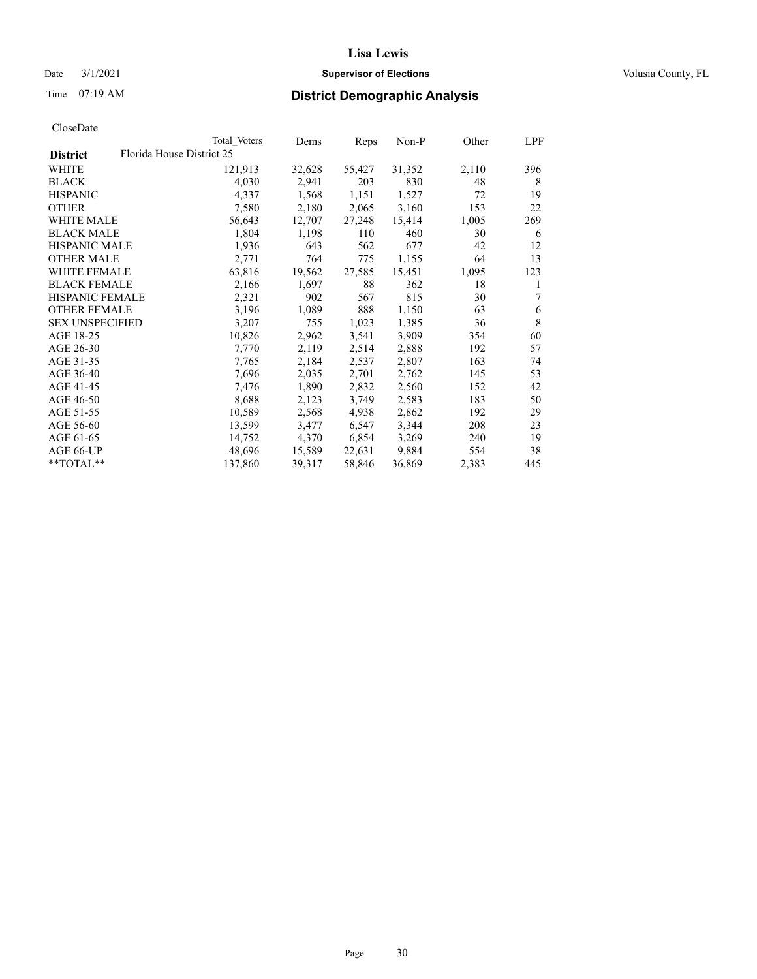# Date  $3/1/2021$  **Supervisor of Elections Supervisor of Elections** Volusia County, FL

|                        |                           | Total Voters | Dems   | Reps   | Non-P  | Other | LPF         |
|------------------------|---------------------------|--------------|--------|--------|--------|-------|-------------|
| <b>District</b>        | Florida House District 25 |              |        |        |        |       |             |
| WHITE                  |                           | 121,913      | 32,628 | 55,427 | 31,352 | 2,110 | 396         |
| BLACK                  |                           | 4,030        | 2,941  | 203    | 830    | 48    | 8           |
| <b>HISPANIC</b>        |                           | 4,337        | 1,568  | 1,151  | 1,527  | 72    | 19          |
| OTHER                  |                           | 7,580        | 2,180  | 2,065  | 3,160  | 153   | 22          |
| <b>WHITE MALE</b>      |                           | 56,643       | 12,707 | 27,248 | 15,414 | 1,005 | 269         |
| BLACK MALE             |                           | 1,804        | 1,198  | 110    | 460    | 30    | 6           |
| <b>HISPANIC MALE</b>   |                           | 1,936        | 643    | 562    | 677    | 42    | 12          |
| OTHER MALE             |                           | 2,771        | 764    | 775    | 1,155  | 64    | 13          |
| WHITE FEMALE           |                           | 63,816       | 19,562 | 27,585 | 15,451 | 1,095 | 123         |
| <b>BLACK FEMALE</b>    |                           | 2,166        | 1,697  | 88     | 362    | 18    | 1           |
| <b>HISPANIC FEMALE</b> |                           | 2,321        | 902    | 567    | 815    | 30    | 7           |
| <b>OTHER FEMALE</b>    |                           | 3,196        | 1,089  | 888    | 1,150  | 63    | 6           |
| <b>SEX UNSPECIFIED</b> |                           | 3,207        | 755    | 1,023  | 1,385  | 36    | $\,$ 8 $\,$ |
| AGE 18-25              |                           | 10,826       | 2,962  | 3,541  | 3,909  | 354   | 60          |
| AGE 26-30              |                           | 7,770        | 2,119  | 2,514  | 2,888  | 192   | 57          |
| AGE 31-35              |                           | 7,765        | 2,184  | 2,537  | 2,807  | 163   | 74          |
| AGE 36-40              |                           | 7,696        | 2,035  | 2,701  | 2,762  | 145   | 53          |
| AGE 41-45              |                           | 7,476        | 1,890  | 2,832  | 2,560  | 152   | 42          |
| AGE 46-50              |                           | 8,688        | 2,123  | 3,749  | 2,583  | 183   | 50          |
| AGE 51-55              |                           | 10,589       | 2,568  | 4,938  | 2,862  | 192   | 29          |
| AGE 56-60              |                           | 13,599       | 3,477  | 6,547  | 3,344  | 208   | 23          |
| AGE 61-65              |                           | 14,752       | 4,370  | 6,854  | 3,269  | 240   | 19          |
| AGE 66-UP              |                           | 48,696       | 15,589 | 22,631 | 9,884  | 554   | 38          |
| $*$ $TOTAL**$          |                           | 137,860      | 39,317 | 58,846 | 36,869 | 2,383 | 445         |
|                        |                           |              |        |        |        |       |             |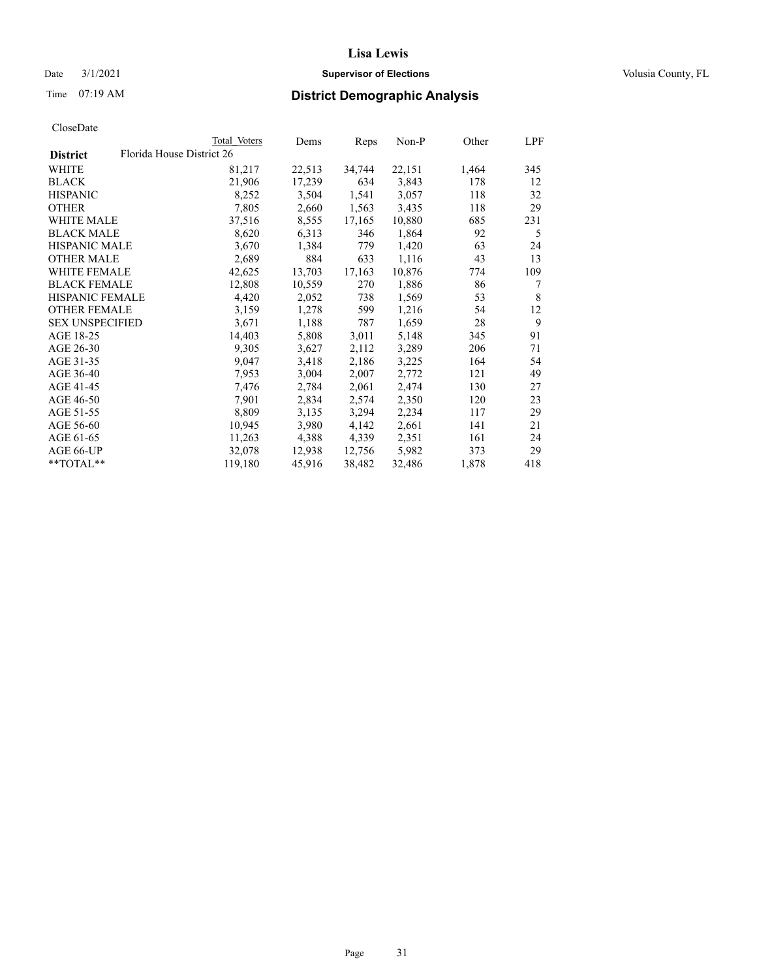# Date  $3/1/2021$  **Supervisor of Elections Supervisor of Elections** Volusia County, FL

|                        | Total Voters              | Dems   | Reps   | Non-P  | Other | LPF |
|------------------------|---------------------------|--------|--------|--------|-------|-----|
| <b>District</b>        | Florida House District 26 |        |        |        |       |     |
| WHITE                  | 81,217                    | 22,513 | 34,744 | 22,151 | 1,464 | 345 |
| <b>BLACK</b>           | 21,906                    | 17,239 | 634    | 3,843  | 178   | 12  |
| <b>HISPANIC</b>        | 8,252                     | 3,504  | 1,541  | 3,057  | 118   | 32  |
| <b>OTHER</b>           | 7,805                     | 2,660  | 1,563  | 3,435  | 118   | 29  |
| WHITE MALE             | 37,516                    | 8,555  | 17,165 | 10,880 | 685   | 231 |
| <b>BLACK MALE</b>      | 8,620                     | 6,313  | 346    | 1,864  | 92    | 5   |
| <b>HISPANIC MALE</b>   | 3,670                     | 1,384  | 779    | 1,420  | 63    | 24  |
| <b>OTHER MALE</b>      | 2,689                     | 884    | 633    | 1,116  | 43    | 13  |
| <b>WHITE FEMALE</b>    | 42,625                    | 13,703 | 17,163 | 10,876 | 774   | 109 |
| <b>BLACK FEMALE</b>    | 12,808                    | 10,559 | 270    | 1,886  | 86    | 7   |
| <b>HISPANIC FEMALE</b> | 4,420                     | 2,052  | 738    | 1,569  | 53    | 8   |
| <b>OTHER FEMALE</b>    | 3,159                     | 1,278  | 599    | 1,216  | 54    | 12  |
| <b>SEX UNSPECIFIED</b> | 3,671                     | 1,188  | 787    | 1,659  | 28    | 9   |
| AGE 18-25              | 14,403                    | 5,808  | 3,011  | 5,148  | 345   | 91  |
| AGE 26-30              | 9,305                     | 3,627  | 2,112  | 3,289  | 206   | 71  |
| AGE 31-35              | 9,047                     | 3,418  | 2,186  | 3,225  | 164   | 54  |
| AGE 36-40              | 7,953                     | 3,004  | 2,007  | 2,772  | 121   | 49  |
| AGE 41-45              | 7,476                     | 2,784  | 2,061  | 2,474  | 130   | 27  |
| AGE 46-50              | 7,901                     | 2,834  | 2,574  | 2,350  | 120   | 23  |
| AGE 51-55              | 8,809                     | 3,135  | 3,294  | 2,234  | 117   | 29  |
| AGE 56-60              | 10,945                    | 3,980  | 4,142  | 2,661  | 141   | 21  |
| AGE 61-65              | 11,263                    | 4,388  | 4,339  | 2,351  | 161   | 24  |
| AGE 66-UP              | 32,078                    | 12,938 | 12,756 | 5,982  | 373   | 29  |
| $*$ TOTAL $*$          | 119,180                   | 45,916 | 38,482 | 32,486 | 1,878 | 418 |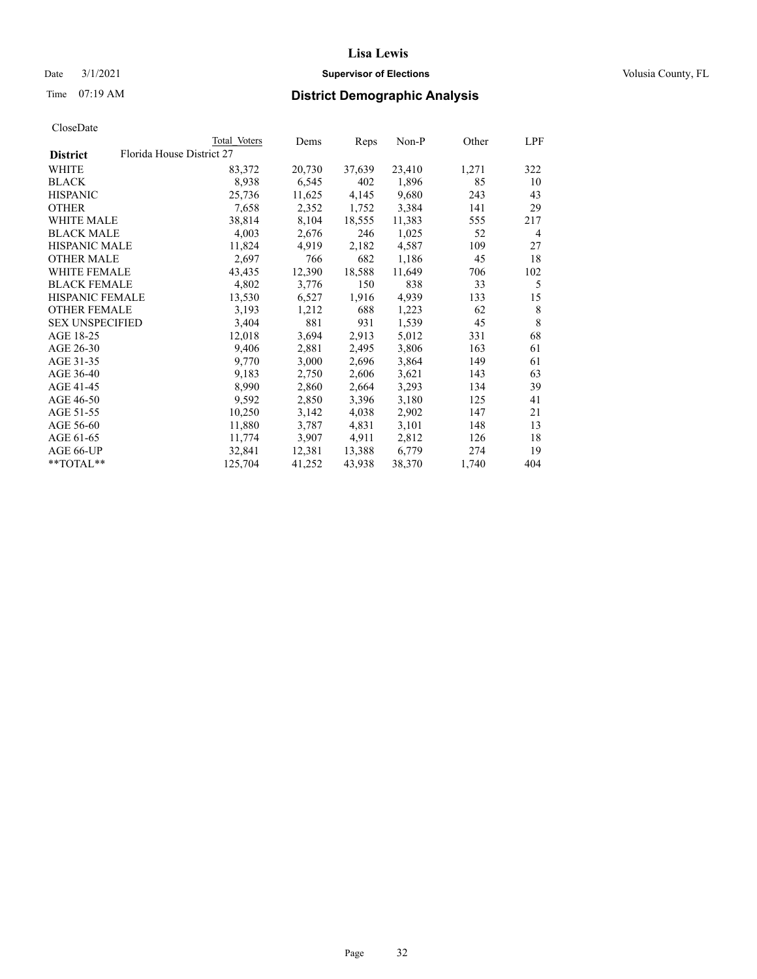# Date  $3/1/2021$  **Supervisor of Elections Supervisor of Elections** Volusia County, FL

|                                              | Total Voters | Dems   | Reps   | Non-P  | Other | <u>LPF</u> |
|----------------------------------------------|--------------|--------|--------|--------|-------|------------|
| Florida House District 27<br><b>District</b> |              |        |        |        |       |            |
| WHITE                                        | 83,372       | 20,730 | 37,639 | 23,410 | 1,271 | 322        |
| BLACK                                        | 8,938        | 6,545  | 402    | 1,896  | 85    | 10         |
| <b>HISPANIC</b>                              | 25,736       | 11,625 | 4,145  | 9,680  | 243   | 43         |
| <b>OTHER</b>                                 | 7,658        | 2,352  | 1,752  | 3,384  | 141   | 29         |
| WHITE MALE                                   | 38,814       | 8,104  | 18,555 | 11,383 | 555   | 217        |
| <b>BLACK MALE</b>                            | 4,003        | 2,676  | 246    | 1,025  | 52    | 4          |
| <b>HISPANIC MALE</b>                         | 11,824       | 4,919  | 2,182  | 4,587  | 109   | 27         |
| OTHER MALE                                   | 2,697        | 766    | 682    | 1,186  | 45    | 18         |
| WHITE FEMALE                                 | 43,435       | 12,390 | 18,588 | 11,649 | 706   | 102        |
| <b>BLACK FEMALE</b>                          | 4,802        | 3,776  | 150    | 838    | 33    | 5          |
| <b>HISPANIC FEMALE</b>                       | 13,530       | 6,527  | 1,916  | 4,939  | 133   | 15         |
| <b>OTHER FEMALE</b>                          | 3,193        | 1,212  | 688    | 1,223  | 62    | 8          |
| <b>SEX UNSPECIFIED</b>                       | 3,404        | 881    | 931    | 1,539  | 45    | 8          |
| AGE 18-25                                    | 12,018       | 3,694  | 2,913  | 5,012  | 331   | 68         |
| AGE 26-30                                    | 9,406        | 2,881  | 2,495  | 3,806  | 163   | 61         |
| AGE 31-35                                    | 9,770        | 3,000  | 2,696  | 3,864  | 149   | 61         |
| AGE 36-40                                    | 9,183        | 2,750  | 2,606  | 3,621  | 143   | 63         |
| AGE 41-45                                    | 8,990        | 2,860  | 2,664  | 3,293  | 134   | 39         |
| AGE 46-50                                    | 9,592        | 2,850  | 3,396  | 3,180  | 125   | 41         |
| AGE 51-55                                    | 10,250       | 3,142  | 4,038  | 2,902  | 147   | 21         |
| AGE 56-60                                    | 11,880       | 3,787  | 4,831  | 3,101  | 148   | 13         |
| AGE 61-65                                    | 11,774       | 3,907  | 4,911  | 2,812  | 126   | 18         |
| AGE 66-UP                                    | 32,841       | 12,381 | 13,388 | 6,779  | 274   | 19         |
| **TOTAL**                                    | 125,704      | 41,252 | 43,938 | 38,370 | 1,740 | 404        |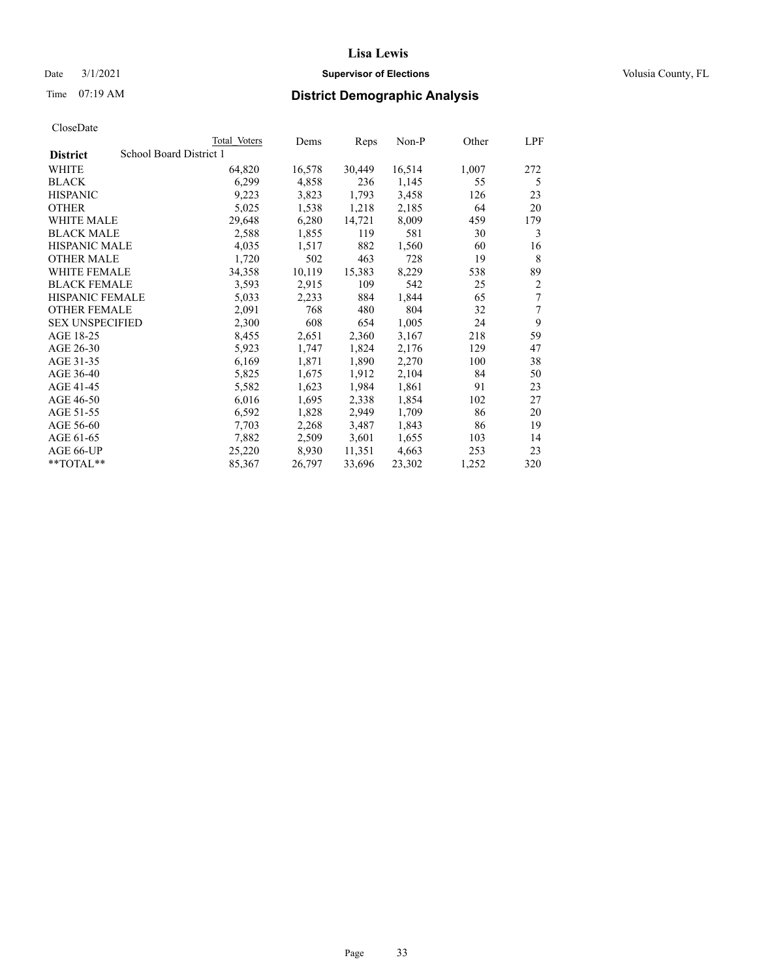# Date  $3/1/2021$  **Supervisor of Elections Supervisor of Elections** Volusia County, FL

| CloseDate |
|-----------|
|-----------|

|                        | Total Voters            | Dems   | Reps   | Non-P  | Other | LPF            |
|------------------------|-------------------------|--------|--------|--------|-------|----------------|
| <b>District</b>        | School Board District 1 |        |        |        |       |                |
| WHITE                  | 64,820                  | 16,578 | 30,449 | 16,514 | 1,007 | 272            |
| <b>BLACK</b>           | 6,299                   | 4,858  | 236    | 1,145  | 55    | 5              |
| <b>HISPANIC</b>        | 9,223                   | 3,823  | 1,793  | 3,458  | 126   | 23             |
| <b>OTHER</b>           | 5,025                   | 1,538  | 1,218  | 2,185  | 64    | 20             |
| WHITE MALE             | 29,648                  | 6,280  | 14,721 | 8,009  | 459   | 179            |
| <b>BLACK MALE</b>      | 2,588                   | 1,855  | 119    | 581    | 30    | 3              |
| <b>HISPANIC MALE</b>   | 4,035                   | 1,517  | 882    | 1,560  | 60    | 16             |
| <b>OTHER MALE</b>      | 1,720                   | 502    | 463    | 728    | 19    | 8              |
| WHITE FEMALE           | 34,358                  | 10,119 | 15,383 | 8,229  | 538   | 89             |
| <b>BLACK FEMALE</b>    | 3,593                   | 2,915  | 109    | 542    | 25    | $\overline{2}$ |
| <b>HISPANIC FEMALE</b> | 5,033                   | 2,233  | 884    | 1,844  | 65    | 7              |
| <b>OTHER FEMALE</b>    | 2,091                   | 768    | 480    | 804    | 32    | 7              |
| <b>SEX UNSPECIFIED</b> | 2,300                   | 608    | 654    | 1,005  | 24    | 9              |
| AGE 18-25              | 8,455                   | 2,651  | 2,360  | 3,167  | 218   | 59             |
| AGE 26-30              | 5,923                   | 1,747  | 1,824  | 2,176  | 129   | 47             |
| AGE 31-35              | 6,169                   | 1,871  | 1,890  | 2,270  | 100   | 38             |
| AGE 36-40              | 5,825                   | 1,675  | 1,912  | 2,104  | 84    | 50             |
| AGE 41-45              | 5,582                   | 1,623  | 1,984  | 1,861  | 91    | 23             |
| AGE 46-50              | 6,016                   | 1,695  | 2,338  | 1,854  | 102   | 27             |
| AGE 51-55              | 6,592                   | 1,828  | 2,949  | 1,709  | 86    | 20             |
| AGE 56-60              | 7,703                   | 2,268  | 3,487  | 1,843  | 86    | 19             |
| AGE 61-65              | 7,882                   | 2,509  | 3,601  | 1,655  | 103   | 14             |
| AGE 66-UP              | 25,220                  | 8,930  | 11,351 | 4,663  | 253   | 23             |
| $*$ TOTAL $*$          | 85,367                  | 26,797 | 33,696 | 23,302 | 1,252 | 320            |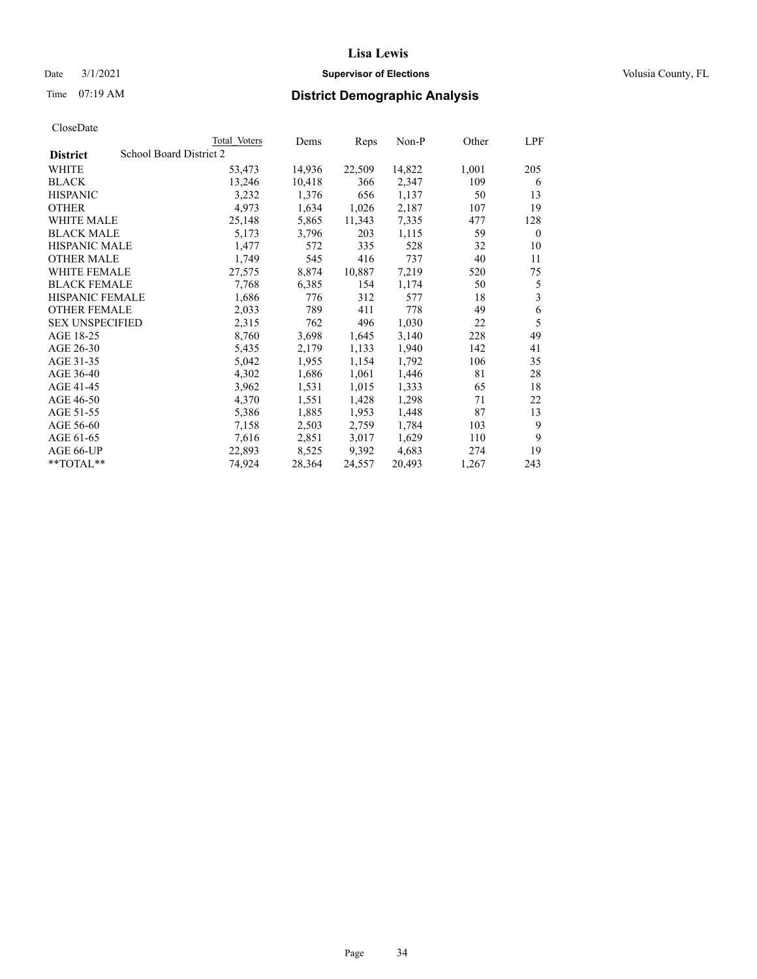# Date  $3/1/2021$  **Supervisor of Elections Supervisor of Elections** Volusia County, FL

# Time 07:19 AM **District Demographic Analysis**

|                        |                         | Total Voters | Dems   | Reps   | Non-P  | Other | LPF      |
|------------------------|-------------------------|--------------|--------|--------|--------|-------|----------|
| <b>District</b>        | School Board District 2 |              |        |        |        |       |          |
| WHITE                  |                         | 53,473       | 14,936 | 22,509 | 14,822 | 1,001 | 205      |
| <b>BLACK</b>           |                         | 13,246       | 10,418 | 366    | 2,347  | 109   | 6        |
| <b>HISPANIC</b>        |                         | 3,232        | 1,376  | 656    | 1,137  | 50    | 13       |
| <b>OTHER</b>           |                         | 4,973        | 1,634  | 1,026  | 2,187  | 107   | 19       |
| WHITE MALE             |                         | 25,148       | 5,865  | 11,343 | 7,335  | 477   | 128      |
| <b>BLACK MALE</b>      |                         | 5,173        | 3,796  | 203    | 1,115  | 59    | $\theta$ |
| <b>HISPANIC MALE</b>   |                         | 1,477        | 572    | 335    | 528    | 32    | 10       |
| <b>OTHER MALE</b>      |                         | 1,749        | 545    | 416    | 737    | 40    | 11       |
| <b>WHITE FEMALE</b>    |                         | 27,575       | 8,874  | 10,887 | 7,219  | 520   | 75       |
| <b>BLACK FEMALE</b>    |                         | 7,768        | 6,385  | 154    | 1,174  | 50    | 5        |
| <b>HISPANIC FEMALE</b> |                         | 1,686        | 776    | 312    | 577    | 18    | 3        |
| <b>OTHER FEMALE</b>    |                         | 2,033        | 789    | 411    | 778    | 49    | 6        |
| <b>SEX UNSPECIFIED</b> |                         | 2,315        | 762    | 496    | 1,030  | 22    | 5        |
| AGE 18-25              |                         | 8,760        | 3,698  | 1,645  | 3,140  | 228   | 49       |
| AGE 26-30              |                         | 5,435        | 2,179  | 1,133  | 1,940  | 142   | 41       |
| AGE 31-35              |                         | 5,042        | 1,955  | 1,154  | 1,792  | 106   | 35       |
| AGE 36-40              |                         | 4,302        | 1,686  | 1,061  | 1,446  | 81    | 28       |
| AGE 41-45              |                         | 3,962        | 1,531  | 1,015  | 1,333  | 65    | 18       |
| AGE 46-50              |                         | 4,370        | 1,551  | 1,428  | 1,298  | 71    | 22       |
| AGE 51-55              |                         | 5,386        | 1,885  | 1,953  | 1,448  | 87    | 13       |
| AGE 56-60              |                         | 7,158        | 2,503  | 2,759  | 1,784  | 103   | 9        |
| AGE 61-65              |                         | 7,616        | 2,851  | 3,017  | 1,629  | 110   | 9        |
| AGE 66-UP              |                         | 22,893       | 8,525  | 9,392  | 4,683  | 274   | 19       |
| $*$ TOTAL $*$          |                         | 74,924       | 28,364 | 24,557 | 20,493 | 1,267 | 243      |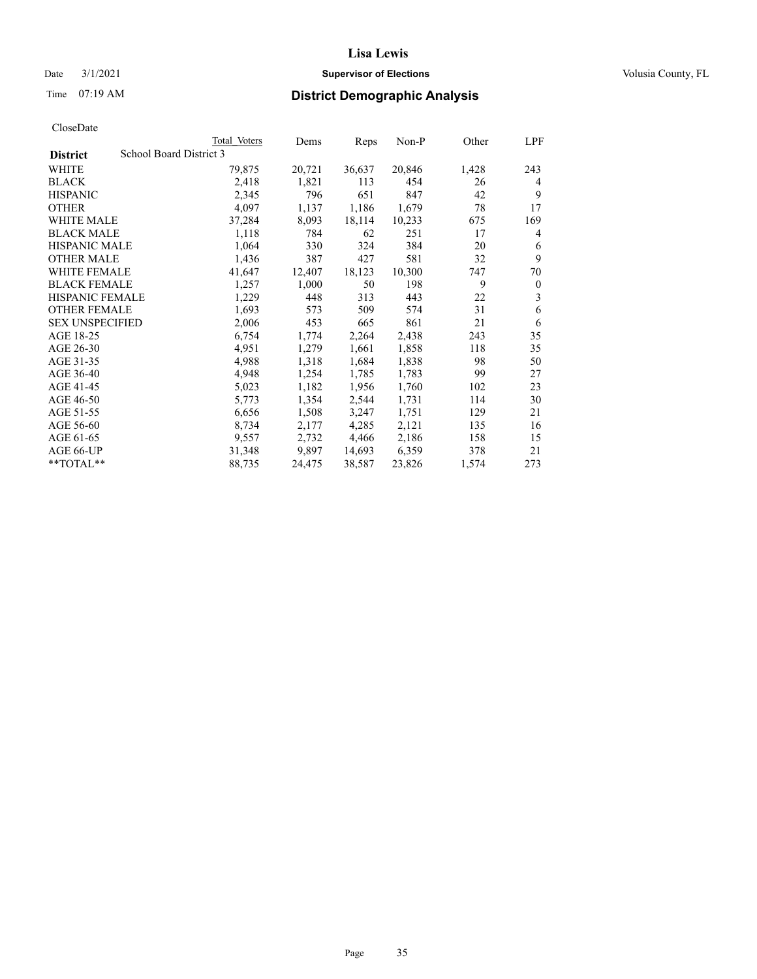# Date  $3/1/2021$  **Supervisor of Elections Supervisor of Elections** Volusia County, FL

# Time 07:19 AM **District Demographic Analysis**

|                                            | Total Voters | Dems   | Reps   | Non-P  | Other | LPF      |
|--------------------------------------------|--------------|--------|--------|--------|-------|----------|
| School Board District 3<br><b>District</b> |              |        |        |        |       |          |
| WHITE                                      | 79,875       | 20,721 | 36,637 | 20,846 | 1,428 | 243      |
| <b>BLACK</b>                               | 2,418        | 1,821  | 113    | 454    | 26    | 4        |
| <b>HISPANIC</b>                            | 2,345        | 796    | 651    | 847    | 42    | 9        |
| <b>OTHER</b>                               | 4,097        | 1,137  | 1,186  | 1,679  | 78    | 17       |
| WHITE MALE                                 | 37,284       | 8,093  | 18,114 | 10,233 | 675   | 169      |
| <b>BLACK MALE</b>                          | 1,118        | 784    | 62     | 251    | 17    | 4        |
| <b>HISPANIC MALE</b>                       | 1,064        | 330    | 324    | 384    | 20    | 6        |
| <b>OTHER MALE</b>                          | 1,436        | 387    | 427    | 581    | 32    | 9        |
| <b>WHITE FEMALE</b>                        | 41,647       | 12,407 | 18,123 | 10,300 | 747   | 70       |
| <b>BLACK FEMALE</b>                        | 1,257        | 1,000  | 50     | 198    | 9     | $\theta$ |
| <b>HISPANIC FEMALE</b>                     | 1,229        | 448    | 313    | 443    | 22    | 3        |
| <b>OTHER FEMALE</b>                        | 1,693        | 573    | 509    | 574    | 31    | 6        |
| <b>SEX UNSPECIFIED</b>                     | 2,006        | 453    | 665    | 861    | 21    | 6        |
| AGE 18-25                                  | 6,754        | 1,774  | 2,264  | 2,438  | 243   | 35       |
| AGE 26-30                                  | 4,951        | 1,279  | 1,661  | 1,858  | 118   | 35       |
| AGE 31-35                                  | 4,988        | 1,318  | 1,684  | 1,838  | 98    | 50       |
| AGE 36-40                                  | 4,948        | 1,254  | 1,785  | 1,783  | 99    | 27       |
| AGE 41-45                                  | 5,023        | 1,182  | 1,956  | 1,760  | 102   | 23       |
| AGE 46-50                                  | 5,773        | 1,354  | 2,544  | 1,731  | 114   | 30       |
| AGE 51-55                                  | 6,656        | 1,508  | 3,247  | 1,751  | 129   | 21       |
| AGE 56-60                                  | 8,734        | 2,177  | 4,285  | 2,121  | 135   | 16       |
| AGE 61-65                                  | 9,557        | 2,732  | 4,466  | 2,186  | 158   | 15       |
| AGE 66-UP                                  | 31,348       | 9,897  | 14,693 | 6,359  | 378   | 21       |
| $**TOTAL**$                                | 88,735       | 24,475 | 38,587 | 23,826 | 1,574 | 273      |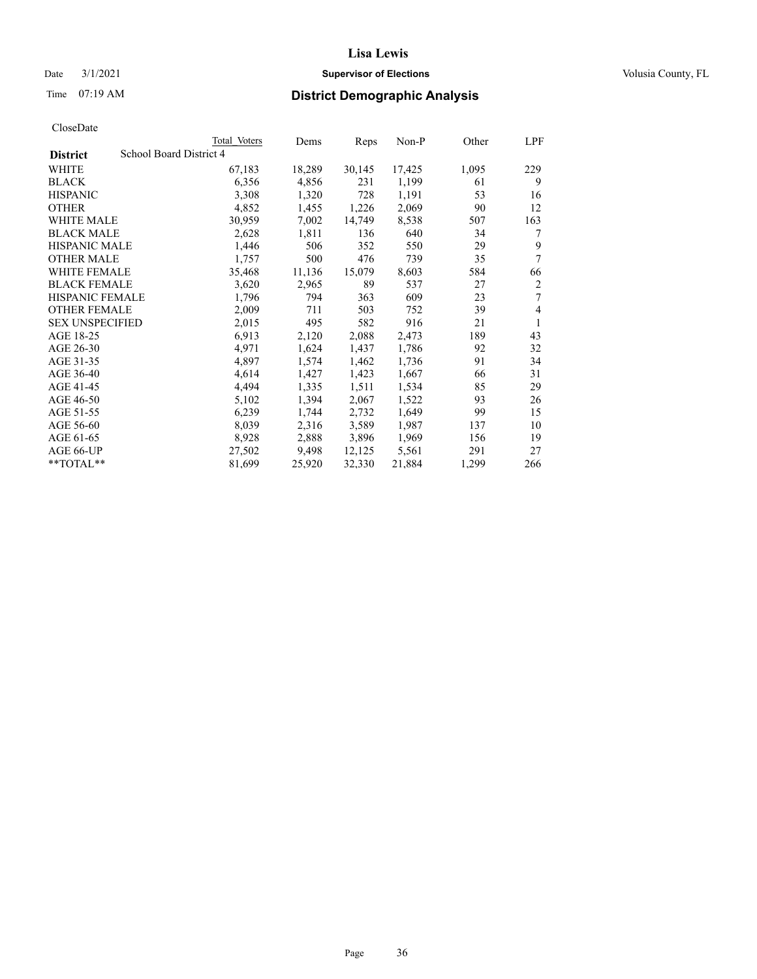# Date  $3/1/2021$  **Supervisor of Elections Supervisor of Elections** Volusia County, FL

|                                            | Total Voters | Dems   | Reps   | $Non-P$ | Other | LPF |
|--------------------------------------------|--------------|--------|--------|---------|-------|-----|
| School Board District 4<br><b>District</b> |              |        |        |         |       |     |
| WHITE                                      | 67,183       | 18,289 | 30,145 | 17,425  | 1,095 | 229 |
| <b>BLACK</b>                               | 6,356        | 4,856  | 231    | 1,199   | 61    | 9   |
| <b>HISPANIC</b>                            | 3,308        | 1,320  | 728    | 1,191   | 53    | 16  |
| <b>OTHER</b>                               | 4,852        | 1,455  | 1,226  | 2,069   | 90    | 12  |
| <b>WHITE MALE</b>                          | 30,959       | 7,002  | 14,749 | 8,538   | 507   | 163 |
| <b>BLACK MALE</b>                          | 2,628        | 1,811  | 136    | 640     | 34    | 7   |
| <b>HISPANIC MALE</b>                       | 1,446        | 506    | 352    | 550     | 29    | 9   |
| <b>OTHER MALE</b>                          | 1,757        | 500    | 476    | 739     | 35    | 7   |
| <b>WHITE FEMALE</b>                        | 35,468       | 11,136 | 15,079 | 8,603   | 584   | 66  |
| <b>BLACK FEMALE</b>                        | 3,620        | 2,965  | 89     | 537     | 27    | 2   |
| HISPANIC FEMALE                            | 1,796        | 794    | 363    | 609     | 23    | 7   |
| <b>OTHER FEMALE</b>                        | 2,009        | 711    | 503    | 752     | 39    | 4   |
| <b>SEX UNSPECIFIED</b>                     | 2,015        | 495    | 582    | 916     | 21    | 1   |
| AGE 18-25                                  | 6,913        | 2,120  | 2,088  | 2,473   | 189   | 43  |
| AGE 26-30                                  | 4,971        | 1,624  | 1,437  | 1,786   | 92    | 32  |
| AGE 31-35                                  | 4,897        | 1,574  | 1,462  | 1,736   | 91    | 34  |
| AGE 36-40                                  | 4,614        | 1,427  | 1,423  | 1,667   | 66    | 31  |
| AGE 41-45                                  | 4,494        | 1,335  | 1,511  | 1,534   | 85    | 29  |
| AGE 46-50                                  | 5,102        | 1,394  | 2,067  | 1,522   | 93    | 26  |
| AGE 51-55                                  | 6,239        | 1,744  | 2,732  | 1,649   | 99    | 15  |
| AGE 56-60                                  | 8,039        | 2,316  | 3,589  | 1,987   | 137   | 10  |
| AGE 61-65                                  | 8,928        | 2,888  | 3,896  | 1,969   | 156   | 19  |
| AGE 66-UP                                  | 27,502       | 9,498  | 12,125 | 5,561   | 291   | 27  |
| $*$ $TOTAL**$                              | 81,699       | 25,920 | 32,330 | 21,884  | 1,299 | 266 |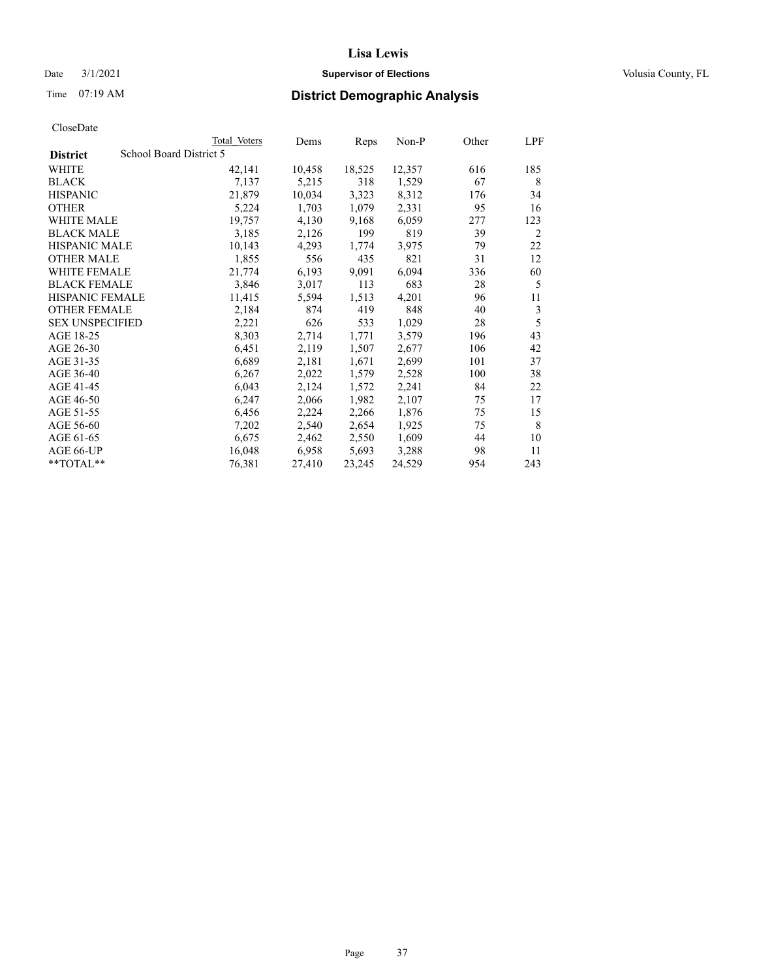Date  $3/1/2021$  **Supervisor of Elections Supervisor of Elections** Volusia County, FL

|                        | Total Voters            | Dems   | Reps   | Non-P  | Other | LPF |
|------------------------|-------------------------|--------|--------|--------|-------|-----|
| <b>District</b>        | School Board District 5 |        |        |        |       |     |
| WHITE                  | 42,141                  | 10,458 | 18,525 | 12,357 | 616   | 185 |
| BLACK                  | 7,137                   | 5,215  | 318    | 1,529  | 67    | 8   |
| HISPANIC               | 21,879                  | 10,034 | 3,323  | 8,312  | 176   | 34  |
| OTHER                  | 5,224                   | 1,703  | 1,079  | 2,331  | 95    | 16  |
| WHITE MALE             | 19,757                  | 4,130  | 9,168  | 6,059  | 277   | 123 |
| BLACK MALE             | 3,185                   | 2,126  | 199    | 819    | 39    | 2   |
| HISPANIC MALE          | 10,143                  | 4,293  | 1,774  | 3,975  | 79    | 22  |
| OTHER MALE             | 1,855                   | 556    | 435    | 821    | 31    | 12  |
| WHITE FEMALE           | 21,774                  | 6,193  | 9,091  | 6,094  | 336   | 60  |
| BLACK FEMALE           | 3,846                   | 3,017  | 113    | 683    | 28    | 5   |
| HISPANIC FEMALE        | 11,415                  | 5,594  | 1,513  | 4,201  | 96    | 11  |
| OTHER FEMALE           | 2,184                   | 874    | 419    | 848    | 40    | 3   |
| <b>SEX UNSPECIFIED</b> | 2,221                   | 626    | 533    | 1,029  | 28    | 5   |
| AGE 18-25              | 8,303                   | 2,714  | 1,771  | 3,579  | 196   | 43  |
| AGE 26-30              | 6,451                   | 2,119  | 1,507  | 2,677  | 106   | 42  |
| AGE 31-35              | 6,689                   | 2,181  | 1,671  | 2,699  | 101   | 37  |
| AGE 36-40              | 6,267                   | 2,022  | 1,579  | 2,528  | 100   | 38  |
| AGE 41-45              | 6,043                   | 2,124  | 1,572  | 2,241  | 84    | 22  |
| AGE 46-50              | 6,247                   | 2,066  | 1,982  | 2,107  | 75    | 17  |
| AGE 51-55              | 6,456                   | 2,224  | 2,266  | 1,876  | 75    | 15  |
| AGE 56-60              | 7,202                   | 2,540  | 2,654  | 1,925  | 75    | 8   |
| AGE 61-65              | 6,675                   | 2,462  | 2,550  | 1,609  | 44    | 10  |
| AGE 66-UP              | 16,048                  | 6,958  | 5,693  | 3,288  | 98    | 11  |
| $*$ $TOTAL**$          | 76,381                  | 27,410 | 23,245 | 24,529 | 954   | 243 |
|                        |                         |        |        |        |       |     |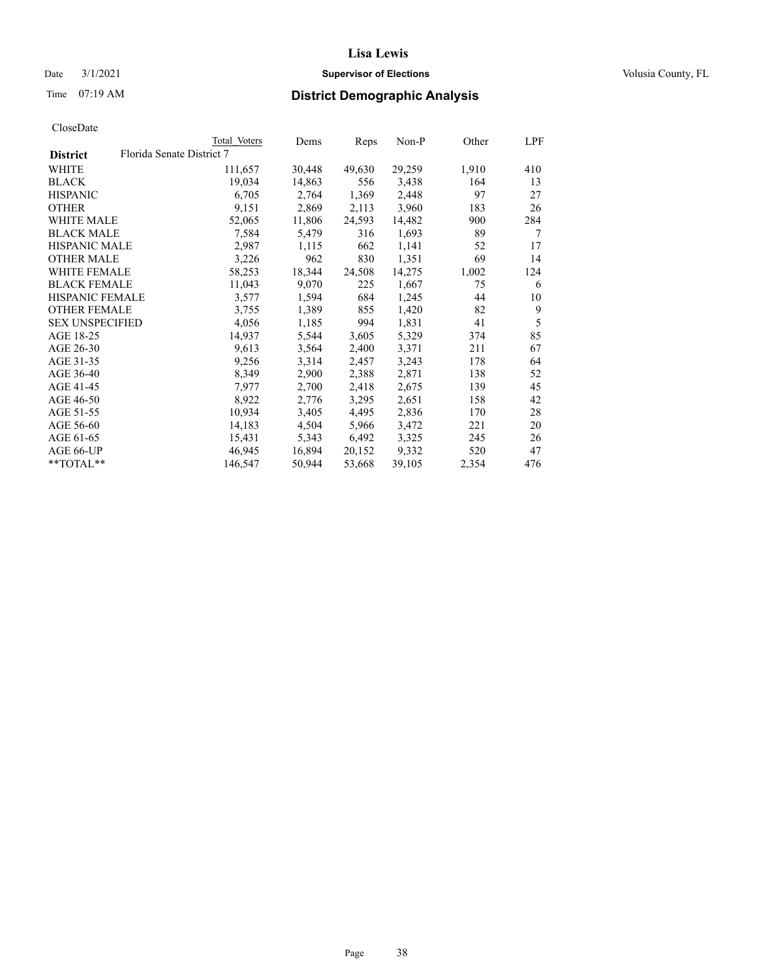## Date  $3/1/2021$  **Supervisor of Elections Supervisor of Elections** Volusia County, FL

# Time 07:19 AM **District Demographic Analysis**

|                        |                           | Total Voters | Dems   | Reps   | Non-P  | Other | LPF |
|------------------------|---------------------------|--------------|--------|--------|--------|-------|-----|
| <b>District</b>        | Florida Senate District 7 |              |        |        |        |       |     |
| WHITE                  |                           | 111,657      | 30,448 | 49,630 | 29,259 | 1,910 | 410 |
| <b>BLACK</b>           |                           | 19,034       | 14,863 | 556    | 3,438  | 164   | 13  |
| <b>HISPANIC</b>        |                           | 6,705        | 2,764  | 1,369  | 2,448  | 97    | 27  |
| <b>OTHER</b>           |                           | 9,151        | 2,869  | 2,113  | 3,960  | 183   | 26  |
| <b>WHITE MALE</b>      |                           | 52,065       | 11,806 | 24,593 | 14,482 | 900   | 284 |
| <b>BLACK MALE</b>      |                           | 7,584        | 5,479  | 316    | 1,693  | 89    | 7   |
| <b>HISPANIC MALE</b>   |                           | 2,987        | 1,115  | 662    | 1,141  | 52    | 17  |
| <b>OTHER MALE</b>      |                           | 3,226        | 962    | 830    | 1,351  | 69    | 14  |
| <b>WHITE FEMALE</b>    |                           | 58,253       | 18,344 | 24,508 | 14,275 | 1,002 | 124 |
| <b>BLACK FEMALE</b>    |                           | 11,043       | 9,070  | 225    | 1,667  | 75    | 6   |
| <b>HISPANIC FEMALE</b> |                           | 3,577        | 1,594  | 684    | 1,245  | 44    | 10  |
| <b>OTHER FEMALE</b>    |                           | 3,755        | 1,389  | 855    | 1,420  | 82    | 9   |
| <b>SEX UNSPECIFIED</b> |                           | 4,056        | 1,185  | 994    | 1,831  | 41    | 5   |
| AGE 18-25              |                           | 14,937       | 5,544  | 3,605  | 5,329  | 374   | 85  |
| AGE 26-30              |                           | 9,613        | 3,564  | 2,400  | 3,371  | 211   | 67  |
| AGE 31-35              |                           | 9,256        | 3,314  | 2,457  | 3,243  | 178   | 64  |
| AGE 36-40              |                           | 8,349        | 2,900  | 2,388  | 2,871  | 138   | 52  |
| AGE 41-45              |                           | 7,977        | 2,700  | 2,418  | 2,675  | 139   | 45  |
| AGE 46-50              |                           | 8,922        | 2,776  | 3,295  | 2,651  | 158   | 42  |
| AGE 51-55              |                           | 10,934       | 3,405  | 4,495  | 2,836  | 170   | 28  |
| AGE 56-60              |                           | 14,183       | 4,504  | 5,966  | 3,472  | 221   | 20  |
| AGE 61-65              |                           | 15,431       | 5,343  | 6,492  | 3,325  | 245   | 26  |
| AGE 66-UP              |                           | 46,945       | 16,894 | 20,152 | 9,332  | 520   | 47  |
| $*$ $TOTAL**$          |                           | 146,547      | 50,944 | 53,668 | 39,105 | 2,354 | 476 |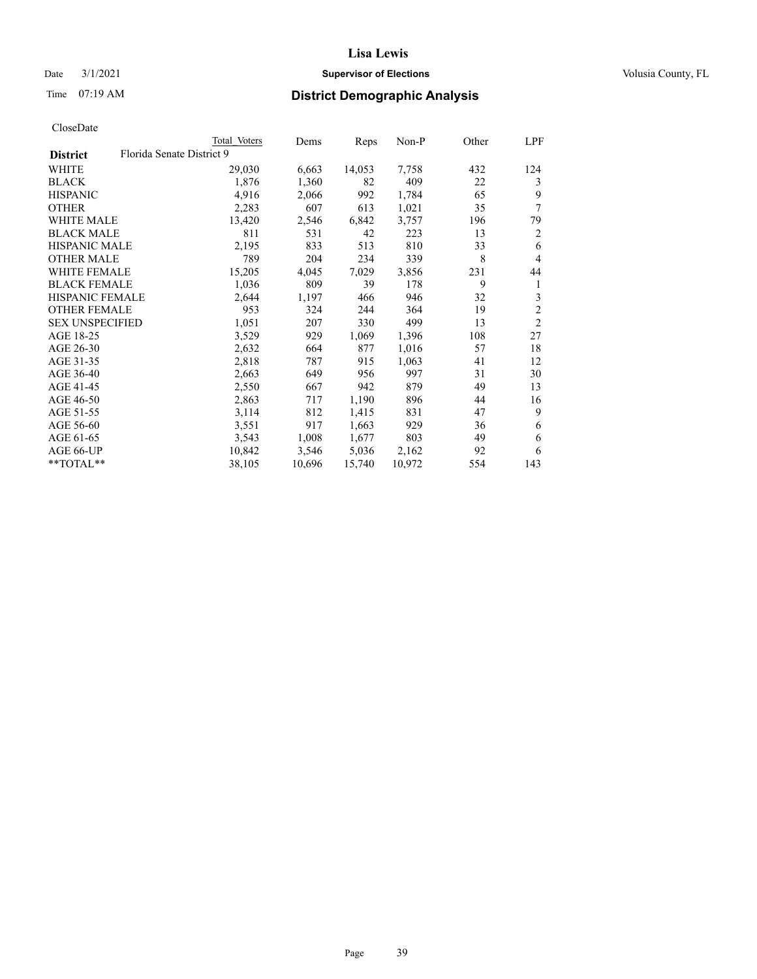## Date  $3/1/2021$  **Supervisor of Elections Supervisor of Elections** Volusia County, FL

# Time 07:19 AM **District Demographic Analysis**

| Total Voters              | Dems   | Reps   | Non-P  | Other | LPF            |
|---------------------------|--------|--------|--------|-------|----------------|
| Florida Senate District 9 |        |        |        |       |                |
| 29,030                    | 6,663  | 14,053 | 7,758  | 432   | 124            |
| 1,876                     | 1,360  | 82     | 409    | 22    | 3              |
| 4,916                     | 2,066  | 992    | 1,784  | 65    | 9              |
| 2,283                     | 607    | 613    | 1,021  | 35    | 7              |
| 13,420                    | 2,546  | 6,842  | 3,757  | 196   | 79             |
| 811                       | 531    | 42     | 223    | 13    | 2              |
| 2,195                     | 833    | 513    | 810    | 33    | 6              |
| 789                       | 204    | 234    | 339    | 8     | $\overline{4}$ |
| 15,205                    | 4,045  | 7,029  | 3,856  | 231   | 44             |
| 1,036                     | 809    | 39     | 178    | 9     | 1              |
| 2,644                     | 1,197  | 466    | 946    | 32    | 3              |
| 953                       | 324    | 244    | 364    | 19    | $\overline{2}$ |
| 1,051                     | 207    | 330    | 499    | 13    | $\overline{2}$ |
| 3,529                     | 929    | 1,069  | 1,396  | 108   | 27             |
| 2,632                     | 664    | 877    | 1,016  | 57    | 18             |
| 2,818                     | 787    | 915    | 1,063  | 41    | 12             |
| 2,663                     | 649    | 956    | 997    | 31    | 30             |
| 2,550                     | 667    | 942    | 879    | 49    | 13             |
| 2,863                     | 717    | 1,190  | 896    | 44    | 16             |
| 3,114                     | 812    | 1,415  | 831    | 47    | 9              |
| 3,551                     | 917    | 1,663  | 929    | 36    | 6              |
| 3,543                     | 1,008  | 1,677  | 803    | 49    | 6              |
| 10,842                    | 3,546  | 5,036  | 2,162  | 92    | 6              |
| 38,105                    | 10,696 | 15,740 | 10,972 | 554   | 143            |
|                           |        |        |        |       |                |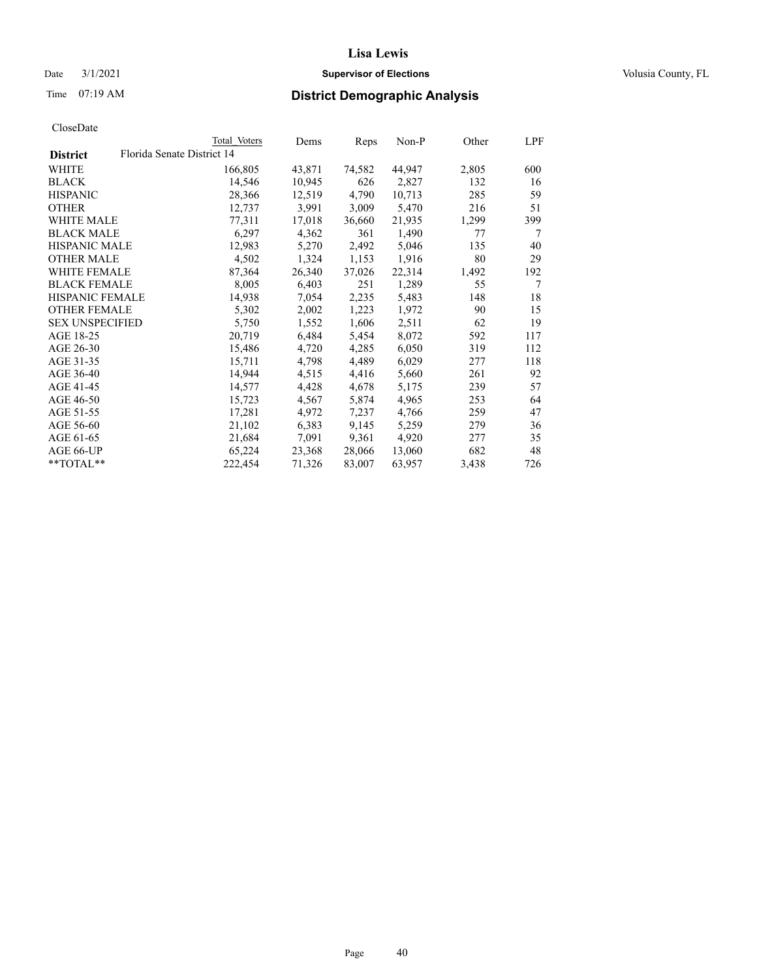## Date  $3/1/2021$  **Supervisor of Elections Supervisor of Elections** Volusia County, FL

|                                               | Total Voters | Dems   | Reps   | Non-P  | Other | LPF |
|-----------------------------------------------|--------------|--------|--------|--------|-------|-----|
| Florida Senate District 14<br><b>District</b> |              |        |        |        |       |     |
| WHITE                                         | 166,805      | 43,871 | 74,582 | 44,947 | 2,805 | 600 |
| <b>BLACK</b>                                  | 14,546       | 10,945 | 626    | 2,827  | 132   | 16  |
| <b>HISPANIC</b>                               | 28,366       | 12,519 | 4,790  | 10,713 | 285   | 59  |
| <b>OTHER</b>                                  | 12,737       | 3,991  | 3,009  | 5,470  | 216   | 51  |
| WHITE MALE                                    | 77,311       | 17,018 | 36,660 | 21,935 | 1,299 | 399 |
| <b>BLACK MALE</b>                             | 6,297        | 4,362  | 361    | 1,490  | 77    | 7   |
| <b>HISPANIC MALE</b>                          | 12,983       | 5,270  | 2,492  | 5,046  | 135   | 40  |
| <b>OTHER MALE</b>                             | 4,502        | 1,324  | 1,153  | 1,916  | 80    | 29  |
| <b>WHITE FEMALE</b>                           | 87,364       | 26,340 | 37,026 | 22,314 | 1,492 | 192 |
| <b>BLACK FEMALE</b>                           | 8,005        | 6,403  | 251    | 1,289  | 55    | 7   |
| HISPANIC FEMALE                               | 14,938       | 7,054  | 2,235  | 5,483  | 148   | 18  |
| <b>OTHER FEMALE</b>                           | 5,302        | 2,002  | 1,223  | 1,972  | 90    | 15  |
| <b>SEX UNSPECIFIED</b>                        | 5,750        | 1,552  | 1,606  | 2,511  | 62    | 19  |
| AGE 18-25                                     | 20,719       | 6,484  | 5,454  | 8,072  | 592   | 117 |
| AGE 26-30                                     | 15,486       | 4,720  | 4,285  | 6,050  | 319   | 112 |
| AGE 31-35                                     | 15,711       | 4,798  | 4,489  | 6,029  | 277   | 118 |
| AGE 36-40                                     | 14,944       | 4,515  | 4,416  | 5,660  | 261   | 92  |
| AGE 41-45                                     | 14,577       | 4,428  | 4,678  | 5,175  | 239   | 57  |
| AGE 46-50                                     | 15,723       | 4,567  | 5,874  | 4,965  | 253   | 64  |
| AGE 51-55                                     | 17,281       | 4,972  | 7,237  | 4,766  | 259   | 47  |
| AGE 56-60                                     | 21,102       | 6,383  | 9,145  | 5,259  | 279   | 36  |
| AGE 61-65                                     | 21,684       | 7,091  | 9,361  | 4,920  | 277   | 35  |
| AGE 66-UP                                     | 65,224       | 23,368 | 28,066 | 13,060 | 682   | 48  |
| $*$ $TOTAL**$                                 | 222,454      | 71,326 | 83,007 | 63,957 | 3,438 | 726 |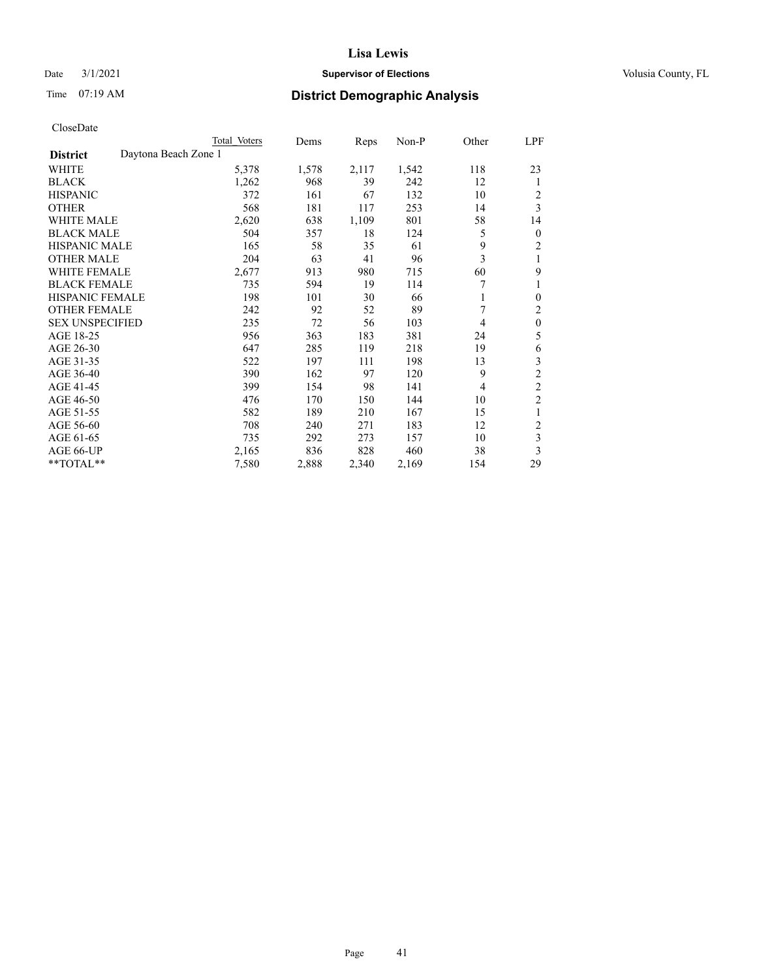## Date  $3/1/2021$  **Supervisor of Elections Supervisor of Elections** Volusia County, FL

# Time 07:19 AM **District Demographic Analysis**

|                        |                      | Total Voters | Dems  | Reps  | Non-P | Other | LPF              |
|------------------------|----------------------|--------------|-------|-------|-------|-------|------------------|
| <b>District</b>        | Daytona Beach Zone 1 |              |       |       |       |       |                  |
| WHITE                  |                      | 5,378        | 1,578 | 2,117 | 1,542 | 118   | 23               |
| <b>BLACK</b>           |                      | 1,262        | 968   | 39    | 242   | 12    | 1                |
| <b>HISPANIC</b>        |                      | 372          | 161   | 67    | 132   | 10    | 2                |
| <b>OTHER</b>           |                      | 568          | 181   | 117   | 253   | 14    | 3                |
| <b>WHITE MALE</b>      |                      | 2,620        | 638   | 1,109 | 801   | 58    | 14               |
| <b>BLACK MALE</b>      |                      | 504          | 357   | 18    | 124   | 5     | $\boldsymbol{0}$ |
| <b>HISPANIC MALE</b>   |                      | 165          | 58    | 35    | 61    | 9     | $\overline{2}$   |
| <b>OTHER MALE</b>      |                      | 204          | 63    | 41    | 96    | 3     | 1                |
| WHITE FEMALE           |                      | 2,677        | 913   | 980   | 715   | 60    | 9                |
| <b>BLACK FEMALE</b>    |                      | 735          | 594   | 19    | 114   | 7     | 1                |
| <b>HISPANIC FEMALE</b> |                      | 198          | 101   | 30    | 66    | 1     | $\theta$         |
| <b>OTHER FEMALE</b>    |                      | 242          | 92    | 52    | 89    | 7     | 2                |
| <b>SEX UNSPECIFIED</b> |                      | 235          | 72    | 56    | 103   | 4     | $\mathbf{0}$     |
| AGE 18-25              |                      | 956          | 363   | 183   | 381   | 24    | 5                |
| AGE 26-30              |                      | 647          | 285   | 119   | 218   | 19    | 6                |
| AGE 31-35              |                      | 522          | 197   | 111   | 198   | 13    | 3                |
| AGE 36-40              |                      | 390          | 162   | 97    | 120   | 9     | $\mathfrak{2}$   |
| AGE 41-45              |                      | 399          | 154   | 98    | 141   | 4     | $\overline{c}$   |
| AGE 46-50              |                      | 476          | 170   | 150   | 144   | 10    | $\overline{c}$   |
| AGE 51-55              |                      | 582          | 189   | 210   | 167   | 15    | 1                |
| AGE 56-60              |                      | 708          | 240   | 271   | 183   | 12    | $\overline{2}$   |
| AGE 61-65              |                      | 735          | 292   | 273   | 157   | 10    | 3                |
| AGE 66-UP              |                      | 2,165        | 836   | 828   | 460   | 38    | 3                |
| **TOTAL**              |                      | 7,580        | 2,888 | 2,340 | 2,169 | 154   | 29               |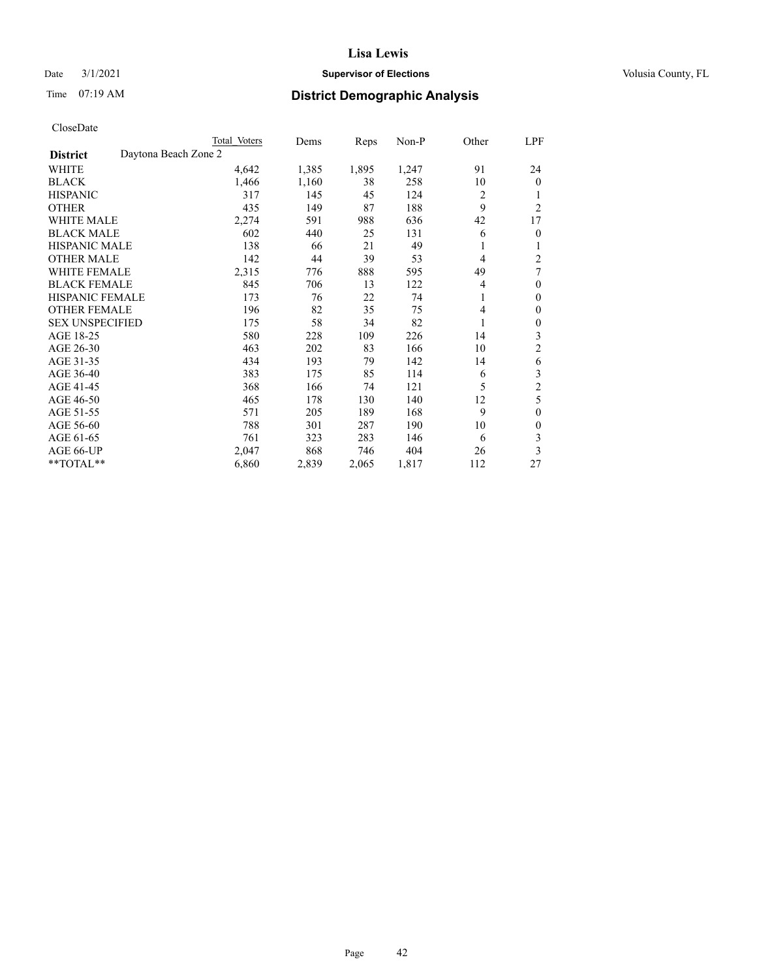## Date  $3/1/2021$  **Supervisor of Elections Supervisor of Elections** Volusia County, FL

| CloseDate |
|-----------|
|-----------|

|                                         | Total Voters | Dems  | Reps  | Non-P | Other | LPF              |
|-----------------------------------------|--------------|-------|-------|-------|-------|------------------|
| Daytona Beach Zone 2<br><b>District</b> |              |       |       |       |       |                  |
| WHITE                                   | 4,642        | 1,385 | 1,895 | 1,247 | 91    | 24               |
| <b>BLACK</b>                            | 1,466        | 1,160 | 38    | 258   | 10    | $\mathbf{0}$     |
| <b>HISPANIC</b>                         | 317          | 145   | 45    | 124   | 2     |                  |
| <b>OTHER</b>                            | 435          | 149   | 87    | 188   | 9     | $\overline{2}$   |
| <b>WHITE MALE</b>                       | 2,274        | 591   | 988   | 636   | 42    | 17               |
| <b>BLACK MALE</b>                       | 602          | 440   | 25    | 131   | 6     | $\mathbf{0}$     |
| <b>HISPANIC MALE</b>                    | 138          | 66    | 21    | 49    | 1     | 1                |
| <b>OTHER MALE</b>                       | 142          | 44    | 39    | 53    | 4     | 2                |
| <b>WHITE FEMALE</b>                     | 2,315        | 776   | 888   | 595   | 49    | 7                |
| <b>BLACK FEMALE</b>                     | 845          | 706   | 13    | 122   | 4     | $\theta$         |
| HISPANIC FEMALE                         | 173          | 76    | 22    | 74    | 1     | $\theta$         |
| <b>OTHER FEMALE</b>                     | 196          | 82    | 35    | 75    | 4     | $\mathbf{0}$     |
| <b>SEX UNSPECIFIED</b>                  | 175          | 58    | 34    | 82    | 1     | $\boldsymbol{0}$ |
| AGE 18-25                               | 580          | 228   | 109   | 226   | 14    | 3                |
| AGE 26-30                               | 463          | 202   | 83    | 166   | 10    | 2                |
| AGE 31-35                               | 434          | 193   | 79    | 142   | 14    | 6                |
| AGE 36-40                               | 383          | 175   | 85    | 114   | 6     | 3                |
| AGE 41-45                               | 368          | 166   | 74    | 121   | 5     | $\overline{c}$   |
| AGE 46-50                               | 465          | 178   | 130   | 140   | 12    | 5                |
| AGE 51-55                               | 571          | 205   | 189   | 168   | 9     | $\overline{0}$   |
| AGE 56-60                               | 788          | 301   | 287   | 190   | 10    | 0                |
| AGE 61-65                               | 761          | 323   | 283   | 146   | 6     | 3                |
| AGE 66-UP                               | 2,047        | 868   | 746   | 404   | 26    | 3                |
| **TOTAL**                               | 6,860        | 2,839 | 2,065 | 1,817 | 112   | 27               |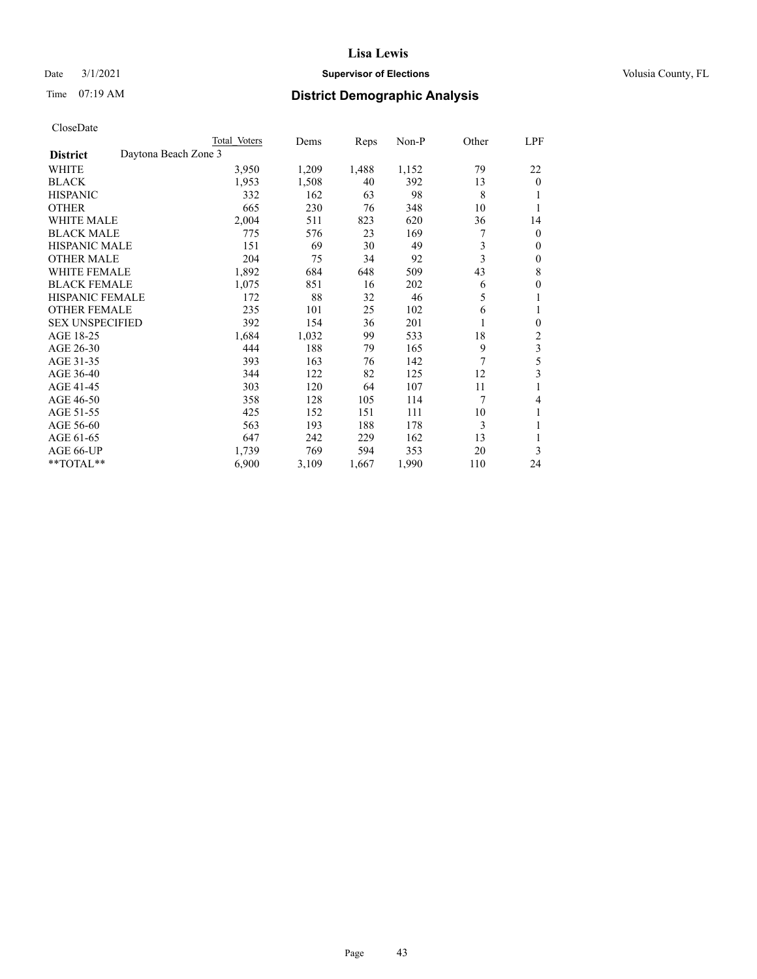## Date  $3/1/2021$  **Supervisor of Elections Supervisor of Elections** Volusia County, FL

| CloseDate |
|-----------|
|-----------|

|                                         | Total Voters | Dems  | Reps  | Non-P | Other | LPF              |
|-----------------------------------------|--------------|-------|-------|-------|-------|------------------|
| Daytona Beach Zone 3<br><b>District</b> |              |       |       |       |       |                  |
| WHITE                                   | 3,950        | 1,209 | 1,488 | 1,152 | 79    | 22               |
| <b>BLACK</b>                            | 1,953        | 1,508 | 40    | 392   | 13    | $\mathbf{0}$     |
| <b>HISPANIC</b>                         | 332          | 162   | 63    | 98    | 8     | 1                |
| <b>OTHER</b>                            | 665          | 230   | 76    | 348   | 10    | 1                |
| <b>WHITE MALE</b>                       | 2,004        | 511   | 823   | 620   | 36    | 14               |
| <b>BLACK MALE</b>                       | 775          | 576   | 23    | 169   | 7     | $\theta$         |
| HISPANIC MALE                           | 151          | 69    | 30    | 49    | 3     | 0                |
| <b>OTHER MALE</b>                       | 204          | 75    | 34    | 92    | 3     | 0                |
| <b>WHITE FEMALE</b>                     | 1,892        | 684   | 648   | 509   | 43    | 8                |
| <b>BLACK FEMALE</b>                     | 1,075        | 851   | 16    | 202   | 6     | $\boldsymbol{0}$ |
| <b>HISPANIC FEMALE</b>                  | 172          | 88    | 32    | 46    | 5     | 1                |
| <b>OTHER FEMALE</b>                     | 235          | 101   | 25    | 102   | 6     | 1                |
| <b>SEX UNSPECIFIED</b>                  | 392          | 154   | 36    | 201   | 1     | $\boldsymbol{0}$ |
| AGE 18-25                               | 1,684        | 1,032 | 99    | 533   | 18    | 2                |
| AGE 26-30                               | 444          | 188   | 79    | 165   | 9     | 3                |
| AGE 31-35                               | 393          | 163   | 76    | 142   | 7     | 5                |
| AGE 36-40                               | 344          | 122   | 82    | 125   | 12    | 3                |
| AGE 41-45                               | 303          | 120   | 64    | 107   | 11    | 1                |
| AGE 46-50                               | 358          | 128   | 105   | 114   | 7     | 4                |
| AGE 51-55                               | 425          | 152   | 151   | 111   | 10    | 1                |
| AGE 56-60                               | 563          | 193   | 188   | 178   | 3     |                  |
| AGE 61-65                               | 647          | 242   | 229   | 162   | 13    | 1                |
| AGE 66-UP                               | 1,739        | 769   | 594   | 353   | 20    | 3                |
| **TOTAL**                               | 6,900        | 3,109 | 1,667 | 1,990 | 110   | 24               |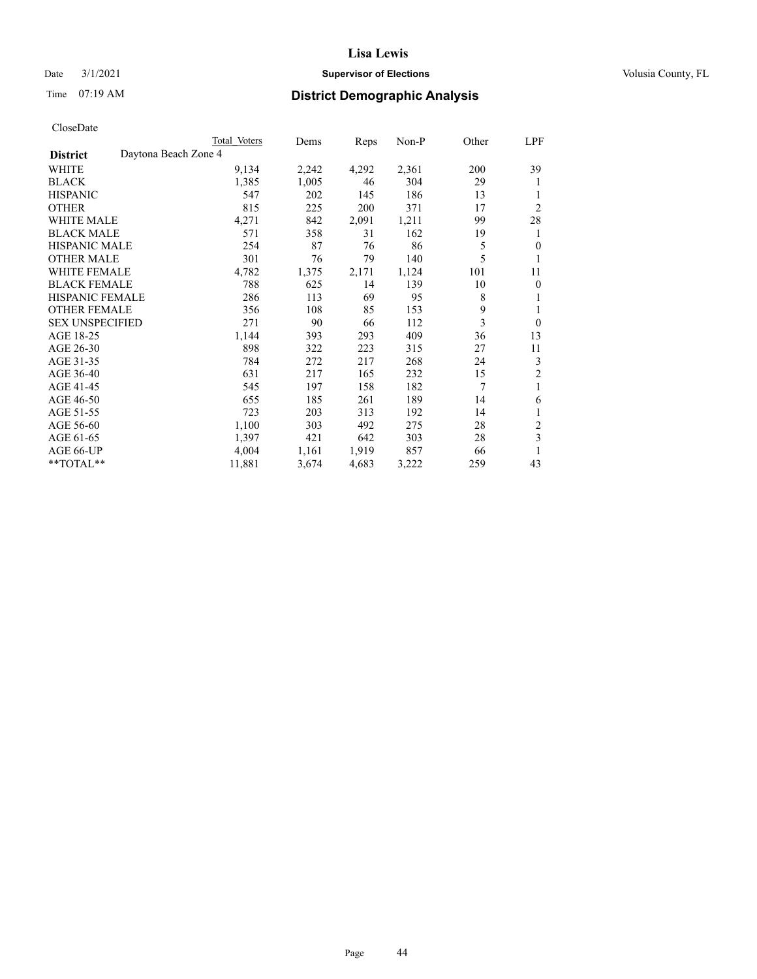## Date  $3/1/2021$  **Supervisor of Elections Supervisor of Elections** Volusia County, FL

# Time 07:19 AM **District Demographic Analysis**

|                        |                      | Total Voters | Dems  | Reps  | Non-P | Other | LPF            |
|------------------------|----------------------|--------------|-------|-------|-------|-------|----------------|
| <b>District</b>        | Daytona Beach Zone 4 |              |       |       |       |       |                |
| WHITE                  |                      | 9,134        | 2,242 | 4,292 | 2,361 | 200   | 39             |
| <b>BLACK</b>           |                      | 1,385        | 1,005 | 46    | 304   | 29    | 1              |
| <b>HISPANIC</b>        |                      | 547          | 202   | 145   | 186   | 13    | 1              |
| <b>OTHER</b>           |                      | 815          | 225   | 200   | 371   | 17    | $\overline{2}$ |
| <b>WHITE MALE</b>      |                      | 4,271        | 842   | 2,091 | 1,211 | 99    | 28             |
| <b>BLACK MALE</b>      |                      | 571          | 358   | 31    | 162   | 19    | 1              |
| <b>HISPANIC MALE</b>   |                      | 254          | 87    | 76    | 86    | 5     | $\mathbf{0}$   |
| <b>OTHER MALE</b>      |                      | 301          | 76    | 79    | 140   | 5     | 1              |
| <b>WHITE FEMALE</b>    |                      | 4,782        | 1,375 | 2,171 | 1,124 | 101   | 11             |
| <b>BLACK FEMALE</b>    |                      | 788          | 625   | 14    | 139   | 10    | $\mathbf{0}$   |
| HISPANIC FEMALE        |                      | 286          | 113   | 69    | 95    | 8     | 1              |
| <b>OTHER FEMALE</b>    |                      | 356          | 108   | 85    | 153   | 9     | 1              |
| <b>SEX UNSPECIFIED</b> |                      | 271          | 90    | 66    | 112   | 3     | $\mathbf{0}$   |
| AGE 18-25              |                      | 1,144        | 393   | 293   | 409   | 36    | 13             |
| AGE 26-30              |                      | 898          | 322   | 223   | 315   | 27    | 11             |
| AGE 31-35              |                      | 784          | 272   | 217   | 268   | 24    | 3              |
| AGE 36-40              |                      | 631          | 217   | 165   | 232   | 15    | 2              |
| AGE 41-45              |                      | 545          | 197   | 158   | 182   | 7     | 1              |
| AGE 46-50              |                      | 655          | 185   | 261   | 189   | 14    | 6              |
| AGE 51-55              |                      | 723          | 203   | 313   | 192   | 14    | 1              |
| AGE 56-60              |                      | 1,100        | 303   | 492   | 275   | 28    | $\overline{c}$ |
| AGE 61-65              |                      | 1,397        | 421   | 642   | 303   | 28    | 3              |
| AGE 66-UP              |                      | 4,004        | 1,161 | 1,919 | 857   | 66    |                |
| **TOTAL**              |                      | 11,881       | 3,674 | 4,683 | 3,222 | 259   | 43             |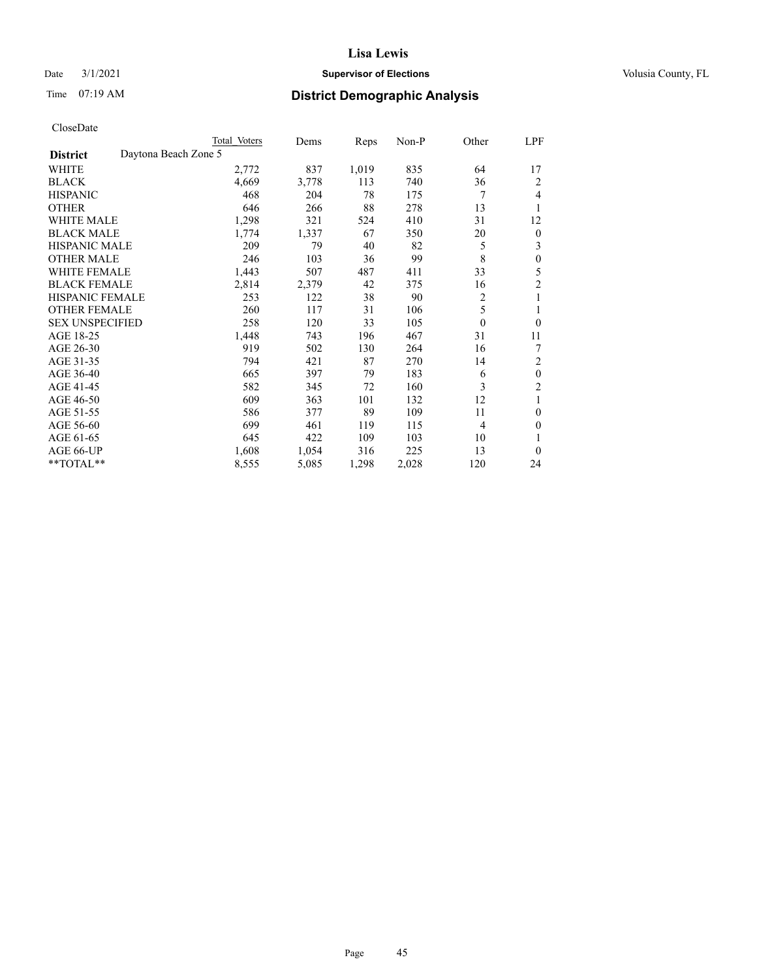## Date  $3/1/2021$  **Supervisor of Elections Supervisor of Elections** Volusia County, FL

| CloseDate |
|-----------|
|-----------|

|                                         | Total Voters | Dems  | Reps  | Non-P | Other    | LPF              |
|-----------------------------------------|--------------|-------|-------|-------|----------|------------------|
| Daytona Beach Zone 5<br><b>District</b> |              |       |       |       |          |                  |
| WHITE                                   | 2,772        | 837   | 1,019 | 835   | 64       | 17               |
| <b>BLACK</b>                            | 4,669        | 3,778 | 113   | 740   | 36       | 2                |
| <b>HISPANIC</b>                         | 468          | 204   | 78    | 175   | 7        | 4                |
| <b>OTHER</b>                            | 646          | 266   | 88    | 278   | 13       | 1                |
| <b>WHITE MALE</b>                       | 1,298        | 321   | 524   | 410   | 31       | 12               |
| <b>BLACK MALE</b>                       | 1,774        | 1,337 | 67    | 350   | 20       | $\boldsymbol{0}$ |
| <b>HISPANIC MALE</b>                    | 209          | 79    | 40    | 82    | 5        | 3                |
| <b>OTHER MALE</b>                       | 246          | 103   | 36    | 99    | 8        | $\theta$         |
| <b>WHITE FEMALE</b>                     | 1,443        | 507   | 487   | 411   | 33       | 5                |
| <b>BLACK FEMALE</b>                     | 2,814        | 2,379 | 42    | 375   | 16       | 2                |
| <b>HISPANIC FEMALE</b>                  | 253          | 122   | 38    | 90    | 2        | 1                |
| <b>OTHER FEMALE</b>                     | 260          | 117   | 31    | 106   | 5        |                  |
| <b>SEX UNSPECIFIED</b>                  | 258          | 120   | 33    | 105   | $\theta$ | $\theta$         |
| AGE 18-25                               | 1,448        | 743   | 196   | 467   | 31       | 11               |
| AGE 26-30                               | 919          | 502   | 130   | 264   | 16       | 7                |
| AGE 31-35                               | 794          | 421   | 87    | 270   | 14       | 2                |
| AGE 36-40                               | 665          | 397   | 79    | 183   | 6        | $\theta$         |
| AGE 41-45                               | 582          | 345   | 72    | 160   | 3        | $\overline{c}$   |
| AGE 46-50                               | 609          | 363   | 101   | 132   | 12       |                  |
| AGE 51-55                               | 586          | 377   | 89    | 109   | 11       | $\theta$         |
| AGE 56-60                               | 699          | 461   | 119   | 115   | 4        | $\theta$         |
| AGE 61-65                               | 645          | 422   | 109   | 103   | 10       |                  |
| AGE 66-UP                               | 1,608        | 1,054 | 316   | 225   | 13       | $\theta$         |
| **TOTAL**                               | 8,555        | 5,085 | 1,298 | 2,028 | 120      | 24               |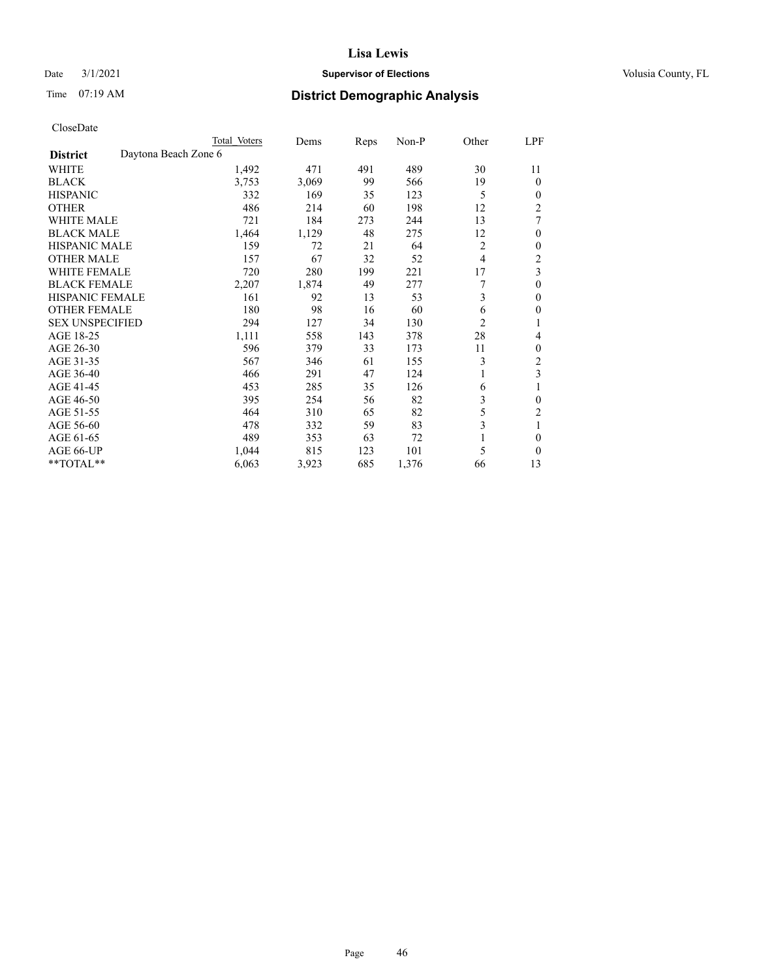## Date  $3/1/2021$  **Supervisor of Elections Supervisor of Elections** Volusia County, FL

| CloseDate |
|-----------|
|-----------|

|                                         | Total Voters | Dems  | Reps | Non-P | Other          | LPF            |
|-----------------------------------------|--------------|-------|------|-------|----------------|----------------|
| Daytona Beach Zone 6<br><b>District</b> |              |       |      |       |                |                |
| WHITE                                   | 1,492        | 471   | 491  | 489   | 30             | 11             |
| <b>BLACK</b>                            | 3,753        | 3,069 | 99   | 566   | 19             | $\mathbf{0}$   |
| <b>HISPANIC</b>                         | 332          | 169   | 35   | 123   | 5              | $\mathbf{0}$   |
| <b>OTHER</b>                            | 486          | 214   | 60   | 198   | 12             | $\overline{2}$ |
| <b>WHITE MALE</b>                       | 721          | 184   | 273  | 244   | 13             | 7              |
| <b>BLACK MALE</b>                       | 1,464        | 1,129 | 48   | 275   | 12             | $\theta$       |
| HISPANIC MALE                           | 159          | 72    | 21   | 64    | 2              | 0              |
| <b>OTHER MALE</b>                       | 157          | 67    | 32   | 52    | 4              | 2              |
| <b>WHITE FEMALE</b>                     | 720          | 280   | 199  | 221   | 17             | 3              |
| <b>BLACK FEMALE</b>                     | 2,207        | 1,874 | 49   | 277   |                | $\theta$       |
| <b>HISPANIC FEMALE</b>                  | 161          | 92    | 13   | 53    | 3              | $\theta$       |
| <b>OTHER FEMALE</b>                     | 180          | 98    | 16   | 60    | 6              | $\theta$       |
| <b>SEX UNSPECIFIED</b>                  | 294          | 127   | 34   | 130   | $\overline{c}$ | 1              |
| AGE 18-25                               | 1,111        | 558   | 143  | 378   | 28             | 4              |
| AGE 26-30                               | 596          | 379   | 33   | 173   | 11             | 0              |
| AGE 31-35                               | 567          | 346   | 61   | 155   | 3              | 2              |
| AGE 36-40                               | 466          | 291   | 47   | 124   |                | 3              |
| AGE 41-45                               | 453          | 285   | 35   | 126   | 6              | 1              |
| AGE 46-50                               | 395          | 254   | 56   | 82    | 3              | $\theta$       |
| AGE 51-55                               | 464          | 310   | 65   | 82    | 5              | $\overline{2}$ |
| AGE 56-60                               | 478          | 332   | 59   | 83    | 3              |                |
| AGE 61-65                               | 489          | 353   | 63   | 72    |                | 0              |
| AGE 66-UP                               | 1,044        | 815   | 123  | 101   | 5              | $\theta$       |
| **TOTAL**                               | 6,063        | 3,923 | 685  | 1,376 | 66             | 13             |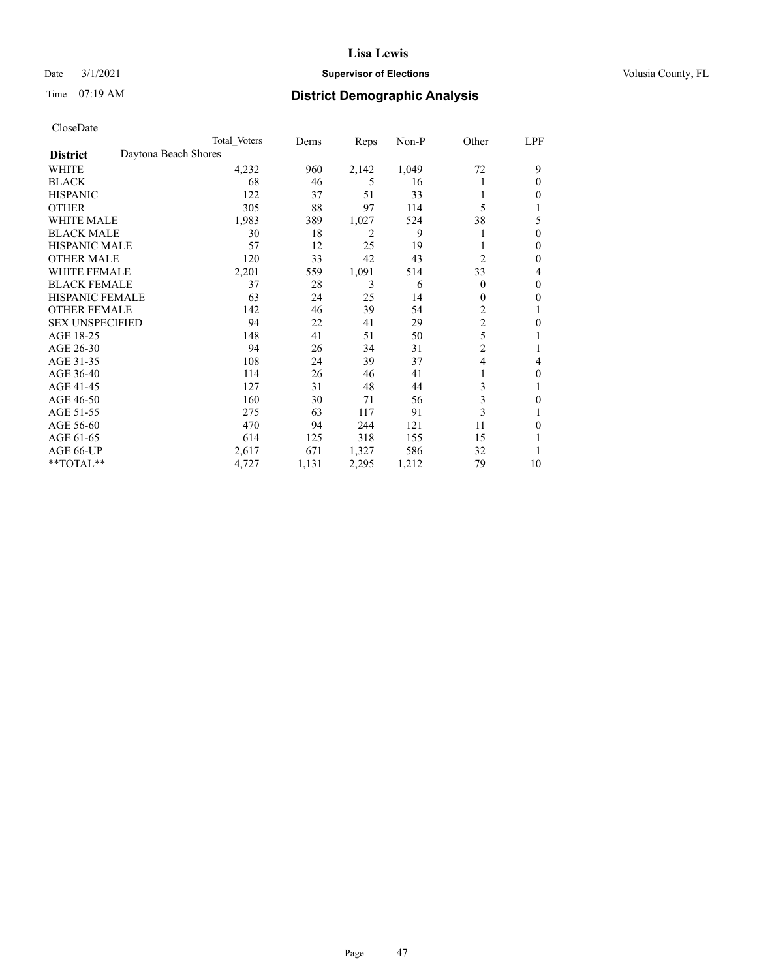## Date  $3/1/2021$  **Supervisor of Elections Supervisor of Elections** Volusia County, FL

# Time 07:19 AM **District Demographic Analysis**

|                        |                      | Total Voters | Dems  | Reps  | Non-P | Other          | LPF |
|------------------------|----------------------|--------------|-------|-------|-------|----------------|-----|
| <b>District</b>        | Daytona Beach Shores |              |       |       |       |                |     |
| WHITE                  |                      | 4,232        | 960   | 2,142 | 1,049 | 72             | 9   |
| <b>BLACK</b>           |                      | 68           | 46    | 5     | 16    |                | 0   |
| <b>HISPANIC</b>        |                      | 122          | 37    | 51    | 33    |                | 0   |
| <b>OTHER</b>           |                      | 305          | 88    | 97    | 114   | 5              |     |
| WHITE MALE             |                      | 1,983        | 389   | 1,027 | 524   | 38             | 5   |
| <b>BLACK MALE</b>      |                      | 30           | 18    | 2     | 9     |                | 0   |
| <b>HISPANIC MALE</b>   |                      | 57           | 12    | 25    | 19    |                | 0   |
| <b>OTHER MALE</b>      |                      | 120          | 33    | 42    | 43    | $\overline{2}$ | 0   |
| WHITE FEMALE           |                      | 2,201        | 559   | 1,091 | 514   | 33             | 4   |
| <b>BLACK FEMALE</b>    |                      | 37           | 28    | 3     | 6     | $\Omega$       | 0   |
| <b>HISPANIC FEMALE</b> |                      | 63           | 24    | 25    | 14    | 0              | 0   |
| <b>OTHER FEMALE</b>    |                      | 142          | 46    | 39    | 54    | 2              |     |
| <b>SEX UNSPECIFIED</b> |                      | 94           | 22    | 41    | 29    | $\overline{c}$ | 0   |
| AGE 18-25              |                      | 148          | 41    | 51    | 50    | 5              |     |
| AGE 26-30              |                      | 94           | 26    | 34    | 31    | $\overline{2}$ |     |
| AGE 31-35              |                      | 108          | 24    | 39    | 37    | 4              | 4   |
| AGE 36-40              |                      | 114          | 26    | 46    | 41    |                | 0   |
| AGE 41-45              |                      | 127          | 31    | 48    | 44    | 3              |     |
| AGE 46-50              |                      | 160          | 30    | 71    | 56    | 3              | 0   |
| AGE 51-55              |                      | 275          | 63    | 117   | 91    | 3              |     |
| AGE 56-60              |                      | 470          | 94    | 244   | 121   | 11             | 0   |
| AGE 61-65              |                      | 614          | 125   | 318   | 155   | 15             |     |
| AGE 66-UP              |                      | 2,617        | 671   | 1,327 | 586   | 32             |     |
| **TOTAL**              |                      | 4,727        | 1,131 | 2,295 | 1,212 | 79             | 10  |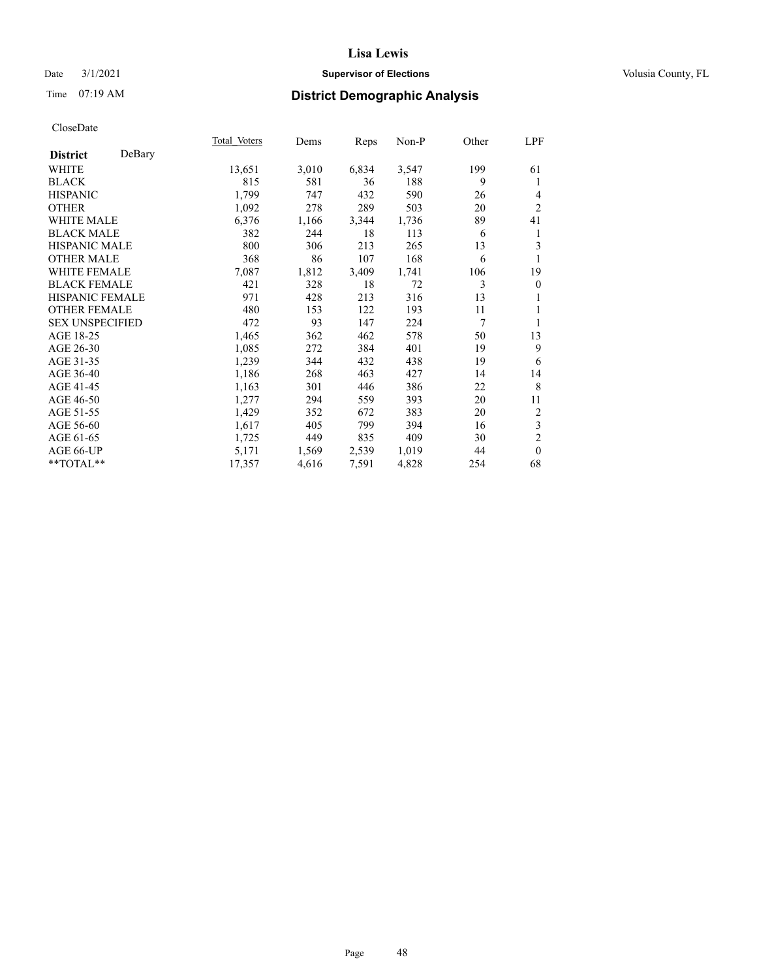## Date  $3/1/2021$  **Supervisor of Elections Supervisor of Elections** Volusia County, FL

# Time 07:19 AM **District Demographic Analysis**

|                        |        | Total Voters | Dems  | Reps  | Non-P | Other | LPF              |
|------------------------|--------|--------------|-------|-------|-------|-------|------------------|
| <b>District</b>        | DeBary |              |       |       |       |       |                  |
| WHITE                  |        | 13,651       | 3,010 | 6,834 | 3,547 | 199   | 61               |
| <b>BLACK</b>           |        | 815          | 581   | 36    | 188   | 9     | 1                |
| <b>HISPANIC</b>        |        | 1,799        | 747   | 432   | 590   | 26    | 4                |
| <b>OTHER</b>           |        | 1,092        | 278   | 289   | 503   | 20    | $\overline{2}$   |
| <b>WHITE MALE</b>      |        | 6,376        | 1,166 | 3,344 | 1,736 | 89    | 41               |
| <b>BLACK MALE</b>      |        | 382          | 244   | 18    | 113   | 6     | 1                |
| <b>HISPANIC MALE</b>   |        | 800          | 306   | 213   | 265   | 13    | 3                |
| <b>OTHER MALE</b>      |        | 368          | 86    | 107   | 168   | 6     | 1                |
| <b>WHITE FEMALE</b>    |        | 7,087        | 1,812 | 3,409 | 1,741 | 106   | 19               |
| <b>BLACK FEMALE</b>    |        | 421          | 328   | 18    | 72    | 3     | $\boldsymbol{0}$ |
| <b>HISPANIC FEMALE</b> |        | 971          | 428   | 213   | 316   | 13    | 1                |
| <b>OTHER FEMALE</b>    |        | 480          | 153   | 122   | 193   | 11    | 1                |
| <b>SEX UNSPECIFIED</b> |        | 472          | 93    | 147   | 224   | 7     | 1                |
| AGE 18-25              |        | 1,465        | 362   | 462   | 578   | 50    | 13               |
| AGE 26-30              |        | 1,085        | 272   | 384   | 401   | 19    | 9                |
| AGE 31-35              |        | 1,239        | 344   | 432   | 438   | 19    | 6                |
| AGE 36-40              |        | 1,186        | 268   | 463   | 427   | 14    | 14               |
| AGE 41-45              |        | 1,163        | 301   | 446   | 386   | 22    | 8                |
| AGE 46-50              |        | 1,277        | 294   | 559   | 393   | 20    | 11               |
| AGE 51-55              |        | 1,429        | 352   | 672   | 383   | 20    | $\overline{2}$   |
| AGE 56-60              |        | 1,617        | 405   | 799   | 394   | 16    | $\mathfrak{Z}$   |
| AGE 61-65              |        | 1,725        | 449   | 835   | 409   | 30    | $\overline{2}$   |
| AGE 66-UP              |        | 5,171        | 1,569 | 2,539 | 1,019 | 44    | $\theta$         |
| **TOTAL**              |        | 17,357       | 4,616 | 7,591 | 4,828 | 254   | 68               |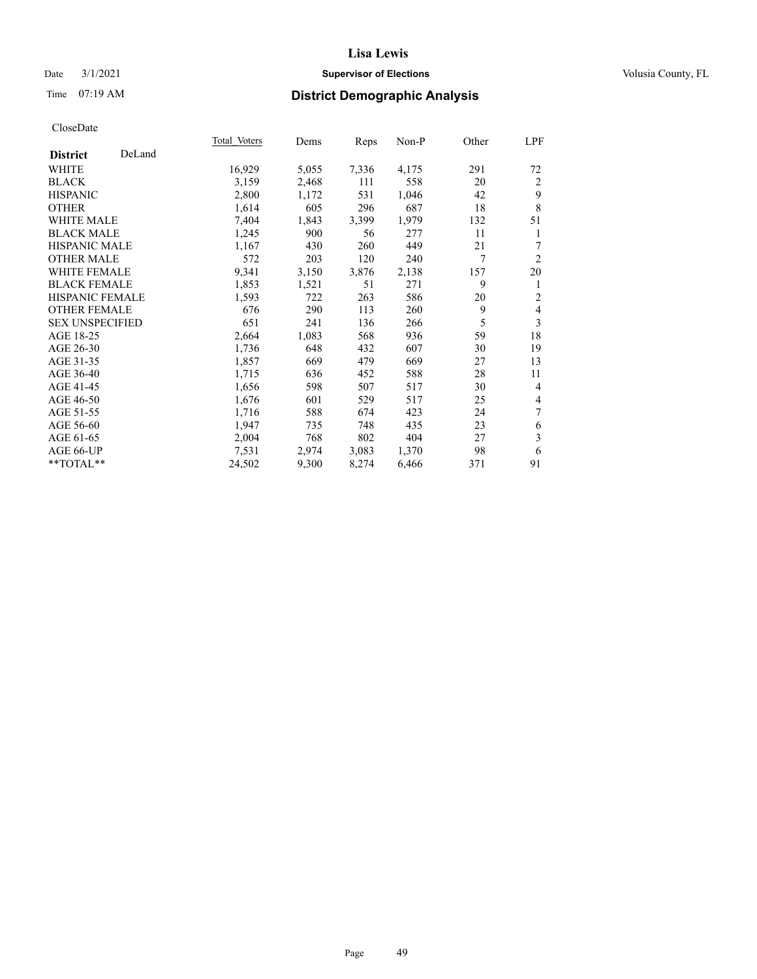## Date  $3/1/2021$  **Supervisor of Elections Supervisor of Elections** Volusia County, FL

# Time 07:19 AM **District Demographic Analysis**

|                        |        | Total Voters | Dems  | Reps  | Non-P | Other | <u>LPF</u>     |
|------------------------|--------|--------------|-------|-------|-------|-------|----------------|
| <b>District</b>        | DeLand |              |       |       |       |       |                |
| WHITE                  |        | 16,929       | 5,055 | 7,336 | 4,175 | 291   | 72             |
| <b>BLACK</b>           |        | 3,159        | 2,468 | 111   | 558   | 20    | 2              |
| <b>HISPANIC</b>        |        | 2,800        | 1,172 | 531   | 1,046 | 42    | 9              |
| <b>OTHER</b>           |        | 1,614        | 605   | 296   | 687   | 18    | 8              |
| <b>WHITE MALE</b>      |        | 7,404        | 1,843 | 3,399 | 1,979 | 132   | 51             |
| <b>BLACK MALE</b>      |        | 1,245        | 900   | 56    | 277   | 11    | 1              |
| <b>HISPANIC MALE</b>   |        | 1,167        | 430   | 260   | 449   | 21    | $\tau$         |
| <b>OTHER MALE</b>      |        | 572          | 203   | 120   | 240   | 7     | $\overline{2}$ |
| <b>WHITE FEMALE</b>    |        | 9,341        | 3,150 | 3,876 | 2,138 | 157   | 20             |
| <b>BLACK FEMALE</b>    |        | 1,853        | 1,521 | 51    | 271   | 9     | 1              |
| <b>HISPANIC FEMALE</b> |        | 1,593        | 722   | 263   | 586   | 20    | $\overline{2}$ |
| <b>OTHER FEMALE</b>    |        | 676          | 290   | 113   | 260   | 9     | $\overline{4}$ |
| <b>SEX UNSPECIFIED</b> |        | 651          | 241   | 136   | 266   | 5     | 3              |
| AGE 18-25              |        | 2,664        | 1,083 | 568   | 936   | 59    | 18             |
| AGE 26-30              |        | 1,736        | 648   | 432   | 607   | 30    | 19             |
| AGE 31-35              |        | 1,857        | 669   | 479   | 669   | 27    | 13             |
| AGE 36-40              |        | 1,715        | 636   | 452   | 588   | 28    | 11             |
| AGE 41-45              |        | 1,656        | 598   | 507   | 517   | 30    | $\overline{4}$ |
| AGE 46-50              |        | 1,676        | 601   | 529   | 517   | 25    | $\overline{4}$ |
| AGE 51-55              |        | 1,716        | 588   | 674   | 423   | 24    | 7              |
| AGE 56-60              |        | 1,947        | 735   | 748   | 435   | 23    | 6              |
| AGE 61-65              |        | 2,004        | 768   | 802   | 404   | 27    | 3              |
| AGE 66-UP              |        | 7,531        | 2,974 | 3,083 | 1,370 | 98    | 6              |
| **TOTAL**              |        | 24,502       | 9,300 | 8,274 | 6,466 | 371   | 91             |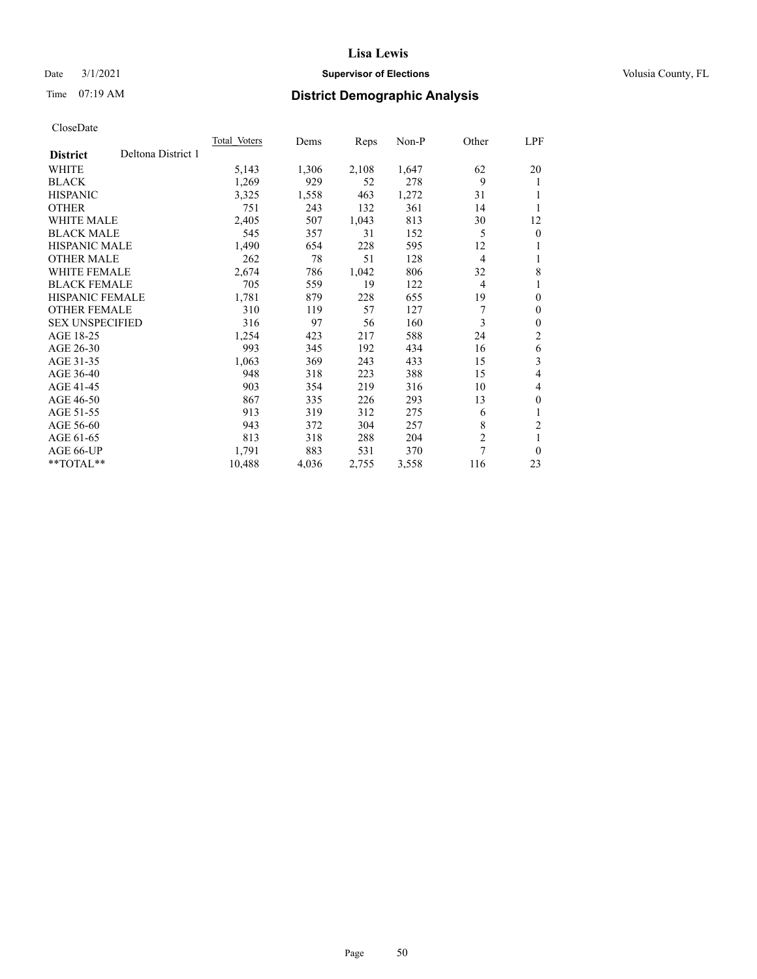## Date  $3/1/2021$  **Supervisor of Elections Supervisor of Elections** Volusia County, FL

# Time 07:19 AM **District Demographic Analysis**

|                        |                    | Total Voters | Dems  | Reps  | Non-P | Other          | LPF            |
|------------------------|--------------------|--------------|-------|-------|-------|----------------|----------------|
| <b>District</b>        | Deltona District 1 |              |       |       |       |                |                |
| WHITE                  |                    | 5,143        | 1,306 | 2,108 | 1,647 | 62             | 20             |
| <b>BLACK</b>           |                    | 1,269        | 929   | 52    | 278   | 9              | 1              |
| <b>HISPANIC</b>        |                    | 3,325        | 1,558 | 463   | 1,272 | 31             | 1              |
| <b>OTHER</b>           |                    | 751          | 243   | 132   | 361   | 14             |                |
| <b>WHITE MALE</b>      |                    | 2,405        | 507   | 1,043 | 813   | 30             | 12             |
| <b>BLACK MALE</b>      |                    | 545          | 357   | 31    | 152   | 5              | $\mathbf{0}$   |
| <b>HISPANIC MALE</b>   |                    | 1,490        | 654   | 228   | 595   | 12             | 1              |
| <b>OTHER MALE</b>      |                    | 262          | 78    | 51    | 128   | 4              | 1              |
| WHITE FEMALE           |                    | 2,674        | 786   | 1,042 | 806   | 32             | 8              |
| <b>BLACK FEMALE</b>    |                    | 705          | 559   | 19    | 122   | 4              | 1              |
| <b>HISPANIC FEMALE</b> |                    | 1,781        | 879   | 228   | 655   | 19             | $\theta$       |
| <b>OTHER FEMALE</b>    |                    | 310          | 119   | 57    | 127   | 7              | $\theta$       |
| <b>SEX UNSPECIFIED</b> |                    | 316          | 97    | 56    | 160   | 3              | $\theta$       |
| AGE 18-25              |                    | 1,254        | 423   | 217   | 588   | 24             | $\overline{c}$ |
| AGE 26-30              |                    | 993          | 345   | 192   | 434   | 16             | 6              |
| AGE 31-35              |                    | 1,063        | 369   | 243   | 433   | 15             | 3              |
| AGE 36-40              |                    | 948          | 318   | 223   | 388   | 15             | 4              |
| AGE 41-45              |                    | 903          | 354   | 219   | 316   | 10             | 4              |
| AGE 46-50              |                    | 867          | 335   | 226   | 293   | 13             | $\theta$       |
| AGE 51-55              |                    | 913          | 319   | 312   | 275   | 6              | 1              |
| AGE 56-60              |                    | 943          | 372   | 304   | 257   | 8              | $\mathfrak{2}$ |
| AGE 61-65              |                    | 813          | 318   | 288   | 204   | $\overline{2}$ | 1              |
| AGE 66-UP              |                    | 1,791        | 883   | 531   | 370   | 7              | $\theta$       |
| **TOTAL**              |                    | 10,488       | 4,036 | 2,755 | 3,558 | 116            | 23             |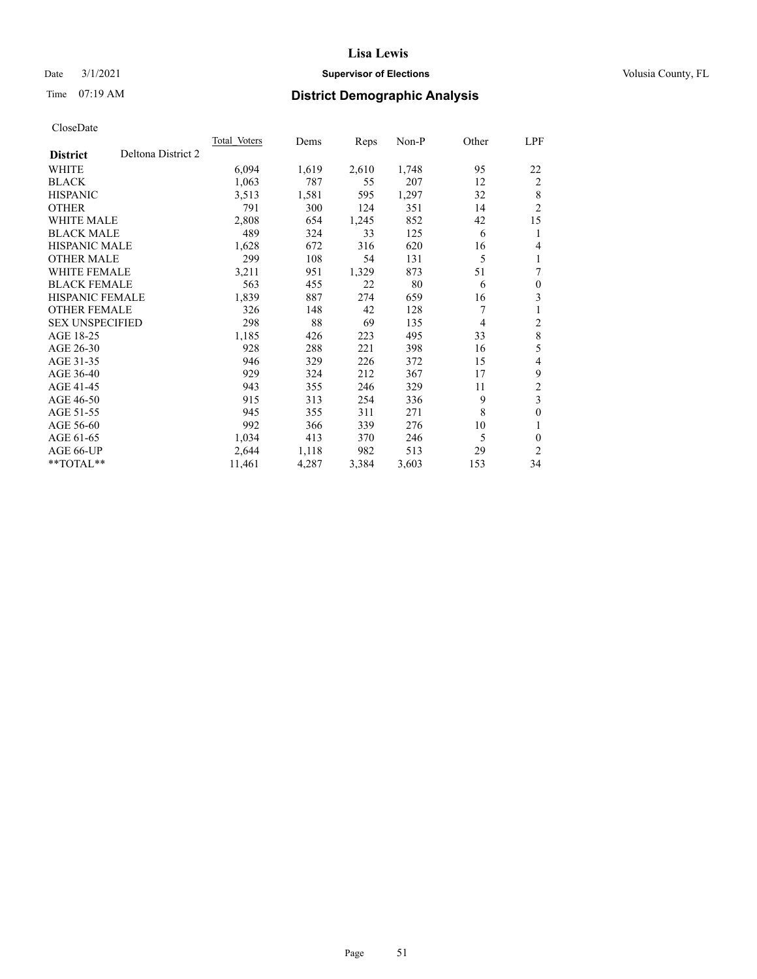## Date  $3/1/2021$  **Supervisor of Elections Supervisor of Elections** Volusia County, FL

# Time 07:19 AM **District Demographic Analysis**

|                                       | Total Voters | Dems  | Reps  | Non-P | Other | LPF                     |
|---------------------------------------|--------------|-------|-------|-------|-------|-------------------------|
| Deltona District 2<br><b>District</b> |              |       |       |       |       |                         |
| WHITE                                 | 6,094        | 1,619 | 2,610 | 1,748 | 95    | 22                      |
| <b>BLACK</b>                          | 1,063        | 787   | 55    | 207   | 12    | $\overline{c}$          |
| <b>HISPANIC</b>                       | 3,513        | 1,581 | 595   | 1,297 | 32    | 8                       |
| <b>OTHER</b>                          | 791          | 300   | 124   | 351   | 14    | $\overline{2}$          |
| <b>WHITE MALE</b>                     | 2,808        | 654   | 1,245 | 852   | 42    | 15                      |
| <b>BLACK MALE</b>                     | 489          | 324   | 33    | 125   | 6     | 1                       |
| <b>HISPANIC MALE</b>                  | 1,628        | 672   | 316   | 620   | 16    | 4                       |
| <b>OTHER MALE</b>                     | 299          | 108   | 54    | 131   | 5     | 1                       |
| <b>WHITE FEMALE</b>                   | 3,211        | 951   | 1,329 | 873   | 51    | 7                       |
| <b>BLACK FEMALE</b>                   | 563          | 455   | 22    | 80    | 6     | $\theta$                |
| <b>HISPANIC FEMALE</b>                | 1,839        | 887   | 274   | 659   | 16    | 3                       |
| <b>OTHER FEMALE</b>                   | 326          | 148   | 42    | 128   | 7     | 1                       |
| <b>SEX UNSPECIFIED</b>                | 298          | 88    | 69    | 135   | 4     | 2                       |
| AGE 18-25                             | 1,185        | 426   | 223   | 495   | 33    | $\,8\,$                 |
| AGE 26-30                             | 928          | 288   | 221   | 398   | 16    | 5                       |
| AGE 31-35                             | 946          | 329   | 226   | 372   | 15    | 4                       |
| AGE 36-40                             | 929          | 324   | 212   | 367   | 17    | 9                       |
| AGE 41-45                             | 943          | 355   | 246   | 329   | 11    | $\mathfrak{2}$          |
| AGE 46-50                             | 915          | 313   | 254   | 336   | 9     | $\overline{\mathbf{3}}$ |
| AGE 51-55                             | 945          | 355   | 311   | 271   | 8     | $\theta$                |
| AGE 56-60                             | 992          | 366   | 339   | 276   | 10    | 1                       |
| AGE 61-65                             | 1,034        | 413   | 370   | 246   | 5     | 0                       |
| AGE 66-UP                             | 2,644        | 1,118 | 982   | 513   | 29    | $\overline{2}$          |
| **TOTAL**                             | 11,461       | 4,287 | 3,384 | 3,603 | 153   | 34                      |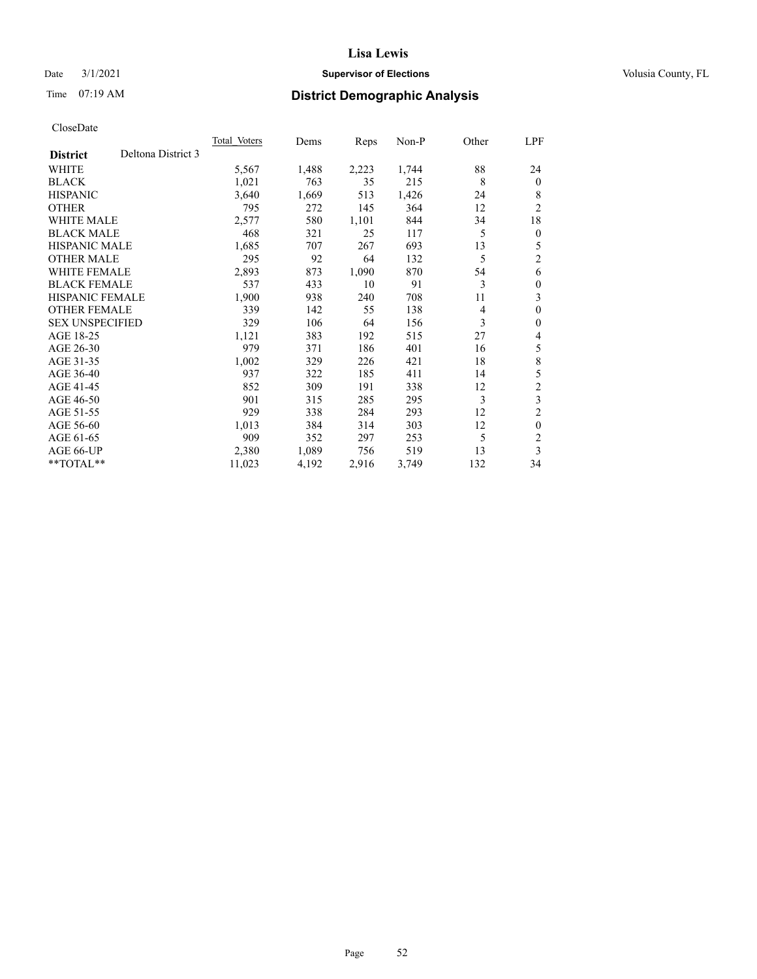## Date  $3/1/2021$  **Supervisor of Elections Supervisor of Elections** Volusia County, FL

# Time 07:19 AM **District Demographic Analysis**

|                                       | <b>Total Voters</b> | Dems  | Reps  | $Non-P$ | Other | LPF            |
|---------------------------------------|---------------------|-------|-------|---------|-------|----------------|
| Deltona District 3<br><b>District</b> |                     |       |       |         |       |                |
| WHITE                                 | 5,567               | 1,488 | 2,223 | 1,744   | 88    | 24             |
| <b>BLACK</b>                          | 1,021               | 763   | 35    | 215     | 8     | $\mathbf{0}$   |
| <b>HISPANIC</b>                       | 3,640               | 1,669 | 513   | 1,426   | 24    | 8              |
| <b>OTHER</b>                          | 795                 | 272   | 145   | 364     | 12    | 2              |
| <b>WHITE MALE</b>                     | 2,577               | 580   | 1,101 | 844     | 34    | 18             |
| <b>BLACK MALE</b>                     | 468                 | 321   | 25    | 117     | 5     | $\theta$       |
| <b>HISPANIC MALE</b>                  | 1,685               | 707   | 267   | 693     | 13    | 5              |
| <b>OTHER MALE</b>                     | 295                 | 92    | 64    | 132     | 5     | 2              |
| <b>WHITE FEMALE</b>                   | 2,893               | 873   | 1,090 | 870     | 54    | 6              |
| <b>BLACK FEMALE</b>                   | 537                 | 433   | 10    | 91      | 3     | $\theta$       |
| <b>HISPANIC FEMALE</b>                | 1,900               | 938   | 240   | 708     | 11    | 3              |
| <b>OTHER FEMALE</b>                   | 339                 | 142   | 55    | 138     | 4     | $\theta$       |
| <b>SEX UNSPECIFIED</b>                | 329                 | 106   | 64    | 156     | 3     | $\theta$       |
| AGE 18-25                             | 1,121               | 383   | 192   | 515     | 27    | 4              |
| AGE 26-30                             | 979                 | 371   | 186   | 401     | 16    | 5              |
| AGE 31-35                             | 1,002               | 329   | 226   | 421     | 18    | 8              |
| AGE 36-40                             | 937                 | 322   | 185   | 411     | 14    | 5              |
| AGE 41-45                             | 852                 | 309   | 191   | 338     | 12    | $\overline{c}$ |
| AGE 46-50                             | 901                 | 315   | 285   | 295     | 3     | 3              |
| AGE 51-55                             | 929                 | 338   | 284   | 293     | 12    | 2              |
| AGE 56-60                             | 1,013               | 384   | 314   | 303     | 12    | $\theta$       |
| AGE 61-65                             | 909                 | 352   | 297   | 253     | 5     | 2              |
| AGE 66-UP                             | 2,380               | 1,089 | 756   | 519     | 13    | 3              |
| **TOTAL**                             | 11,023              | 4,192 | 2,916 | 3,749   | 132   | 34             |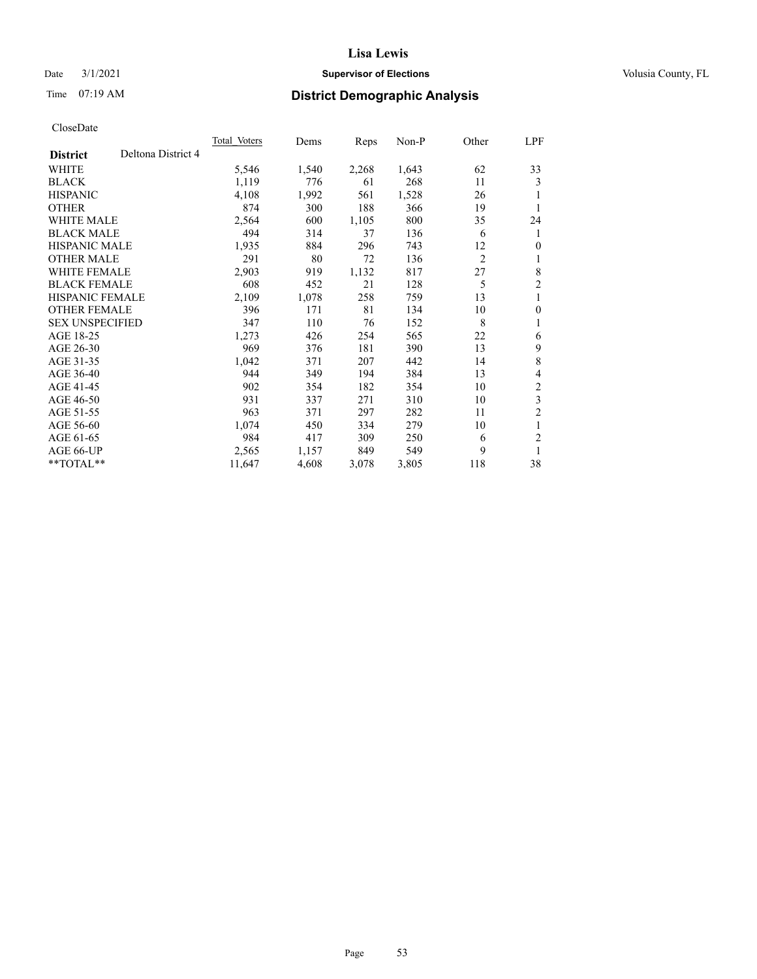## Date  $3/1/2021$  **Supervisor of Elections Supervisor of Elections** Volusia County, FL

# Time 07:19 AM **District Demographic Analysis**

| <b>Total Voters</b> | Dems  | Reps  | $Non-P$ | Other          | LPF            |
|---------------------|-------|-------|---------|----------------|----------------|
|                     |       |       |         |                |                |
| 5,546               | 1,540 | 2,268 | 1,643   | 62             | 33             |
| 1,119               | 776   | 61    | 268     | 11             | 3              |
| 4,108               | 1,992 | 561   | 1,528   | 26             | 1              |
| 874                 | 300   | 188   | 366     | 19             | 1              |
| 2,564               | 600   | 1,105 | 800     | 35             | 24             |
| 494                 | 314   | 37    | 136     | 6              | 1              |
| 1,935               | 884   | 296   | 743     | 12             | $\theta$       |
| 291                 | 80    | 72    | 136     | $\overline{c}$ | 1              |
| 2,903               | 919   | 1,132 | 817     | 27             | 8              |
| 608                 | 452   | 21    | 128     | 5              | $\overline{c}$ |
| 2,109               | 1,078 | 258   | 759     | 13             | 1              |
| 396                 | 171   | 81    | 134     | 10             | $\mathbf{0}$   |
| 347                 | 110   | 76    | 152     | 8              | 1              |
| 1,273               | 426   | 254   | 565     | 22             | 6              |
| 969                 | 376   | 181   | 390     | 13             | 9              |
| 1,042               | 371   | 207   | 442     | 14             | 8              |
| 944                 | 349   | 194   | 384     | 13             | 4              |
| 902                 | 354   | 182   | 354     | 10             | $\overline{c}$ |
| 931                 | 337   | 271   | 310     | 10             | 3              |
| 963                 | 371   | 297   | 282     | 11             | $\overline{2}$ |
| 1,074               | 450   | 334   | 279     | 10             | 1              |
| 984                 | 417   | 309   | 250     | 6              | $\overline{c}$ |
| 2,565               | 1,157 | 849   | 549     | 9              | 1              |
| 11,647              | 4,608 | 3,078 | 3,805   | 118            | 38             |
|                     |       |       |         |                |                |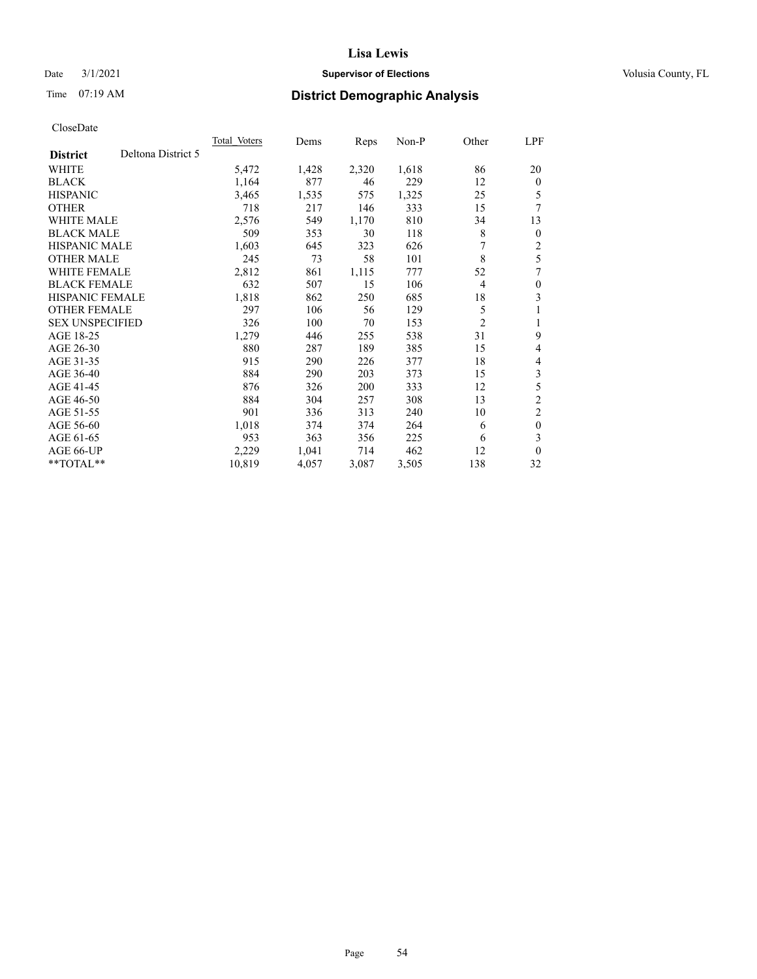## Date  $3/1/2021$  **Supervisor of Elections Supervisor of Elections** Volusia County, FL

# Time 07:19 AM **District Demographic Analysis**

|                        |                    | Total Voters | Dems  | Reps  | Non-P | Other          | LPF            |
|------------------------|--------------------|--------------|-------|-------|-------|----------------|----------------|
| <b>District</b>        | Deltona District 5 |              |       |       |       |                |                |
| WHITE                  |                    | 5,472        | 1,428 | 2,320 | 1,618 | 86             | 20             |
| <b>BLACK</b>           |                    | 1,164        | 877   | 46    | 229   | 12             | $\overline{0}$ |
| <b>HISPANIC</b>        |                    | 3,465        | 1,535 | 575   | 1,325 | 25             | 5              |
| <b>OTHER</b>           |                    | 718          | 217   | 146   | 333   | 15             | 7              |
| <b>WHITE MALE</b>      |                    | 2,576        | 549   | 1,170 | 810   | 34             | 13             |
| <b>BLACK MALE</b>      |                    | 509          | 353   | 30    | 118   | 8              | $\overline{0}$ |
| <b>HISPANIC MALE</b>   |                    | 1,603        | 645   | 323   | 626   | 7              | 2              |
| <b>OTHER MALE</b>      |                    | 245          | 73    | 58    | 101   | 8              | 5              |
| WHITE FEMALE           |                    | 2,812        | 861   | 1,115 | 777   | 52             | 7              |
| <b>BLACK FEMALE</b>    |                    | 632          | 507   | 15    | 106   | $\overline{4}$ | 0              |
| <b>HISPANIC FEMALE</b> |                    | 1,818        | 862   | 250   | 685   | 18             | 3              |
| <b>OTHER FEMALE</b>    |                    | 297          | 106   | 56    | 129   | 5              | 1              |
| <b>SEX UNSPECIFIED</b> |                    | 326          | 100   | 70    | 153   | $\overline{2}$ | 1              |
| AGE 18-25              |                    | 1,279        | 446   | 255   | 538   | 31             | 9              |
| AGE 26-30              |                    | 880          | 287   | 189   | 385   | 15             | 4              |
| AGE 31-35              |                    | 915          | 290   | 226   | 377   | 18             | 4              |
| AGE 36-40              |                    | 884          | 290   | 203   | 373   | 15             | 3              |
| AGE 41-45              |                    | 876          | 326   | 200   | 333   | 12             | 5              |
| AGE 46-50              |                    | 884          | 304   | 257   | 308   | 13             | $\overline{c}$ |
| AGE 51-55              |                    | 901          | 336   | 313   | 240   | 10             | $\overline{2}$ |
| AGE 56-60              |                    | 1,018        | 374   | 374   | 264   | 6              | $\theta$       |
| AGE 61-65              |                    | 953          | 363   | 356   | 225   | 6              | 3              |
| AGE 66-UP              |                    | 2,229        | 1,041 | 714   | 462   | 12             | $\Omega$       |
| **TOTAL**              |                    | 10,819       | 4,057 | 3,087 | 3,505 | 138            | 32             |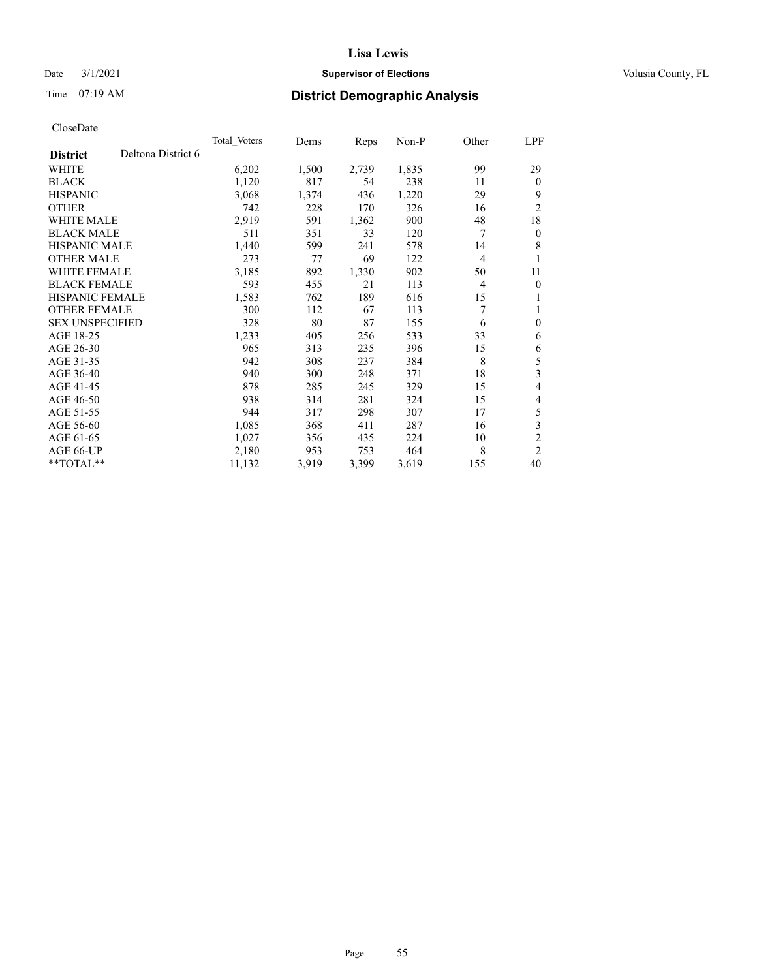## Date  $3/1/2021$  **Supervisor of Elections Supervisor of Elections** Volusia County, FL

# Time 07:19 AM **District Demographic Analysis**

|                        |                    | Total Voters | Dems  | Reps  | Non-P | Other | LPF            |
|------------------------|--------------------|--------------|-------|-------|-------|-------|----------------|
| <b>District</b>        | Deltona District 6 |              |       |       |       |       |                |
| WHITE                  |                    | 6,202        | 1,500 | 2,739 | 1,835 | 99    | 29             |
| <b>BLACK</b>           |                    | 1,120        | 817   | 54    | 238   | 11    | $\mathbf{0}$   |
| <b>HISPANIC</b>        |                    | 3,068        | 1,374 | 436   | 1,220 | 29    | 9              |
| <b>OTHER</b>           |                    | 742          | 228   | 170   | 326   | 16    | $\overline{2}$ |
| <b>WHITE MALE</b>      |                    | 2,919        | 591   | 1,362 | 900   | 48    | 18             |
| <b>BLACK MALE</b>      |                    | 511          | 351   | 33    | 120   | 7     | $\mathbf{0}$   |
| <b>HISPANIC MALE</b>   |                    | 1,440        | 599   | 241   | 578   | 14    | 8              |
| <b>OTHER MALE</b>      |                    | 273          | 77    | 69    | 122   | 4     | 1              |
| WHITE FEMALE           |                    | 3,185        | 892   | 1,330 | 902   | 50    | 11             |
| <b>BLACK FEMALE</b>    |                    | 593          | 455   | 21    | 113   | 4     | $\mathbf{0}$   |
| <b>HISPANIC FEMALE</b> |                    | 1,583        | 762   | 189   | 616   | 15    | 1              |
| <b>OTHER FEMALE</b>    |                    | 300          | 112   | 67    | 113   | 7     | 1              |
| <b>SEX UNSPECIFIED</b> |                    | 328          | 80    | 87    | 155   | 6     | $\theta$       |
| AGE 18-25              |                    | 1,233        | 405   | 256   | 533   | 33    | 6              |
| AGE 26-30              |                    | 965          | 313   | 235   | 396   | 15    | 6              |
| AGE 31-35              |                    | 942          | 308   | 237   | 384   | 8     | 5              |
| AGE 36-40              |                    | 940          | 300   | 248   | 371   | 18    | 3              |
| AGE 41-45              |                    | 878          | 285   | 245   | 329   | 15    | 4              |
| AGE 46-50              |                    | 938          | 314   | 281   | 324   | 15    | 4              |
| AGE 51-55              |                    | 944          | 317   | 298   | 307   | 17    | 5              |
| AGE 56-60              |                    | 1,085        | 368   | 411   | 287   | 16    | 3              |
| AGE 61-65              |                    | 1,027        | 356   | 435   | 224   | 10    | $\overline{2}$ |
| AGE 66-UP              |                    | 2,180        | 953   | 753   | 464   | 8     | $\overline{2}$ |
| **TOTAL**              |                    | 11,132       | 3,919 | 3,399 | 3,619 | 155   | 40             |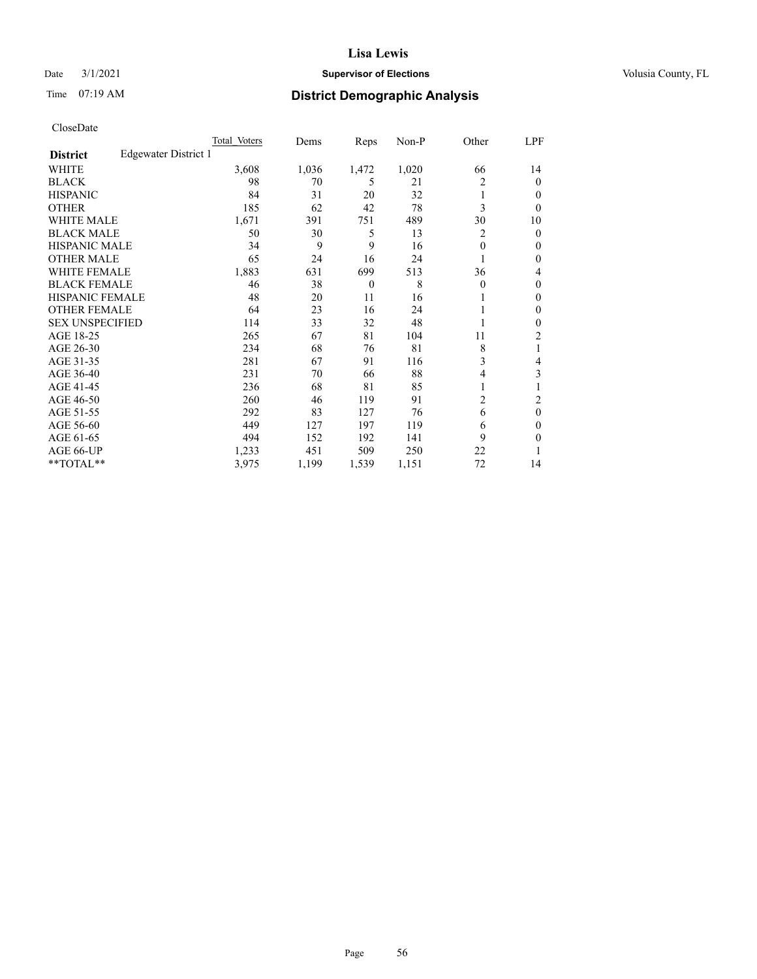## Date  $3/1/2021$  **Supervisor of Elections Supervisor of Elections** Volusia County, FL

# Time 07:19 AM **District Demographic Analysis**

|                        |                      | Total Voters | Dems  | Reps     | Non-P | Other    | LPF            |
|------------------------|----------------------|--------------|-------|----------|-------|----------|----------------|
| <b>District</b>        | Edgewater District 1 |              |       |          |       |          |                |
| WHITE                  |                      | 3,608        | 1,036 | 1,472    | 1,020 | 66       | 14             |
| <b>BLACK</b>           |                      | 98           | 70    | 5        | 21    | 2        | 0              |
| <b>HISPANIC</b>        |                      | 84           | 31    | 20       | 32    |          | $_{0}$         |
| <b>OTHER</b>           |                      | 185          | 62    | 42       | 78    | 3        | 0              |
| <b>WHITE MALE</b>      |                      | 1,671        | 391   | 751      | 489   | 30       | 10             |
| <b>BLACK MALE</b>      |                      | 50           | 30    | 5        | 13    | 2        | 0              |
| <b>HISPANIC MALE</b>   |                      | 34           | 9     | 9        | 16    | $\theta$ | 0              |
| <b>OTHER MALE</b>      |                      | 65           | 24    | 16       | 24    |          | 0              |
| <b>WHITE FEMALE</b>    |                      | 1,883        | 631   | 699      | 513   | 36       | 4              |
| <b>BLACK FEMALE</b>    |                      | 46           | 38    | $\theta$ | 8     | $\Omega$ | 0              |
| <b>HISPANIC FEMALE</b> |                      | 48           | 20    | 11       | 16    |          | 0              |
| <b>OTHER FEMALE</b>    |                      | 64           | 23    | 16       | 24    |          | 0              |
| <b>SEX UNSPECIFIED</b> |                      | 114          | 33    | 32       | 48    |          | 0              |
| AGE 18-25              |                      | 265          | 67    | 81       | 104   | 11       | $\overline{2}$ |
| AGE 26-30              |                      | 234          | 68    | 76       | 81    | 8        | 1              |
| AGE 31-35              |                      | 281          | 67    | 91       | 116   | 3        | 4              |
| AGE 36-40              |                      | 231          | 70    | 66       | 88    | 4        | 3              |
| AGE 41-45              |                      | 236          | 68    | 81       | 85    |          |                |
| AGE 46-50              |                      | 260          | 46    | 119      | 91    | 2        | 2              |
| AGE 51-55              |                      | 292          | 83    | 127      | 76    | 6        | 0              |
| AGE 56-60              |                      | 449          | 127   | 197      | 119   | 6        | 0              |
| AGE 61-65              |                      | 494          | 152   | 192      | 141   | 9        | 0              |
| AGE 66-UP              |                      | 1,233        | 451   | 509      | 250   | 22       |                |
| **TOTAL**              |                      | 3,975        | 1,199 | 1,539    | 1,151 | 72       | 14             |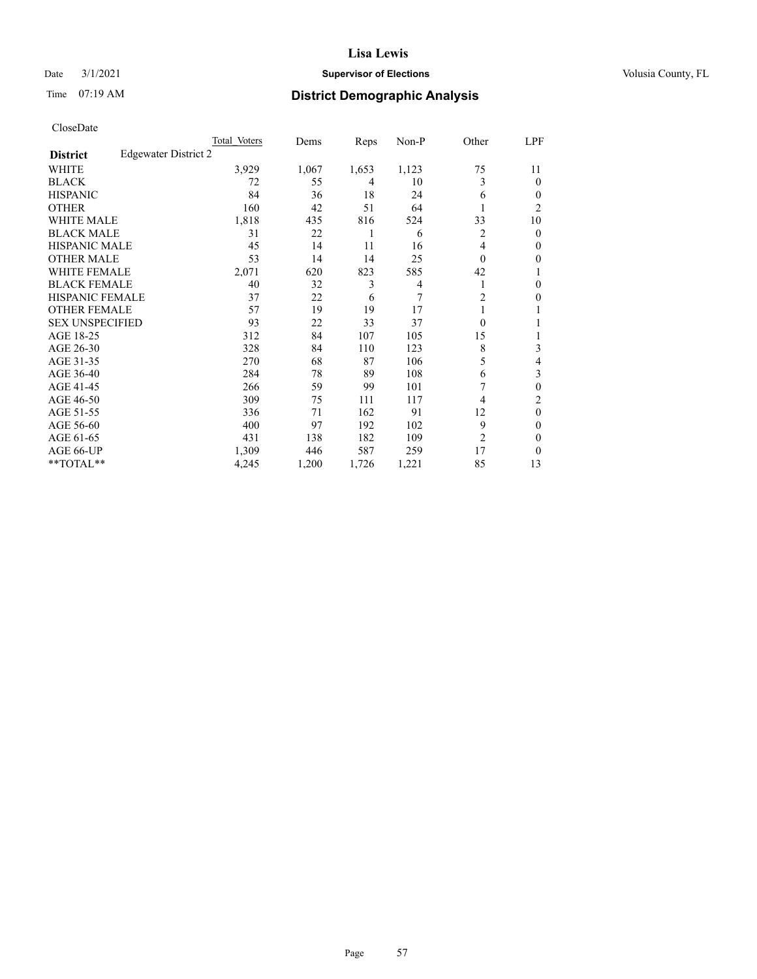## Date  $3/1/2021$  **Supervisor of Elections Supervisor of Elections** Volusia County, FL

| CloseDate |
|-----------|
|-----------|

|                                                | Total Voters | Dems  | Reps  | Non-P | Other          | LPF      |
|------------------------------------------------|--------------|-------|-------|-------|----------------|----------|
| <b>Edgewater District 2</b><br><b>District</b> |              |       |       |       |                |          |
| WHITE                                          | 3,929        | 1,067 | 1,653 | 1,123 | 75             | 11       |
| BLACK                                          | 72           | 55    | 4     | 10    | 3              | $\Omega$ |
| HISPANIC                                       | 84           | 36    | 18    | 24    | 6              | 0        |
| <b>OTHER</b>                                   | 160          | 42    | 51    | 64    |                | 2        |
| WHITE MALE                                     | 1,818        | 435   | 816   | 524   | 33             | 10       |
| <b>BLACK MALE</b>                              | 31           | 22    | 1     | 6     | 2              | $\theta$ |
| HISPANIC MALE                                  | 45           | 14    | 11    | 16    | 4              | 0        |
| OTHER MALE                                     | 53           | 14    | 14    | 25    | $\theta$       | 0        |
| WHITE FEMALE                                   | 2,071        | 620   | 823   | 585   | 42             |          |
| BLACK FEMALE                                   | 40           | 32    | 3     | 4     |                | $_{0}$   |
| HISPANIC FEMALE                                | 37           | 22    | 6     | 7     | 2              | 0        |
| <b>OTHER FEMALE</b>                            | 57           | 19    | 19    | 17    |                |          |
| <b>SEX UNSPECIFIED</b>                         | 93           | 22    | 33    | 37    | $\Omega$       |          |
| AGE 18-25                                      | 312          | 84    | 107   | 105   | 15             |          |
| AGE 26-30                                      | 328          | 84    | 110   | 123   | 8              | 3        |
| AGE 31-35                                      | 270          | 68    | 87    | 106   | 5              | 4        |
| AGE 36-40                                      | 284          | 78    | 89    | 108   | 6              | 3        |
| AGE 41-45                                      | 266          | 59    | 99    | 101   |                | 0        |
| AGE 46-50                                      | 309          | 75    | 111   | 117   | $\overline{4}$ | 2        |
| AGE 51-55                                      | 336          | 71    | 162   | 91    | 12             | $\Omega$ |
| AGE 56-60                                      | 400          | 97    | 192   | 102   | 9              | 0        |
| AGE 61-65                                      | 431          | 138   | 182   | 109   | $\overline{2}$ | 0        |
| AGE 66-UP                                      | 1,309        | 446   | 587   | 259   | 17             | $\theta$ |
| $*$ $TOTAL**$                                  | 4,245        | 1,200 | 1,726 | 1,221 | 85             | 13       |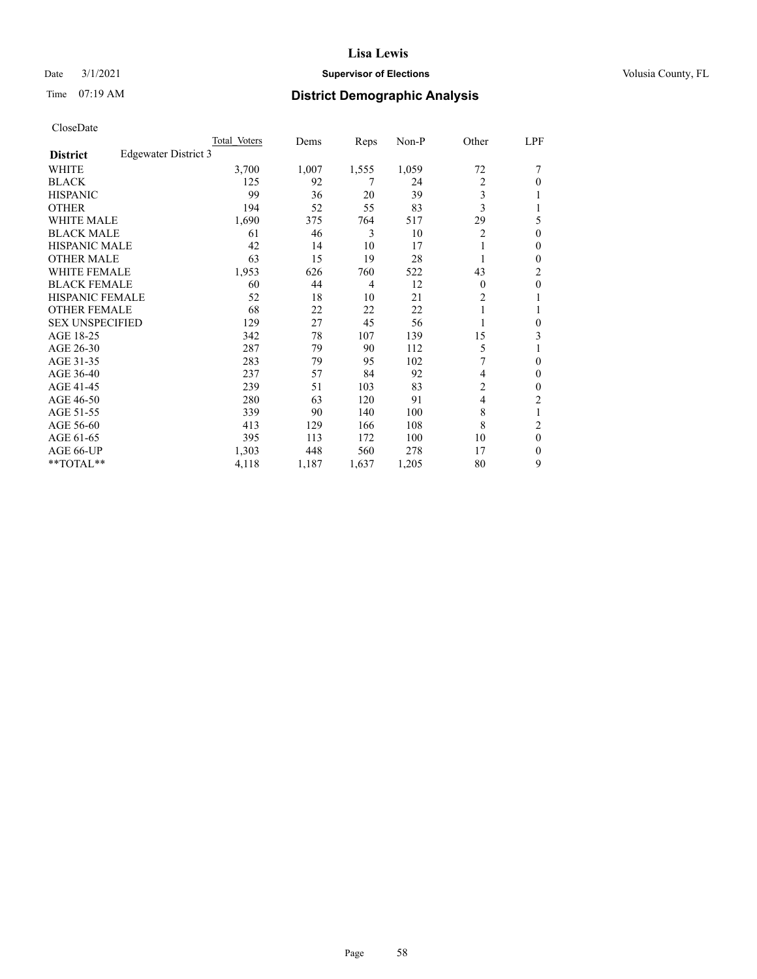## Date  $3/1/2021$  **Supervisor of Elections Supervisor of Elections** Volusia County, FL

# Time 07:19 AM **District Demographic Analysis**

|                        |                      | Total Voters | Dems  | Reps  | Non-P | Other          | LPF              |
|------------------------|----------------------|--------------|-------|-------|-------|----------------|------------------|
| <b>District</b>        | Edgewater District 3 |              |       |       |       |                |                  |
| WHITE                  |                      | 3,700        | 1,007 | 1,555 | 1,059 | 72             | 7                |
| <b>BLACK</b>           |                      | 125          | 92    | 7     | 24    | $\overline{2}$ | 0                |
| <b>HISPANIC</b>        |                      | 99           | 36    | 20    | 39    | 3              |                  |
| <b>OTHER</b>           |                      | 194          | 52    | 55    | 83    | 3              |                  |
| <b>WHITE MALE</b>      |                      | 1,690        | 375   | 764   | 517   | 29             | 5                |
| <b>BLACK MALE</b>      |                      | 61           | 46    | 3     | 10    | $\overline{2}$ | $\boldsymbol{0}$ |
| HISPANIC MALE          |                      | 42           | 14    | 10    | 17    |                | 0                |
| <b>OTHER MALE</b>      |                      | 63           | 15    | 19    | 28    |                | 0                |
| WHITE FEMALE           |                      | 1,953        | 626   | 760   | 522   | 43             | $\overline{c}$   |
| <b>BLACK FEMALE</b>    |                      | 60           | 44    | 4     | 12    | $\Omega$       | 0                |
| HISPANIC FEMALE        |                      | 52           | 18    | 10    | 21    | $\overline{c}$ |                  |
| <b>OTHER FEMALE</b>    |                      | 68           | 22    | 22    | 22    | 1              |                  |
| <b>SEX UNSPECIFIED</b> |                      | 129          | 27    | 45    | 56    |                | 0                |
| AGE 18-25              |                      | 342          | 78    | 107   | 139   | 15             | 3                |
| AGE 26-30              |                      | 287          | 79    | 90    | 112   | 5              | 1                |
| AGE 31-35              |                      | 283          | 79    | 95    | 102   | 7              | 0                |
| AGE 36-40              |                      | 237          | 57    | 84    | 92    | 4              | 0                |
| AGE 41-45              |                      | 239          | 51    | 103   | 83    | $\overline{c}$ | 0                |
| AGE 46-50              |                      | 280          | 63    | 120   | 91    | 4              | $\overline{c}$   |
| AGE 51-55              |                      | 339          | 90    | 140   | 100   | 8              | 1                |
| AGE 56-60              |                      | 413          | 129   | 166   | 108   | 8              | $\overline{c}$   |
| AGE 61-65              |                      | 395          | 113   | 172   | 100   | 10             | 0                |
| AGE 66-UP              |                      | 1,303        | 448   | 560   | 278   | 17             | 0                |
| **TOTAL**              |                      | 4,118        | 1,187 | 1,637 | 1,205 | 80             | 9                |
|                        |                      |              |       |       |       |                |                  |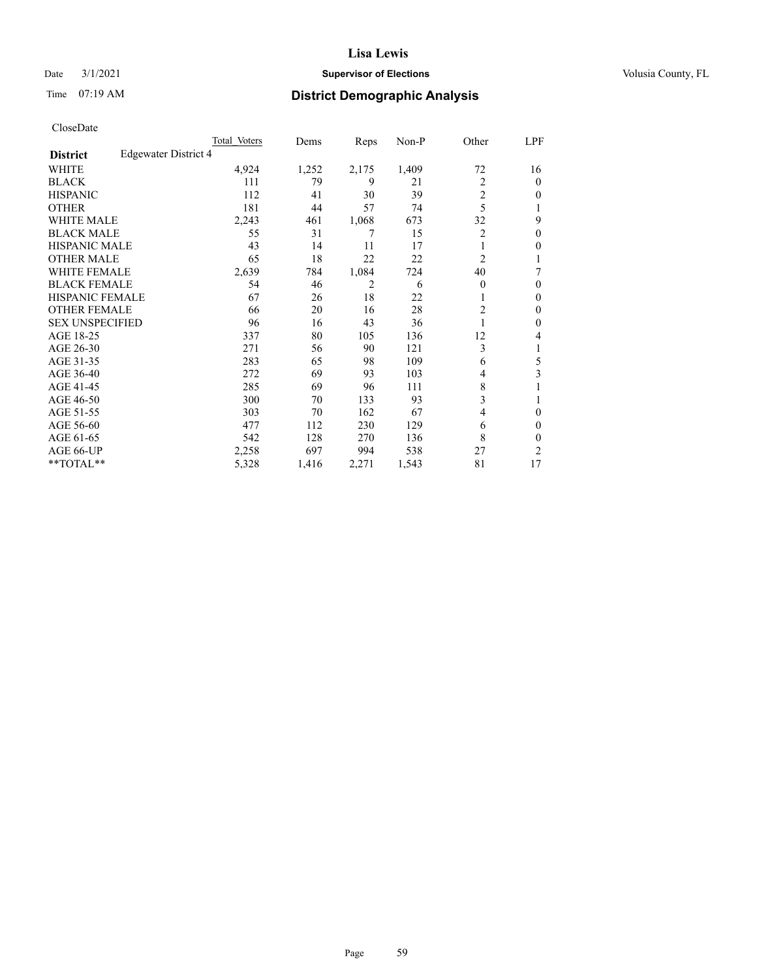## Date  $3/1/2021$  **Supervisor of Elections Supervisor of Elections** Volusia County, FL

# Time 07:19 AM **District Demographic Analysis**

|                        |                      | Total Voters | Dems  | Reps  | Non-P | Other          | LPF    |
|------------------------|----------------------|--------------|-------|-------|-------|----------------|--------|
| <b>District</b>        | Edgewater District 4 |              |       |       |       |                |        |
| WHITE                  |                      | 4,924        | 1,252 | 2,175 | 1,409 | 72             | 16     |
| <b>BLACK</b>           |                      | 111          | 79    | 9     | 21    | $\overline{2}$ | 0      |
| <b>HISPANIC</b>        |                      | 112          | 41    | 30    | 39    | $\overline{c}$ | $_{0}$ |
| <b>OTHER</b>           |                      | 181          | 44    | 57    | 74    | 5              |        |
| WHITE MALE             |                      | 2,243        | 461   | 1,068 | 673   | 32             | 9      |
| <b>BLACK MALE</b>      |                      | 55           | 31    | 7     | 15    | 2              | 0      |
| <b>HISPANIC MALE</b>   |                      | 43           | 14    | 11    | 17    |                | 0      |
| <b>OTHER MALE</b>      |                      | 65           | 18    | 22    | 22    | $\overline{c}$ |        |
| WHITE FEMALE           |                      | 2,639        | 784   | 1,084 | 724   | 40             | 7      |
| <b>BLACK FEMALE</b>    |                      | 54           | 46    | 2     | 6     | $\Omega$       | 0      |
| <b>HISPANIC FEMALE</b> |                      | 67           | 26    | 18    | 22    |                | 0      |
| <b>OTHER FEMALE</b>    |                      | 66           | 20    | 16    | 28    | 2              | 0      |
| <b>SEX UNSPECIFIED</b> |                      | 96           | 16    | 43    | 36    |                | 0      |
| AGE 18-25              |                      | 337          | 80    | 105   | 136   | 12             | 4      |
| AGE 26-30              |                      | 271          | 56    | 90    | 121   | 3              | 1      |
| AGE 31-35              |                      | 283          | 65    | 98    | 109   | 6              | 5      |
| AGE 36-40              |                      | 272          | 69    | 93    | 103   | 4              | 3      |
| AGE 41-45              |                      | 285          | 69    | 96    | 111   | 8              |        |
| AGE 46-50              |                      | 300          | 70    | 133   | 93    | 3              |        |
| AGE 51-55              |                      | 303          | 70    | 162   | 67    | 4              | 0      |
| AGE 56-60              |                      | 477          | 112   | 230   | 129   | 6              | 0      |
| AGE 61-65              |                      | 542          | 128   | 270   | 136   | 8              | 0      |
| AGE 66-UP              |                      | 2,258        | 697   | 994   | 538   | 27             | 2      |
| **TOTAL**              |                      | 5,328        | 1,416 | 2,271 | 1,543 | 81             | 17     |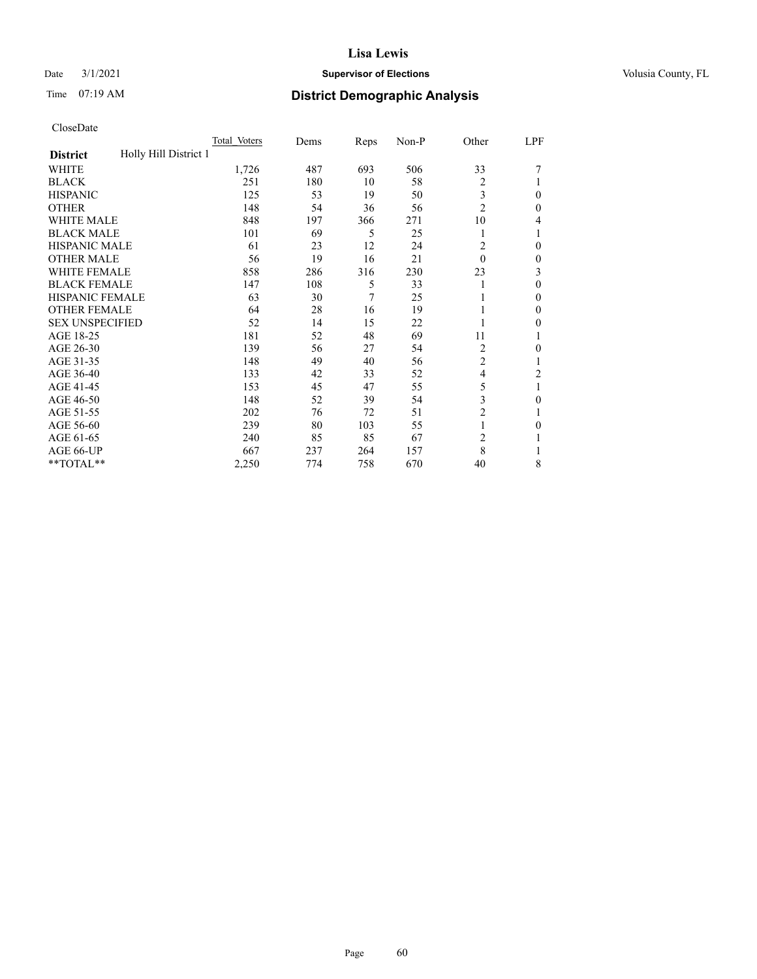## Date  $3/1/2021$  **Supervisor of Elections Supervisor of Elections** Volusia County, FL

# Time 07:19 AM **District Demographic Analysis**

|                                          | Total Voters | Dems | Reps           | Non-P | Other          | LPF          |
|------------------------------------------|--------------|------|----------------|-------|----------------|--------------|
| Holly Hill District 1<br><b>District</b> |              |      |                |       |                |              |
| WHITE                                    | 1,726        | 487  | 693            | 506   | 33             |              |
| <b>BLACK</b>                             | 251          | 180  | 10             | 58    | $\overline{c}$ |              |
| <b>HISPANIC</b>                          | 125          | 53   | 19             | 50    | 3              | $\theta$     |
| <b>OTHER</b>                             | 148          | 54   | 36             | 56    | $\overline{2}$ | $\Omega$     |
| <b>WHITE MALE</b>                        | 848          | 197  | 366            | 271   | 10             | 4            |
| <b>BLACK MALE</b>                        | 101          | 69   | 5              | 25    |                | 1            |
| <b>HISPANIC MALE</b>                     | 61           | 23   | 12             | 24    | 2              | $\theta$     |
| <b>OTHER MALE</b>                        | 56           | 19   | 16             | 21    | 0              | $\mathbf{0}$ |
| WHITE FEMALE                             | 858          | 286  | 316            | 230   | 23             | 3            |
| <b>BLACK FEMALE</b>                      | 147          | 108  | 5              | 33    |                | $\theta$     |
| <b>HISPANIC FEMALE</b>                   | 63           | 30   | $\overline{7}$ | 25    |                | $\Omega$     |
| <b>OTHER FEMALE</b>                      | 64           | 28   | 16             | 19    |                | $\theta$     |
| <b>SEX UNSPECIFIED</b>                   | 52           | 14   | 15             | 22    |                | 0            |
| AGE 18-25                                | 181          | 52   | 48             | 69    | 11             | 1            |
| AGE 26-30                                | 139          | 56   | 27             | 54    | 2              | $\theta$     |
| AGE 31-35                                | 148          | 49   | 40             | 56    | $\overline{2}$ | 1            |
| AGE 36-40                                | 133          | 42   | 33             | 52    | 4              | 2            |
| AGE 41-45                                | 153          | 45   | 47             | 55    | 5              | 1            |
| AGE 46-50                                | 148          | 52   | 39             | 54    | 3              | 0            |
| AGE 51-55                                | 202          | 76   | 72             | 51    | $\overline{c}$ | 1            |
| AGE 56-60                                | 239          | 80   | 103            | 55    |                | $\theta$     |
| AGE 61-65                                | 240          | 85   | 85             | 67    | 2              | 1            |
| AGE 66-UP                                | 667          | 237  | 264            | 157   | 8              |              |
| **TOTAL**                                | 2,250        | 774  | 758            | 670   | 40             | 8            |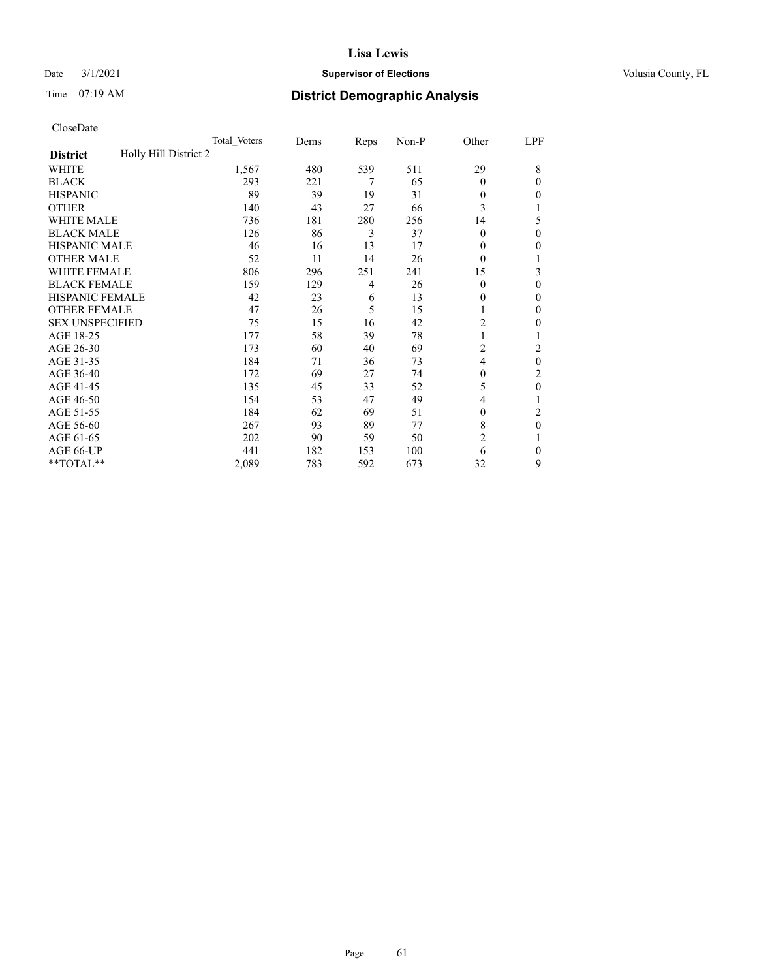## Date  $3/1/2021$  **Supervisor of Elections Supervisor of Elections** Volusia County, FL

# Time 07:19 AM **District Demographic Analysis**

|                                          | Total Voters | Dems | Reps           | Non-P | Other          | LPF      |
|------------------------------------------|--------------|------|----------------|-------|----------------|----------|
| Holly Hill District 2<br><b>District</b> |              |      |                |       |                |          |
| WHITE                                    | 1,567        | 480  | 539            | 511   | 29             | 8        |
| <b>BLACK</b>                             | 293          | 221  | 7              | 65    | $\theta$       | $\Omega$ |
| <b>HISPANIC</b>                          | 89           | 39   | 19             | 31    | $\Omega$       | 0        |
| <b>OTHER</b>                             | 140          | 43   | 27             | 66    | 3              |          |
| WHITE MALE                               | 736          | 181  | 280            | 256   | 14             | 5        |
| <b>BLACK MALE</b>                        | 126          | 86   | 3              | 37    | $\Omega$       | $\Omega$ |
| <b>HISPANIC MALE</b>                     | 46           | 16   | 13             | 17    | $\theta$       | 0        |
| <b>OTHER MALE</b>                        | 52           | 11   | 14             | 26    | $\Omega$       | 1        |
| WHITE FEMALE                             | 806          | 296  | 251            | 241   | 15             | 3        |
| <b>BLACK FEMALE</b>                      | 159          | 129  | $\overline{4}$ | 26    | $\theta$       | $\Omega$ |
| <b>HISPANIC FEMALE</b>                   | 42           | 23   | 6              | 13    | $\theta$       | 0        |
| <b>OTHER FEMALE</b>                      | 47           | 26   | 5              | 15    | 1              | 0        |
| <b>SEX UNSPECIFIED</b>                   | 75           | 15   | 16             | 42    | $\overline{2}$ | 0        |
| AGE 18-25                                | 177          | 58   | 39             | 78    | 1              |          |
| AGE 26-30                                | 173          | 60   | 40             | 69    | $\overline{c}$ | 2        |
| AGE 31-35                                | 184          | 71   | 36             | 73    | 4              | 0        |
| AGE 36-40                                | 172          | 69   | 27             | 74    | $\mathbf{0}$   | 2        |
| AGE 41-45                                | 135          | 45   | 33             | 52    | 5              | 0        |
| AGE 46-50                                | 154          | 53   | 47             | 49    | 4              |          |
| AGE 51-55                                | 184          | 62   | 69             | 51    | $\Omega$       | 2        |
| AGE 56-60                                | 267          | 93   | 89             | 77    | 8              | $\theta$ |
| AGE 61-65                                | 202          | 90   | 59             | 50    | $\overline{2}$ |          |
| AGE 66-UP                                | 441          | 182  | 153            | 100   | 6              | $\Omega$ |
| **TOTAL**                                | 2,089        | 783  | 592            | 673   | 32             | 9        |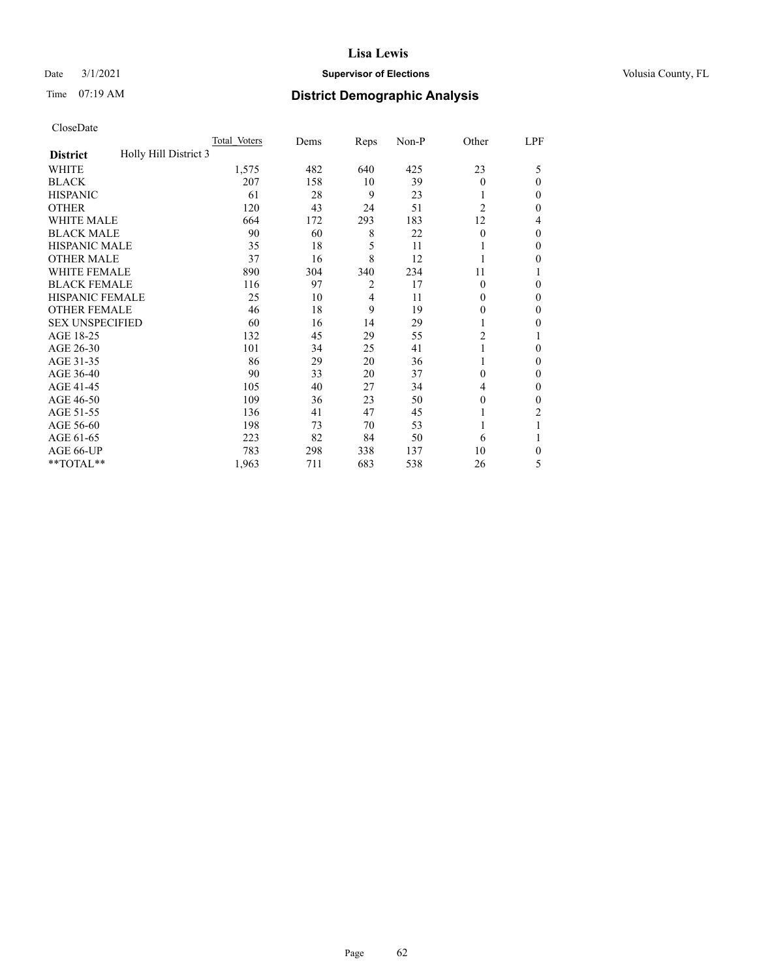## Date  $3/1/2021$  **Supervisor of Elections Supervisor of Elections** Volusia County, FL

# Time 07:19 AM **District Demographic Analysis**

|                                          | Total Voters | Dems | Reps           | Non-P | Other          | LPF    |
|------------------------------------------|--------------|------|----------------|-------|----------------|--------|
| Holly Hill District 3<br><b>District</b> |              |      |                |       |                |        |
| WHITE                                    | 1,575        | 482  | 640            | 425   | 23             | 5      |
| <b>BLACK</b>                             | 207          | 158  | 10             | 39    | $\Omega$       | 0      |
| <b>HISPANIC</b>                          | 61           | 28   | 9              | 23    |                | $_{0}$ |
| <b>OTHER</b>                             | 120          | 43   | 24             | 51    | $\overline{2}$ | 0      |
| WHITE MALE                               | 664          | 172  | 293            | 183   | 12             | 4      |
| <b>BLACK MALE</b>                        | 90           | 60   | 8              | 22    | $\Omega$       | 0      |
| <b>HISPANIC MALE</b>                     | 35           | 18   | 5              | 11    |                | 0      |
| <b>OTHER MALE</b>                        | 37           | 16   | 8              | 12    |                | 0      |
| WHITE FEMALE                             | 890          | 304  | 340            | 234   | 11             |        |
| <b>BLACK FEMALE</b>                      | 116          | 97   | $\overline{2}$ | 17    | $\Omega$       | 0      |
| <b>HISPANIC FEMALE</b>                   | 25           | 10   | 4              | 11    | 0              | 0      |
| <b>OTHER FEMALE</b>                      | 46           | 18   | 9              | 19    | 0              | 0      |
| <b>SEX UNSPECIFIED</b>                   | 60           | 16   | 14             | 29    |                | 0      |
| AGE 18-25                                | 132          | 45   | 29             | 55    | $\overline{c}$ |        |
| AGE 26-30                                | 101          | 34   | 25             | 41    | 1              | 0      |
| AGE 31-35                                | 86           | 29   | 20             | 36    |                | 0      |
| AGE 36-40                                | 90           | 33   | 20             | 37    | 0              | 0      |
| AGE 41-45                                | 105          | 40   | 27             | 34    | 4              | 0      |
| AGE 46-50                                | 109          | 36   | 23             | 50    | 0              | 0      |
| AGE 51-55                                | 136          | 41   | 47             | 45    |                | 2      |
| AGE 56-60                                | 198          | 73   | 70             | 53    |                |        |
| AGE 61-65                                | 223          | 82   | 84             | 50    | 6              |        |
| AGE 66-UP                                | 783          | 298  | 338            | 137   | 10             | 0      |
| **TOTAL**                                | 1,963        | 711  | 683            | 538   | 26             | 5      |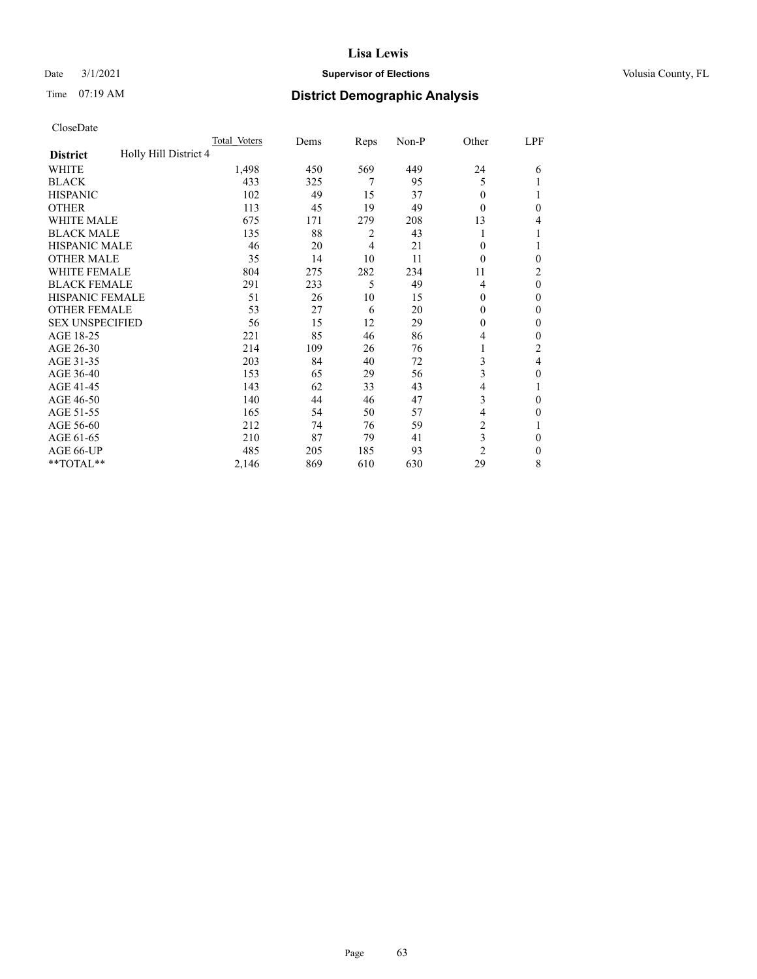## Date  $3/1/2021$  **Supervisor of Elections Supervisor of Elections** Volusia County, FL

# Time 07:19 AM **District Demographic Analysis**

|                                          | Total Voters | Dems | Reps | Non-P | Other          | LPF            |
|------------------------------------------|--------------|------|------|-------|----------------|----------------|
| Holly Hill District 4<br><b>District</b> |              |      |      |       |                |                |
| WHITE                                    | 1,498        | 450  | 569  | 449   | 24             | 6              |
| <b>BLACK</b>                             | 433          | 325  | 7    | 95    | 5              |                |
| <b>HISPANIC</b>                          | 102          | 49   | 15   | 37    | 0              | 1              |
| <b>OTHER</b>                             | 113          | 45   | 19   | 49    | 0              | 0              |
| <b>WHITE MALE</b>                        | 675          | 171  | 279  | 208   | 13             | 4              |
| <b>BLACK MALE</b>                        | 135          | 88   | 2    | 43    |                | 1              |
| <b>HISPANIC MALE</b>                     | 46           | 20   | 4    | 21    | 0              | 1              |
| <b>OTHER MALE</b>                        | 35           | 14   | 10   | 11    | 0              | $\mathbf{0}$   |
| WHITE FEMALE                             | 804          | 275  | 282  | 234   | 11             | $\overline{c}$ |
| <b>BLACK FEMALE</b>                      | 291          | 233  | 5    | 49    | 4              | $\theta$       |
| <b>HISPANIC FEMALE</b>                   | 51           | 26   | 10   | 15    | 0              | $\Omega$       |
| <b>OTHER FEMALE</b>                      | 53           | 27   | 6    | 20    | 0              | $\theta$       |
| <b>SEX UNSPECIFIED</b>                   | 56           | 15   | 12   | 29    | 0              | $\theta$       |
| AGE 18-25                                | 221          | 85   | 46   | 86    | 4              | $\theta$       |
| AGE 26-30                                | 214          | 109  | 26   | 76    | 1              | $\overline{2}$ |
| AGE 31-35                                | 203          | 84   | 40   | 72    | 3              | 4              |
| AGE 36-40                                | 153          | 65   | 29   | 56    | 3              | 0              |
| AGE 41-45                                | 143          | 62   | 33   | 43    | 4              |                |
| AGE 46-50                                | 140          | 44   | 46   | 47    | 3              | $\theta$       |
| AGE 51-55                                | 165          | 54   | 50   | 57    | 4              | 0              |
| AGE 56-60                                | 212          | 74   | 76   | 59    | $\overline{2}$ |                |
| AGE 61-65                                | 210          | 87   | 79   | 41    | 3              | $\theta$       |
| AGE 66-UP                                | 485          | 205  | 185  | 93    | $\overline{c}$ | $\mathbf{0}$   |
| **TOTAL**                                | 2,146        | 869  | 610  | 630   | 29             | 8              |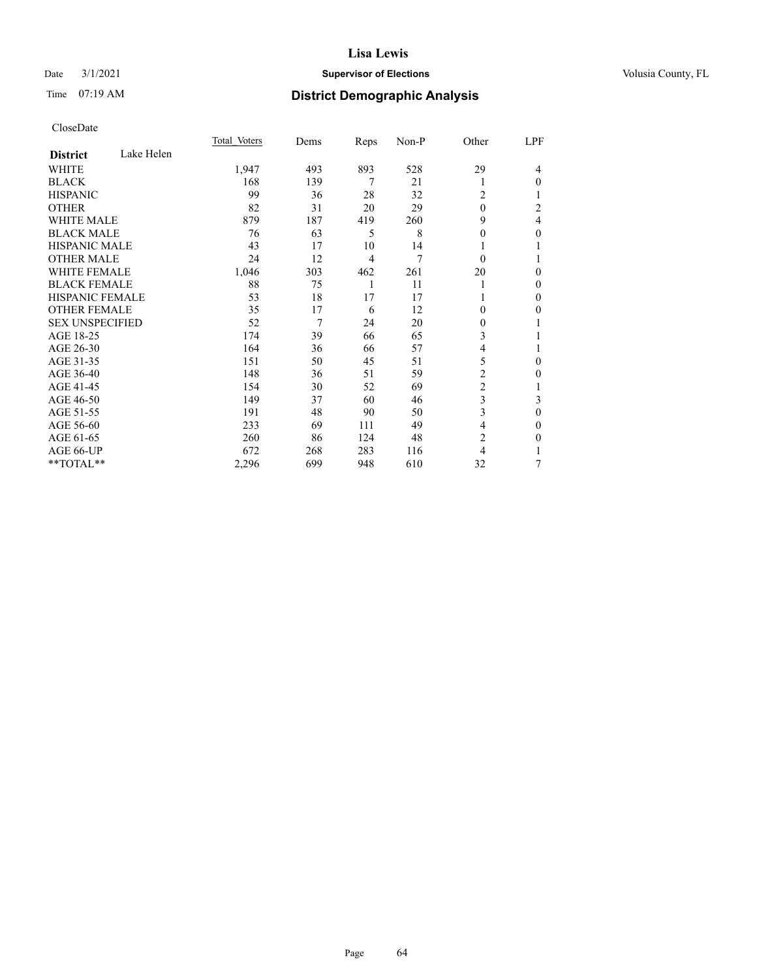## Date  $3/1/2021$  **Supervisor of Elections Supervisor of Elections** Volusia County, FL

# Time 07:19 AM **District Demographic Analysis**

|                        |            | Total Voters | Dems | Reps | Non-P | Other          | LPF          |
|------------------------|------------|--------------|------|------|-------|----------------|--------------|
| <b>District</b>        | Lake Helen |              |      |      |       |                |              |
| WHITE                  |            | 1,947        | 493  | 893  | 528   | 29             | 4            |
| <b>BLACK</b>           |            | 168          | 139  | 7    | 21    | 1              | $\Omega$     |
| <b>HISPANIC</b>        |            | 99           | 36   | 28   | 32    | $\overline{c}$ | 1            |
| <b>OTHER</b>           |            | 82           | 31   | 20   | 29    | $\Omega$       | 2            |
| <b>WHITE MALE</b>      |            | 879          | 187  | 419  | 260   | 9              | 4            |
| <b>BLACK MALE</b>      |            | 76           | 63   | 5    | 8     | 0              | $\theta$     |
| <b>HISPANIC MALE</b>   |            | 43           | 17   | 10   | 14    |                |              |
| <b>OTHER MALE</b>      |            | 24           | 12   | 4    | 7     | $\theta$       |              |
| <b>WHITE FEMALE</b>    |            | 1,046        | 303  | 462  | 261   | 20             | $\theta$     |
| <b>BLACK FEMALE</b>    |            | 88           | 75   | 1    | 11    |                | $\theta$     |
| <b>HISPANIC FEMALE</b> |            | 53           | 18   | 17   | 17    |                | $\mathbf{0}$ |
| <b>OTHER FEMALE</b>    |            | 35           | 17   | 6    | 12    | 0              | $\theta$     |
| <b>SEX UNSPECIFIED</b> |            | 52           | 7    | 24   | 20    | 0              | 1            |
| AGE 18-25              |            | 174          | 39   | 66   | 65    | 3              |              |
| AGE 26-30              |            | 164          | 36   | 66   | 57    | $\overline{4}$ |              |
| AGE 31-35              |            | 151          | 50   | 45   | 51    | 5              | $\theta$     |
| AGE 36-40              |            | 148          | 36   | 51   | 59    | $\overline{2}$ | $\theta$     |
| AGE 41-45              |            | 154          | 30   | 52   | 69    | $\overline{c}$ | 1            |
| AGE 46-50              |            | 149          | 37   | 60   | 46    | 3              | 3            |
| AGE 51-55              |            | 191          | 48   | 90   | 50    | 3              | $\theta$     |
| AGE 56-60              |            | 233          | 69   | 111  | 49    | 4              | $\theta$     |
| AGE 61-65              |            | 260          | 86   | 124  | 48    | $\overline{c}$ | $\theta$     |
| AGE 66-UP              |            | 672          | 268  | 283  | 116   | 4              |              |
| **TOTAL**              |            | 2,296        | 699  | 948  | 610   | 32             | 7            |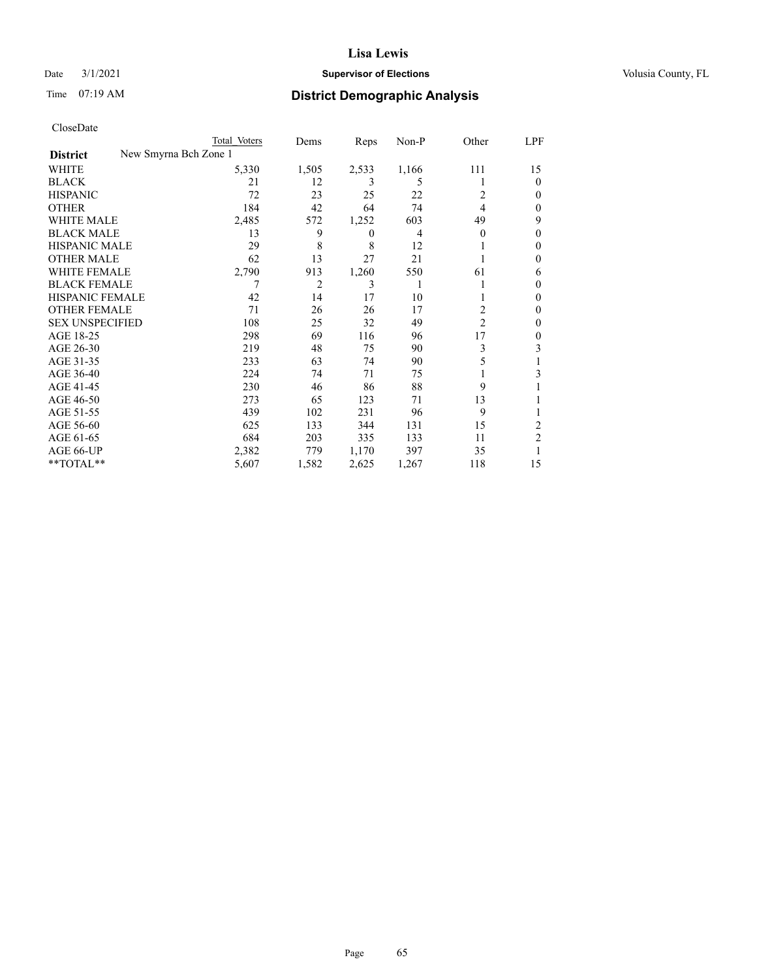## Date  $3/1/2021$  **Supervisor of Elections Supervisor of Elections** Volusia County, FL

| CloseDate |
|-----------|
|-----------|

|                                          | Total Voters | Dems           | Reps             | Non-P | Other          | LPF            |
|------------------------------------------|--------------|----------------|------------------|-------|----------------|----------------|
| New Smyrna Bch Zone 1<br><b>District</b> |              |                |                  |       |                |                |
| WHITE                                    | 5,330        | 1,505          | 2,533            | 1,166 | 111            | 15             |
| BLACK                                    | 21           | 12             | 3                | 5     |                | $\theta$       |
| HISPANIC                                 | 72           | 23             | 25               | 22    | 2              | $_{0}$         |
| OTHER                                    | 184          | 42             | 64               | 74    | 4              | 0              |
| WHITE MALE                               | 2,485        | 572            | 1,252            | 603   | 49             | 9              |
| BLACK MALE                               | 13           | 9              | $\boldsymbol{0}$ | 4     | $\Omega$       | $_{0}$         |
| HISPANIC MALE                            | 29           | 8              | 8                | 12    |                | 0              |
| OTHER MALE                               | 62           | 13             | 27               | 21    |                | 0              |
| WHITE FEMALE                             | 2,790        | 913            | 1,260            | 550   | 61             | 6              |
| <b>BLACK FEMALE</b>                      |              | $\overline{2}$ | 3                | 1     |                | $_{0}$         |
| HISPANIC FEMALE                          | 42           | 14             | 17               | 10    |                | $_{0}$         |
| <b>OTHER FEMALE</b>                      | 71           | 26             | 26               | 17    | 2              | $_{0}$         |
| <b>SEX UNSPECIFIED</b>                   | 108          | 25             | 32               | 49    | $\overline{2}$ | $_{0}$         |
| AGE 18-25                                | 298          | 69             | 116              | 96    | 17             | $_{0}$         |
| AGE 26-30                                | 219          | 48             | 75               | 90    | 3              | 3              |
| AGE 31-35                                | 233          | 63             | 74               | 90    | 5              |                |
| AGE 36-40                                | 224          | 74             | 71               | 75    |                | 3              |
| AGE 41-45                                | 230          | 46             | 86               | 88    | 9              |                |
| AGE 46-50                                | 273          | 65             | 123              | 71    | 13             |                |
| AGE 51-55                                | 439          | 102            | 231              | 96    | 9              |                |
| AGE 56-60                                | 625          | 133            | 344              | 131   | 15             | 2              |
| AGE 61-65                                | 684          | 203            | 335              | 133   | 11             | $\overline{c}$ |
| AGE 66-UP                                | 2,382        | 779            | 1,170            | 397   | 35             |                |
| $*$ $TOTAL**$                            | 5,607        | 1,582          | 2,625            | 1,267 | 118            | 15             |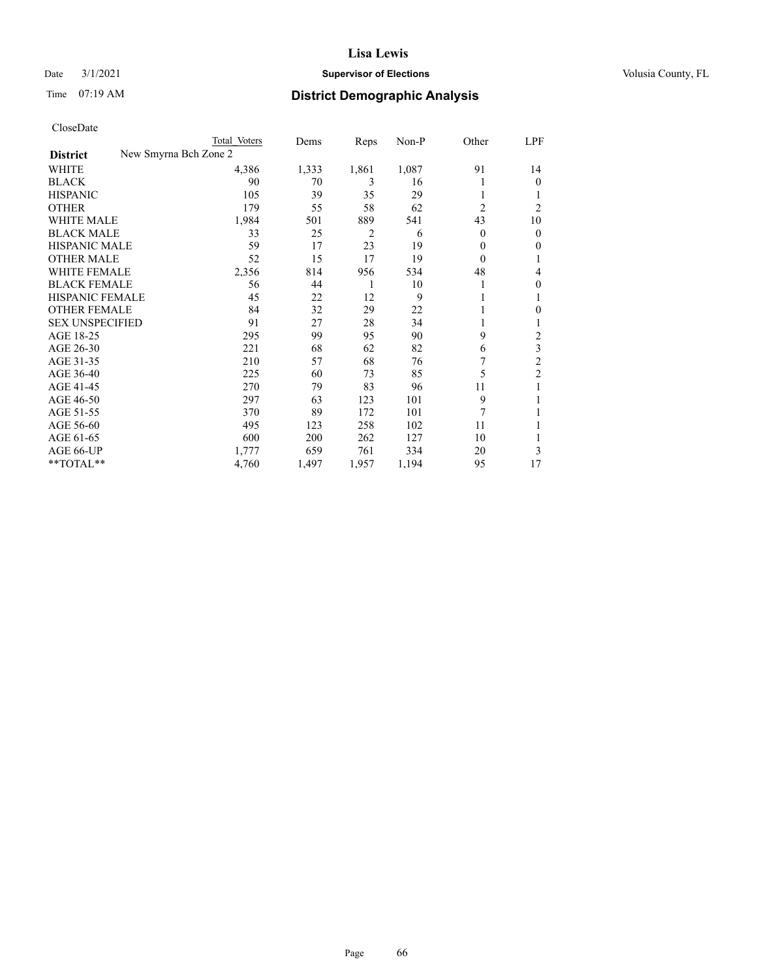## Date  $3/1/2021$  **Supervisor of Elections Supervisor of Elections** Volusia County, FL

|                                          | Total Voters | Dems  | Reps  | Non-P | Other          | LPF            |
|------------------------------------------|--------------|-------|-------|-------|----------------|----------------|
| New Smyrna Bch Zone 2<br><b>District</b> |              |       |       |       |                |                |
| WHITE                                    | 4,386        | 1,333 | 1,861 | 1,087 | 91             | 14             |
| <b>BLACK</b>                             | 90           | 70    | 3     | 16    |                | $\theta$       |
| <b>HISPANIC</b>                          | 105          | 39    | 35    | 29    |                |                |
| <b>OTHER</b>                             | 179          | 55    | 58    | 62    | $\overline{2}$ | 2              |
| <b>WHITE MALE</b>                        | 1,984        | 501   | 889   | 541   | 43             | 10             |
| <b>BLACK MALE</b>                        | 33           | 25    | 2     | 6     | 0              | $\mathbf{0}$   |
| <b>HISPANIC MALE</b>                     | 59           | 17    | 23    | 19    | 0              | $\mathbf{0}$   |
| <b>OTHER MALE</b>                        | 52           | 15    | 17    | 19    | 0              | 1              |
| WHITE FEMALE                             | 2,356        | 814   | 956   | 534   | 48             | 4              |
| <b>BLACK FEMALE</b>                      | 56           | 44    | 1     | 10    |                | $\mathbf{0}$   |
| <b>HISPANIC FEMALE</b>                   | 45           | 22    | 12    | 9     |                | 1              |
| <b>OTHER FEMALE</b>                      | 84           | 32    | 29    | 22    |                | 0              |
| <b>SEX UNSPECIFIED</b>                   | 91           | 27    | 28    | 34    |                | 1              |
| AGE 18-25                                | 295          | 99    | 95    | 90    | 9              | 2              |
| AGE 26-30                                | 221          | 68    | 62    | 82    | 6              | 3              |
| AGE 31-35                                | 210          | 57    | 68    | 76    | 7              | $\overline{c}$ |
| AGE 36-40                                | 225          | 60    | 73    | 85    | 5              | $\overline{c}$ |
| AGE 41-45                                | 270          | 79    | 83    | 96    | 11             |                |
| AGE 46-50                                | 297          | 63    | 123   | 101   | 9              | 1              |
| AGE 51-55                                | 370          | 89    | 172   | 101   | 7              |                |
| AGE 56-60                                | 495          | 123   | 258   | 102   | 11             |                |
| AGE 61-65                                | 600          | 200   | 262   | 127   | 10             | 1              |
| AGE 66-UP                                | 1,777        | 659   | 761   | 334   | 20             | 3              |
| **TOTAL**                                | 4,760        | 1,497 | 1,957 | 1,194 | 95             | 17             |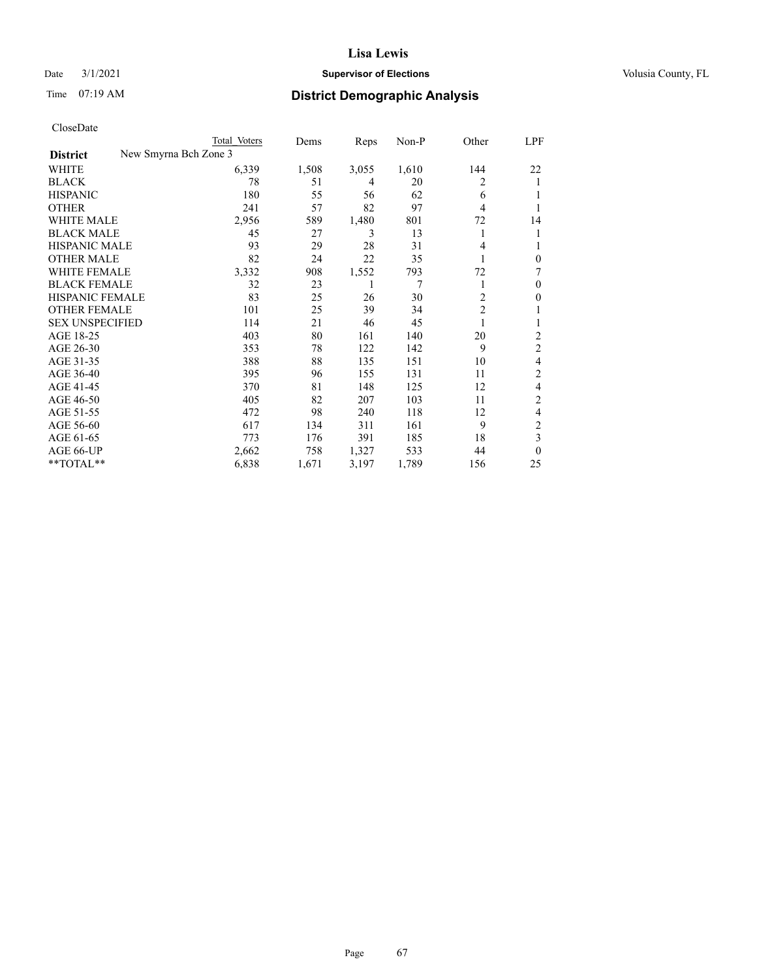## Date  $3/1/2021$  **Supervisor of Elections Supervisor of Elections** Volusia County, FL

| CloseDate |
|-----------|
|-----------|

| Total Voters | Dems                  | Reps  | $Non-P$ | Other          | LPF            |
|--------------|-----------------------|-------|---------|----------------|----------------|
|              |                       |       |         |                |                |
| 6,339        | 1,508                 | 3,055 | 1,610   | 144            | 22             |
| 78           | 51                    | 4     | 20      | 2              | 1              |
| 180          | 55                    | 56    | 62      | 6              |                |
| 241          | 57                    | 82    | 97      | 4              |                |
| 2,956        | 589                   | 1,480 | 801     | 72             | 14             |
| 45           | 27                    | 3     | 13      | 1              | 1              |
| 93           | 29                    | 28    | 31      | 4              | 1              |
| 82           | 24                    | 22    | 35      |                | $\theta$       |
| 3,332        | 908                   | 1,552 | 793     | 72             | 7              |
| 32           | 23                    | 1     | 7       |                | $\theta$       |
| 83           | 25                    | 26    | 30      | $\overline{c}$ | $\theta$       |
| 101          | 25                    | 39    | 34      | $\overline{c}$ | 1              |
| 114          | 21                    | 46    | 45      |                |                |
| 403          | 80                    | 161   | 140     | 20             | 2              |
| 353          | 78                    | 122   | 142     | 9              | 2              |
| 388          | 88                    | 135   | 151     | 10             | 4              |
| 395          | 96                    | 155   | 131     | 11             | $\overline{2}$ |
| 370          | 81                    | 148   | 125     | 12             | 4              |
| 405          | 82                    | 207   | 103     | 11             | 2              |
| 472          | 98                    | 240   | 118     | 12             | 4              |
| 617          | 134                   | 311   | 161     | 9              | 2              |
| 773          | 176                   | 391   | 185     | 18             | 3              |
| 2,662        | 758                   | 1,327 | 533     | 44             | $\theta$       |
| 6,838        | 1,671                 | 3,197 | 1,789   | 156            | 25             |
|              | New Smyrna Bch Zone 3 |       |         |                |                |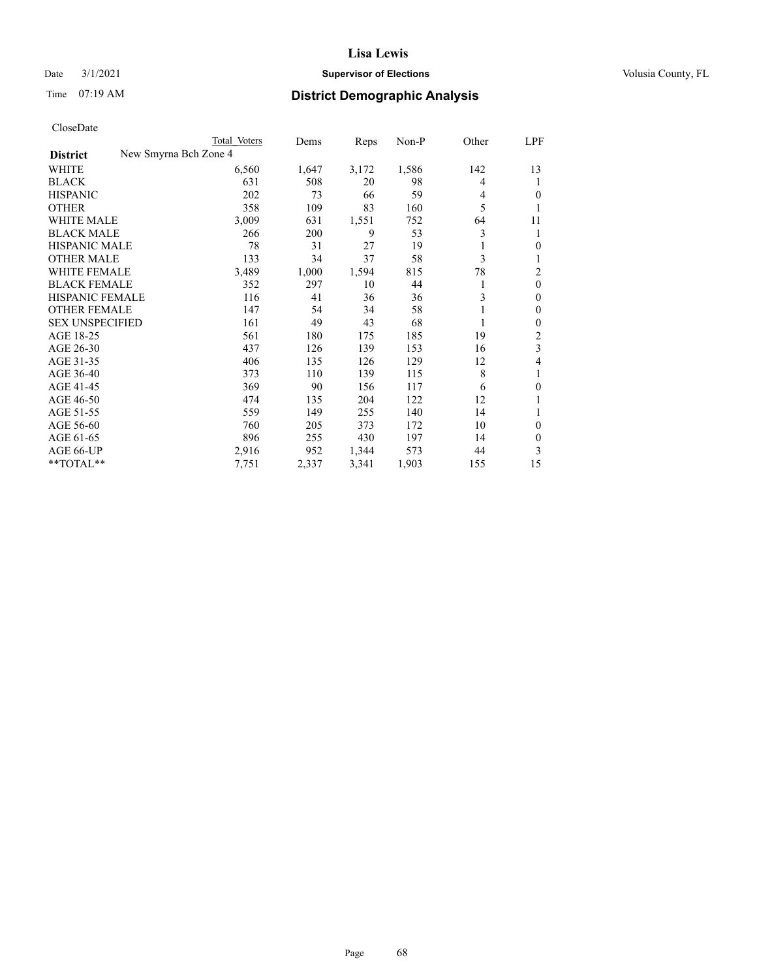## Date  $3/1/2021$  **Supervisor of Elections Supervisor of Elections** Volusia County, FL

| CloseDate |
|-----------|
|-----------|

|                                          | Total Voters | Dems  | Reps  | Non-P | Other | LPF              |
|------------------------------------------|--------------|-------|-------|-------|-------|------------------|
| New Smyrna Bch Zone 4<br><b>District</b> |              |       |       |       |       |                  |
| WHITE                                    | 6,560        | 1,647 | 3,172 | 1,586 | 142   | 13               |
| <b>BLACK</b>                             | 631          | 508   | 20    | 98    | 4     | 1                |
| <b>HISPANIC</b>                          | 202          | 73    | 66    | 59    | 4     | $\mathbf{0}$     |
| <b>OTHER</b>                             | 358          | 109   | 83    | 160   | 5     | 1                |
| <b>WHITE MALE</b>                        | 3,009        | 631   | 1,551 | 752   | 64    | 11               |
| <b>BLACK MALE</b>                        | 266          | 200   | 9     | 53    | 3     | 1                |
| <b>HISPANIC MALE</b>                     | 78           | 31    | 27    | 19    |       | $\mathbf{0}$     |
| <b>OTHER MALE</b>                        | 133          | 34    | 37    | 58    | 3     | 1                |
| WHITE FEMALE                             | 3,489        | 1,000 | 1,594 | 815   | 78    | 2                |
| <b>BLACK FEMALE</b>                      | 352          | 297   | 10    | 44    |       | $\mathbf{0}$     |
| <b>HISPANIC FEMALE</b>                   | 116          | 41    | 36    | 36    | 3     | $\mathbf{0}$     |
| <b>OTHER FEMALE</b>                      | 147          | 54    | 34    | 58    |       | $\mathbf{0}$     |
| <b>SEX UNSPECIFIED</b>                   | 161          | 49    | 43    | 68    |       | $\boldsymbol{0}$ |
| AGE 18-25                                | 561          | 180   | 175   | 185   | 19    | $\overline{2}$   |
| AGE 26-30                                | 437          | 126   | 139   | 153   | 16    | 3                |
| AGE 31-35                                | 406          | 135   | 126   | 129   | 12    | 4                |
| AGE 36-40                                | 373          | 110   | 139   | 115   | 8     | 1                |
| AGE 41-45                                | 369          | 90    | 156   | 117   | 6     | $\mathbf{0}$     |
| AGE 46-50                                | 474          | 135   | 204   | 122   | 12    | 1                |
| AGE 51-55                                | 559          | 149   | 255   | 140   | 14    | 1                |
| AGE 56-60                                | 760          | 205   | 373   | 172   | 10    | $\mathbf{0}$     |
| AGE 61-65                                | 896          | 255   | 430   | 197   | 14    | $\theta$         |
| AGE 66-UP                                | 2,916        | 952   | 1,344 | 573   | 44    | 3                |
| **TOTAL**                                | 7,751        | 2,337 | 3,341 | 1,903 | 155   | 15               |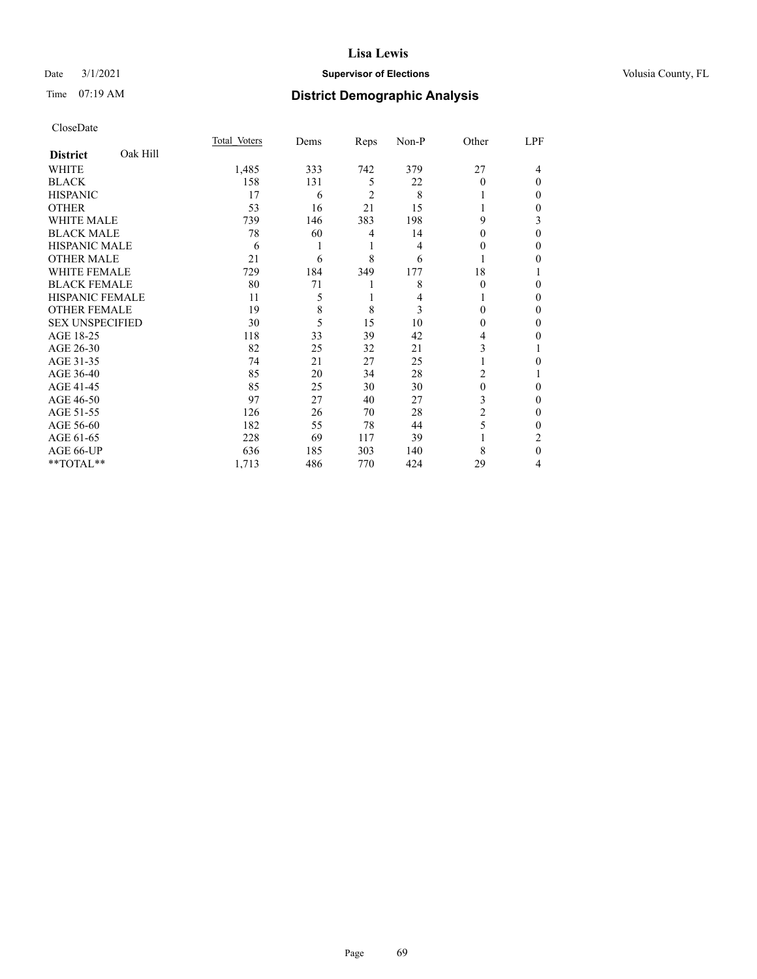## Date  $3/1/2021$  **Supervisor of Elections Supervisor of Elections** Volusia County, FL

# Time 07:19 AM **District Demographic Analysis**

|                        |          | Total Voters | Dems | Reps           | Non-P | Other          | LPF |
|------------------------|----------|--------------|------|----------------|-------|----------------|-----|
| <b>District</b>        | Oak Hill |              |      |                |       |                |     |
| WHITE                  |          | 1,485        | 333  | 742            | 379   | 27             | 4   |
| <b>BLACK</b>           |          | 158          | 131  | 5              | 22    | 0              | 0   |
| <b>HISPANIC</b>        |          | 17           | 6    | $\overline{c}$ | 8     |                | 0   |
| <b>OTHER</b>           |          | 53           | 16   | 21             | 15    |                | 0   |
| WHITE MALE             |          | 739          | 146  | 383            | 198   | 9              | 3   |
| <b>BLACK MALE</b>      |          | 78           | 60   | 4              | 14    | $_{0}$         | 0   |
| <b>HISPANIC MALE</b>   |          | 6            |      | 1              | 4     | 0              | 0   |
| <b>OTHER MALE</b>      |          | 21           | 6    | 8              | 6     | 1              | 0   |
| <b>WHITE FEMALE</b>    |          | 729          | 184  | 349            | 177   | 18             |     |
| <b>BLACK FEMALE</b>    |          | 80           | 71   |                | 8     | $\theta$       | 0   |
| <b>HISPANIC FEMALE</b> |          | 11           | 5    | 1              | 4     |                | 0   |
| <b>OTHER FEMALE</b>    |          | 19           | 8    | 8              | 3     | 0              | 0   |
| <b>SEX UNSPECIFIED</b> |          | 30           | 5    | 15             | 10    | 0              | 0   |
| AGE 18-25              |          | 118          | 33   | 39             | 42    | 4              | 0   |
| AGE 26-30              |          | 82           | 25   | 32             | 21    | 3              |     |
| AGE 31-35              |          | 74           | 21   | 27             | 25    |                | 0   |
| AGE 36-40              |          | 85           | 20   | 34             | 28    | $\overline{c}$ |     |
| AGE 41-45              |          | 85           | 25   | 30             | 30    | 0              | 0   |
| AGE 46-50              |          | 97           | 27   | 40             | 27    | 3              | 0   |
| AGE 51-55              |          | 126          | 26   | 70             | 28    | 2              | 0   |
| AGE 56-60              |          | 182          | 55   | 78             | 44    | 5              | 0   |
| AGE 61-65              |          | 228          | 69   | 117            | 39    |                | 2   |
| AGE 66-UP              |          | 636          | 185  | 303            | 140   | 8              | 0   |
| **TOTAL**              |          | 1,713        | 486  | 770            | 424   | 29             | 4   |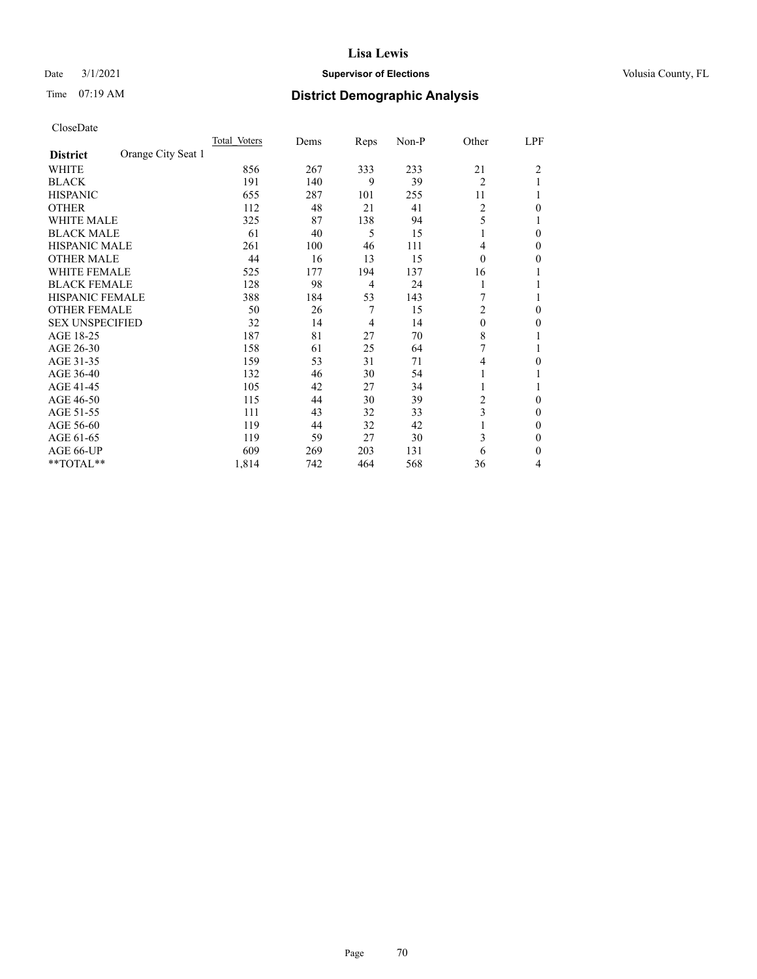## Date  $3/1/2021$  **Supervisor of Elections Supervisor of Elections** Volusia County, FL

# Time 07:19 AM **District Demographic Analysis**

|                        |                    | Total Voters | Dems | Reps | Non-P | Other          | LPF |
|------------------------|--------------------|--------------|------|------|-------|----------------|-----|
| <b>District</b>        | Orange City Seat 1 |              |      |      |       |                |     |
| WHITE                  |                    | 856          | 267  | 333  | 233   | 21             | 2   |
| <b>BLACK</b>           |                    | 191          | 140  | 9    | 39    | $\overline{2}$ |     |
| <b>HISPANIC</b>        |                    | 655          | 287  | 101  | 255   | 11             |     |
| <b>OTHER</b>           |                    | 112          | 48   | 21   | 41    | $\overline{2}$ | 0   |
| WHITE MALE             |                    | 325          | 87   | 138  | 94    | 5              |     |
| <b>BLACK MALE</b>      |                    | 61           | 40   | 5    | 15    |                | 0   |
| HISPANIC MALE          |                    | 261          | 100  | 46   | 111   | 4              | 0   |
| <b>OTHER MALE</b>      |                    | 44           | 16   | 13   | 15    | 0              | 0   |
| WHITE FEMALE           |                    | 525          | 177  | 194  | 137   | 16             |     |
| <b>BLACK FEMALE</b>    |                    | 128          | 98   | 4    | 24    | 1              |     |
| <b>HISPANIC FEMALE</b> |                    | 388          | 184  | 53   | 143   |                |     |
| <b>OTHER FEMALE</b>    |                    | 50           | 26   | 7    | 15    | 2              | 0   |
| <b>SEX UNSPECIFIED</b> |                    | 32           | 14   | 4    | 14    | $\theta$       | 0   |
| AGE 18-25              |                    | 187          | 81   | 27   | 70    | 8              |     |
| AGE 26-30              |                    | 158          | 61   | 25   | 64    | 7              |     |
| AGE 31-35              |                    | 159          | 53   | 31   | 71    | 4              | 0   |
| AGE 36-40              |                    | 132          | 46   | 30   | 54    |                |     |
| AGE 41-45              |                    | 105          | 42   | 27   | 34    |                |     |
| AGE 46-50              |                    | 115          | 44   | 30   | 39    | 2              | 0   |
| AGE 51-55              |                    | 111          | 43   | 32   | 33    | 3              | 0   |
| AGE 56-60              |                    | 119          | 44   | 32   | 42    |                | 0   |
| AGE 61-65              |                    | 119          | 59   | 27   | 30    | 3              | 0   |
| AGE 66-UP              |                    | 609          | 269  | 203  | 131   | 6              | 0   |
| **TOTAL**              |                    | 1,814        | 742  | 464  | 568   | 36             | 4   |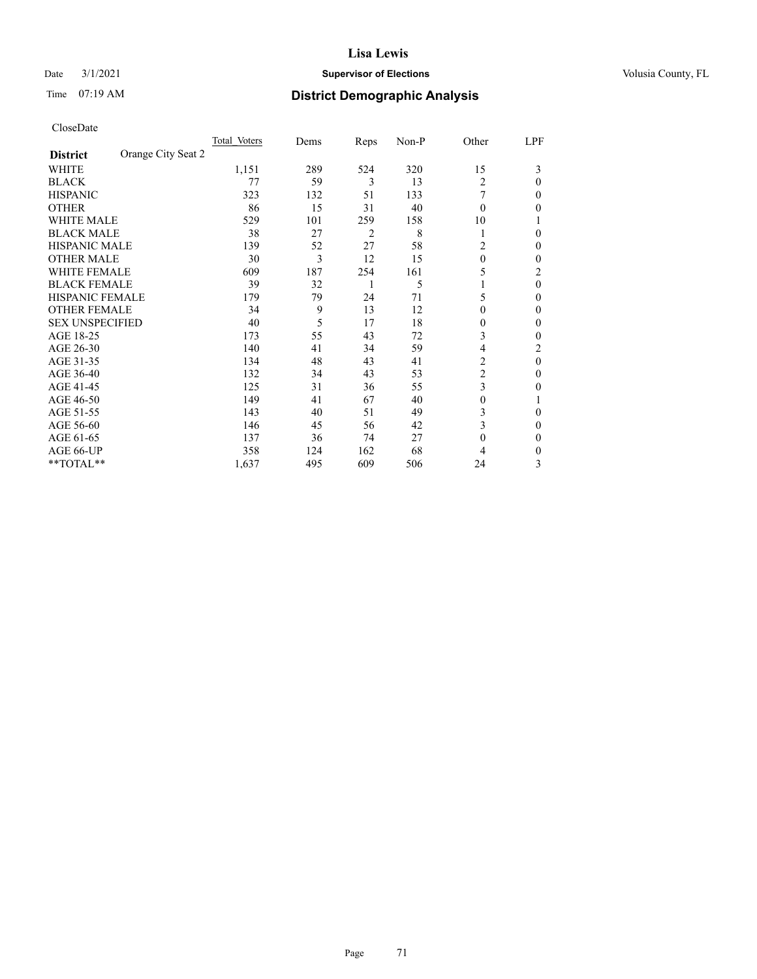## Date  $3/1/2021$  **Supervisor of Elections Supervisor of Elections** Volusia County, FL

# Time 07:19 AM **District Demographic Analysis**

|                                       | Total Voters | Dems | Reps | Non-P | Other          | LPF            |
|---------------------------------------|--------------|------|------|-------|----------------|----------------|
| Orange City Seat 2<br><b>District</b> |              |      |      |       |                |                |
| WHITE                                 | 1,151        | 289  | 524  | 320   | 15             | 3              |
| <b>BLACK</b>                          | 77           | 59   | 3    | 13    | 2              | 0              |
| <b>HISPANIC</b>                       | 323          | 132  | 51   | 133   |                | 0              |
| <b>OTHER</b>                          | 86           | 15   | 31   | 40    | $\theta$       | 0              |
| WHITE MALE                            | 529          | 101  | 259  | 158   | 10             |                |
| <b>BLACK MALE</b>                     | 38           | 27   | 2    | 8     | 1              | 0              |
| <b>HISPANIC MALE</b>                  | 139          | 52   | 27   | 58    | 2              | 0              |
| <b>OTHER MALE</b>                     | 30           | 3    | 12   | 15    | $\Omega$       | 0              |
| WHITE FEMALE                          | 609          | 187  | 254  | 161   | 5              | $\overline{c}$ |
| <b>BLACK FEMALE</b>                   | 39           | 32   | 1    | 5     |                | $\theta$       |
| <b>HISPANIC FEMALE</b>                | 179          | 79   | 24   | 71    | 5              | 0              |
| <b>OTHER FEMALE</b>                   | 34           | 9    | 13   | 12    | $\Omega$       | 0              |
| <b>SEX UNSPECIFIED</b>                | 40           | 5    | 17   | 18    | $\theta$       | 0              |
| AGE 18-25                             | 173          | 55   | 43   | 72    | 3              | 0              |
| AGE 26-30                             | 140          | 41   | 34   | 59    | 4              | 2              |
| AGE 31-35                             | 134          | 48   | 43   | 41    | $\overline{c}$ | 0              |
| AGE 36-40                             | 132          | 34   | 43   | 53    | $\overline{c}$ | 0              |
| AGE 41-45                             | 125          | 31   | 36   | 55    | 3              | 0              |
| AGE 46-50                             | 149          | 41   | 67   | 40    | $\theta$       |                |
| AGE 51-55                             | 143          | 40   | 51   | 49    | 3              | 0              |
| AGE 56-60                             | 146          | 45   | 56   | 42    | 3              | 0              |
| AGE 61-65                             | 137          | 36   | 74   | 27    | $\theta$       | 0              |
| AGE 66-UP                             | 358          | 124  | 162  | 68    | 4              | 0              |
| **TOTAL**                             | 1,637        | 495  | 609  | 506   | 24             | 3              |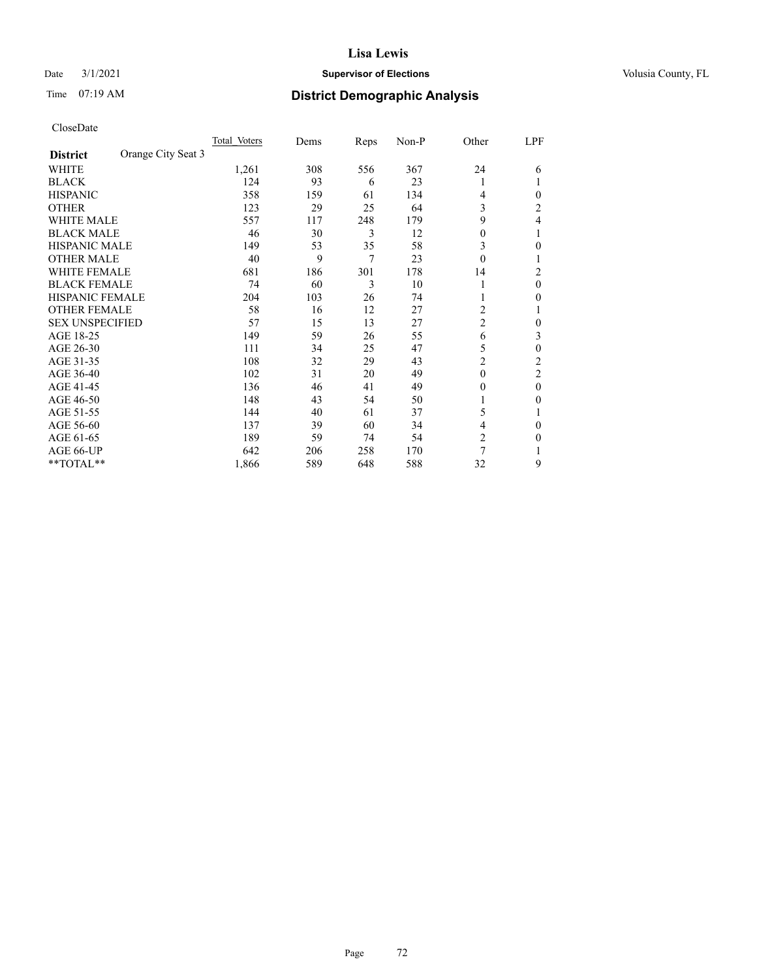## Date  $3/1/2021$  **Supervisor of Elections Supervisor of Elections** Volusia County, FL

# Time 07:19 AM **District Demographic Analysis**

|                        |                    | Total Voters | Dems | Reps | Non-P | Other          | LPF            |
|------------------------|--------------------|--------------|------|------|-------|----------------|----------------|
| <b>District</b>        | Orange City Seat 3 |              |      |      |       |                |                |
| WHITE                  |                    | 1,261        | 308  | 556  | 367   | 24             | 6              |
| <b>BLACK</b>           |                    | 124          | 93   | 6    | 23    | 1              |                |
| <b>HISPANIC</b>        |                    | 358          | 159  | 61   | 134   | 4              | 0              |
| <b>OTHER</b>           |                    | 123          | 29   | 25   | 64    | 3              | $\overline{c}$ |
| WHITE MALE             |                    | 557          | 117  | 248  | 179   | 9              | 4              |
| <b>BLACK MALE</b>      |                    | 46           | 30   | 3    | 12    | 0              |                |
| HISPANIC MALE          |                    | 149          | 53   | 35   | 58    | 3              | 0              |
| <b>OTHER MALE</b>      |                    | 40           | 9    | 7    | 23    | $\theta$       | 1              |
| WHITE FEMALE           |                    | 681          | 186  | 301  | 178   | 14             | 2              |
| <b>BLACK FEMALE</b>    |                    | 74           | 60   | 3    | 10    | 1              | 0              |
| <b>HISPANIC FEMALE</b> |                    | 204          | 103  | 26   | 74    |                | 0              |
| <b>OTHER FEMALE</b>    |                    | 58           | 16   | 12   | 27    | 2              |                |
| <b>SEX UNSPECIFIED</b> |                    | 57           | 15   | 13   | 27    | $\overline{2}$ | 0              |
| AGE 18-25              |                    | 149          | 59   | 26   | 55    | 6              | 3              |
| AGE 26-30              |                    | 111          | 34   | 25   | 47    | 5              | 0              |
| AGE 31-35              |                    | 108          | 32   | 29   | 43    | $\overline{2}$ | $\overline{c}$ |
| AGE 36-40              |                    | 102          | 31   | 20   | 49    | $\theta$       | 2              |
| AGE 41-45              |                    | 136          | 46   | 41   | 49    | 0              | 0              |
| AGE 46-50              |                    | 148          | 43   | 54   | 50    |                | 0              |
| AGE 51-55              |                    | 144          | 40   | 61   | 37    | 5              |                |
| AGE 56-60              |                    | 137          | 39   | 60   | 34    | 4              | 0              |
| AGE 61-65              |                    | 189          | 59   | 74   | 54    | $\overline{2}$ | 0              |
| AGE 66-UP              |                    | 642          | 206  | 258  | 170   | 7              |                |
| **TOTAL**              |                    | 1,866        | 589  | 648  | 588   | 32             | 9              |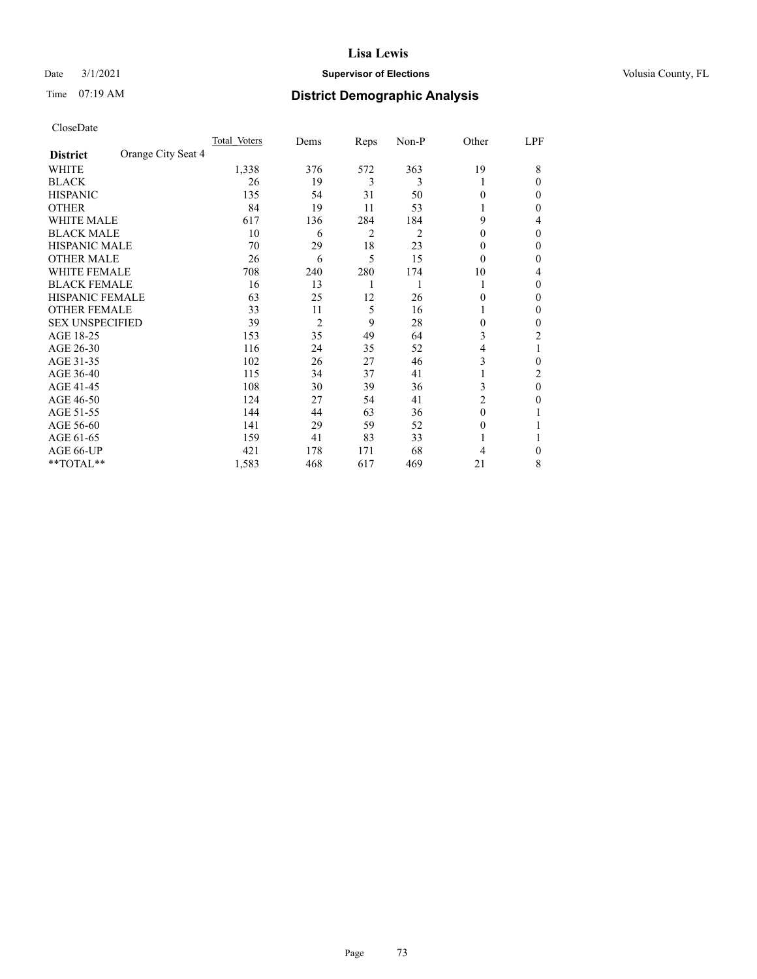# Date  $3/1/2021$  **Supervisor of Elections Supervisor of Elections** Volusia County, FL

# Time 07:19 AM **District Demographic Analysis**

|                        | Total Voters       | Dems           | Reps | Non-P | Other          | LPF      |
|------------------------|--------------------|----------------|------|-------|----------------|----------|
| <b>District</b>        | Orange City Seat 4 |                |      |       |                |          |
| WHITE                  | 1,338              | 376            | 572  | 363   | 19             | 8        |
| <b>BLACK</b>           | 26                 | 19             | 3    | 3     | 1              | 0        |
| <b>HISPANIC</b>        | 135                | 54             | 31   | 50    | $\Omega$       | 0        |
| <b>OTHER</b>           | 84                 | 19             | 11   | 53    |                | 0        |
| WHITE MALE             | 617                | 136            | 284  | 184   | 9              | 4        |
| <b>BLACK MALE</b>      | 10                 | 6              | 2    | 2     | $\Omega$       | $\Omega$ |
| <b>HISPANIC MALE</b>   | 70                 | 29             | 18   | 23    | $\theta$       | 0        |
| <b>OTHER MALE</b>      | 26                 | 6              | 5    | 15    | $\Omega$       | 0        |
| WHITE FEMALE           | 708                | 240            | 280  | 174   | 10             | 4        |
| <b>BLACK FEMALE</b>    | 16                 | 13             | 1    |       | 1              | 0        |
| <b>HISPANIC FEMALE</b> | 63                 | 25             | 12   | 26    | $\Omega$       | 0        |
| <b>OTHER FEMALE</b>    | 33                 | 11             | 5    | 16    | 1              | 0        |
| <b>SEX UNSPECIFIED</b> | 39                 | $\overline{2}$ | 9    | 28    | $\Omega$       | 0        |
| AGE 18-25              | 153                | 35             | 49   | 64    | 3              | 2        |
| AGE 26-30              | 116                | 24             | 35   | 52    | 4              |          |
| AGE 31-35              | 102                | 26             | 27   | 46    | 3              | 0        |
| AGE 36-40              | 115                | 34             | 37   | 41    | 1              | 2        |
| AGE 41-45              | 108                | 30             | 39   | 36    | 3              | $\theta$ |
| AGE 46-50              | 124                | 27             | 54   | 41    | $\overline{2}$ | 0        |
| AGE 51-55              | 144                | 44             | 63   | 36    | $\Omega$       |          |
| AGE 56-60              | 141                | 29             | 59   | 52    | $\theta$       |          |
| AGE 61-65              | 159                | 41             | 83   | 33    |                |          |
| AGE 66-UP              | 421                | 178            | 171  | 68    | 4              | 0        |
| **TOTAL**              | 1,583              | 468            | 617  | 469   | 21             | 8        |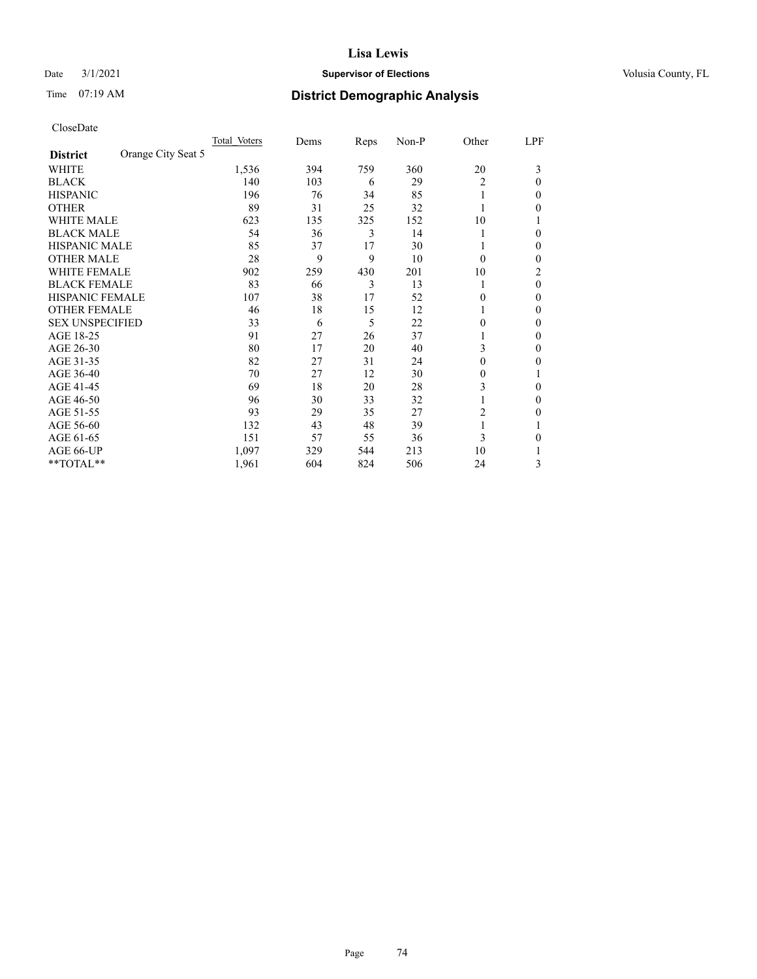# Date  $3/1/2021$  **Supervisor of Elections Supervisor of Elections** Volusia County, FL

# Time 07:19 AM **District Demographic Analysis**

|                        |                    | Total Voters | Dems | Reps | Non-P | Other          | LPF          |
|------------------------|--------------------|--------------|------|------|-------|----------------|--------------|
| <b>District</b>        | Orange City Seat 5 |              |      |      |       |                |              |
| WHITE                  |                    | 1,536        | 394  | 759  | 360   | 20             | 3            |
| <b>BLACK</b>           |                    | 140          | 103  | 6    | 29    | $\overline{c}$ | $\Omega$     |
| <b>HISPANIC</b>        |                    | 196          | 76   | 34   | 85    | 1              | $\Omega$     |
| <b>OTHER</b>           |                    | 89           | 31   | 25   | 32    |                | 0            |
| WHITE MALE             |                    | 623          | 135  | 325  | 152   | 10             |              |
| <b>BLACK MALE</b>      |                    | 54           | 36   | 3    | 14    |                | $\Omega$     |
| <b>HISPANIC MALE</b>   |                    | 85           | 37   | 17   | 30    |                | $\mathbf{0}$ |
| <b>OTHER MALE</b>      |                    | 28           | 9    | 9    | 10    | $\theta$       | $\Omega$     |
| WHITE FEMALE           |                    | 902          | 259  | 430  | 201   | 10             | 2            |
| <b>BLACK FEMALE</b>    |                    | 83           | 66   | 3    | 13    | 1              | $\theta$     |
| <b>HISPANIC FEMALE</b> |                    | 107          | 38   | 17   | 52    | 0              | 0            |
| <b>OTHER FEMALE</b>    |                    | 46           | 18   | 15   | 12    |                | $\Omega$     |
| <b>SEX UNSPECIFIED</b> |                    | 33           | 6    | 5    | 22    | 0              | $\theta$     |
| AGE 18-25              |                    | 91           | 27   | 26   | 37    |                | $\Omega$     |
| AGE 26-30              |                    | 80           | 17   | 20   | 40    | 3              | $\mathbf{0}$ |
| AGE 31-35              |                    | 82           | 27   | 31   | 24    | 0              | 0            |
| AGE 36-40              |                    | 70           | 27   | 12   | 30    | 0              |              |
| AGE 41-45              |                    | 69           | 18   | 20   | 28    | 3              | $\Omega$     |
| AGE 46-50              |                    | 96           | 30   | 33   | 32    |                | $\Omega$     |
| AGE 51-55              |                    | 93           | 29   | 35   | 27    | $\overline{c}$ | 0            |
| AGE 56-60              |                    | 132          | 43   | 48   | 39    |                |              |
| AGE 61-65              |                    | 151          | 57   | 55   | 36    | 3              | 0            |
| AGE 66-UP              |                    | 1,097        | 329  | 544  | 213   | 10             |              |
| $*$ $TOTAL**$          |                    | 1,961        | 604  | 824  | 506   | 24             | 3            |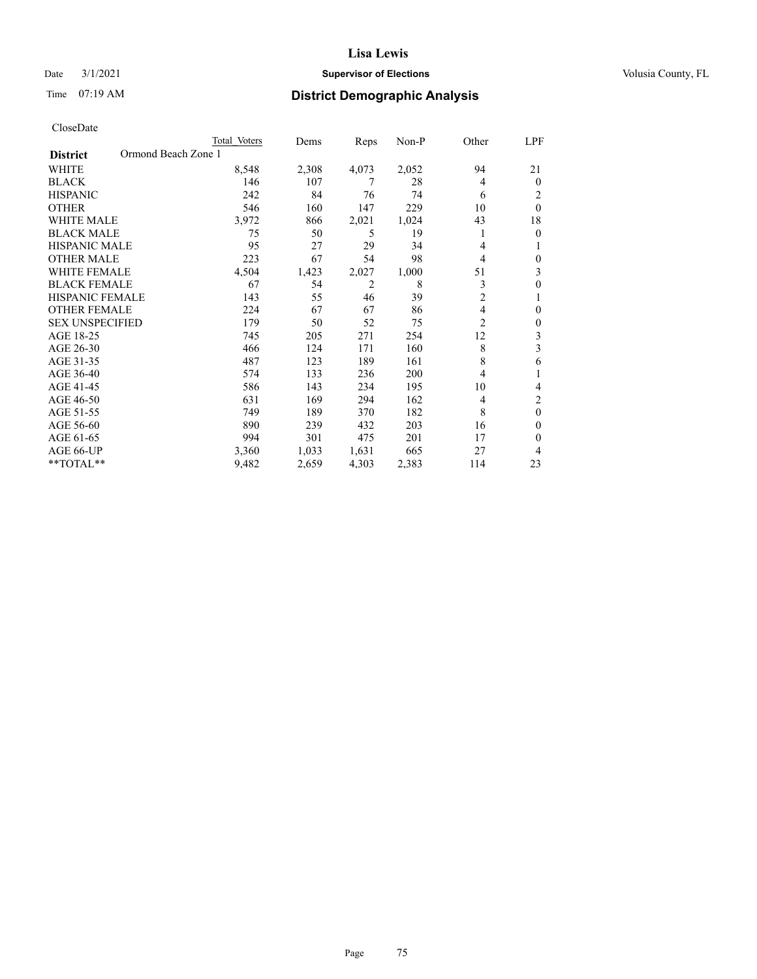# Date  $3/1/2021$  **Supervisor of Elections Supervisor of Elections** Volusia County, FL

| CloseDate |
|-----------|
|-----------|

|                                        | Total Voters | Dems  | Reps  | Non-P | Other          | LPF            |
|----------------------------------------|--------------|-------|-------|-------|----------------|----------------|
| Ormond Beach Zone 1<br><b>District</b> |              |       |       |       |                |                |
| WHITE                                  | 8,548        | 2,308 | 4,073 | 2,052 | 94             | 21             |
| <b>BLACK</b>                           | 146          | 107   | 7     | 28    | 4              | $\mathbf{0}$   |
| <b>HISPANIC</b>                        | 242          | 84    | 76    | 74    | 6              | 2              |
| <b>OTHER</b>                           | 546          | 160   | 147   | 229   | 10             | $\theta$       |
| <b>WHITE MALE</b>                      | 3,972        | 866   | 2,021 | 1,024 | 43             | 18             |
| <b>BLACK MALE</b>                      | 75           | 50    | 5     | 19    | 1              | $\mathbf{0}$   |
| <b>HISPANIC MALE</b>                   | 95           | 27    | 29    | 34    | 4              |                |
| <b>OTHER MALE</b>                      | 223          | 67    | 54    | 98    | 4              | $\Omega$       |
| <b>WHITE FEMALE</b>                    | 4,504        | 1,423 | 2,027 | 1,000 | 51             | 3              |
| <b>BLACK FEMALE</b>                    | 67           | 54    | 2     | 8     | 3              | $\theta$       |
| <b>HISPANIC FEMALE</b>                 | 143          | 55    | 46    | 39    | $\overline{2}$ |                |
| <b>OTHER FEMALE</b>                    | 224          | 67    | 67    | 86    | 4              | $\theta$       |
| <b>SEX UNSPECIFIED</b>                 | 179          | 50    | 52    | 75    | $\overline{c}$ | $\theta$       |
| AGE 18-25                              | 745          | 205   | 271   | 254   | 12             | 3              |
| AGE 26-30                              | 466          | 124   | 171   | 160   | 8              | 3              |
| AGE 31-35                              | 487          | 123   | 189   | 161   | 8              | 6              |
| AGE 36-40                              | 574          | 133   | 236   | 200   | 4              |                |
| AGE 41-45                              | 586          | 143   | 234   | 195   | 10             | 4              |
| AGE 46-50                              | 631          | 169   | 294   | 162   | 4              | 2              |
| AGE 51-55                              | 749          | 189   | 370   | 182   | 8              | $\overline{0}$ |
| AGE 56-60                              | 890          | 239   | 432   | 203   | 16             | $\Omega$       |
| AGE 61-65                              | 994          | 301   | 475   | 201   | 17             | $\theta$       |
| AGE 66-UP                              | 3,360        | 1,033 | 1,631 | 665   | 27             | 4              |
| **TOTAL**                              | 9,482        | 2,659 | 4,303 | 2,383 | 114            | 23             |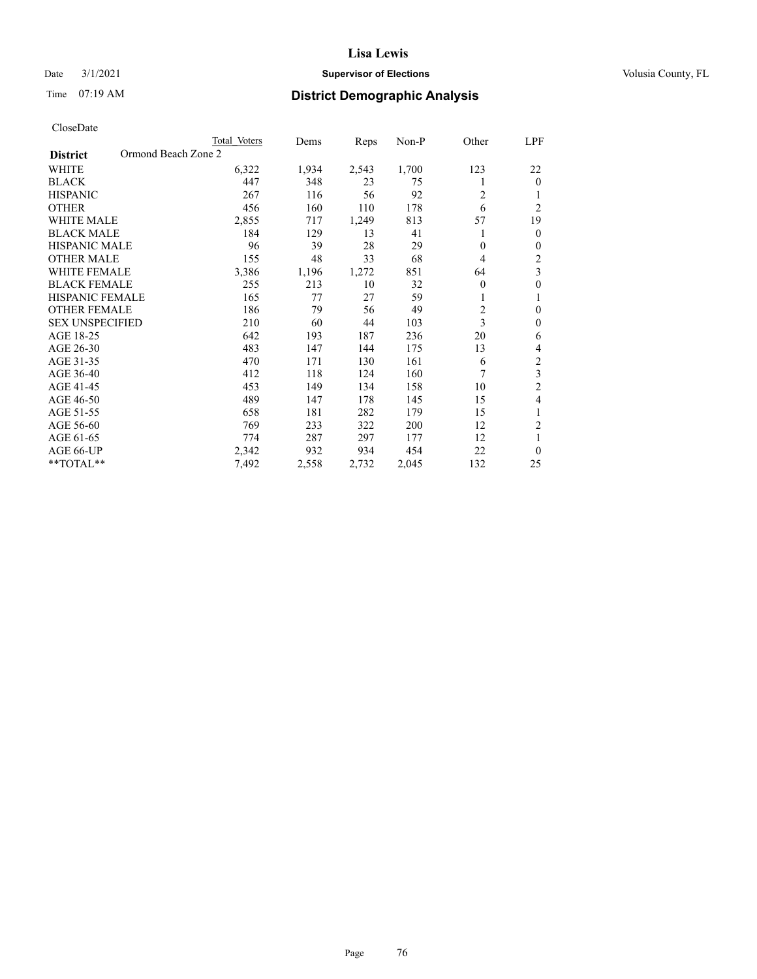# Date  $3/1/2021$  **Supervisor of Elections Supervisor of Elections** Volusia County, FL

|                                        | Total Voters | Dems  | Reps  | Non-P | Other    | LPF            |
|----------------------------------------|--------------|-------|-------|-------|----------|----------------|
| Ormond Beach Zone 2<br><b>District</b> |              |       |       |       |          |                |
| WHITE                                  | 6,322        | 1,934 | 2,543 | 1,700 | 123      | 22             |
| <b>BLACK</b>                           | 447          | 348   | 23    | 75    | 1        | $\theta$       |
| <b>HISPANIC</b>                        | 267          | 116   | 56    | 92    | 2        |                |
| <b>OTHER</b>                           | 456          | 160   | 110   | 178   | 6        | $\overline{c}$ |
| WHITE MALE                             | 2,855        | 717   | 1,249 | 813   | 57       | 19             |
| <b>BLACK MALE</b>                      | 184          | 129   | 13    | 41    |          | $\theta$       |
| <b>HISPANIC MALE</b>                   | 96           | 39    | 28    | 29    | $\Omega$ | $\mathbf{0}$   |
| <b>OTHER MALE</b>                      | 155          | 48    | 33    | 68    | 4        | $\overline{c}$ |
| <b>WHITE FEMALE</b>                    | 3,386        | 1,196 | 1,272 | 851   | 64       | 3              |
| <b>BLACK FEMALE</b>                    | 255          | 213   | 10    | 32    | 0        | 0              |
| <b>HISPANIC FEMALE</b>                 | 165          | 77    | 27    | 59    |          | 1              |
| <b>OTHER FEMALE</b>                    | 186          | 79    | 56    | 49    | 2        | $\theta$       |
| <b>SEX UNSPECIFIED</b>                 | 210          | 60    | 44    | 103   | 3        | $\theta$       |
| AGE 18-25                              | 642          | 193   | 187   | 236   | 20       | 6              |
| AGE 26-30                              | 483          | 147   | 144   | 175   | 13       | 4              |
| AGE 31-35                              | 470          | 171   | 130   | 161   | 6        | $\mathfrak{2}$ |
| AGE 36-40                              | 412          | 118   | 124   | 160   | 7        | 3              |
| AGE 41-45                              | 453          | 149   | 134   | 158   | 10       | $\mathfrak{2}$ |
| AGE 46-50                              | 489          | 147   | 178   | 145   | 15       | 4              |
| AGE 51-55                              | 658          | 181   | 282   | 179   | 15       | 1              |
| AGE 56-60                              | 769          | 233   | 322   | 200   | 12       | $\overline{2}$ |
| AGE 61-65                              | 774          | 287   | 297   | 177   | 12       | 1              |
| AGE 66-UP                              | 2,342        | 932   | 934   | 454   | 22       | $\Omega$       |
| **TOTAL**                              | 7,492        | 2,558 | 2,732 | 2,045 | 132      | 25             |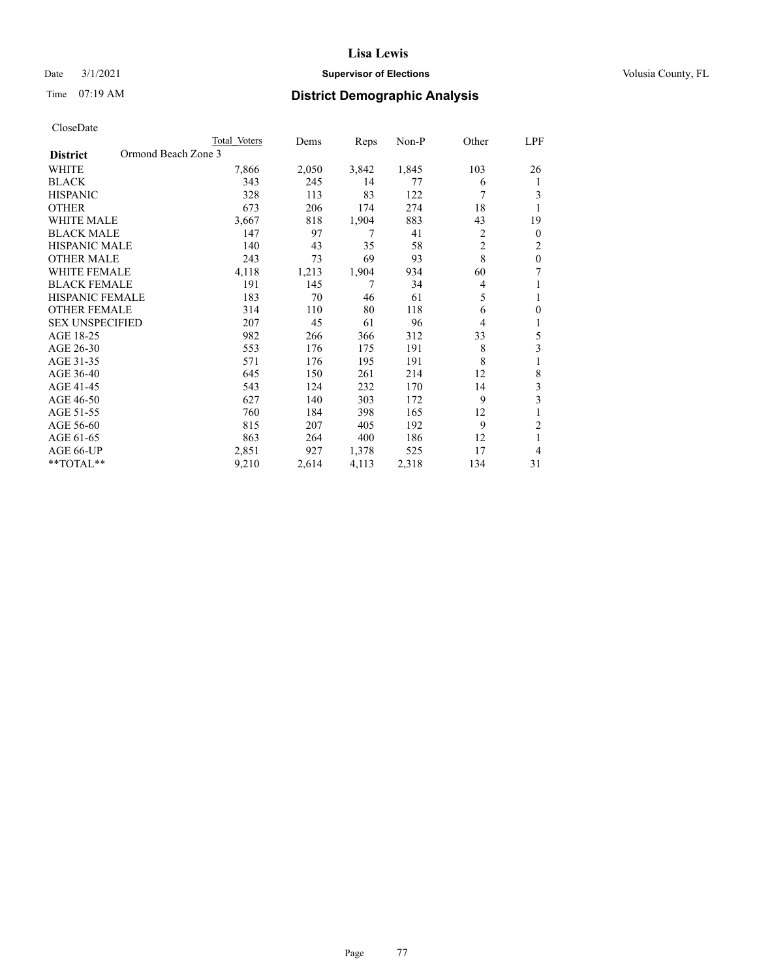# Date  $3/1/2021$  **Supervisor of Elections Supervisor of Elections** Volusia County, FL

| CloseDate |
|-----------|
|-----------|

| Total Voters | Dems                |       | Non-P | Other          | LPF            |
|--------------|---------------------|-------|-------|----------------|----------------|
|              |                     |       |       |                |                |
| 7,866        | 2,050               | 3,842 | 1,845 | 103            | 26             |
| 343          | 245                 | 14    | 77    | 6              | 1              |
| 328          | 113                 | 83    | 122   | 7              | 3              |
| 673          | 206                 | 174   | 274   | 18             | 1              |
| 3,667        | 818                 | 1,904 | 883   | 43             | 19             |
| 147          | 97                  | 7     | 41    | 2              | $\mathbf{0}$   |
| 140          | 43                  | 35    | 58    | $\overline{c}$ | 2              |
| 243          | 73                  | 69    | 93    | 8              | $\theta$       |
| 4,118        | 1,213               | 1,904 | 934   | 60             | 7              |
| 191          | 145                 | 7     | 34    | 4              | 1              |
| 183          | 70                  | 46    | 61    | 5              | 1              |
| 314          | 110                 | 80    | 118   | 6              | $\mathbf{0}$   |
| 207          | 45                  | 61    | 96    | 4              | 1              |
| 982          | 266                 | 366   | 312   | 33             | 5              |
| 553          | 176                 | 175   | 191   | 8              | 3              |
| 571          | 176                 | 195   | 191   | 8              | 1              |
| 645          | 150                 | 261   | 214   | 12             | 8              |
| 543          | 124                 | 232   | 170   | 14             | 3              |
| 627          | 140                 | 303   | 172   | 9              | 3              |
| 760          | 184                 | 398   | 165   | 12             | 1              |
| 815          | 207                 | 405   | 192   | 9              | $\overline{2}$ |
| 863          | 264                 | 400   | 186   | 12             | 1              |
| 2,851        | 927                 | 1,378 | 525   | 17             | 4              |
| 9,210        | 2,614               | 4,113 | 2,318 | 134            | 31             |
|              | Ormond Beach Zone 3 |       | Reps  |                |                |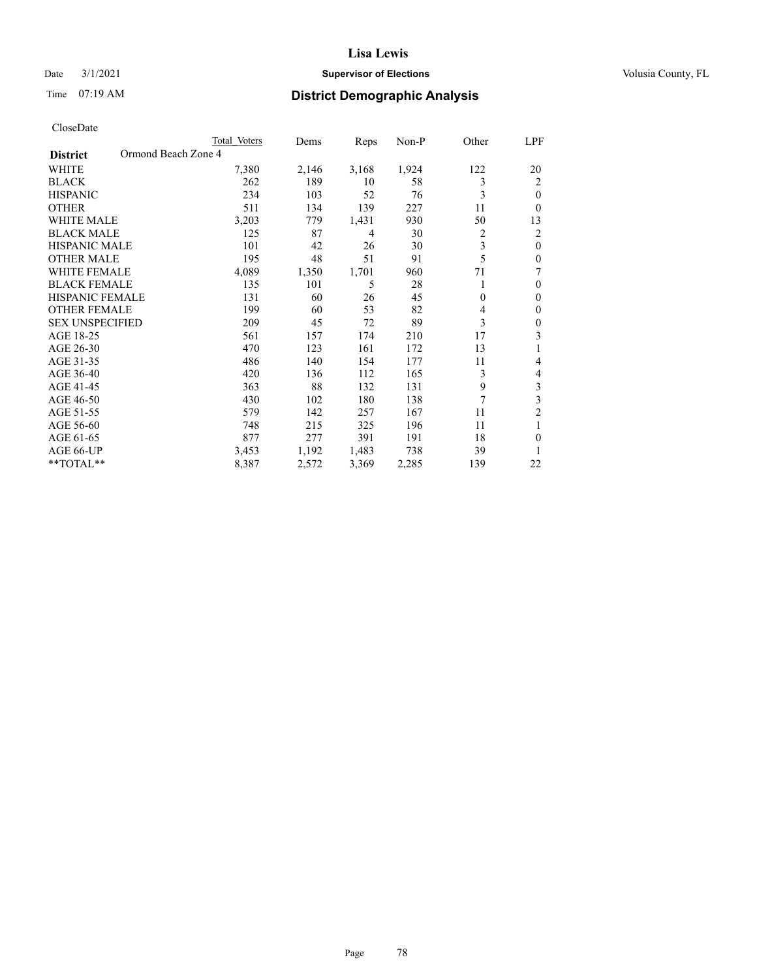# Date  $3/1/2021$  **Supervisor of Elections Supervisor of Elections** Volusia County, FL

|                                        | Total Voters | Dems  | Reps  | Non-P | Other        | LPF            |
|----------------------------------------|--------------|-------|-------|-------|--------------|----------------|
| Ormond Beach Zone 4<br><b>District</b> |              |       |       |       |              |                |
| WHITE                                  | 7,380        | 2,146 | 3,168 | 1,924 | 122          | 20             |
| <b>BLACK</b>                           | 262          | 189   | 10    | 58    | 3            | $\overline{2}$ |
| <b>HISPANIC</b>                        | 234          | 103   | 52    | 76    | 3            | $\theta$       |
| <b>OTHER</b>                           | 511          | 134   | 139   | 227   | 11           | $\Omega$       |
| WHITE MALE                             | 3,203        | 779   | 1,431 | 930   | 50           | 13             |
| <b>BLACK MALE</b>                      | 125          | 87    | 4     | 30    | 2            | 2              |
| <b>HISPANIC MALE</b>                   | 101          | 42    | 26    | 30    | 3            | $\theta$       |
| <b>OTHER MALE</b>                      | 195          | 48    | 51    | 91    | 5            | $\theta$       |
| <b>WHITE FEMALE</b>                    | 4,089        | 1,350 | 1,701 | 960   | 71           | 7              |
| <b>BLACK FEMALE</b>                    | 135          | 101   | 5     | 28    | 1            | $\theta$       |
| <b>HISPANIC FEMALE</b>                 | 131          | 60    | 26    | 45    | $\mathbf{0}$ | $\theta$       |
| <b>OTHER FEMALE</b>                    | 199          | 60    | 53    | 82    | 4            | $\mathbf{0}$   |
| <b>SEX UNSPECIFIED</b>                 | 209          | 45    | 72    | 89    | 3            | 0              |
| AGE 18-25                              | 561          | 157   | 174   | 210   | 17           | 3              |
| AGE 26-30                              | 470          | 123   | 161   | 172   | 13           | 1              |
| AGE 31-35                              | 486          | 140   | 154   | 177   | 11           | 4              |
| AGE 36-40                              | 420          | 136   | 112   | 165   | 3            | 4              |
| AGE 41-45                              | 363          | 88    | 132   | 131   | 9            | 3              |
| AGE 46-50                              | 430          | 102   | 180   | 138   | 7            | 3              |
| AGE 51-55                              | 579          | 142   | 257   | 167   | 11           | $\overline{c}$ |
| AGE 56-60                              | 748          | 215   | 325   | 196   | 11           | 1              |
| AGE 61-65                              | 877          | 277   | 391   | 191   | 18           | $\theta$       |
| AGE 66-UP                              | 3,453        | 1,192 | 1,483 | 738   | 39           | 1              |
| **TOTAL**                              | 8,387        | 2,572 | 3,369 | 2,285 | 139          | 22             |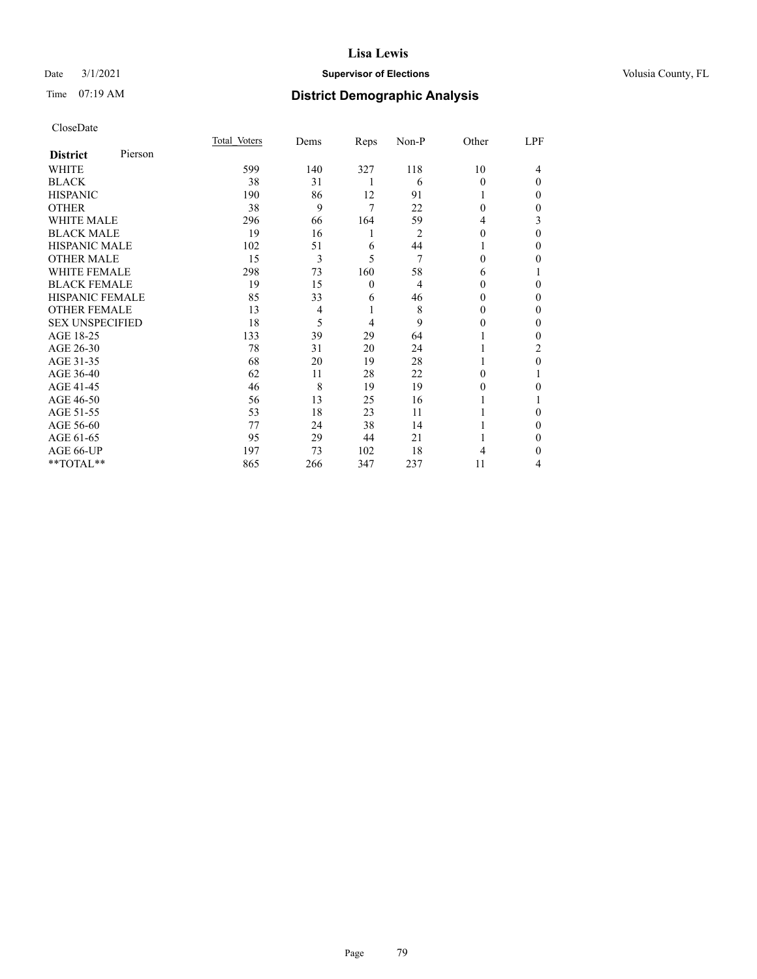# Date  $3/1/2021$  **Supervisor of Elections Supervisor of Elections** Volusia County, FL

# Time 07:19 AM **District Demographic Analysis**

|                        |         | Total Voters | Dems           | Reps         | Non-P          | Other    | LPF          |
|------------------------|---------|--------------|----------------|--------------|----------------|----------|--------------|
| <b>District</b>        | Pierson |              |                |              |                |          |              |
| WHITE                  |         | 599          | 140            | 327          | 118            | 10       | 4            |
| <b>BLACK</b>           |         | 38           | 31             | 1            | 6              | 0        | $\theta$     |
| <b>HISPANIC</b>        |         | 190          | 86             | 12           | 91             |          | $\Omega$     |
| <b>OTHER</b>           |         | 38           | 9              | 7            | 22             | $\Omega$ | 0            |
| <b>WHITE MALE</b>      |         | 296          | 66             | 164          | 59             | 4        | 3            |
| <b>BLACK MALE</b>      |         | 19           | 16             | 1            | 2              | 0        | $\theta$     |
| <b>HISPANIC MALE</b>   |         | 102          | 51             | 6            | 44             |          | $\mathbf{0}$ |
| <b>OTHER MALE</b>      |         | 15           | 3              | 5            | 7              | 0        | 0            |
| <b>WHITE FEMALE</b>    |         | 298          | 73             | 160          | 58             | 6        |              |
| <b>BLACK FEMALE</b>    |         | 19           | 15             | $\mathbf{0}$ | $\overline{4}$ | 0        | 0            |
| <b>HISPANIC FEMALE</b> |         | 85           | 33             | 6            | 46             | 0        | 0            |
| <b>OTHER FEMALE</b>    |         | 13           | $\overline{4}$ | 1            | 8              | 0        | 0            |
| <b>SEX UNSPECIFIED</b> |         | 18           | 5              | 4            | 9              | 0        | $\theta$     |
| AGE 18-25              |         | 133          | 39             | 29           | 64             |          | $\Omega$     |
| AGE 26-30              |         | 78           | 31             | 20           | 24             |          | 2            |
| AGE 31-35              |         | 68           | 20             | 19           | 28             |          | 0            |
| AGE 36-40              |         | 62           | 11             | 28           | 22             | 0        |              |
| AGE 41-45              |         | 46           | 8              | 19           | 19             | 0        | 0            |
| AGE 46-50              |         | 56           | 13             | 25           | 16             |          |              |
| AGE 51-55              |         | 53           | 18             | 23           | 11             |          | 0            |
| AGE 56-60              |         | 77           | 24             | 38           | 14             |          | $\Omega$     |
| AGE 61-65              |         | 95           | 29             | 44           | 21             |          | $\mathbf{0}$ |
| AGE 66-UP              |         | 197          | 73             | 102          | 18             | 4        | 0            |
| **TOTAL**              |         | 865          | 266            | 347          | 237            | 11       | 4            |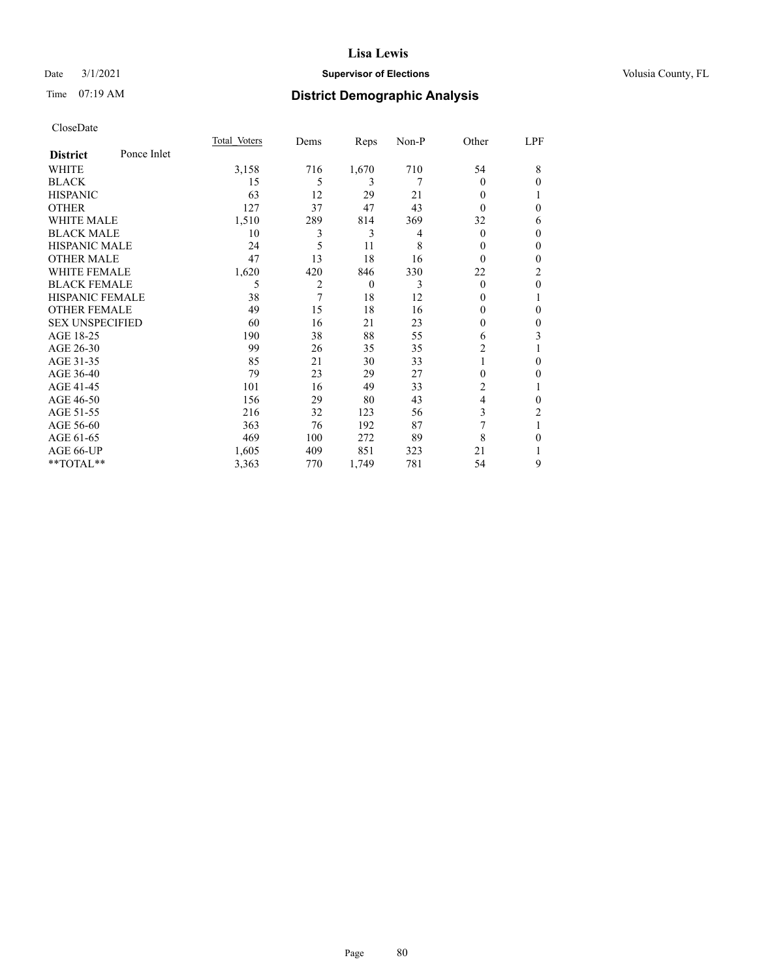# Date  $3/1/2021$  **Supervisor of Elections Supervisor of Elections** Volusia County, FL

# Time 07:19 AM **District Demographic Analysis**

|                        |             | Total Voters | Dems           | Reps     | Non-P | Other          | LPF          |
|------------------------|-------------|--------------|----------------|----------|-------|----------------|--------------|
| <b>District</b>        | Ponce Inlet |              |                |          |       |                |              |
| WHITE                  |             | 3,158        | 716            | 1,670    | 710   | 54             | 8            |
| <b>BLACK</b>           |             | 15           | 5              | 3        | 7     | $\theta$       | $\theta$     |
| <b>HISPANIC</b>        |             | 63           | 12             | 29       | 21    | $\theta$       | 1            |
| <b>OTHER</b>           |             | 127          | 37             | 47       | 43    | 0              | $\theta$     |
| <b>WHITE MALE</b>      |             | 1,510        | 289            | 814      | 369   | 32             | 6            |
| <b>BLACK MALE</b>      |             | 10           | 3              | 3        | 4     | $\theta$       | $\mathbf{0}$ |
| <b>HISPANIC MALE</b>   |             | 24           | 5              | 11       | 8     | $_{0}$         | $\theta$     |
| <b>OTHER MALE</b>      |             | 47           | 13             | 18       | 16    | $\theta$       | $\theta$     |
| <b>WHITE FEMALE</b>    |             | 1,620        | 420            | 846      | 330   | 22             | 2            |
| <b>BLACK FEMALE</b>    |             | 5            | $\overline{2}$ | $\theta$ | 3     | $\theta$       | $\theta$     |
| <b>HISPANIC FEMALE</b> |             | 38           | 7              | 18       | 12    | 0              | 1            |
| <b>OTHER FEMALE</b>    |             | 49           | 15             | 18       | 16    | 0              | $\theta$     |
| <b>SEX UNSPECIFIED</b> |             | 60           | 16             | 21       | 23    | 0              | $\mathbf{0}$ |
| AGE 18-25              |             | 190          | 38             | 88       | 55    | 6              | 3            |
| AGE 26-30              |             | 99           | 26             | 35       | 35    | 2              |              |
| AGE 31-35              |             | 85           | 21             | 30       | 33    |                | $\theta$     |
| AGE 36-40              |             | 79           | 23             | 29       | 27    | 0              | $\theta$     |
| AGE 41-45              |             | 101          | 16             | 49       | 33    | $\overline{c}$ | 1            |
| AGE 46-50              |             | 156          | 29             | 80       | 43    | 4              | $\theta$     |
| AGE 51-55              |             | 216          | 32             | 123      | 56    | 3              | 2            |
| AGE 56-60              |             | 363          | 76             | 192      | 87    | 7              | 1            |
| AGE 61-65              |             | 469          | 100            | 272      | 89    | 8              | $\theta$     |
| AGE 66-UP              |             | 1,605        | 409            | 851      | 323   | 21             |              |
| **TOTAL**              |             | 3,363        | 770            | 1,749    | 781   | 54             | 9            |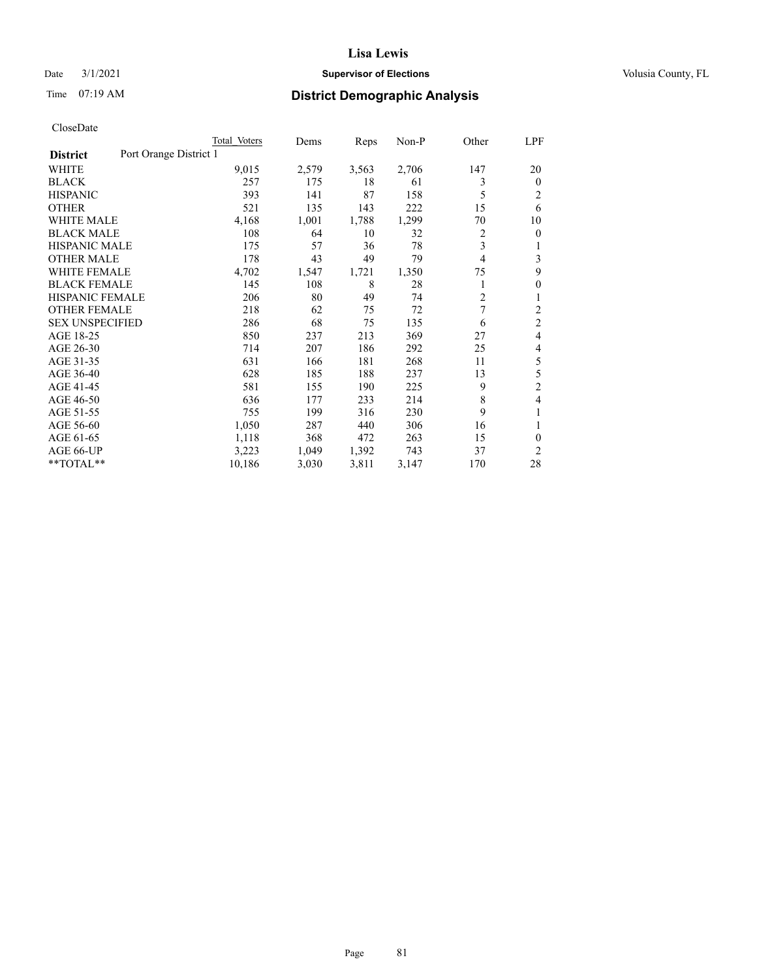# Date  $3/1/2021$  **Supervisor of Elections Supervisor of Elections** Volusia County, FL

# Time 07:19 AM **District Demographic Analysis**

|                                           | Total Voters | Dems  | Reps  | $Non-P$ | Other          | LPF            |
|-------------------------------------------|--------------|-------|-------|---------|----------------|----------------|
| Port Orange District 1<br><b>District</b> |              |       |       |         |                |                |
| WHITE                                     | 9,015        | 2,579 | 3,563 | 2,706   | 147            | 20             |
| <b>BLACK</b>                              | 257          | 175   | 18    | 61      | 3              | $\Omega$       |
| <b>HISPANIC</b>                           | 393          | 141   | 87    | 158     | 5              | 2              |
| <b>OTHER</b>                              | 521          | 135   | 143   | 222     | 15             | 6              |
| <b>WHITE MALE</b>                         | 4,168        | 1,001 | 1,788 | 1,299   | 70             | 10             |
| <b>BLACK MALE</b>                         | 108          | 64    | 10    | 32      | 2              | 0              |
| <b>HISPANIC MALE</b>                      | 175          | 57    | 36    | 78      | 3              |                |
| <b>OTHER MALE</b>                         | 178          | 43    | 49    | 79      | 4              | 3              |
| WHITE FEMALE                              | 4,702        | 1,547 | 1,721 | 1,350   | 75             | 9              |
| <b>BLACK FEMALE</b>                       | 145          | 108   | 8     | 28      | 1              | 0              |
| <b>HISPANIC FEMALE</b>                    | 206          | 80    | 49    | 74      | $\overline{c}$ | 1              |
| <b>OTHER FEMALE</b>                       | 218          | 62    | 75    | 72      | 7              | $\overline{c}$ |
| <b>SEX UNSPECIFIED</b>                    | 286          | 68    | 75    | 135     | 6              | $\overline{c}$ |
| AGE 18-25                                 | 850          | 237   | 213   | 369     | 27             | 4              |
| AGE 26-30                                 | 714          | 207   | 186   | 292     | 25             | 4              |
| AGE 31-35                                 | 631          | 166   | 181   | 268     | 11             | 5              |
| AGE 36-40                                 | 628          | 185   | 188   | 237     | 13             | 5              |
| AGE 41-45                                 | 581          | 155   | 190   | 225     | 9              | $\overline{2}$ |
| AGE 46-50                                 | 636          | 177   | 233   | 214     | 8              | 4              |
| AGE 51-55                                 | 755          | 199   | 316   | 230     | 9              |                |
| AGE 56-60                                 | 1,050        | 287   | 440   | 306     | 16             | 1              |
| AGE 61-65                                 | 1,118        | 368   | 472   | 263     | 15             | 0              |
| AGE 66-UP                                 | 3,223        | 1,049 | 1,392 | 743     | 37             | 2              |
| **TOTAL**                                 | 10,186       | 3,030 | 3,811 | 3,147   | 170            | 28             |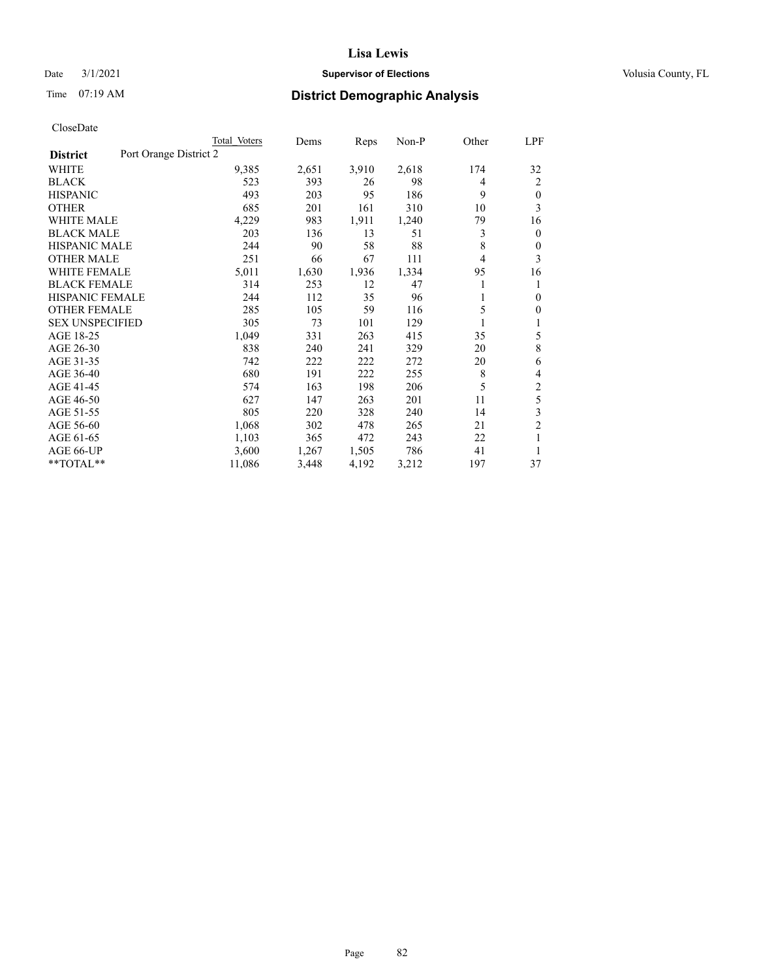# Date  $3/1/2021$  **Supervisor of Elections Supervisor of Elections** Volusia County, FL

| CloseDate |
|-----------|
|-----------|

|                                           | Total Voters | Dems  | Reps  | Non-P | Other | LPF            |
|-------------------------------------------|--------------|-------|-------|-------|-------|----------------|
| Port Orange District 2<br><b>District</b> |              |       |       |       |       |                |
| WHITE                                     | 9,385        | 2,651 | 3,910 | 2,618 | 174   | 32             |
| <b>BLACK</b>                              | 523          | 393   | 26    | 98    | 4     | $\overline{c}$ |
| <b>HISPANIC</b>                           | 493          | 203   | 95    | 186   | 9     | $\theta$       |
| <b>OTHER</b>                              | 685          | 201   | 161   | 310   | 10    | 3              |
| <b>WHITE MALE</b>                         | 4,229        | 983   | 1,911 | 1,240 | 79    | 16             |
| <b>BLACK MALE</b>                         | 203          | 136   | 13    | 51    | 3     | $\mathbf{0}$   |
| <b>HISPANIC MALE</b>                      | 244          | 90    | 58    | 88    | 8     | 0              |
| <b>OTHER MALE</b>                         | 251          | 66    | 67    | 111   | 4     | 3              |
| WHITE FEMALE                              | 5,011        | 1,630 | 1,936 | 1,334 | 95    | 16             |
| <b>BLACK FEMALE</b>                       | 314          | 253   | 12    | 47    | 1     | 1              |
| HISPANIC FEMALE                           | 244          | 112   | 35    | 96    | 1     | 0              |
| <b>OTHER FEMALE</b>                       | 285          | 105   | 59    | 116   | 5     | $\theta$       |
| <b>SEX UNSPECIFIED</b>                    | 305          | 73    | 101   | 129   | 1     | 1              |
| AGE 18-25                                 | 1,049        | 331   | 263   | 415   | 35    | 5              |
| AGE 26-30                                 | 838          | 240   | 241   | 329   | 20    | $\,8\,$        |
| AGE 31-35                                 | 742          | 222   | 222   | 272   | 20    | 6              |
| AGE 36-40                                 | 680          | 191   | 222   | 255   | 8     | 4              |
| AGE 41-45                                 | 574          | 163   | 198   | 206   | 5     | $\mathfrak{2}$ |
| AGE 46-50                                 | 627          | 147   | 263   | 201   | 11    | 5              |
| AGE 51-55                                 | 805          | 220   | 328   | 240   | 14    | 3              |
| AGE 56-60                                 | 1,068        | 302   | 478   | 265   | 21    | $\overline{2}$ |
| AGE 61-65                                 | 1,103        | 365   | 472   | 243   | 22    | 1              |
| AGE 66-UP                                 | 3,600        | 1,267 | 1,505 | 786   | 41    | 1              |
| **TOTAL**                                 | 11,086       | 3,448 | 4,192 | 3,212 | 197   | 37             |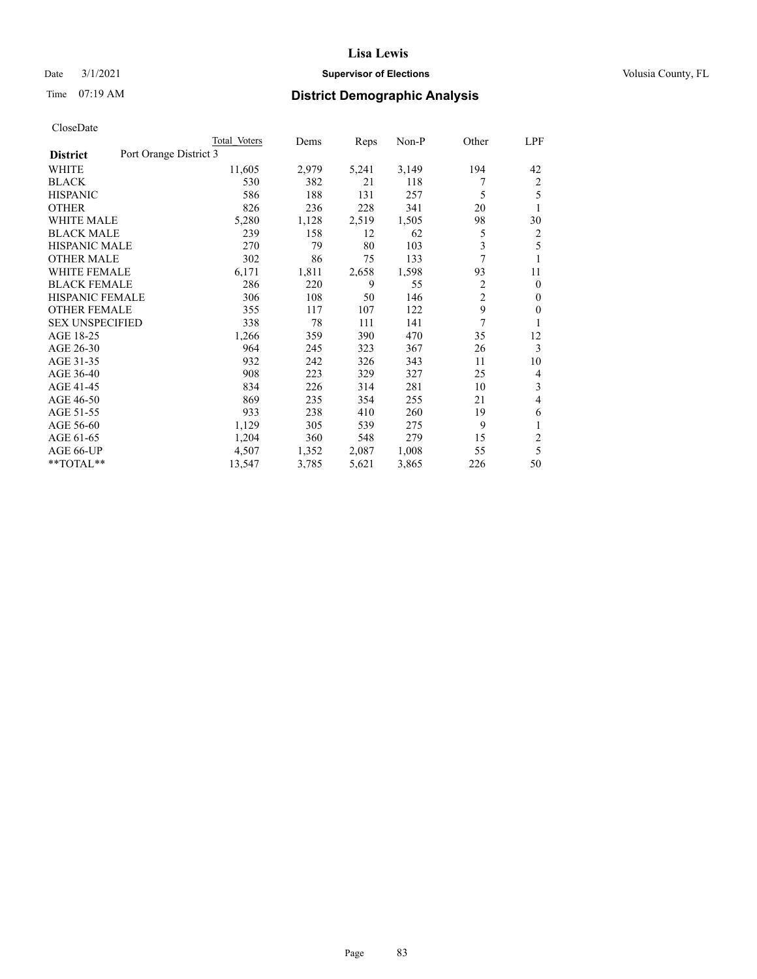# Date  $3/1/2021$  **Supervisor of Elections Supervisor of Elections** Volusia County, FL

# Time 07:19 AM **District Demographic Analysis**

|                                           | Total Voters | Dems  | Reps  | Non-P | Other          | LPF          |
|-------------------------------------------|--------------|-------|-------|-------|----------------|--------------|
| Port Orange District 3<br><b>District</b> |              |       |       |       |                |              |
| WHITE                                     | 11,605       | 2,979 | 5,241 | 3,149 | 194            | 42           |
| <b>BLACK</b>                              | 530          | 382   | 21    | 118   | 7              | 2            |
| <b>HISPANIC</b>                           | 586          | 188   | 131   | 257   | 5              | 5            |
| <b>OTHER</b>                              | 826          | 236   | 228   | 341   | 20             | 1            |
| <b>WHITE MALE</b>                         | 5,280        | 1,128 | 2,519 | 1,505 | 98             | 30           |
| <b>BLACK MALE</b>                         | 239          | 158   | 12    | 62    | 5              | 2            |
| <b>HISPANIC MALE</b>                      | 270          | 79    | 80    | 103   | 3              | 5            |
| <b>OTHER MALE</b>                         | 302          | 86    | 75    | 133   | 7              | 1            |
| WHITE FEMALE                              | 6,171        | 1,811 | 2,658 | 1,598 | 93             | 11           |
| <b>BLACK FEMALE</b>                       | 286          | 220   | 9     | 55    | 2              | $\mathbf{0}$ |
| <b>HISPANIC FEMALE</b>                    | 306          | 108   | 50    | 146   | $\overline{2}$ | $\Omega$     |
| <b>OTHER FEMALE</b>                       | 355          | 117   | 107   | 122   | 9              | 0            |
| <b>SEX UNSPECIFIED</b>                    | 338          | 78    | 111   | 141   | 7              | 1            |
| AGE 18-25                                 | 1,266        | 359   | 390   | 470   | 35             | 12           |
| AGE 26-30                                 | 964          | 245   | 323   | 367   | 26             | 3            |
| AGE 31-35                                 | 932          | 242   | 326   | 343   | 11             | 10           |
| AGE 36-40                                 | 908          | 223   | 329   | 327   | 25             | 4            |
| AGE 41-45                                 | 834          | 226   | 314   | 281   | 10             | 3            |
| AGE 46-50                                 | 869          | 235   | 354   | 255   | 21             | 4            |
| AGE 51-55                                 | 933          | 238   | 410   | 260   | 19             | 6            |
| AGE 56-60                                 | 1,129        | 305   | 539   | 275   | 9              | 1            |
| AGE 61-65                                 | 1,204        | 360   | 548   | 279   | 15             | 2            |
| AGE 66-UP                                 | 4,507        | 1,352 | 2,087 | 1,008 | 55             | 5            |
| $*$ $TOTAL**$                             | 13,547       | 3,785 | 5,621 | 3,865 | 226            | 50           |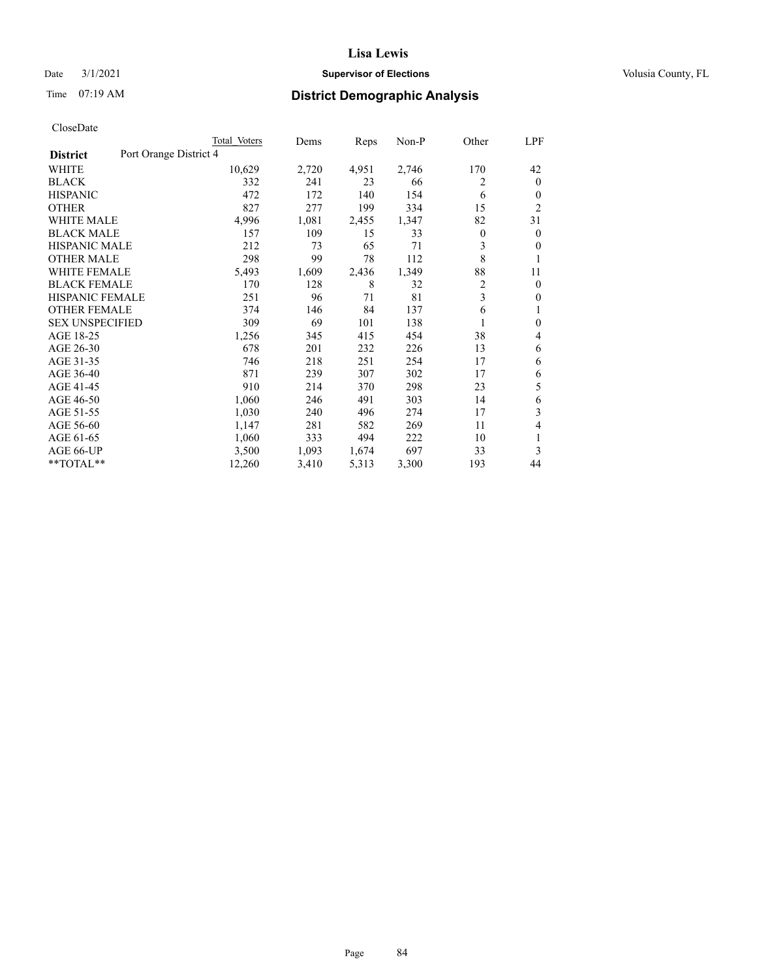# Date  $3/1/2021$  **Supervisor of Elections Supervisor of Elections** Volusia County, FL

# Time 07:19 AM **District Demographic Analysis**

|                                           | Total Voters | Dems  | Reps  | Non-P | Other          | <u>LPF</u>     |
|-------------------------------------------|--------------|-------|-------|-------|----------------|----------------|
| Port Orange District 4<br><b>District</b> |              |       |       |       |                |                |
| WHITE                                     | 10,629       | 2,720 | 4,951 | 2,746 | 170            | 42             |
| <b>BLACK</b>                              | 332          | 241   | 23    | 66    | 2              | $\mathbf{0}$   |
| <b>HISPANIC</b>                           | 472          | 172   | 140   | 154   | 6              | $\mathbf{0}$   |
| <b>OTHER</b>                              | 827          | 277   | 199   | 334   | 15             | $\overline{2}$ |
| <b>WHITE MALE</b>                         | 4,996        | 1,081 | 2,455 | 1,347 | 82             | 31             |
| <b>BLACK MALE</b>                         | 157          | 109   | 15    | 33    | 0              | $\overline{0}$ |
| <b>HISPANIC MALE</b>                      | 212          | 73    | 65    | 71    | 3              | $\theta$       |
| <b>OTHER MALE</b>                         | 298          | 99    | 78    | 112   | 8              | 1              |
| <b>WHITE FEMALE</b>                       | 5,493        | 1,609 | 2,436 | 1,349 | 88             | 11             |
| <b>BLACK FEMALE</b>                       | 170          | 128   | 8     | 32    | $\overline{2}$ | $\mathbf{0}$   |
| <b>HISPANIC FEMALE</b>                    | 251          | 96    | 71    | 81    | 3              | $\mathbf{0}$   |
| <b>OTHER FEMALE</b>                       | 374          | 146   | 84    | 137   | 6              | 1              |
| <b>SEX UNSPECIFIED</b>                    | 309          | 69    | 101   | 138   |                | $\mathbf{0}$   |
| AGE 18-25                                 | 1,256        | 345   | 415   | 454   | 38             | 4              |
| AGE 26-30                                 | 678          | 201   | 232   | 226   | 13             | 6              |
| AGE 31-35                                 | 746          | 218   | 251   | 254   | 17             | 6              |
| AGE 36-40                                 | 871          | 239   | 307   | 302   | 17             | 6              |
| AGE 41-45                                 | 910          | 214   | 370   | 298   | 23             | 5              |
| AGE 46-50                                 | 1,060        | 246   | 491   | 303   | 14             | 6              |
| AGE 51-55                                 | 1,030        | 240   | 496   | 274   | 17             | 3              |
| AGE 56-60                                 | 1,147        | 281   | 582   | 269   | 11             | 4              |
| AGE 61-65                                 | 1,060        | 333   | 494   | 222   | 10             | 1              |
| AGE 66-UP                                 | 3,500        | 1,093 | 1,674 | 697   | 33             | 3              |
| **TOTAL**                                 | 12,260       | 3,410 | 5,313 | 3,300 | 193            | 44             |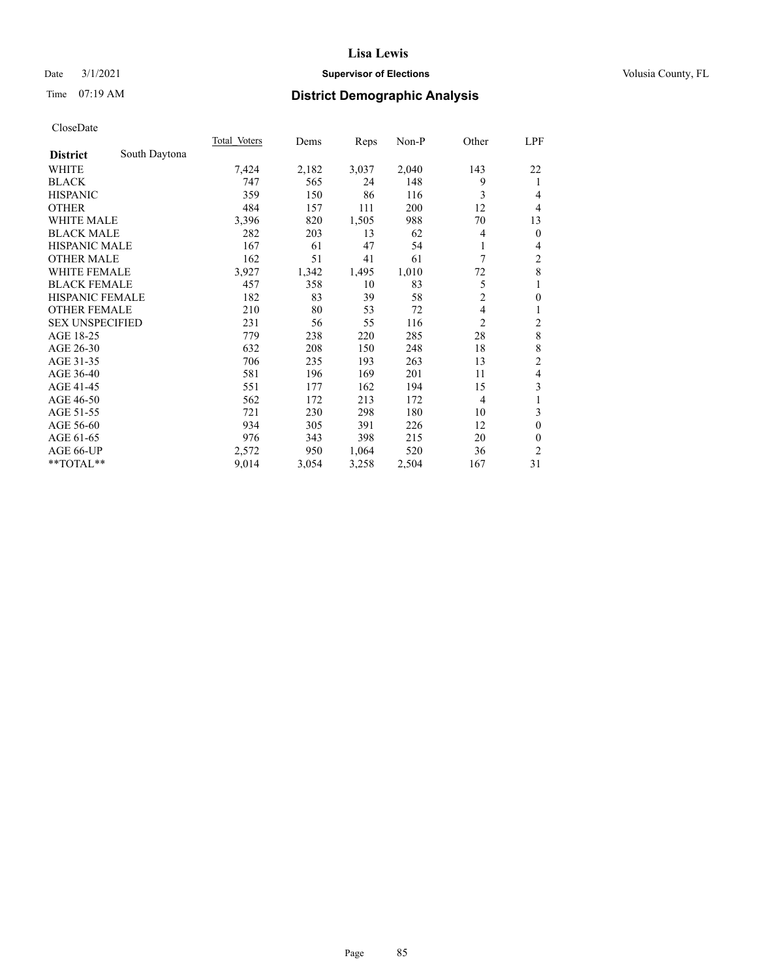# Date  $3/1/2021$  **Supervisor of Elections Supervisor of Elections** Volusia County, FL

# Time 07:19 AM **District Demographic Analysis**

|                        |               | <b>Total Voters</b> | Dems  | Reps  | $Non-P$ | Other          | <u>LPF</u>              |
|------------------------|---------------|---------------------|-------|-------|---------|----------------|-------------------------|
| <b>District</b>        | South Daytona |                     |       |       |         |                |                         |
| WHITE                  |               | 7,424               | 2,182 | 3,037 | 2,040   | 143            | 22                      |
| <b>BLACK</b>           |               | 747                 | 565   | 24    | 148     | 9              | 1                       |
| <b>HISPANIC</b>        |               | 359                 | 150   | 86    | 116     | 3              | 4                       |
| <b>OTHER</b>           |               | 484                 | 157   | 111   | 200     | 12             | 4                       |
| <b>WHITE MALE</b>      |               | 3,396               | 820   | 1,505 | 988     | 70             | 13                      |
| <b>BLACK MALE</b>      |               | 282                 | 203   | 13    | 62      | 4              | $\mathbf{0}$            |
| <b>HISPANIC MALE</b>   |               | 167                 | 61    | 47    | 54      | 1              | 4                       |
| <b>OTHER MALE</b>      |               | 162                 | 51    | 41    | 61      | 7              | 2                       |
| WHITE FEMALE           |               | 3,927               | 1,342 | 1,495 | 1,010   | 72             | 8                       |
| <b>BLACK FEMALE</b>    |               | 457                 | 358   | 10    | 83      | 5              | 1                       |
| <b>HISPANIC FEMALE</b> |               | 182                 | 83    | 39    | 58      | $\overline{2}$ | $\mathbf{0}$            |
| <b>OTHER FEMALE</b>    |               | 210                 | 80    | 53    | 72      | 4              | 1                       |
| <b>SEX UNSPECIFIED</b> |               | 231                 | 56    | 55    | 116     | 2              | $\overline{\mathbf{c}}$ |
| AGE 18-25              |               | 779                 | 238   | 220   | 285     | 28             | 8                       |
| AGE 26-30              |               | 632                 | 208   | 150   | 248     | 18             | 8                       |
| AGE 31-35              |               | 706                 | 235   | 193   | 263     | 13             | $\overline{c}$          |
| AGE 36-40              |               | 581                 | 196   | 169   | 201     | 11             | 4                       |
| AGE 41-45              |               | 551                 | 177   | 162   | 194     | 15             | 3                       |
| AGE 46-50              |               | 562                 | 172   | 213   | 172     | $\overline{4}$ | 1                       |
| AGE 51-55              |               | 721                 | 230   | 298   | 180     | 10             | 3                       |
| AGE 56-60              |               | 934                 | 305   | 391   | 226     | 12             | $\theta$                |
| AGE 61-65              |               | 976                 | 343   | 398   | 215     | 20             | $\theta$                |
| AGE 66-UP              |               | 2,572               | 950   | 1,064 | 520     | 36             | 2                       |
| **TOTAL**              |               | 9,014               | 3,054 | 3,258 | 2,504   | 167            | 31                      |